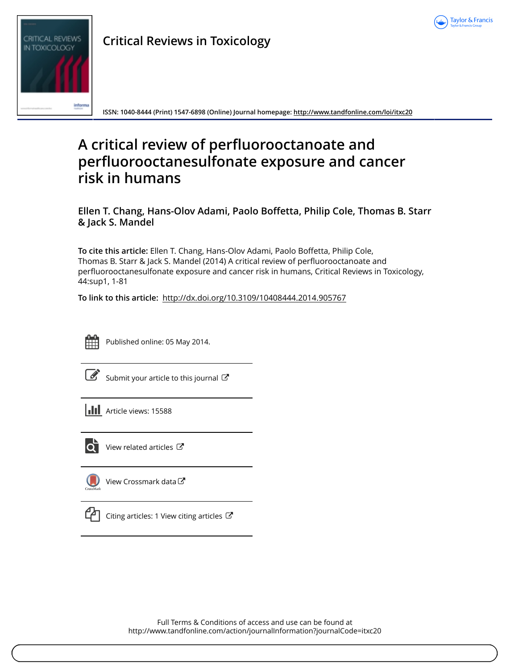



**ISSN: 1040-8444 (Print) 1547-6898 (Online) Journal homepage:<http://www.tandfonline.com/loi/itxc20>**

# **A critical review of perfluorooctanoate and perfluorooctanesulfonate exposure and cancer risk in humans**

**Ellen T. Chang, Hans-Olov Adami, Paolo Boffetta, Philip Cole, Thomas B. Starr & Jack S. Mandel**

**To cite this article:** Ellen T. Chang, Hans-Olov Adami, Paolo Boffetta, Philip Cole, Thomas B. Starr & Jack S. Mandel (2014) A critical review of perfluorooctanoate and perfluorooctanesulfonate exposure and cancer risk in humans, Critical Reviews in Toxicology, 44:sup1, 1-81

**To link to this article:** <http://dx.doi.org/10.3109/10408444.2014.905767>



Published online: 05 May 2014.

[Submit your article to this journal](http://www.tandfonline.com/action/authorSubmission?journalCode=itxc20&page=instructions)  $\mathbb{Z}$ 

**III** Article views: 15588



 $\overrightarrow{Q}$  [View related articles](http://www.tandfonline.com/doi/mlt/10.3109/10408444.2014.905767)  $\overrightarrow{C}$ 

 $\bigcirc$  [View Crossmark data](http://crossmark.crossref.org/dialog/?doi=10.3109/10408444.2014.905767&domain=pdf&date_stamp=2014-05-05) $\mathbb{Z}$ 



 $\Box$  [Citing articles: 1 View citing articles](http://www.tandfonline.com/doi/citedby/10.3109/10408444.2014.905767#tabModule)  $\Box$ 

Full Terms & Conditions of access and use can be found at <http://www.tandfonline.com/action/journalInformation?journalCode=itxc20>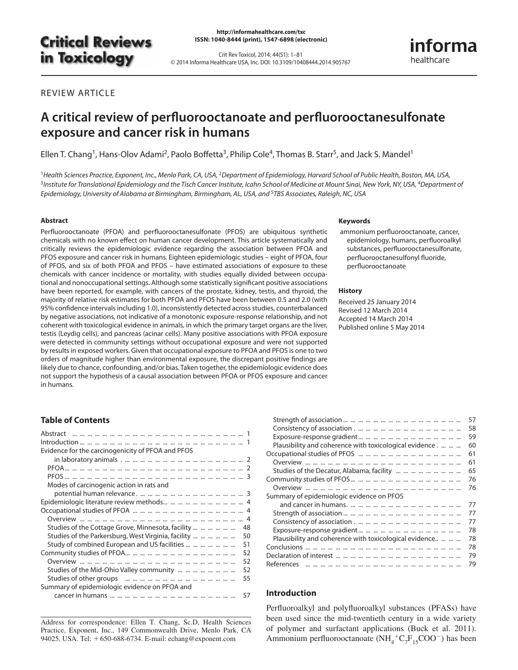# **Critical Reviews** in Toxicology

**http://informahealthcare.com/txc ISSN: 1040-8444 (print), 1547-6898 (electronic)**

Crit Rev Toxicol, 2014; 44(S1): 1–81 © 2014 Informa Healthcare USA, Inc. DOI: 10.3109/10408444.2014.905767

# informa healthcare

REVIEW ARTICLE

# **A critical review of perfl uorooctanoate and perfl uorooctanesulfonate exposure and cancer risk in humans**

Ellen T. Chang<sup>1</sup>, Hans-Olov Adami<sup>2</sup>, Paolo Boffetta<sup>3</sup>, Philip Cole<sup>4</sup>, Thomas B. Starr<sup>5</sup>, and Jack S. Mandel<sup>1</sup>

<sup>1</sup>Health Sciences Practice, Exponent, Inc., Menlo Park, CA, USA, <sup>2</sup>Department of Epidemiology, Harvard School of Public Health, Boston, MA, USA, 3Institute for Translational Epidemiology and the Tisch Cancer Institute, Icahn School of Medicine at Mount Sinai, New York, NY, USA, <sup>4</sup> Department of Epidemiology, University of Alabama at Birmingham, Birmingham, AL, USA, and <sup>5</sup>TBS Associates, Raleigh, NC, USA

#### **Abstract**

Perfluorooctanoate (PFOA) and perfluorooctanesulfonate (PFOS) are ubiquitous synthetic chemicals with no known effect on human cancer development. This article systematically and critically reviews the epidemiologic evidence regarding the association between PFOA and PFOS exposure and cancer risk in humans. Eighteen epidemiologic studies – eight of PFOA, four of PFOS, and six of both PFOA and PFOS – have estimated associations of exposure to these chemicals with cancer incidence or mortality, with studies equally divided between occupational and nonoccupational settings. Although some statistically significant positive associations have been reported, for example, with cancers of the prostate, kidney, testis, and thyroid, the majority of relative risk estimates for both PFOA and PFOS have been between 0.5 and 2.0 (with 95% confidence intervals including 1.0), inconsistently detected across studies, counterbalanced by negative associations, not indicative of a monotonic exposure-response relationship, and not coherent with toxicological evidence in animals, in which the primary target organs are the liver, testis (Leydig cells), and pancreas (acinar cells). Many positive associations with PFOA exposure were detected in community settings without occupational exposure and were not supported by results in exposed workers. Given that occupational exposure to PFOA and PFOS is one to two orders of magnitude higher than environmental exposure, the discrepant positive findings are likely due to chance, confounding, and/or bias. Taken together, the epidemiologic evidence does not support the hypothesis of a causal association between PFOA or PFOS exposure and cancer in humans.

#### **Keywords**

ammonium perfluorooctanoate, cancer, epidemiology, humans, perfluoroalkyl substances, perfluorooctanesulfonate, perfluorooctanesulfonyl fluoride, perfluorooctanoate

#### **History**

Received 25 January 2014 Revised 12 March 2014 Accepted 14 March 2014 Published online 5 May 2014

# **Table of Contents**

| Abstract <i>www.www.www.www.www.www.</i> ww.www.www.w     |
|-----------------------------------------------------------|
|                                                           |
| Evidence for the carcinogenicity of PFOA and PFOS         |
|                                                           |
|                                                           |
|                                                           |
| Modes of carcinogenic action in rats and                  |
|                                                           |
|                                                           |
|                                                           |
|                                                           |
| Studies of the Cottage Grove, Minnesota, facility<br>48   |
| Studies of the Parkersburg, West Virginia, facility<br>50 |
| Study of combined European and US facilities<br>51        |
| 52                                                        |
| 52                                                        |
| Studies of the Mid-Ohio Valley community<br>52            |
| 55                                                        |
| Summary of epidemiologic evidence on PFOA and             |
| 57                                                        |

 Address for correspondence: Ellen T. Chang, Sc.D, Health Sciences Practice, Exponent, Inc., 149 Commonwealth Drive, Menlo Park, CA 94025, USA. Tel: - 650-688-6734. E-mail: echang@exponent.com

|                                                        | 57 |
|--------------------------------------------------------|----|
|                                                        | 58 |
|                                                        | 59 |
| Plausibility and coherence with toxicological evidence | 60 |
|                                                        | 61 |
|                                                        | 61 |
| Studies of the Decatur, Alabama, facility              | 65 |
|                                                        | 76 |
|                                                        | 76 |
| Summary of epidemiologic evidence on PFOS              |    |
|                                                        | 77 |
|                                                        | 77 |
|                                                        | 77 |
|                                                        |    |
|                                                        | 78 |
| Plausibility and coherence with toxicological evidence | 78 |
|                                                        | 78 |
|                                                        | 79 |
|                                                        | 79 |
|                                                        |    |

#### **Introduction**

Perfluoroalkyl and polyfluoroalkyl substances (PFASs) have been used since the mid-twentieth century in a wide variety of polymer and surfactant applications (Buck et al. 2011). Ammonium perfluorooctanoate  $(NH_4^+C_7F_{15}COO^-)$  has been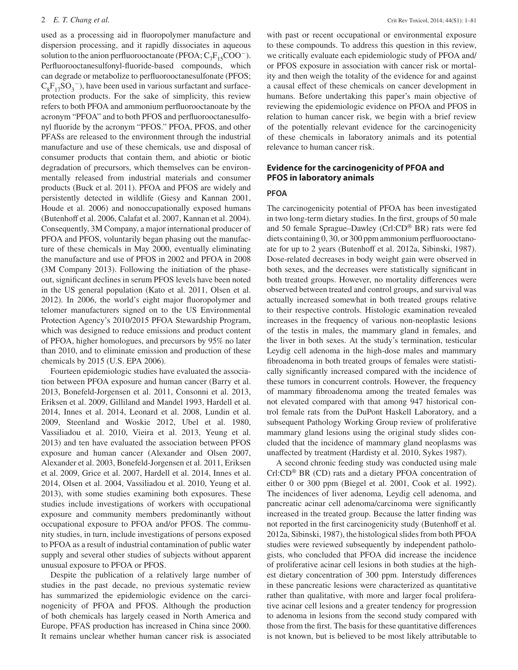#### 2 *E. T. Chang et al.* Crit Rev Toxicol, 2014; 44(S1): 1–81

used as a processing aid in fluoropolymer manufacture and dispersion processing, and it rapidly dissociates in aqueous solution to the anion perfluorooctanoate (PFOA;  $C_7F_{15}COO^-$ ). Perfluorooctanesulfonyl-fluoride-based compounds, which can degrade or metabolize to perfluorooctanesulfonate (PFOS;  $C_8F_{17}SO_3^-$ , have been used in various surfactant and surfaceprotection products. For the sake of simplicity, this review refers to both PFOA and ammonium perfluorooctanoate by the acronym "PFOA" and to both PFOS and perfluorooctanesulfonyl fluoride by the acronym "PFOS." PFOA, PFOS, and other PFASs are released to the environment through the industrial manufacture and use of these chemicals, use and disposal of consumer products that contain them, and abiotic or biotic degradation of precursors, which themselves can be environmentally released from industrial materials and consumer products (Buck et al. 2011). PFOA and PFOS are widely and persistently detected in wildlife (Giesy and Kannan 2001, Houde et al. 2006) and nonoccupationally exposed humans (Butenhoff et al. 2006, Calafat et al. 2007, Kannan et al. 2004). Consequently, 3M Company, a major international producer of PFOA and PFOS, voluntarily began phasing out the manufacture of these chemicals in May 2000, eventually eliminating the manufacture and use of PFOS in 2002 and PFOA in 2008 (3M Company 2013). Following the initiation of the phaseout, significant declines in serum PFOS levels have been noted in the US general population (Kato et al. 2011, Olsen et al. 2012). In 2006, the world's eight major fluoropolymer and telomer manufacturers signed on to the US Environmental Protection Agency's 2010/2015 PFOA Stewardship Program, which was designed to reduce emissions and product content of PFOA, higher homologues, and precursors by 95% no later than 2010, and to eliminate emission and production of these chemicals by 2015 (U.S. EPA 2006).

 Fourteen epidemiologic studies have evaluated the association between PFOA exposure and human cancer (Barry et al. 2013, Bonefeld-Jorgensen et al. 2011, Consonni et al. 2013, Eriksen et al. 2009, Gilliland and Mandel 1993, Hardell et al. 2014, Innes et al. 2014, Leonard et al. 2008, Lundin et al. 2009, Steenland and Woskie 2012, Ubel et al. 1980, Vassiliadou et al. 2010, Vieira et al. 2013, Yeung et al. 2013) and ten have evaluated the association between PFOS exposure and human cancer (Alexander and Olsen 2007, Alexander et al. 2003, Bonefeld-Jorgensen et al. 2011, Eriksen et al. 2009, Grice et al. 2007, Hardell et al. 2014, Innes et al. 2014, Olsen et al. 2004, Vassiliadou et al. 2010, Yeung et al. 2013), with some studies examining both exposures. These studies include investigations of workers with occupational exposure and community members predominantly without occupational exposure to PFOA and/or PFOS. The community studies, in turn, include investigations of persons exposed to PFOA as a result of industrial contamination of public water supply and several other studies of subjects without apparent unusual exposure to PFOA or PFOS.

 Despite the publication of a relatively large number of studies in the past decade, no previous systematic review has summarized the epidemiologic evidence on the carcinogenicity of PFOA and PFOS. Although the production of both chemicals has largely ceased in North America and Europe, PFAS production has increased in China since 2000. It remains unclear whether human cancer risk is associated

with past or recent occupational or environmental exposure to these compounds. To address this question in this review, we critically evaluate each epidemiologic study of PFOA and/ or PFOS exposure in association with cancer risk or mortality and then weigh the totality of the evidence for and against a causal effect of these chemicals on cancer development in humans. Before undertaking this paper's main objective of reviewing the epidemiologic evidence on PFOA and PFOS in relation to human cancer risk, we begin with a brief review of the potentially relevant evidence for the carcinogenicity of these chemicals in laboratory animals and its potential relevance to human cancer risk.

### **Evidence for the carcinogenicity of PFOA and PFOS in laboratory animals**

#### **PFOA**

 The carcinogenicity potential of PFOA has been investigated in two long-term dietary studies. In the first, groups of 50 male and 50 female Sprague-Dawley (Crl: $CD^{\circledR}$  BR) rats were fed diets containing  $0, 30$ , or  $300$  ppm ammonium perfluorooctanoate for up to 2 years (Butenhoff et al. 2012a, Sibinski, 1987). Dose-related decreases in body weight gain were observed in both sexes, and the decreases were statistically significant in both treated groups. However, no mortality differences were observed between treated and control groups, and survival was actually increased somewhat in both treated groups relative to their respective controls. Histologic examination revealed increases in the frequency of various non-neoplastic lesions of the testis in males, the mammary gland in females, and the liver in both sexes. At the study's termination, testicular Leydig cell adenoma in the high-dose males and mammary fibroadenoma in both treated groups of females were statistically significantly increased compared with the incidence of these tumors in concurrent controls. However, the frequency of mammary fibroadenoma among the treated females was not elevated compared with that among 947 historical control female rats from the DuPont Haskell Laboratory, and a subsequent Pathology Working Group review of proliferative mammary gland lesions using the original study slides concluded that the incidence of mammary gland neoplasms was unaffected by treatment (Hardisty et al. 2010, Sykes 1987).

 A second chronic feeding study was conducted using male  $Crl:CD^{\circledR}$  BR (CD) rats and a dietary PFOA concentration of either 0 or 300 ppm (Biegel et al. 2001, Cook et al. 1992). The incidences of liver adenoma, Leydig cell adenoma, and pancreatic acinar cell adenoma/carcinoma were significantly increased in the treated group. Because the latter finding was not reported in the first carcinogenicity study (Butenhoff et al. 2012a, Sibinski, 1987), the histological slides from both PFOA studies were reviewed subsequently by independent pathologists, who concluded that PFOA did increase the incidence of proliferative acinar cell lesions in both studies at the highest dietary concentration of 300 ppm. Interstudy differences in these pancreatic lesions were characterized as quantitative rather than qualitative, with more and larger focal proliferative acinar cell lesions and a greater tendency for progression to adenoma in lesions from the second study compared with those from the first. The basis for these quantitative differences is not known, but is believed to be most likely attributable to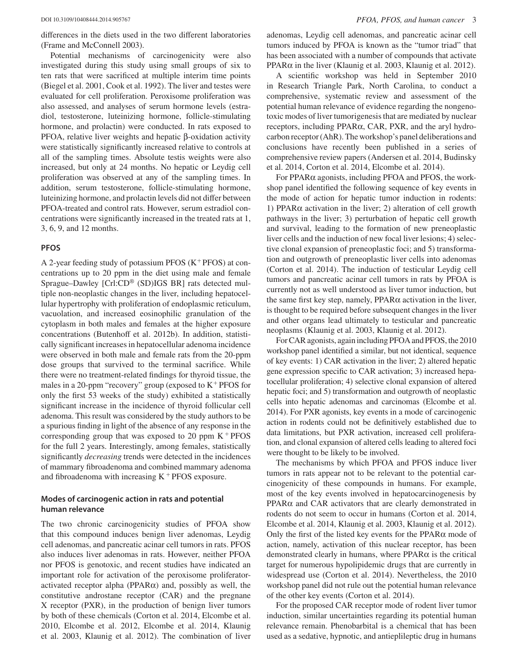differences in the diets used in the two different laboratories (Frame and McConnell 2003).

 Potential mechanisms of carcinogenicity were also investigated during this study using small groups of six to ten rats that were sacrificed at multiple interim time points (Biegel et al. 2001, Cook et al. 1992). The liver and testes were evaluated for cell proliferation. Peroxisome proliferation was also assessed, and analyses of serum hormone levels (estradiol, testosterone, luteinizing hormone, follicle-stimulating hormone, and prolactin) were conducted. In rats exposed to PFOA, relative liver weights and hepatic β-oxidation activity were statistically significantly increased relative to controls at all of the sampling times. Absolute testis weights were also increased, but only at 24 months. No hepatic or Leydig cell proliferation was observed at any of the sampling times. In addition, serum testosterone, follicle-stimulating hormone, luteinizing hormone, and prolactin levels did not differ between PFOA-treated and control rats. However, serum estradiol concentrations were significantly increased in the treated rats at 1, 3, 6, 9, and 12 months.

#### **PFOS**

A 2-year feeding study of potassium PFOS  $(K$ <sup>+</sup> PFOS) at concentrations up to 20 ppm in the diet using male and female Sprague-Dawley [Crl:CD® (SD)IGS BR] rats detected multiple non-neoplastic changes in the liver, including hepatocellular hypertrophy with proliferation of endoplasmic reticulum, vacuolation, and increased eosinophilic granulation of the cytoplasm in both males and females at the higher exposure concentrations (Butenhoff et al. 2012b). In addition, statistically significant increases in hepatocellular adenoma incidence were observed in both male and female rats from the 20-ppm dose groups that survived to the terminal sacrifice. While there were no treatment-related findings for thyroid tissue, the males in a 20-ppm "recovery" group (exposed to  $K^+$  PFOS for only the first 53 weeks of the study) exhibited a statistically significant increase in the incidence of thyroid follicular cell adenoma. This result was considered by the study authors to be a spurious finding in light of the absence of any response in the corresponding group that was exposed to 20 ppm  $K^+$  PFOS for the full 2 years. Interestingly, among females, statistically significantly *decreasing* trends were detected in the incidences of mammary fibroadenoma and combined mammary adenoma and fibroadenoma with increasing  $K^+$  PFOS exposure.

### **Modes of carcinogenic action in rats and potential human relevance**

 The two chronic carcinogenicity studies of PFOA show that this compound induces benign liver adenomas, Leydig cell adenomas, and pancreatic acinar cell tumors in rats. PFOS also induces liver adenomas in rats. However, neither PFOA nor PFOS is genotoxic, and recent studies have indicated an important role for activation of the peroxisome proliferatoractivated receptor alpha (PPAR $\alpha$ ) and, possibly as well, the constitutive androstane receptor (CAR) and the pregnane X receptor (PXR), in the production of benign liver tumors by both of these chemicals (Corton et al. 2014, Elcombe et al. 2010, Elcombe et al. 2012, Elcombe et al. 2014, Klaunig et al. 2003, Klaunig et al. 2012). The combination of liver adenomas, Leydig cell adenomas, and pancreatic acinar cell tumors induced by PFOA is known as the "tumor triad" that has been associated with a number of compounds that activate PPAR $\alpha$  in the liver (Klaunig et al. 2003, Klaunig et al. 2012).

A scientific workshop was held in September 2010 in Research Triangle Park, North Carolina, to conduct a comprehensive, systematic review and assessment of the potential human relevance of evidence regarding the nongenotoxic modes of liver tumorigenesis that are mediated by nuclear receptors, including  $PPAR\alpha$ , CAR, PXR, and the aryl hydrocarbon receptor (AhR). The workshop's panel deliberations and conclusions have recently been published in a series of comprehensive review papers (Andersen et al. 2014, Budinsky et al. 2014, Corton et al. 2014, Elcombe et al. 2014).

For PPAR $\alpha$  agonists, including PFOA and PFOS, the workshop panel identified the following sequence of key events in the mode of action for hepatic tumor induction in rodents: 1) PPAR $\alpha$  activation in the liver; 2) alteration of cell growth pathways in the liver; 3) perturbation of hepatic cell growth and survival, leading to the formation of new preneoplastic liver cells and the induction of new focal liver lesions; 4) selective clonal expansion of preneoplastic foci; and 5) transformation and outgrowth of preneoplastic liver cells into adenomas (Corton et al. 2014). The induction of testicular Leydig cell tumors and pancreatic acinar cell tumors in rats by PFOA is currently not as well understood as liver tumor induction, but the same first key step, namely,  $PPAR\alpha$  activation in the liver, is thought to be required before subsequent changes in the liver and other organs lead ultimately to testicular and pancreatic neoplasms (Klaunig et al. 2003, Klaunig et al. 2012).

 For CAR agonists, again including PFOA and PFOS, the 2010 workshop panel identified a similar, but not identical, sequence of key events: 1) CAR activation in the liver; 2) altered hepatic gene expression specific to CAR activation; 3) increased hepatocellular proliferation; 4) selective clonal expansion of altered hepatic foci; and 5) transformation and outgrowth of neoplastic cells into hepatic adenomas and carcinomas (Elcombe et al. 2014). For PXR agonists, key events in a mode of carcinogenic action in rodents could not be definitively established due to data limitations, but PXR activation, increased cell proliferation, and clonal expansion of altered cells leading to altered foci were thought to be likely to be involved.

 The mechanisms by which PFOA and PFOS induce liver tumors in rats appear not to be relevant to the potential carcinogenicity of these compounds in humans. For example, most of the key events involved in hepatocarcinogenesis by  $PPAR\alpha$  and CAR activators that are clearly demonstrated in rodents do not seem to occur in humans (Corton et al. 2014, Elcombe et al. 2014, Klaunig et al. 2003, Klaunig et al. 2012). Only the first of the listed key events for the PPAR $\alpha$  mode of action, namely, activation of this nuclear receptor, has been demonstrated clearly in humans, where  $PPAR\alpha$  is the critical target for numerous hypolipidemic drugs that are currently in widespread use (Corton et al. 2014). Nevertheless, the 2010 workshop panel did not rule out the potential human relevance of the other key events (Corton et al. 2014).

 For the proposed CAR receptor mode of rodent liver tumor induction, similar uncertainties regarding its potential human relevance remain. Phenobarbital is a chemical that has been used as a sedative, hypnotic, and antieplileptic drug in humans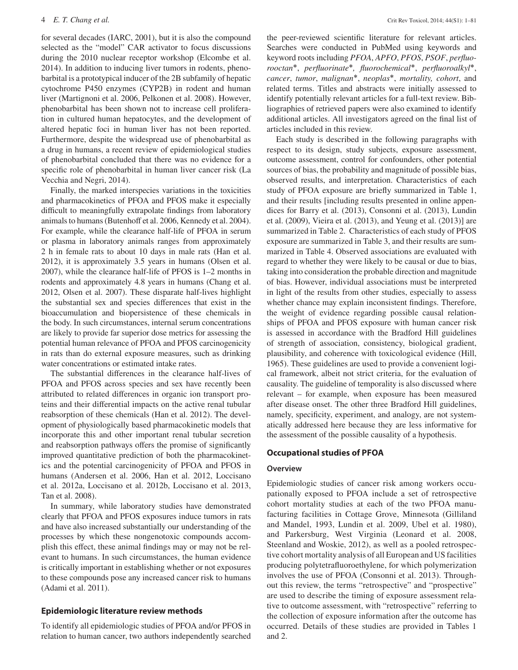for several decades (IARC, 2001), but it is also the compound selected as the "model" CAR activator to focus discussions during the 2010 nuclear receptor workshop (Elcombe et al. 2014). In addition to inducing liver tumors in rodents, phenobarbital is a prototypical inducer of the 2B subfamily of hepatic cytochrome P450 enzymes (CYP2B) in rodent and human liver (Martignoni et al. 2006, Pelkonen et al. 2008). However, phenobarbital has been shown not to increase cell proliferation in cultured human hepatocytes, and the development of altered hepatic foci in human liver has not been reported. Furthermore, despite the widespread use of phenobarbital as a drug in humans, a recent review of epidemiological studies of phenobarbital concluded that there was no evidence for a specific role of phenobarbital in human liver cancer risk (La Vecchia and Negri, 2014).

 Finally, the marked interspecies variations in the toxicities and pharmacokinetics of PFOA and PFOS make it especially difficult to meaningfully extrapolate findings from laboratory animals to humans (Butenhoff et al. 2006, Kennedy et al. 2004). For example, while the clearance half-life of PFOA in serum or plasma in laboratory animals ranges from approximately 2 h in female rats to about 10 days in male rats (Han et al. 2012), it is approximately 3.5 years in humans (Olsen et al. 2007), while the clearance half-life of PFOS is 1–2 months in rodents and approximately 4.8 years in humans (Chang et al. 2012, Olsen et al. 2007). These disparate half-lives highlight the substantial sex and species differences that exist in the bioaccumulation and biopersistence of these chemicals in the body. In such circumstances, internal serum concentrations are likely to provide far superior dose metrics for assessing the potential human relevance of PFOA and PFOS carcinogenicity in rats than do external exposure measures, such as drinking water concentrations or estimated intake rates.

The substantial differences in the clearance half-lives of PFOA and PFOS across species and sex have recently been attributed to related differences in organic ion transport proteins and their differential impacts on the active renal tubular reabsorption of these chemicals (Han et al. 2012). The development of physiologically based pharmacokinetic models that incorporate this and other important renal tubular secretion and reabsorption pathways offers the promise of significantly improved quantitative prediction of both the pharmacokinetics and the potential carcinogenicity of PFOA and PFOS in humans (Andersen et al. 2006, Han et al. 2012, Loccisano et al. 2012a, Loccisano et al. 2012b, Loccisano et al. 2013, Tan et al. 2008).

 In summary, while laboratory studies have demonstrated clearly that PFOA and PFOS exposures induce tumors in rats and have also increased substantially our understanding of the processes by which these nongenotoxic compounds accomplish this effect, these animal findings may or may not be relevant to humans. In such circumstances, the human evidence is critically important in establishing whether or not exposures to these compounds pose any increased cancer risk to humans (Adami et al. 2011).

#### **Epidemiologic literature review methods**

 To identify all epidemiologic studies of PFOA and/or PFOS in relation to human cancer, two authors independently searched

the peer-reviewed scientific literature for relevant articles. Searches were conducted in PubMed using keywords and keyword roots including *PFOA* , *APFO* , *PFOS* , *PSOF* , *perfl uorooctan* \* , *perfl uorinate* \* *, fl uorochemical* \* , *perfl uoroalkyl* \* , *cancer* , *tumor* , *malignan* \* , *neoplas* \* , *mortality, cohort* , and related terms. Titles and abstracts were initially assessed to identify potentially relevant articles for a full-text review. Bibliographies of retrieved papers were also examined to identify additional articles. All investigators agreed on the final list of articles included in this review.

 Each study is described in the following paragraphs with respect to its design, study subjects, exposure assessment, outcome assessment, control for confounders, other potential sources of bias, the probability and magnitude of possible bias, observed results, and interpretation. Characteristics of each study of PFOA exposure are briefly summarized in Table 1, and their results [including results presented in online appendices for Barry et al. (2013), Consonni et al. (2013), Lundin et al. (2009), Vieira et al. (2013), and Yeung et al. (2013)] are summarized in Table 2. Characteristics of each study of PFOS exposure are summarized in Table 3, and their results are summarized in Table 4. Observed associations are evaluated with regard to whether they were likely to be causal or due to bias, taking into consideration the probable direction and magnitude of bias. However, individual associations must be interpreted in light of the results from other studies, especially to assess whether chance may explain inconsistent findings. Therefore, the weight of evidence regarding possible causal relationships of PFOA and PFOS exposure with human cancer risk is assessed in accordance with the Bradford Hill guidelines of strength of association, consistency, biological gradient, plausibility, and coherence with toxicological evidence (Hill, 1965). These guidelines are used to provide a convenient logical framework, albeit not strict criteria, for the evaluation of causality. The guideline of temporality is also discussed where relevant – for example, when exposure has been measured after disease onset. The other three Bradford Hill guidelines, namely, specificity, experiment, and analogy, are not systematically addressed here because they are less informative for the assessment of the possible causality of a hypothesis.

#### **Occupational studies of PFOA**

#### **Overview**

 Epidemiologic studies of cancer risk among workers occupationally exposed to PFOA include a set of retrospective cohort mortality studies at each of the two PFOA manufacturing facilities in Cottage Grove, Minnesota (Gilliland and Mandel, 1993, Lundin et al. 2009, Ubel et al. 1980), and Parkersburg, West Virginia (Leonard et al. 2008, Steenland and Woskie, 2012), as well as a pooled retrospective cohort mortality analysis of all European and US facilities producing polytetrafluoroethylene, for which polymerization involves the use of PFOA (Consonni et al. 2013). Throughout this review, the terms "retrospective" and "prospective" are used to describe the timing of exposure assessment relative to outcome assessment, with "retrospective" referring to the collection of exposure information after the outcome has occurred. Details of these studies are provided in Tables 1 and 2.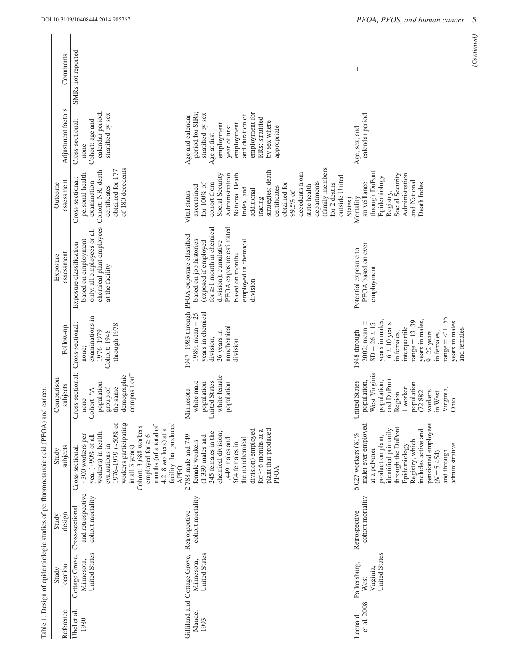|                        |                                                             |                                                          | Table 1. Design of epidemiologic studies of perfluorcoctanoic acid (PFOA) and cancer.                                                                                                                                                                                                                                         |                                                                                                                                                                                |                                                                                                                                                                                                                                                            |                                                                                                                                                                                                                                           |                                                                                                                                                                                                                                                                                                                                    |                                                                                                                                                                                                                 |                   |
|------------------------|-------------------------------------------------------------|----------------------------------------------------------|-------------------------------------------------------------------------------------------------------------------------------------------------------------------------------------------------------------------------------------------------------------------------------------------------------------------------------|--------------------------------------------------------------------------------------------------------------------------------------------------------------------------------|------------------------------------------------------------------------------------------------------------------------------------------------------------------------------------------------------------------------------------------------------------|-------------------------------------------------------------------------------------------------------------------------------------------------------------------------------------------------------------------------------------------|------------------------------------------------------------------------------------------------------------------------------------------------------------------------------------------------------------------------------------------------------------------------------------------------------------------------------------|-----------------------------------------------------------------------------------------------------------------------------------------------------------------------------------------------------------------|-------------------|
| Reference              | location<br>Study                                           | design<br>Study                                          | subjects<br>Study                                                                                                                                                                                                                                                                                                             | Comparison<br>subjects                                                                                                                                                         | Follow-up                                                                                                                                                                                                                                                  | assessment<br>Exposure                                                                                                                                                                                                                    | assessment<br>Outcome                                                                                                                                                                                                                                                                                                              | Adjustment factors                                                                                                                                                                                              | Comments          |
| Ubel et al.<br>1980    | <b>United States</b><br>Cottage Grove,<br>Minnesota,        | and retrospective<br>cohort mortality<br>Cross-sectional | facility that produced<br>workers participating<br>'ճ<br>months (of a total of<br>Cohort: 3,688 workers<br>4,218 workers) at a<br>1976-1979 (~50%<br>workers) in health<br>employed for $\geq 6$<br>$\sim$ 300 workers per<br>year $(\sim)0\%$ of all<br>evaluations in<br>in all 3 years)<br>Cross-sectional:<br><b>APFO</b> | Cross-sectional: Cross-sectional:<br>composition"<br>demographic<br>population<br>the same<br>group of<br>Cohort: "A<br>none                                                   | examinations in<br>through 1978<br>1976-1979<br>Cohort: 1948<br>none;                                                                                                                                                                                      | chemical plant employees<br>only: all employees or all<br>based on employment<br>Exposure classification<br>at the facility                                                                                                               | of 180 decedents<br>Cohort: NR; death<br>obtained for 177<br>personal health<br>Cross-sectional<br>examination<br>certificates                                                                                                                                                                                                     | calendar period;<br>stratified by sex<br>Cross-sectional:<br>Cohort: age and<br>none                                                                                                                            | SMRs not reported |
| Mandel<br>1993         | United States<br>Gilliland and Cottage Grove,<br>Minnesota, | cohort mortality<br>Retrospective                        | plant that produced<br>division) employed<br>for $\geq 6$ months at a<br>245 females in the<br>chemical division;<br>2,788 male and 749<br>$(1,339$ males and<br>1,449 males and<br>the nonchemical<br>female workers<br>504 females in<br>PFOA                                                                               | white female<br><b>United States</b><br>white male<br>population<br>population<br>Minnesota                                                                                    | $1989$ ; mean = $25$<br>years in chemical<br>nonchemical<br>26 years in<br>division,<br>division                                                                                                                                                           | PFOA exposure estimated<br>for $\geq 1$ month in chemical<br>1947-1983 through PFOA exposure classified<br>based on job histories<br>employed in chemical<br>(exposed if employed<br>division); cumulative<br>based on months<br>division | (family members<br>strategies; death<br>Administration,<br>decedents from<br>National Death<br>Social Security<br>outside United<br>departments<br>obtained for<br>cohort from<br>for 2 deaths<br>for $100\%$ of<br>state health<br>ascertained<br>certificates<br>Index, and<br>additional<br>99.5% of<br>Vital status<br>tracing | period for SIRs;<br>employment for<br>stratified by sex<br>and duration of<br>Age and calendar<br>RRs; stratified<br>by sex where<br>employment,<br>employment,<br>year of first<br>appropriate<br>Age at first |                   |
| et al. 2008<br>Leonard | <b>United States</b><br>Parkersburg,<br>Virginia,<br>West   | cohort mortality<br>Retrospective                        | pensioned employees<br>male) ever employed<br>through the DuPont<br>identified primarily<br>includes active and<br>6,027 workers (81%<br>production plant,<br>Registry, which<br>administrative<br>Epidemiology<br>at a polymer<br>$(N = 5,454)$ ,<br>and through                                                             | West Virginia<br>and DuPont<br>population,<br>population,<br><b>United States</b><br>population<br>1 worker<br>Virginia,<br>workers<br>(72, 882)<br>in West<br>Region<br>Ohio, | $range = < 1-55$<br>years in males,<br>$range = 13 - 39$<br>years in males<br>years in males.<br>2002; mean $\pm$<br>$SD = 26 \pm 15$<br>$16 \pm 10$ years<br>interquartile<br>and females<br>1948 through<br>$9 - 22$ years<br>in females;<br>in females; | PFOA based on ever<br>Potential exposure to<br>employment                                                                                                                                                                                 | through DuPont<br>Administration,<br>Social Security<br>Epidemiology<br>and National<br>surveillance<br>Death Index<br>Registry,<br>Mortality<br>States)                                                                                                                                                                           | calendar period<br>Age, sex, and                                                                                                                                                                                |                   |

 $(Continued) % \begin{minipage}[b]{0.5\linewidth} \centering \centerline{\includegraphics[width=0.5\linewidth]{images/STM100020.jpg} \centerline{\includegraphics[width=0.5\linewidth]{images/STM100020.jpg} \centerline{\includegraphics[width=0.5\linewidth]{images/STM100020.jpg} \centerline{\includegraphics[width=0.5\linewidth]{images/STM100020.jpg} \centerline{\includegraphics[width=0.5\linewidth]{images/STM100020.jpg} \centerline{\includegraphics[width=0.5\linewidth]{images/STM100020.jpg} \centerline{\includegraphics[width=0.5\linewidth]{images/STM100020.jpg} \centerline{\includegraphics[width$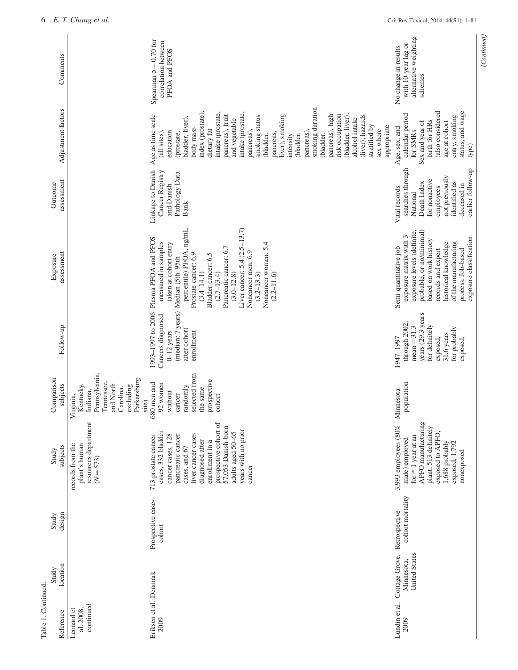|                    | Comments               |                                                                                                                                  | Spearman $\rho = 0.70$ for<br>correlation between<br>PFOA and PFOS                                                                                                                                                                                                                                                                                                                                                                                                                                                  | alternative weighting<br>with 10-year lag or<br>No change in results                                                                                                                                                                                       |
|--------------------|------------------------|----------------------------------------------------------------------------------------------------------------------------------|---------------------------------------------------------------------------------------------------------------------------------------------------------------------------------------------------------------------------------------------------------------------------------------------------------------------------------------------------------------------------------------------------------------------------------------------------------------------------------------------------------------------|------------------------------------------------------------------------------------------------------------------------------------------------------------------------------------------------------------------------------------------------------------|
|                    |                        |                                                                                                                                  |                                                                                                                                                                                                                                                                                                                                                                                                                                                                                                                     | schemes                                                                                                                                                                                                                                                    |
|                    | Adjustment factors     |                                                                                                                                  | smoking duration<br>intake (prostate,<br>intake (prostate,<br>index (prostate).<br>pancreas), high-<br>risk occupation<br>pancreas), fruit<br>(bladder, liver),<br>Age as time scale<br>liver), smoking<br>(liver); hazards<br>smoking status<br>bladder, liver),<br>alcohol intake<br>and vegetable<br>stratified by<br>appropriate<br>body mass<br>dietary fat<br>sex where<br>(all sites),<br>education<br>pancreas)<br>(prostate,<br>pancreas)<br>pancreas,<br>(bladder,<br>(bladder,<br>(bladder,<br>intensity | (also considered<br>status, and wage<br>calendar period<br>entry, smoking<br>birth for HR <sub>s</sub><br>Sex and year of<br>age at cohort<br>Age, sex, and<br>for SMR <sub>s</sub><br>type)                                                               |
|                    | assessment<br>Outcome  |                                                                                                                                  | Linkage to Danish<br>Cancer Registry<br>Pathology Data<br>and Danish<br><b>Bank</b>                                                                                                                                                                                                                                                                                                                                                                                                                                 | searches through<br>earlier follow-up<br>not previously<br>for nonactive<br>identified as<br>Death Index<br>deceased in<br>Vital records<br>employees<br>National                                                                                          |
|                    | assessment<br>Exposure |                                                                                                                                  | Liver cancer: 5.4 (2.5-13.7)<br>percentile) PFOA, ng/mL<br>1993-1997 to 2006 Plasma PFOA and PFOS<br>measured in samples<br>Noncancer women: 5.4<br>taken at cohort entry<br>Pancreatic cancer: 6.7<br>Noncancer men: 6.9<br>Prostate cancer: 6.9<br>Bladder cancer: 6.5<br>(median: 7 years) Median (5th-95th<br>$(3.2 - 13.3)$<br>$(3.4 - 14.1)$<br>$(2.7 - 13.4)$<br>$(3.0 - 12.8)$<br>$(2.2 - 11.6)$                                                                                                            | probable, or no/minimal)<br>exposure levels (definite,<br>exposure matrix with 3<br>exposure classification<br>based on work history<br>of the manufacturing<br>historical knowledge<br>Semi-quantitative job-<br>process. Job-based<br>records and expert |
|                    | Follow-up              |                                                                                                                                  | Cancers diagnosed<br>after cohort<br>$0-12$ years<br>enrollment                                                                                                                                                                                                                                                                                                                                                                                                                                                     | years (29.3 years<br>through 2002;<br>$mean = 31.3$<br>for definitely<br>for probably<br>31.6 years<br>exposed,<br>1947-1997<br>exposed,                                                                                                                   |
|                    | Comparison<br>subjects | Pennsylvania,<br>Parkersburg<br>Tennessee,<br>Kentucky,<br>and North<br>excluding<br>Carolina,<br>Indiana,<br>Virginia,<br>site) | selected from<br>prospective<br>680 men and<br>92 women<br>randomly<br>the same<br>without<br>cancer<br>cohort                                                                                                                                                                                                                                                                                                                                                                                                      | population<br>Minnesota                                                                                                                                                                                                                                    |
|                    | subjects<br>Study      | resources department<br>records from the<br>plant's human<br>$(N = 573)$                                                         | prospective cohort of<br>57,053 Danish-born<br>years with no prior<br>cases, 332 bladder<br>adults aged 50-65<br>cancer cases, 128<br>pancreatic cancer<br>liver cancer cases<br>713 prostate cancer<br>diagnosed after<br>enrollment in a<br>cases, and 67<br>cancer                                                                                                                                                                                                                                               | APFO manufacturing<br>3,993 employees $(80\%$<br>plant; 513 definitely<br>exposed to APFO.<br>for $\geq 1$ year at an<br>male) employed<br>1,688 probably<br>exposed, 1,792<br>nonexposed                                                                  |
|                    | design<br>Study        |                                                                                                                                  | Prospective case-<br>cohort                                                                                                                                                                                                                                                                                                                                                                                                                                                                                         | cohort mortality                                                                                                                                                                                                                                           |
|                    | location<br>Study      |                                                                                                                                  |                                                                                                                                                                                                                                                                                                                                                                                                                                                                                                                     | Cottage Grove, Retrospective<br>United States<br>Minnesota,                                                                                                                                                                                                |
| Table 1. Continued | Reference              | continued<br>Leonard et<br>al. 2008,                                                                                             | Eriksen et al. Denmark<br>2009                                                                                                                                                                                                                                                                                                                                                                                                                                                                                      | Lundin et al.<br>2009                                                                                                                                                                                                                                      |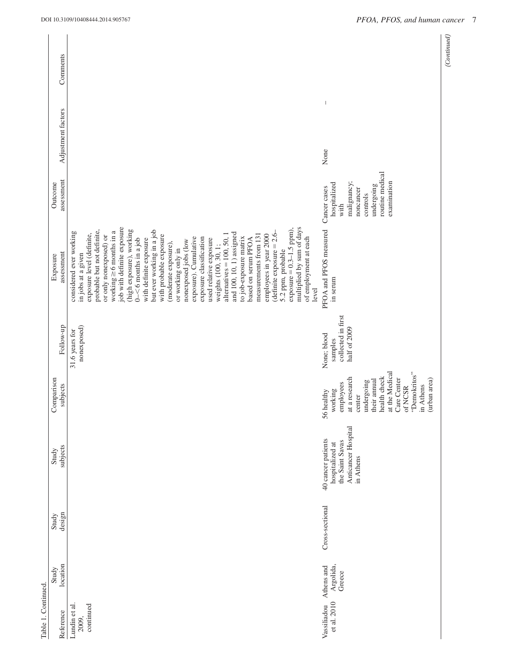| Table 1. Continued.                 |                                   |                 |                                                                                              |                                                                                                                                                                                                      |                                                              |                                                                                                                                                                                                                                                                                                                                                                                                                                                                                                                                                                                                                                                                                                                                                                                                                                        |                                                                                                                              |                                  |          |
|-------------------------------------|-----------------------------------|-----------------|----------------------------------------------------------------------------------------------|------------------------------------------------------------------------------------------------------------------------------------------------------------------------------------------------------|--------------------------------------------------------------|----------------------------------------------------------------------------------------------------------------------------------------------------------------------------------------------------------------------------------------------------------------------------------------------------------------------------------------------------------------------------------------------------------------------------------------------------------------------------------------------------------------------------------------------------------------------------------------------------------------------------------------------------------------------------------------------------------------------------------------------------------------------------------------------------------------------------------------|------------------------------------------------------------------------------------------------------------------------------|----------------------------------|----------|
| Reference                           | location<br>Study                 | design<br>Study | subjects<br>Study                                                                            | Comparison<br>subjects                                                                                                                                                                               | Follow-up                                                    | assessment<br>Exposure                                                                                                                                                                                                                                                                                                                                                                                                                                                                                                                                                                                                                                                                                                                                                                                                                 | assessment<br>Outcome                                                                                                        | Adjustment factors               | Comments |
| continued<br>Lundin et al.<br>2009, |                                   |                 |                                                                                              |                                                                                                                                                                                                      | nonexposed)<br>31.6 years for                                | job with definite exposure<br>multiplied by sum of days<br>exposure = $0.3-1.5$ ppm),<br>(high exposure), working<br>but ever working in a job<br>probable but not definite,<br>working $\geq 6$ months in a<br>considered ever working<br>(definite exposure $= 2.6$<br>and 100, 10, 1) assigned<br>exposure level (definite,<br>employees in year 2000<br>alternatives $= 100, 50, 1$<br>measurements from 131<br>with probable exposure<br>or only nonexposed) or<br>to job-exposure matrix<br>of employment at each<br>exposure). Cumulative<br>exposure classification<br>$0$ $ <$ 6 months in a job<br>with definite exposure<br>used relative exposure<br>based on serum PFOA<br>nonexposed jobs (low<br>(moderate exposure),<br>weights (100, 30, 1;<br>or working only in<br>5.2 ppm, probable<br>in jobs at a given<br>level |                                                                                                                              |                                  |          |
| et al. 2010<br>Vassiliadou          | Argolida,<br>Greece<br>Athens and | Cross-sectional | Anticancer Hospital<br>40 cancer patients<br>the Saint Savas<br>hospitalized at<br>in Athens | at the Medical<br>"Demokritos"<br>at a research<br>health check<br>Care Center<br>(urban area)<br>their annual<br>undergoing<br>employees<br>in Athens<br>of NCSR<br>working<br>56 healthy<br>center | collected in first<br>half of 2009<br>None; blood<br>samples | PFOA and PFOS measured<br>in serum                                                                                                                                                                                                                                                                                                                                                                                                                                                                                                                                                                                                                                                                                                                                                                                                     | routine medical<br>examination<br>malignancy;<br>hospitalized<br>undergoing<br>Cancer cases<br>noncancer<br>controls<br>with | $\overline{\phantom{a}}$<br>None |          |
|                                     |                                   |                 |                                                                                              |                                                                                                                                                                                                      |                                                              |                                                                                                                                                                                                                                                                                                                                                                                                                                                                                                                                                                                                                                                                                                                                                                                                                                        |                                                                                                                              |                                  |          |

 $(Continued)$ *(Continued)*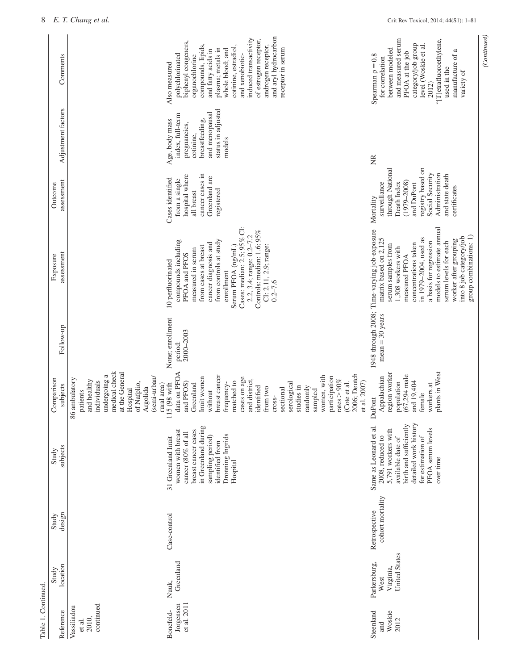|                    | Comments               |                                                                                                                                                                                     | and aryl hydrocarbon<br>induced transactivity<br>of estrogen receptor,<br>biphenyl congeners,<br>androgen receptor,<br>compounds, lipids,<br>cotinine, estradiol,<br>receptor in serum<br>plasma; metals in<br>and fatty acids in<br>whole blood; and<br>polychlorinated<br>and xenobiotic-<br>organochlorine<br>Also measured                                        | (Continued)<br>and measured serum<br>"[T]etrafluoroethylene,<br>category/job group<br>level (Woskie et al.<br>between modeled<br>manufacture of a<br>PFOA at the job<br>Spearman $\rho = 0.8$<br>for correlation<br>used in the<br>variety of<br>2012)                                                                                            |
|--------------------|------------------------|-------------------------------------------------------------------------------------------------------------------------------------------------------------------------------------|-----------------------------------------------------------------------------------------------------------------------------------------------------------------------------------------------------------------------------------------------------------------------------------------------------------------------------------------------------------------------|---------------------------------------------------------------------------------------------------------------------------------------------------------------------------------------------------------------------------------------------------------------------------------------------------------------------------------------------------|
|                    | Adjustment factors     |                                                                                                                                                                                     | status in adjusted<br>and menopausal<br>index, full-term<br>breastfeeding,<br>Age, body mass<br>pregnancies,<br>cotinine,<br>models                                                                                                                                                                                                                                   | ž                                                                                                                                                                                                                                                                                                                                                 |
|                    | assessment<br>Outcome  |                                                                                                                                                                                     | cancer cases in<br>hospital where<br>Greenland are<br>Cases identified<br>from a single<br>registered<br>all breast                                                                                                                                                                                                                                                   | registry based on<br>through National<br>Social Security<br>Administration<br>and state death<br>$(1979 - 2008)$<br>Death Index<br>surveillance<br>and DuPont<br>certificates<br>Mortality                                                                                                                                                        |
|                    | assessment<br>Exposure |                                                                                                                                                                                     | Cases: median: 2.5; 95% CI:<br>Controls: median: 1.6; 95%<br>2.2, 3.4; range: 0.2-7.2<br>from controls at study<br>compounds including<br>cancer diagnosis and<br>Serum PFOA (ng/mL)<br>CI: 2.11, 2.9; range:<br>from cases at breast<br>measured in serum<br>PFOA and PFOS<br>10 perfluorinated<br>enrollment<br>$0.2 - 7.6$                                         | models to estimate annual<br>1948 through 2008; Time-varying job-exposure<br>group combinations: 1)<br>into 8 job category/job<br>in 1979-2004, used as<br>matrix based on 2,125<br>worker after grouping<br>a basis for regression<br>serum levels for each<br>concentrations taken<br>serum samples from<br>1,308 workers with<br>measured PFOA |
|                    | Follow-up              |                                                                                                                                                                                     | None; enrollment<br>2000-2003<br>period:                                                                                                                                                                                                                                                                                                                              | $mean = 30$ years                                                                                                                                                                                                                                                                                                                                 |
|                    | Comparison<br>subjects | medical check<br>at the General<br>undergoing a<br>(semi-urban/<br>ambulatory<br>and healthy<br>individuals<br>of Nafplio,<br>rural area)<br>Argolida<br>Hospital<br>patients<br>86 | data on PFOA<br>2006; Deutch<br>breast cancer<br>women, with<br>participation<br>Inuit women<br>cases on age<br>and district,<br>rates $> 90\%$<br>matched to<br>et al. 2007)<br>(Cote et al.<br>and PFOS)<br>115 (98 with<br>serological<br>frequency-<br>Greenland<br>studies in<br>identified<br>randomly<br>from two<br>sectional<br>sampled<br>without<br>cross- | plants in West<br>region worker<br>(67,294 male<br>Appalachian<br>and 19,404<br>population<br>workers at<br>female<br>DuPont                                                                                                                                                                                                                      |
|                    | subjects<br>Study      |                                                                                                                                                                                     | in Greenland during<br>women with breast<br>breast cancer cases<br>cancer (80% of all<br>Dronning Ingrids<br>31 Greenland Inuit<br>sampling period)<br>identified from<br>Hospital                                                                                                                                                                                    | detailed work history<br>birth and sufficiently<br>Same as Leonard et al.<br>PFOA serum levels<br>5,791 workers with<br>for estimation of<br>2008, reduced to<br>available date of<br>over time                                                                                                                                                   |
|                    | design<br>Study        |                                                                                                                                                                                     | Case-control                                                                                                                                                                                                                                                                                                                                                          | cohort mortality<br>Retrospective                                                                                                                                                                                                                                                                                                                 |
|                    | location<br>Study      |                                                                                                                                                                                     | Greenland<br>Nuuk,                                                                                                                                                                                                                                                                                                                                                    | United States<br>Parkersburg,<br>Virginia,<br>West                                                                                                                                                                                                                                                                                                |
| Table 1. Continued | Reference              | continued<br>Vassiliadou<br>2010,<br>et al.                                                                                                                                         | et al. 2011<br>Jorgensen<br>Bonefeld-                                                                                                                                                                                                                                                                                                                                 | Steenland<br>Woskie<br>2012<br>and                                                                                                                                                                                                                                                                                                                |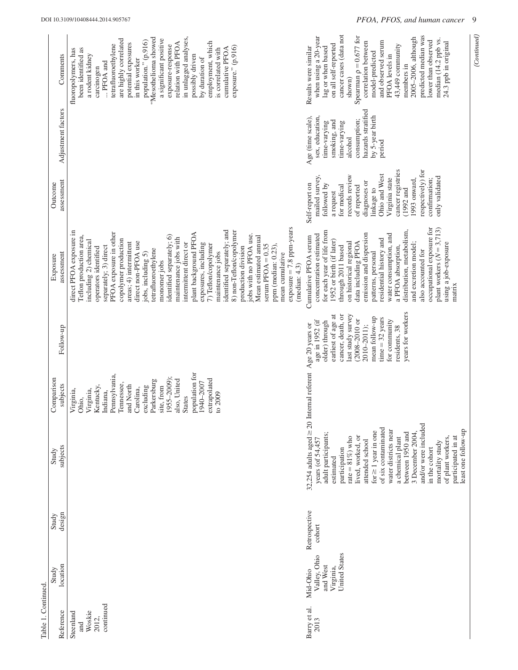| Table 1. Continued                               |                                                                           |                         |                                                                                                                                                                                                                                                                                                                                                                                                                                                                            |                                                                                                                                                                                                                                                                           |                                                                                                                                                                                                                                              |                                                                                                                                                                                                                                                                                                                                                                                                                                                                                                                                                                                                                                                                                                                             |                                                                                                                                                                                                                                                                                                   |                                                                                                                                                                    |                                                                                                                                                                                                                                                                                                                                                                                                                                                         |
|--------------------------------------------------|---------------------------------------------------------------------------|-------------------------|----------------------------------------------------------------------------------------------------------------------------------------------------------------------------------------------------------------------------------------------------------------------------------------------------------------------------------------------------------------------------------------------------------------------------------------------------------------------------|---------------------------------------------------------------------------------------------------------------------------------------------------------------------------------------------------------------------------------------------------------------------------|----------------------------------------------------------------------------------------------------------------------------------------------------------------------------------------------------------------------------------------------|-----------------------------------------------------------------------------------------------------------------------------------------------------------------------------------------------------------------------------------------------------------------------------------------------------------------------------------------------------------------------------------------------------------------------------------------------------------------------------------------------------------------------------------------------------------------------------------------------------------------------------------------------------------------------------------------------------------------------------|---------------------------------------------------------------------------------------------------------------------------------------------------------------------------------------------------------------------------------------------------------------------------------------------------|--------------------------------------------------------------------------------------------------------------------------------------------------------------------|---------------------------------------------------------------------------------------------------------------------------------------------------------------------------------------------------------------------------------------------------------------------------------------------------------------------------------------------------------------------------------------------------------------------------------------------------------|
| Reference                                        | location<br>Study                                                         | design<br>Study         | subjects<br>Study                                                                                                                                                                                                                                                                                                                                                                                                                                                          | Comparison<br>subjects                                                                                                                                                                                                                                                    | Follow-up                                                                                                                                                                                                                                    | assessment<br>Exposure                                                                                                                                                                                                                                                                                                                                                                                                                                                                                                                                                                                                                                                                                                      | assessment<br>Outcome                                                                                                                                                                                                                                                                             | Adjustment factors                                                                                                                                                 | Comments                                                                                                                                                                                                                                                                                                                                                                                                                                                |
| continued<br>Woskie<br>Steenland<br>2012,<br>and |                                                                           |                         |                                                                                                                                                                                                                                                                                                                                                                                                                                                                            | population for<br>Pennsylvania,<br>1955-2009);<br>extrapolated<br>also, United<br>Parkersburg<br>Tennessee,<br>1940-2007<br>and North<br>Kentucky,<br>Indiana,<br>excluding<br>site, from<br>Carolina,<br>Virginia,<br>irginia,<br>to 2009<br><b>States</b><br>Ohio,<br>⋝ |                                                                                                                                                                                                                                              | $exposure = 7.8 ppm-years$<br>identified separately; and<br>8) non-Teflon/copolymer<br>direct PFOA exposure in<br>PFOA exposure in other<br>plant background PFOA<br>jobs with no PFOA use.<br>identified separately; 6)<br>Mean estimated annual<br>Teflon production area,<br>maintenance jobs with<br>copolymer production<br>including 2) chemical<br>direct non-PFOA use<br>areas; 4) intermittent<br>intermittent direct or<br>exposures, including<br>7) Teflon/copolymer<br>serum PFOA $= 0.35$<br>ppm (median: 0.23),<br>separately; 3) direct<br>production division<br>operators identified<br>tetrafluoroethylene<br>maintenance jobs<br>jobs, including 5)<br>mean cumulative<br>monomer jobs<br>(median: 4.3) |                                                                                                                                                                                                                                                                                                   |                                                                                                                                                                    | ''Mesothelioma showed<br>in unlagged analyses,<br>a significant positive<br>are highly correlated<br>population." (p.916)<br>employment, which<br>relation with PFOA<br>potential exposures<br>tetrafluoroethylene<br>exposure-response<br>exposure." (p.916)<br>cumulative PFOA<br>been identified as<br>is correlated with<br>fluoropolymers, has<br>a rodent kidney<br>possibly driven<br>by duration of<br>in this worker<br>PFOA and<br>carcinogen |
| Barry et al.<br>2013                             | <b>United States</b><br>Valley, Ohio<br>and West<br>Virginia,<br>Mid-Ohio | Retrospective<br>cohort | 32,254 adults aged $\geq$ 20 Internal referent Age 20 years or<br>and/or were included<br>of six contaminated<br>least one follow-up<br>water districts near<br>for $\geq 1$ year in one<br>between 1950 and<br>adult participants;<br>3 December 2004<br>participated in at<br>lived, worked, or<br>rate = $81\%$ ) who<br>a chemical plant<br>of plant workers,<br>years (of 54,457<br>attended school<br>mortality study<br>participation<br>in the cohort<br>estimated |                                                                                                                                                                                                                                                                           | years for workers<br>cancer, death, or<br>last study survey<br>earliest of age at<br>mean follow-up<br>$time = 32 \text{ years}$<br>age in 1952 (if<br>$(2008 - 2010)$ or<br>for community<br>older) through<br>2010-2011);<br>residents, 38 | occupational exposure for<br>plant workers $(N = 3, 713)$<br>distribution, metabolism,<br>for each year of life from<br>emission and dispersion<br>water consumption, and<br>concentration estimated<br>Cumulative PFOA serum<br>residential history and<br>1952 or birth (if later)<br>on historical regional<br>and excretion model;<br>using a job-exposure<br>data including PFOA<br>a PFOA absorption,<br>through 2011 based<br>also accounted for<br>patterns, personal<br>matrix                                                                                                                                                                                                                                     | cancer registries<br>respectively) for<br>records review<br>Ohio and West<br>mailed survey,<br>only validated<br>Virginia state<br>1993 onward,<br>confirmation;<br>diagnoses or<br>Self-report on<br>followed by<br>for medical<br>of reported<br>linkage to<br>$(1992 \text{ and}$<br>a request | hazards stratified<br>by 5-year birth<br>Age (time scale),<br>sex, education,<br>consumption;<br>smoking, and<br>time-varying<br>time-varying<br>alcohol<br>period | cancer cases (data not<br>predicted median was<br>when using a 20-year<br>2005-2006, although<br>Spearman $\rho = 0.677$ for<br>median (14.2 ppb vs.<br>lower than observed<br>and observed serum<br>24.3 ppb in original<br>correlation between<br>on all self-reported<br>43,449 community<br>Results were similar<br>lag or when based<br>model-predicted<br>PFOA levels in<br>members in<br>shown)                                                  |

 $(Continued) % \begin{minipage}[c]{0.5\linewidth} \centering \includegraphics[width=\textwidth]{figures/cross-lingual-2.png} \caption{The first two times of the target set.} \label{fig:cross-lingual-2} \end{minipage} % \begin{minipage}[c]{0.5\linewidth} \centering \includegraphics[width=\textwidth]{figures/cross-2.png} \caption{The second two times of the target set.} \label{fig:cross-2} \end{minipage} % \begin{minipage}[c]{0.5\linewidth} \centering \includegraphics[width=\textwidth]{figures/cross-2.png} \caption{The second two times of the target set.} \label{fig:cross-2} \end{minipage} % \begin{minipage}[c]{0.5\linewidth} \center$ *(Continued)*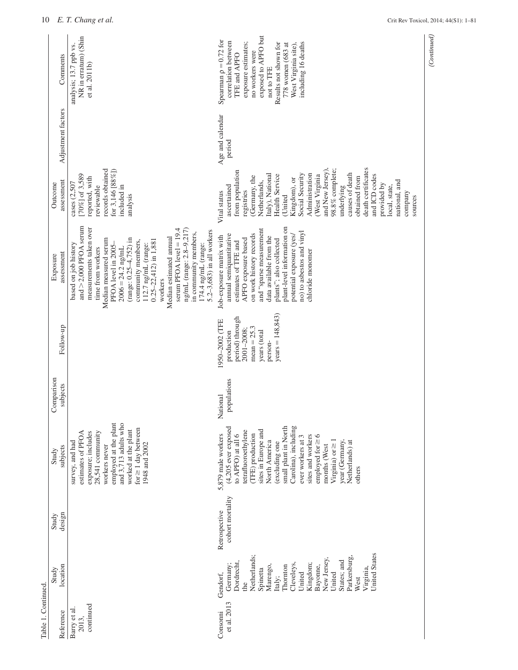| Table 1. Continued.               |                                                                                                                                                                                                                                                      |                                   |                                                                                                                                                                                                                                                                                                                                                |                         |                                                                                                                                 |                                                                                                                                                                                                                                                                                                                                                                                                                                                        |                                                                                                                                                                                                                                                                                                                                                                                                                                   |                            |                                                                                                                                                                                                                                               |
|-----------------------------------|------------------------------------------------------------------------------------------------------------------------------------------------------------------------------------------------------------------------------------------------------|-----------------------------------|------------------------------------------------------------------------------------------------------------------------------------------------------------------------------------------------------------------------------------------------------------------------------------------------------------------------------------------------|-------------------------|---------------------------------------------------------------------------------------------------------------------------------|--------------------------------------------------------------------------------------------------------------------------------------------------------------------------------------------------------------------------------------------------------------------------------------------------------------------------------------------------------------------------------------------------------------------------------------------------------|-----------------------------------------------------------------------------------------------------------------------------------------------------------------------------------------------------------------------------------------------------------------------------------------------------------------------------------------------------------------------------------------------------------------------------------|----------------------------|-----------------------------------------------------------------------------------------------------------------------------------------------------------------------------------------------------------------------------------------------|
| Reference                         | location<br>Study                                                                                                                                                                                                                                    | design<br>Study                   | subjects<br>Study                                                                                                                                                                                                                                                                                                                              | Comparison<br>subjects  | Follow-up                                                                                                                       | assessment<br>Exposure                                                                                                                                                                                                                                                                                                                                                                                                                                 | assessment<br>Outcome                                                                                                                                                                                                                                                                                                                                                                                                             | Adjustment factors         | Comments                                                                                                                                                                                                                                      |
| continued<br>Barry et al<br>2013, |                                                                                                                                                                                                                                                      |                                   | employed at the plant<br>and 3,713 adults who<br>for $\geq 1$ day between<br>worked at the plant<br>estimates of PFOA<br>exposure; includes<br>28,541 community<br>survey, and had<br>1948 and 2002<br>workers never                                                                                                                           |                         |                                                                                                                                 | and $>$ 2,000 PFOA serum<br>measurements taken over<br>ng/mL (range: 2.8-9,217)<br>serum PFOA level = 19.4<br>5.2-3,683) in all workers<br>in community members,<br>Median estimated annual<br>(range: 0.25-4,752) in<br>Median measured serum<br>community members,<br>$0.25 - 22,412$ in 1,881<br>based on job history<br>PFOA level in 2005-<br>$112.7$ ng/mL (range:<br>174.4 ng/mL (range:<br>$2006 = 24.2$ ng/mL<br>time from workers<br>workers | records obtained<br>for 3,146 [88%])<br>$[70\%]$ of 3,589<br>reported, with<br>cases (2,507<br>included in<br>reviewable<br>analysis                                                                                                                                                                                                                                                                                              |                            | NR in erratum) (Shin<br>analysis; 13.7 ppb vs.<br>et al. 2011b)                                                                                                                                                                               |
| et al. 2013<br>Consonni           | United States<br>Netherlands:<br>Parkersburg<br>New Jersey,<br>States; and<br>Dordrecht,<br>Germany;<br>Cleveleys,<br>Kingdom;<br>Thornton<br>Marengo,<br>Bayonne,<br>Virginia,<br>Spinetta<br>United<br>United<br>Gendorf,<br>Italy;<br>West<br>the | cohort mortality<br>Retrospective | Carolina), including<br>small plant in North<br>$(4,205$ ever exposed<br>sites in Europe and<br>tetrafluoroethylene<br>(TFE) production<br>to APFO) at all 6<br>5,879 male workers<br>sites and workers<br>$emploved for \geq 6ever workers at 3Netherlands) atNorth AmericaVirginia) or \geq 1year (Germany,(excluding onemonths (Westothers$ | populations<br>National | $years = 148, 843$<br>period) through<br>1950-2002 (TFE<br>mean $= 25.3$<br>2001-2008;<br>production<br>years (total<br>person- | plant-level information on<br>and "sparse measurement<br>no) to asbestos and vinyl<br>annual semiquantitative<br>on work history records<br>potential exposure (yes/<br>Job-exposure matrix with<br>data available from the<br>APFO exposure based<br>plants"; also collected<br>estimates of TFE and<br>chloride monomer                                                                                                                              | death certificates<br>98.8% complete;<br>from population<br>and New Jersey)<br>causes of death<br>Administration<br>Italy), National<br>Social Security<br><b>Health Service</b><br>West Virginia<br>and ICD codes<br>(Germany, the<br>obtained from<br>Kingdom), or<br>national, and<br>Netherlands,<br>provided by<br>ascertained<br>underlying<br>local, state,<br>registries<br>Vital status<br>company<br>(United<br>sources | Age and calendar<br>period | exposed to APFO but<br>Spearman $\rho = 0.72$ for<br>correlation between<br>exposure estimates;<br>including 16 deaths<br>Results not shown for<br>778 women (683 at<br>West Virginia site),<br>no workers were<br>TFE and APFO<br>not to TFE |

 $(Continued) % \begin{minipage}[c]{0.5\linewidth} \centering \includegraphics[width=\textwidth]{figures/cross-lingual-2.png} \caption{The first two times of the target model.} \label{fig:cross-lingual-2} \end{minipage} % \begin{minipage}[c]{0.5\linewidth} \centering \includegraphics[width=\textwidth]{figures/cross-lingual-2.png} \caption{The second two times of the target model.} \label{fig:cross-lingual-2} \end{minipage} % \begin{minipage}[c]{0.5\linewidth} \centering \includegraphics[width=\textwidth]{figures/cross-2.png} \caption{The second two times of the target model.} \label{fig:cross-2} \end{minipage} % \begin{minipage}[c]{0.$ *(Continued)*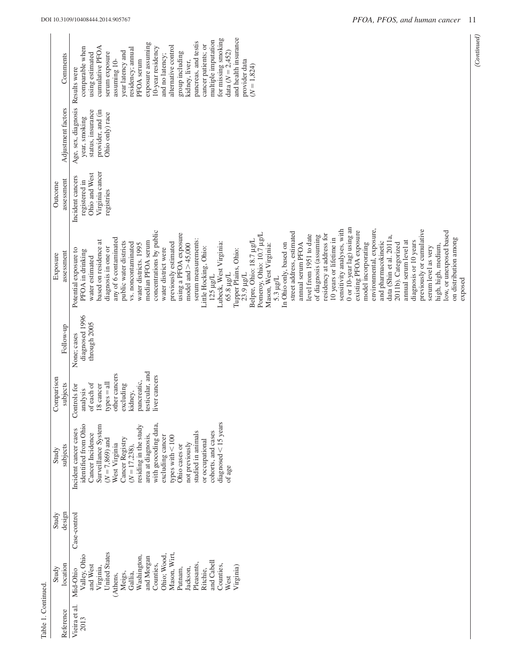|                    | Comments               | and health insurance<br>for missing smoking<br>multiple imputation<br>pancreas, and testis<br>exposure assuming<br>cancer patients; or<br>alternative control<br>comparable when<br>cumulative PFOA<br>10-year residency<br>residency; annual<br>year latency and<br>data $(N = 2,452)$<br>group including<br>serum exposure<br>using estimated<br>and no latency;<br>assuming 10-<br>provider data<br>PFOA serum<br>kidney, liver,<br>$(N = 1, 824)$<br>Results were                                                                                                                                                                                                                                                                                                                                                                                                                                                                                                                                                                                                                                                                                                                                          | (Continued) |
|--------------------|------------------------|----------------------------------------------------------------------------------------------------------------------------------------------------------------------------------------------------------------------------------------------------------------------------------------------------------------------------------------------------------------------------------------------------------------------------------------------------------------------------------------------------------------------------------------------------------------------------------------------------------------------------------------------------------------------------------------------------------------------------------------------------------------------------------------------------------------------------------------------------------------------------------------------------------------------------------------------------------------------------------------------------------------------------------------------------------------------------------------------------------------------------------------------------------------------------------------------------------------|-------------|
|                    | Adjustment factors     | Age, sex, diagnosis<br>status, insurance<br>provider, and (in<br>Ohio only) race<br>year, smoking                                                                                                                                                                                                                                                                                                                                                                                                                                                                                                                                                                                                                                                                                                                                                                                                                                                                                                                                                                                                                                                                                                              |             |
|                    | assessment<br>Outcome  | Virginia cancer<br>Ohio and West<br>Incident cancers<br>registered in<br>registries                                                                                                                                                                                                                                                                                                                                                                                                                                                                                                                                                                                                                                                                                                                                                                                                                                                                                                                                                                                                                                                                                                                            |             |
|                    | assessment<br>Exposure | 0 or 10-year lag) using an<br>sensitivity analyses, with<br>environmental, exposure,<br>previously or cumulative<br>concentrations by public<br>existing PFOA exposure<br>low, or unexposed based<br>street address, estimated<br>residency at address for<br>Pomeroy, Ohio: 10.7 µg/L<br>using a PFOA exposure<br>level from 1951 to date<br>of diagnosis (assuming<br>data (Shin et al. 2011a,<br>10 years or lifetime in<br>any of 6 contaminated<br>on distribution among<br>Belpre, Ohio: 18.7 µg/L<br>serum measurements:<br>based on residence at<br>annual serum level at<br>and pharmacokinetic<br>diagnosis or 10 years<br>public water districts<br>median PFOA serum<br>Lubeck, West Virginia:<br>model incorporating<br>vs. noncontaminated<br>previously estimated<br>2011b). Categorized<br>In Ohio only, based on<br>water districts. 1995<br>annual serum PFOA<br>model and $>45,000$<br>Mason, West Virginia:<br>high, high, medium,<br>diagnosis in one or<br>Little Hocking, Ohio:<br>serum level as very<br>Potential exposure to<br>water district were<br>Tupper Plains, Ohio:<br>PFOA in drinking<br>water estimated<br>23.9 µg/L<br>65.8 µg/L<br>$125 \mu g/L$<br>5.3 µg/L<br>exposed |             |
|                    | Follow-up              | diagnosed 1996<br>through 2005<br>None; cases                                                                                                                                                                                                                                                                                                                                                                                                                                                                                                                                                                                                                                                                                                                                                                                                                                                                                                                                                                                                                                                                                                                                                                  |             |
|                    | Comparison<br>subjects | testicular, and<br>other cancers<br>liver cancers<br>pancreatic,<br>$types = all$<br>of each of<br>excluding<br>18 cancer<br>Controls for<br>analysis<br>kidney,                                                                                                                                                                                                                                                                                                                                                                                                                                                                                                                                                                                                                                                                                                                                                                                                                                                                                                                                                                                                                                               |             |
|                    | subjects<br>Study      | diagnosed < 15 years<br>with geocoding data,<br>identified from Ohio<br>Surveillance System<br>residing in the study<br>Incident cancer cases<br>cohorts, and cases<br>studied in animals<br>Cancer Incidence<br>area at diagnosis,<br>types with $< 100$<br>excluding cancer<br>Cancer Registry<br>$(N = 7,869)$ and<br>or occupational<br>not previously<br>West Virginia<br>$(N = 17,238),$<br>Ohio cases or<br>of age                                                                                                                                                                                                                                                                                                                                                                                                                                                                                                                                                                                                                                                                                                                                                                                      |             |
|                    | design<br>Study        | Case-control                                                                                                                                                                                                                                                                                                                                                                                                                                                                                                                                                                                                                                                                                                                                                                                                                                                                                                                                                                                                                                                                                                                                                                                                   |             |
|                    | location<br>Study      | <b>United States</b><br>Mason, Wirt,<br>Ohio; Wood,<br>Valley, Ohio<br>Washington,<br>and Morgan<br>and Cabell<br>Counties,<br>Pleasants,<br>Counties,<br>and West<br>Virginia)<br>Virginia,<br>Putnam,<br>Jackson,<br>Ritchie,<br>Mid-Ohio<br>Meigs,<br>Gallia,<br>(Athens,<br>West                                                                                                                                                                                                                                                                                                                                                                                                                                                                                                                                                                                                                                                                                                                                                                                                                                                                                                                           |             |
| Table 1. Continued | Reference              | Vieira et al.<br>2013                                                                                                                                                                                                                                                                                                                                                                                                                                                                                                                                                                                                                                                                                                                                                                                                                                                                                                                                                                                                                                                                                                                                                                                          |             |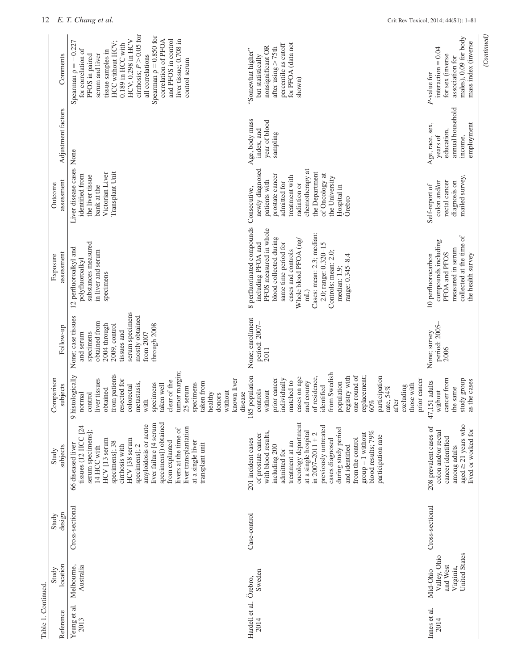|                    | Comments               | cirrhosis; $P > 0.05$ for<br>Spearman $\rho = 0.850$ for<br>$HCV$ ; 0.298 in $HCV$<br>correlation of PFOA<br>and PFOS in control<br>liver tissue; 0.708 in<br>Spearman $\rho = -0.227$<br>HCC without HCV;<br>$0.189$ in HCC with<br>for correlation of<br>tissue samples in<br>serum and liver<br>PFOS in paired<br>all correlations<br>control serum    | percentile as cutoff<br>for PFOA (data not<br>nonsignificant OR<br>after using $>75th$<br>"Somewhat higher"<br>but statistically<br>shown)                                                                                                                                                                                                                            | (Continued)<br>males), 0.09 for body<br>mass index (inverse<br>interaction $= 0.04$<br>for sex (inverse<br>association for<br>P-value for |
|--------------------|------------------------|-----------------------------------------------------------------------------------------------------------------------------------------------------------------------------------------------------------------------------------------------------------------------------------------------------------------------------------------------------------|-----------------------------------------------------------------------------------------------------------------------------------------------------------------------------------------------------------------------------------------------------------------------------------------------------------------------------------------------------------------------|-------------------------------------------------------------------------------------------------------------------------------------------|
|                    | Adjustment factors     |                                                                                                                                                                                                                                                                                                                                                           | Age, body mass<br>year of blood<br>index, and<br>sampling                                                                                                                                                                                                                                                                                                             | annual household<br>employment<br>Age, race, sex,<br>education,<br>years of<br>income,                                                    |
|                    | assessment<br>Outcome  | Liver disease cases None<br>Transplant Unit<br>Victorian Liver<br>identified from<br>the liver tissue<br>bank at the                                                                                                                                                                                                                                      | newly diagnosed<br>chemotherapy at<br>the Department<br>prostate cancer<br>of Oncology at<br>treatment with<br>the University<br>patients with<br>admitted for<br>radiation or<br>Hospital in<br>Consecutive,<br>Örebro                                                                                                                                               | mailed survey,<br>rectal cancer<br>colon and/or<br>diagnosis on<br>Self-report of                                                         |
|                    | assessment<br>Exposure | substances measured<br>12 perfluoroalkyl and<br>in liver and serum<br>polyfluoroalkyl<br>specimens                                                                                                                                                                                                                                                        | 8 perfluorinated compounds<br>PFOS measured in whole<br>Cases: mean: 2.3; median:<br>blood collected during<br>Whole blood PFOA (ng/<br>including PFOA and<br>same time period for<br>2.0; range: 0.320-15<br>cases and controls<br>Controls: mean: 2.0;<br>range: 0.345-8.4<br>median: 1.9;<br>$\overline{\text{ml}}$                                                | collected at the time of<br>compounds including<br>measured in serum<br>PFOA and PFOS<br>the health survey<br>10 perfluorocarbon          |
|                    | Follow-up              | serum specimens<br>None; case tissues<br>mostly obtained<br>obtained from<br>2004 through<br>through 2008<br>2009, control<br>tissues and<br>and serum<br>specimens<br>from 2007                                                                                                                                                                          | None; enrollment<br>period: 2007-<br>2011                                                                                                                                                                                                                                                                                                                             | period: 2005-<br>None; survey<br>2006                                                                                                     |
|                    | Comparison<br>subjects | tumor margin;<br>from patients<br>9 histologically<br>liver tissues<br>resected for<br>known liver<br>clear of the<br>metastasis,<br>taken from<br>specimens<br>specimens<br>colorectal<br>taken well<br>$25$ serum $\,$<br>obtained<br>without<br>disease<br>healthy<br>control<br>normal<br>donors<br>with                                              | from Swedish<br>185 population<br>registry with<br>one round of<br>replacement;<br>participation<br>cases on age<br>of residence<br>prior cancer<br>individually<br>prior cancer<br>matched to<br>population<br>and county<br>those with<br>excluding<br>identified<br>rate, 54%<br>controls<br>without<br>after<br>60%                                               | dnora kpms<br>cancer from<br>as the cases<br>47,151 adults<br>the same<br>without                                                         |
|                    | subjects<br>Study      | specimens]) obtained<br>liver failure [4 serum<br>amyloidosis or acute<br>tissues (12 HCC [24<br>liver transplantation<br>livers at the time of<br>serum specimens];<br>HCV [38 serum<br>HCV [13 serum<br>at a single liver<br>from explanted<br>specimens]; 38<br>transplant unit<br>66 diseased liver<br>cirrhosis with<br>specimens]; 2<br>14 HCC with | oncology department<br>previously untreated<br>during study period<br>at a single hospital<br>blood results; 79%<br>with blood results,<br>$group - 1 without$<br>of prostate cancer<br>in $2007 - 2011 + 2$<br>participation rate<br>from the control<br>201 incident cases<br>cases diagnosed<br>treatment at an<br>including 200<br>and identified<br>admitted for | among adults<br>aged $\geq$ 21 years who<br>208 prevalent cases of<br>lived or worked for<br>colon and/or rectal<br>cancer identified     |
|                    | design<br>Study        | Cross-sectional                                                                                                                                                                                                                                                                                                                                           | Case-control                                                                                                                                                                                                                                                                                                                                                          | Cross-sectional                                                                                                                           |
|                    | location<br>Study      | Melbourne,<br>Australia                                                                                                                                                                                                                                                                                                                                   | Sweden                                                                                                                                                                                                                                                                                                                                                                | <b>United States</b><br>Valley, Ohio<br>and West<br>Virginia,<br>Mid-Ohio                                                                 |
| Table 1. Continued | Reference              | Yeung et al.<br>2013                                                                                                                                                                                                                                                                                                                                      | Hardell et al. Orebro,<br>2014                                                                                                                                                                                                                                                                                                                                        | Innes et al.<br>2014                                                                                                                      |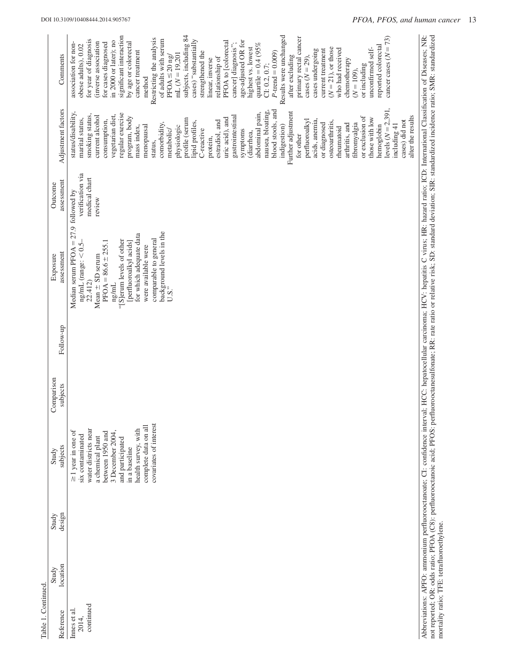| Table 1. Continued                 |                   |                 |                                                                                                                                                                                                                                              |                        |           |                                                                                                                                                                                                                                                                                       |                                                                     |                                                                                                                                                                                                                                                                                                                                                                                                                                                                                                                                                                                                                                                                                                                                                |                                                                                                                                                                                                                                                                                                                                                                                                                                                                                                                                                                                                                                                                                                                                                                                                                                                                                                             |
|------------------------------------|-------------------|-----------------|----------------------------------------------------------------------------------------------------------------------------------------------------------------------------------------------------------------------------------------------|------------------------|-----------|---------------------------------------------------------------------------------------------------------------------------------------------------------------------------------------------------------------------------------------------------------------------------------------|---------------------------------------------------------------------|------------------------------------------------------------------------------------------------------------------------------------------------------------------------------------------------------------------------------------------------------------------------------------------------------------------------------------------------------------------------------------------------------------------------------------------------------------------------------------------------------------------------------------------------------------------------------------------------------------------------------------------------------------------------------------------------------------------------------------------------|-------------------------------------------------------------------------------------------------------------------------------------------------------------------------------------------------------------------------------------------------------------------------------------------------------------------------------------------------------------------------------------------------------------------------------------------------------------------------------------------------------------------------------------------------------------------------------------------------------------------------------------------------------------------------------------------------------------------------------------------------------------------------------------------------------------------------------------------------------------------------------------------------------------|
| Reference                          | location<br>Study | design<br>Study | subjects<br>Study                                                                                                                                                                                                                            | Comparison<br>subjects | Follow-up | assessment<br>Exposure                                                                                                                                                                                                                                                                | assessment<br>Outcome                                               | Adjustment factors                                                                                                                                                                                                                                                                                                                                                                                                                                                                                                                                                                                                                                                                                                                             | Comments                                                                                                                                                                                                                                                                                                                                                                                                                                                                                                                                                                                                                                                                                                                                                                                                                                                                                                    |
| continued<br>Innes et al.<br>2014, |                   |                 | covariates of interest<br>complete data on all<br>health survey, with<br>water districts near<br>$\geq$ 1 year in one of<br>between 1950 and<br>3 December 2004<br>six contaminated<br>a chemical plant<br>and participated<br>in a baseline |                        |           | background levels in the<br>for which adequate data<br>comparable to general<br>"[S]erum levels of other<br>[perfluoroalkyl acids]<br>$PFOA = 86.6 \pm 255.1$<br>ng/mL (range: $<$ 0.5-<br>were available were<br>Median serum PFOA<br>Mean $\pm$ SD serum<br>22.412<br>ng/mL<br>U.S. | verification via<br>medical chart<br>$= 27.9$ followed by<br>review | levels $(N = 2,391,$<br>blood stools, and<br>nausea, bloating,<br>Further adjustment<br>abdominal pain,<br>regular exercise<br>status/disability<br>vegetarian diet,<br>smoking status,<br>gastrointestinal<br>current alcohol<br>program, body<br>or exclusion of<br>uric acid), and<br>those with low<br>marital status,<br>profile (serum<br>perfluoroalkyl<br>consumption,<br>acids, anemia,<br>estradiol, and<br>cases) did not<br>lipid profiles,<br>osteoarthritis,<br>or diagnosed<br>comorbidity,<br>fibromyalgia<br>arthritis, and<br>including 41<br>hemoglobin<br>menopausal<br>physiologic<br>indigestion)<br>mass index,<br>rheumatoid<br>C-reactive<br>symptoms<br>metabolic/<br>(diarrhea,<br>for other<br>protein,<br>status, | subjects, including 84<br>significant interaction<br>Results were unchanged<br>cancer cases $(N = 73)$<br>primary rectal cancer<br>Restricting the analysis<br>of adults with serum<br>cases) "substantially<br>for year of diagnosis<br>in 2000 or later); no<br>age-adjusted OR for<br>PFOA to [colorectal<br>(inverse association<br>association for non-<br>for cases diagnosed<br>by age or colorectal<br>quartile = $0.4(95%$<br>cancer] diagnosis";<br>obese adults), 0.02<br>reported colorectal<br>highest vs. lowest<br>$(N=21)$ , or those<br>unconfirmed self-<br>who had received<br>current treatment<br>cases undergoing<br>cancer treatment<br>$P$ -trend = 0.009)<br>strengthened the<br>$mL (N = 19,201)$<br>$PFOA \leq 20$ ng/<br>after excluding<br>cases $(N = 29)$ ,<br>relationship of<br>linear, inverse<br>chemotherapy<br>CI: 0.2, 0.7;<br>or including<br>$(N = 109),$<br>method |
|                                    |                   |                 |                                                                                                                                                                                                                                              |                        |           |                                                                                                                                                                                                                                                                                       |                                                                     | alter the results                                                                                                                                                                                                                                                                                                                                                                                                                                                                                                                                                                                                                                                                                                                              |                                                                                                                                                                                                                                                                                                                                                                                                                                                                                                                                                                                                                                                                                                                                                                                                                                                                                                             |

Abbreviations: APFO: ammonium perfluorooctanoate; CI: confidence interval; HCC: hepatocellular carcinoma; HCV: hepatitis C virus; HR: hazard ratio; ICD: International Classification of Diseases; NR: not reported; OR: odds ratio; PFOA (C8): perfluorooctanoic acid; PFOS: perfluorooctanesulfonate; RR: rate ratio or relative risk; SD: standard deviation; SIR: standardized incidence ratio; SMR: standardized Abbreviations: APFO: ammonium perfluorooctanoate; CI: confidence interval; HCC: hepatocellular carcinoma; HCV: hepatitis C virus; HR: hazard ratio; ICD: International Classification of Diseases; NR:<br>not reported; OR: odds mortality ratio; TFE: tetrafluoroethylene.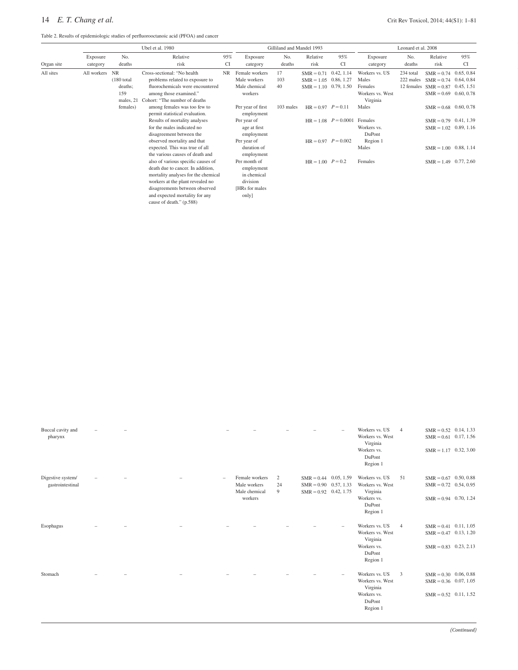Table 2. Results of epidemiologic studies of perfluorooctanoic acid (PFOA) and cancer

|            |                      |                                                          | Ubel et al. 1980                                                                                                                                                                                                                                   |                  |                                                                                  | Gilliland and Mandel 1993 |                                                                               |                          |                                                                    | Leonard et al. 2008    |                                                                                    |                                        |
|------------|----------------------|----------------------------------------------------------|----------------------------------------------------------------------------------------------------------------------------------------------------------------------------------------------------------------------------------------------------|------------------|----------------------------------------------------------------------------------|---------------------------|-------------------------------------------------------------------------------|--------------------------|--------------------------------------------------------------------|------------------------|------------------------------------------------------------------------------------|----------------------------------------|
| Organ site | Exposure<br>category | No.<br>deaths                                            | Relative<br>risk                                                                                                                                                                                                                                   | 95%<br><b>CI</b> | Exposure<br>category                                                             | No.<br>deaths             | Relative<br>risk                                                              | 95%<br>CI                | Exposure<br>category                                               | No.<br>deaths          | Relative<br>risk                                                                   | 95%<br>CI                              |
| All sites  | All workers          | <b>NR</b><br>$(180$ total<br>deaths;<br>159<br>males, 21 | Cross-sectional: "No health<br>problems related to exposure to<br>fluorochemicals were encountered<br>among those examined."<br>Cohort: "The number of deaths                                                                                      | <b>NR</b>        | Female workers<br>Male workers<br>Male chemical<br>workers                       | 17<br>103<br>40           | $SMR = 0.71$ 0.42, 1.14<br>$SMR = 1.05$ 0.86, 1.27<br>$SMR = 1.10$ 0.79, 1.50 |                          | Workers vs. US<br>Males<br>Females<br>Workers vs. West<br>Virginia | 234 total<br>222 males | $SMR = 0.74$<br>$SMR = 0.74$<br>12 females $SMR = 0.87$<br>$SMR = 0.69$ 0.60, 0.78 | 0.65, 0.84<br>0.64, 0.84<br>0.45, 1.51 |
|            |                      | females)                                                 | among females was too few to<br>permit statistical evaluation.<br>Results of mortality analyses<br>for the males indicated no<br>disagreement between the                                                                                          |                  | Per year of first<br>employment<br>Per year of<br>age at first<br>employment     | 103 males                 | $HR = 0.97$ $P = 0.11$                                                        | $HR = 1.08$ $P = 0.0001$ | Males<br>Females<br>Workers vs.<br>DuPont                          |                        | $SMR = 0.68$ 0.60, 0.78<br>$SMR = 0.79$<br>$SMR = 1.02$ 0.89, 1.16                 | 0.41, 1.39                             |
|            |                      |                                                          | observed mortality and that<br>expected. This was true of all<br>the various causes of death and                                                                                                                                                   |                  | Per year of<br>duration of<br>employment                                         |                           |                                                                               | $HR = 0.97$ $P = 0.002$  | Region 1<br>Males                                                  |                        | $SMR = 1.00$ 0.88, 1.14                                                            |                                        |
|            |                      |                                                          | also of various specific causes of<br>death due to cancer. In addition,<br>mortality analyses for the chemical<br>workers at the plant revealed no<br>disagreements between observed<br>and expected mortality for any<br>cause of death." (p.588) |                  | Per month of<br>employment<br>in chemical<br>division<br>[HRs for males]<br>only |                           | $HR = 1.00$ $P = 0.2$                                                         |                          | Females                                                            |                        | $SMR = 1.49$ 0.77, 2.60                                                            |                                        |

| Buccal cavity and<br>pharynx          | $\qquad \qquad -$ |  |                          |                                                            |              |                                                                               | Workers vs. US<br>Workers vs. West<br>Virginia<br>Workers vs.<br>DuPont<br>Region 1 | $\overline{4}$ | $SMR = 0.52$ 0.14, 1.33<br>$SMR = 0.61$ 0.17, 1.56<br>$SMR = 1.17$ 0.32, 3.00 |  |
|---------------------------------------|-------------------|--|--------------------------|------------------------------------------------------------|--------------|-------------------------------------------------------------------------------|-------------------------------------------------------------------------------------|----------------|-------------------------------------------------------------------------------|--|
| Digestive system/<br>gastrointestinal |                   |  | $\overline{\phantom{m}}$ | Female workers<br>Male workers<br>Male chemical<br>workers | 2<br>24<br>9 | $SMR = 0.44$ 0.05, 1.59<br>$SMR = 0.90$ 0.57, 1.33<br>$SMR = 0.92$ 0.42, 1.75 | Workers vs. US<br>Workers vs. West<br>Virginia<br>Workers vs.<br>DuPont<br>Region 1 | 51             | $SMR = 0.67$ 0.50, 0.88<br>$SMR = 0.72$ 0.54, 0.95<br>$SMR = 0.94$ 0.70, 1.24 |  |
| Esophagus                             |                   |  |                          |                                                            |              |                                                                               | Workers vs. US<br>Workers vs. West<br>Virginia<br>Workers vs.<br>DuPont<br>Region 1 | $\overline{4}$ | $SMR = 0.41$ 0.11, 1.05<br>$SMR = 0.47$ 0.13, 1.20<br>$SMR = 0.83$ 0.23, 2.13 |  |
| Stomach                               |                   |  |                          |                                                            |              |                                                                               | Workers vs. US<br>Workers vs. West<br>Virginia<br>Workers vs.<br>DuPont<br>Region 1 | 3              | $SMR = 0.30$ 0.06, 0.88<br>$SMR = 0.36$ 0.07, 1.05<br>$SMR = 0.52$ 0.11, 1.52 |  |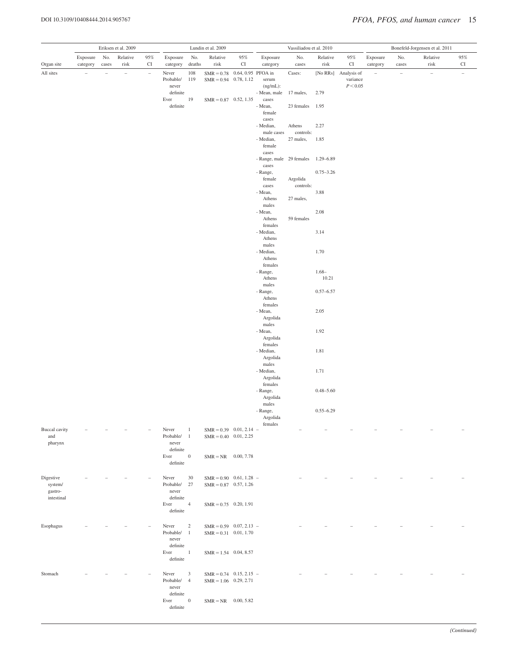|                                  |                          |                          | Eriksen et al. 2009 |           |                                       |                     | Lundin et al. 2009                                   |           |                                      | Vassiliadou et al. 2010 |                  |                          |                          |                          | Bonefeld-Jorgensen et al. 2011 |           |
|----------------------------------|--------------------------|--------------------------|---------------------|-----------|---------------------------------------|---------------------|------------------------------------------------------|-----------|--------------------------------------|-------------------------|------------------|--------------------------|--------------------------|--------------------------|--------------------------------|-----------|
| Organ site                       | Exposure<br>category     | No.<br>cases             | Relative<br>risk    | 95%<br>CI | Exposure<br>category                  | No.<br>deaths       | Relative<br>risk                                     | 95%<br>CI | Exposure<br>category                 | No.<br>cases            | Relative<br>risk | 95%<br>CI                | Exposure<br>category     | No.<br>cases             | Relative<br>risk               | 95%<br>CI |
| All sites                        | $\overline{\phantom{a}}$ | $\overline{\phantom{a}}$ | $\equiv$            | $\equiv$  | Never                                 | 108                 | $\mathrm{SMR}=0.78$ 0.64, 0.95 PFOA in               |           |                                      | Cases:                  |                  | [No RRs] Analysis of     | $\overline{\phantom{a}}$ | $\overline{\phantom{a}}$ | $\equiv$                       | $\equiv$  |
|                                  |                          |                          |                     |           | Probable/<br>never<br>definite        | 119                 | $SMR = 0.94$ 0.78, 1.12                              |           | serum<br>$(ng/mL)$ :<br>- Mean, male | 17 males,               | 2.79             | variance<br>$P\!<\!0.05$ |                          |                          |                                |           |
|                                  |                          |                          |                     |           | Ever<br>definite                      | 19                  | $SMR = 0.87$ 0.52, 1.35                              |           | cases<br>- Mean,                     | 23 females              | 1.95             |                          |                          |                          |                                |           |
|                                  |                          |                          |                     |           |                                       |                     |                                                      |           | female<br>cases                      |                         |                  |                          |                          |                          |                                |           |
|                                  |                          |                          |                     |           |                                       |                     |                                                      |           | - Median,                            | Athens<br>controls:     | 2.27             |                          |                          |                          |                                |           |
|                                  |                          |                          |                     |           |                                       |                     |                                                      |           | male cases<br>- Median,<br>female    | 27 males,               | 1.85             |                          |                          |                          |                                |           |
|                                  |                          |                          |                     |           |                                       |                     |                                                      |           | cases<br>- Range, male 29 females    |                         | 1.29-6.89        |                          |                          |                          |                                |           |
|                                  |                          |                          |                     |           |                                       |                     |                                                      |           | cases<br>- Range,<br>female          | Argolida                | $0.75 - 3.26$    |                          |                          |                          |                                |           |
|                                  |                          |                          |                     |           |                                       |                     |                                                      |           | cases                                | controls:               |                  |                          |                          |                          |                                |           |
|                                  |                          |                          |                     |           |                                       |                     |                                                      |           | - Mean,<br>Athens                    | 27 males,               | 3.88             |                          |                          |                          |                                |           |
|                                  |                          |                          |                     |           |                                       |                     |                                                      |           | males<br>- Mean,                     |                         | 2.08             |                          |                          |                          |                                |           |
|                                  |                          |                          |                     |           |                                       |                     |                                                      |           | Athens<br>females                    | 59 females              |                  |                          |                          |                          |                                |           |
|                                  |                          |                          |                     |           |                                       |                     |                                                      |           | - Median,<br>Athens                  |                         | 3.14             |                          |                          |                          |                                |           |
|                                  |                          |                          |                     |           |                                       |                     |                                                      |           | males<br>- Median,<br>Athens         |                         | 1.70             |                          |                          |                          |                                |           |
|                                  |                          |                          |                     |           |                                       |                     |                                                      |           | females<br>- Range,                  |                         | $1.68 -$         |                          |                          |                          |                                |           |
|                                  |                          |                          |                     |           |                                       |                     |                                                      |           | Athens                               |                         | 10.21            |                          |                          |                          |                                |           |
|                                  |                          |                          |                     |           |                                       |                     |                                                      |           | males<br>- Range,<br>Athens          |                         | $0.57 - 6.57$    |                          |                          |                          |                                |           |
|                                  |                          |                          |                     |           |                                       |                     |                                                      |           | females<br>- Mean,                   |                         | 2.05             |                          |                          |                          |                                |           |
|                                  |                          |                          |                     |           |                                       |                     |                                                      |           | Argolida<br>males                    |                         |                  |                          |                          |                          |                                |           |
|                                  |                          |                          |                     |           |                                       |                     |                                                      |           | - Mean,<br>Argolida                  |                         | 1.92             |                          |                          |                          |                                |           |
|                                  |                          |                          |                     |           |                                       |                     |                                                      |           | females                              |                         |                  |                          |                          |                          |                                |           |
|                                  |                          |                          |                     |           |                                       |                     |                                                      |           | - Median,<br>Argolida<br>males       |                         | 1.81             |                          |                          |                          |                                |           |
|                                  |                          |                          |                     |           |                                       |                     |                                                      |           | - Median,<br>Argolida<br>females     |                         | 1.71             |                          |                          |                          |                                |           |
|                                  |                          |                          |                     |           |                                       |                     |                                                      |           | - Range,<br>Argolida                 |                         | $0.48 - 5.60$    |                          |                          |                          |                                |           |
|                                  |                          |                          |                     |           |                                       |                     |                                                      |           | males<br>- Range,<br>Argolida        |                         | $0.55 - 6.29$    |                          |                          |                          |                                |           |
| Buccal cavity                    |                          |                          |                     |           | Never                                 | $\mathbf{1}$        | $SMR = 0.39$ 0.01, 2.14 -                            |           | females                              |                         |                  |                          |                          |                          |                                |           |
| and<br>pharynx                   |                          |                          |                     |           | Probable/<br>never<br>definite        | $\overline{1}$      | $SMR = 0.40$ 0.01, 2.25                              |           |                                      |                         |                  |                          |                          |                          |                                |           |
|                                  |                          |                          |                     |           | Ever<br>definite                      | $\boldsymbol{0}$    | $SMR = NR$ 0.00, 7.78                                |           |                                      |                         |                  |                          |                          |                          |                                |           |
| Digestive                        |                          |                          |                     |           | Never                                 | 30                  | $SMR = 0.90$ 0.61, 1.28 -                            |           |                                      |                         |                  |                          |                          |                          |                                |           |
| system/<br>gastro-<br>intestinal |                          |                          |                     |           | Probable/ 27<br>never<br>definite     |                     | $SMR = 0.87$ 0.57, 1.26                              |           |                                      |                         |                  |                          |                          |                          |                                |           |
|                                  |                          |                          |                     |           | Ever<br>definite                      | $\overline{4}$      | $SMR = 0.75$ 0.20, 1.91                              |           |                                      |                         |                  |                          |                          |                          |                                |           |
| Esophagus                        |                          |                          |                     |           | Never<br>Probable/                    | 2<br>$\overline{1}$ | $SMR = 0.59$ 0.07, 2.13 -<br>$SMR = 0.31$ 0.01, 1.70 |           |                                      |                         |                  |                          |                          |                          |                                |           |
|                                  |                          |                          |                     |           | never<br>definite<br>Ever<br>definite | $\mathbf{1}$        | $SMR = 1.54$ 0.04, 8.57                              |           |                                      |                         |                  |                          |                          |                          |                                |           |
| Stomach                          |                          |                          |                     |           | Never<br>Probable/                    | 3<br>$\overline{4}$ | $SMR = 0.74$ 0.15, 2.15 -<br>$SMR = 1.06$ 0.29, 2.71 |           |                                      |                         |                  |                          |                          |                          |                                |           |
|                                  |                          |                          |                     |           | never<br>definite<br>Ever<br>definite | $\boldsymbol{0}$    | $SMR = NR$ 0.00, 5.82                                |           |                                      |                         |                  |                          |                          |                          |                                |           |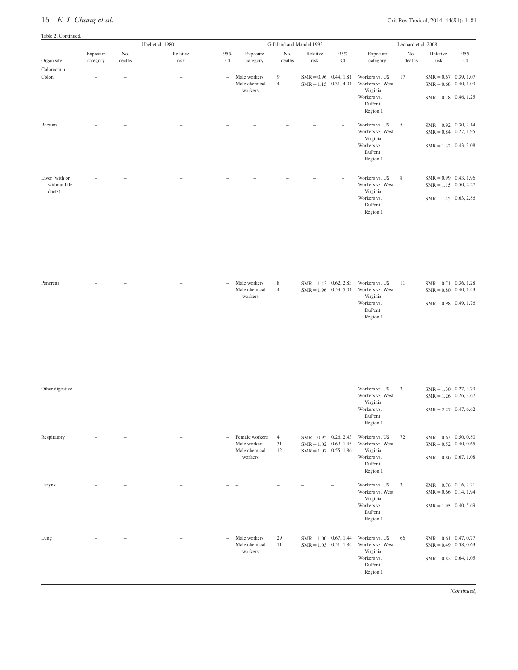Table 2 . Continued.

| Table 2. Continued.                      |                |                                                      | Ubel et al. 1980        |                                            |                                                            | Gilliland and Mandel 1993                                                                           |                                                                               |                          |                                                                                                           | Leonard et al. 2008            |                                                                                                |                 |
|------------------------------------------|----------------|------------------------------------------------------|-------------------------|--------------------------------------------|------------------------------------------------------------|-----------------------------------------------------------------------------------------------------|-------------------------------------------------------------------------------|--------------------------|-----------------------------------------------------------------------------------------------------------|--------------------------------|------------------------------------------------------------------------------------------------|-----------------|
|                                          | Exposure       | No.                                                  | Relative                | 95%                                        | Exposure                                                   | No.                                                                                                 | Relative                                                                      | 95%                      | Exposure                                                                                                  | No.                            | Relative                                                                                       | 95%             |
| Organ site                               | category       | deaths                                               | risk                    | CI                                         | category                                                   | deaths                                                                                              | risk                                                                          | CI                       | category                                                                                                  | deaths                         | risk                                                                                           | CI              |
| Colorectum<br>Colon                      | $\overline{a}$ | $\overline{\phantom{a}}$<br>$\overline{\phantom{0}}$ | $\qquad \qquad -$<br>Ĭ. | $\overline{\phantom{0}}$<br>$\overline{a}$ | ÷<br>Male workers<br>Male chemical<br>workers              | $\hspace{0.1in} \hspace{0.1in} \hspace{0.1in} \hspace{0.1in} \hspace{0.1in}$<br>9<br>$\overline{4}$ | i.<br>$SMR = 0.96$ 0.44, 1.81<br>$SMR = 1.15$ 0.31, 4.01                      | $\overline{\phantom{a}}$ | ÷,<br>Workers vs. US<br>Workers vs. West<br>Virginia<br>Workers vs.<br>DuPont<br>Region 1                 | $\overline{\phantom{a}}$<br>17 | $\overline{\phantom{0}}$<br>$SMR = 0.67$ 0.39, 1.07<br>$SMR = 0.68$<br>$SMR = 0.78$ 0.46, 1.25 | ÷<br>0.40, 1.09 |
| Rectum                                   |                |                                                      |                         |                                            |                                                            |                                                                                                     |                                                                               |                          | Workers vs. US<br>Workers vs. West<br>Virginia<br>Workers vs.<br>DuPont<br>Region 1                       | 5                              | $SMR = 0.92$ 0.30, 2.14<br>$SMR = 0.84$ 0.27, 1.95<br>$SMR = 1.32$ 0.43, 3.08                  |                 |
| Liver (with or<br>without bile<br>ducts) |                |                                                      |                         |                                            |                                                            |                                                                                                     |                                                                               |                          | Workers vs. US<br>Workers vs. West<br>Virginia<br>Workers vs.<br>DuPont<br>Region 1                       | 8                              | $SMR = 0.99$ 0.43, 1.96<br>$SMR = 1.15$ 0.50, 2.27<br>$SMR = 1.45$ 0.63, 2.86                  |                 |
| Pancreas                                 |                |                                                      |                         |                                            | Male workers<br>Male chemical<br>workers                   | 8<br>$\overline{4}$                                                                                 | $SMR = 1.43$ 0.62, 2.83<br>$SMR = 1.96$ 0.53, 5.01                            |                          | Workers vs. US<br>Workers vs. West<br>Virginia<br>Workers vs.<br>DuPont<br>Region 1                       | 11                             | $SMR = 0.71$ 0.36, 1.28<br>$SMR = 0.80$ 0.40, 1.43<br>$SMR = 0.98$ 0.49, 1.76                  |                 |
| Other digestive                          |                |                                                      |                         |                                            |                                                            |                                                                                                     |                                                                               |                          | Workers vs. US<br>Workers vs. West<br>Virginia<br>Workers vs.<br>DuPont<br>Region 1                       | 3                              | $SMR = 1.30$ 0.27, 3.79<br>$SMR = 1.26$ 0.26, 3.67<br>$SMR = 2.27$ 0.47, 6.62                  |                 |
| Respiratory                              |                |                                                      |                         |                                            | Female workers<br>Male workers<br>Male chemical<br>workers | $\overline{4}$<br>31<br>12                                                                          | $SMR = 0.95$ 0.26, 2.43<br>$SMR = 1.02$ 0.69, 1.45<br>$SMR = 1.07$ 0.55, 1.86 |                          | Workers vs. US<br>Workers vs. West<br>Virginia<br>Workers vs.                                             | 72                             | $SMR = 0.63$ 0.50, 0.80<br>$SMR = 0.52$ 0.40, 0.65<br>$SMR = 0.86$ 0.67, 1.08                  |                 |
| Larynx                                   |                |                                                      |                         |                                            |                                                            |                                                                                                     |                                                                               |                          | DuPont<br>Region 1<br>Workers vs. US<br>Workers vs. West<br>Virginia<br>Workers vs.<br>DuPont<br>Region 1 | 3                              | $SMR = 0.76$ 0.16, 2.21<br>$SMR = 0.66$ 0.14, 1.94<br>$SMR = 1.95$ 0.40, 5.69                  |                 |
| Lung                                     |                |                                                      |                         |                                            | Male workers<br>Male chemical<br>workers                   | 29<br>11                                                                                            | $SMR = 1.00$ 0.67, 1.44<br>$SMR = 1.03$ 0.51, 1.84                            |                          | Workers vs. US<br>Workers vs. West<br>Virginia<br>Workers vs.<br>DuPont<br>Region 1                       | 66                             | $SMR = 0.61$ 0.47, 0.77<br>$SMR = 0.49$ 0.38, 0.63<br>$SMR = 0.82$ 0.64, 1.05                  |                 |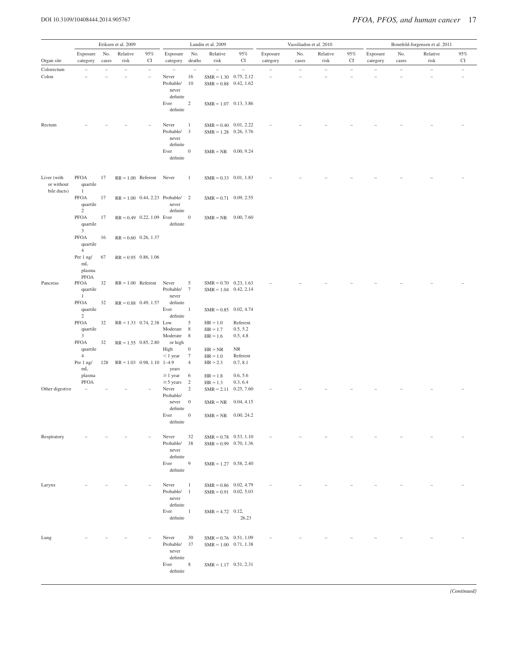|                                          |                                           |                                   | Eriksen et al. 2009    |                                  |                                         |                                    | Lundin et al. 2009                                 |                      |                                      | Vassiliadou et al. 2010 |                                  |         |                                      |                    | Bonefeld-Jorgensen et al. 2011 |          |
|------------------------------------------|-------------------------------------------|-----------------------------------|------------------------|----------------------------------|-----------------------------------------|------------------------------------|----------------------------------------------------|----------------------|--------------------------------------|-------------------------|----------------------------------|---------|--------------------------------------|--------------------|--------------------------------|----------|
|                                          | Exposure                                  | No.                               | Relative               | 95%                              | Exposure                                | No.                                | Relative                                           | 95%                  | Exposure                             | No.                     | Relative                         | 95%     | Exposure                             | No.                | Relative                       | 95%      |
| Organ site<br>Colorectum                 | category<br>$\overline{\phantom{0}}$      | cases<br>$\overline{\phantom{0}}$ | risk<br>$\overline{a}$ | <b>CI</b><br>$\bar{ }$           | category<br>$\overline{\phantom{a}}$    | deaths<br>$\overline{\phantom{a}}$ | risk<br>$\overline{\phantom{a}}$                   | CI<br>$\equiv$       | category<br>$\overline{\phantom{a}}$ | cases<br>÷              | risk<br>$\overline{\phantom{a}}$ | CI<br>÷ | category<br>$\overline{\phantom{a}}$ | cases<br>$\bar{ }$ | risk<br>÷,                     | CI<br>÷, |
| Colon                                    |                                           |                                   |                        |                                  | Never<br>Probable/<br>never<br>definite | 16<br>10                           | $SMR = 1.30$ 0.75, 2.12<br>$SMR = 0.88$ 0.42, 1.62 |                      | L,                                   |                         |                                  |         |                                      |                    | ÷                              |          |
|                                          |                                           |                                   |                        |                                  | Ever<br>definite                        | $\overline{c}$                     | $SMR = 1.07$ 0.13, 3.86                            |                      |                                      |                         |                                  |         |                                      |                    |                                |          |
| Rectum                                   |                                           |                                   |                        |                                  | Never<br>Probable/<br>never             | 1<br>$\overline{\mathbf{3}}$       | $SMR = 0.40$ 0.01, 2.22<br>$SMR = 1.28$ 0.26, 3.76 |                      |                                      |                         |                                  |         |                                      |                    |                                |          |
|                                          |                                           |                                   |                        |                                  | definite<br>Ever<br>definite            | $\boldsymbol{0}$                   | $SMR = NR$ 0.00, 9.24                              |                      |                                      |                         |                                  |         |                                      |                    |                                |          |
|                                          |                                           |                                   |                        |                                  |                                         |                                    |                                                    |                      |                                      |                         |                                  |         |                                      |                    |                                |          |
| Liver (with<br>or without<br>bile ducts) | <b>PFOA</b><br>quartile<br>$\mathbf{1}$   | 17                                |                        | $RR = 1.00$ Referent Never       |                                         | -1                                 | $SMR = 0.33$ 0.01, 1.83                            |                      |                                      |                         |                                  |         |                                      |                    |                                |          |
|                                          | PFOA<br>quartile<br>$\overline{c}$        | 17                                |                        | $RR = 1.00$ 0.44, 2.23 Probable/ | never<br>definite                       | 2                                  | $SMR = 0.71$ 0.09, 2.55                            |                      |                                      |                         |                                  |         |                                      |                    |                                |          |
|                                          | PFOA<br>quartile<br>$\mathfrak{Z}$        | 17                                |                        | $RR = 0.49$ 0.22, 1.09 Ever      | definite                                | $\overline{0}$                     | $SMR = NR$ 0.00, 7.60                              |                      |                                      |                         |                                  |         |                                      |                    |                                |          |
|                                          | <b>PFOA</b><br>quartile<br>$\overline{4}$ | 16                                |                        | $RR = 0.60$ 0.26, 1.37           |                                         |                                    |                                                    |                      |                                      |                         |                                  |         |                                      |                    |                                |          |
|                                          | Per 1 ng/<br>mL<br>plasma                 | 67                                |                        | $RR = 0.95$ 0.86, 1.06           |                                         |                                    |                                                    |                      |                                      |                         |                                  |         |                                      |                    |                                |          |
| Pancreas                                 | <b>PFOA</b><br><b>PFOA</b><br>quartile    | 32                                | $RR = 1.00$ Referent   |                                  | Never<br>Probable/                      | 5<br>$\overline{7}$                | $SMR = 0.70$ 0.23, 1.63<br>$SMR = 1.04$ 0.42, 2.14 |                      |                                      |                         |                                  |         |                                      |                    |                                |          |
|                                          | 1<br><b>PFOA</b><br>quartile              | 32                                |                        | $RR = 0.88$ 0.49, 1.57           | never<br>definite<br>Ever               | $\mathbf{1}$                       | $SMR = 0.85$ 0.02, 4.74                            |                      |                                      |                         |                                  |         |                                      |                    |                                |          |
|                                          | $\overline{c}$<br><b>PFOA</b><br>quartile | 32                                |                        | $RR = 1.33$ 0.74, 2.38 Low       | definite<br>Moderate                    | 5<br>- 8                           | $HR = 1.0$<br>$HR = 1.7$                           | Referent<br>0.5, 5.2 |                                      |                         |                                  |         |                                      |                    |                                |          |
|                                          | $\mathbf{3}$<br><b>PFOA</b><br>quartile   | 32                                |                        | $RR = 1.55$ 0.85, 2.80           | Moderate 8<br>or high<br>High           | $\bf{0}$                           | $HR = 1.6$<br>$HR = NR$                            | 0.5, 4.8<br>NR       |                                      |                         |                                  |         |                                      |                    |                                |          |
|                                          | $\overline{4}$<br>Per 1 ng/<br>$\rm mL$   | 128                               |                        | $RR = 1.03$ 0.98, 1.10 1-4.9     | $<$ 1 year<br>years                     | $\tau$<br>4                        | $HR = 1.0$<br>$HR = 2.3$                           | Referent<br>0.7, 8.1 |                                      |                         |                                  |         |                                      |                    |                                |          |
|                                          | plasma                                    |                                   |                        |                                  | $\geq$ 1 year                           | 6                                  | $HR = 1.8$                                         | 0.6, 5.6             |                                      |                         |                                  |         |                                      |                    |                                |          |
| Other digestive                          | <b>PFOA</b>                               |                                   |                        |                                  | $\geq$ 5 years<br>Never<br>Probable/    | $\overline{c}$<br>$\,2$            | $HR = 1.3$<br>$SMR = 2.11$ 0.25, 7.60              | 0.3, 6.4             |                                      |                         |                                  |         |                                      |                    |                                |          |
|                                          |                                           |                                   |                        |                                  | never<br>definite                       | $\overline{0}$                     | $SMR = NR$                                         | 0.04, 4.15           |                                      |                         |                                  |         |                                      |                    |                                |          |
|                                          |                                           |                                   |                        |                                  | Ever<br>definite                        | $\boldsymbol{0}$                   | $SMR = NR$ 0.00, 24.2                              |                      |                                      |                         |                                  |         |                                      |                    |                                |          |
| Respiratory                              |                                           |                                   |                        |                                  | Never<br>Probable/ 38<br>never          | 32                                 | $SMR = 0.78$ 0.53, 1.10<br>$SMR = 0.99$ 0.70, 1.36 |                      |                                      |                         |                                  |         |                                      |                    |                                |          |
|                                          |                                           |                                   |                        |                                  | definite<br>Ever 9<br>definite          |                                    | $SMR = 1.27$ 0.58, 2.40                            |                      |                                      |                         |                                  |         |                                      |                    |                                |          |
| Larynx                                   |                                           |                                   |                        |                                  | Never 1<br>Probable/ 1<br>never         |                                    | $SMR = 0.86$ 0.02, 4.79<br>$SMR = 0.91$ 0.02, 5.03 |                      |                                      |                         |                                  |         |                                      |                    |                                |          |
|                                          |                                           |                                   |                        |                                  | definite<br>Ever 1<br>definite          |                                    | $SMR = 4.72$ 0.12,                                 | 26.23                |                                      |                         |                                  |         |                                      |                    |                                |          |
| Lung                                     |                                           |                                   |                        |                                  | Never<br>Probable/ 37<br>never          | 30                                 | $SMR = 0.76$ 0.51, 1.09<br>$SMR = 1.00$ 0.71, 1.38 |                      |                                      |                         |                                  |         |                                      |                    |                                |          |
|                                          |                                           |                                   |                        |                                  | definite<br>Ever<br>definite            | 8                                  | $SMR = 1.17$ 0.51, 2.31                            |                      |                                      |                         |                                  |         |                                      |                    |                                |          |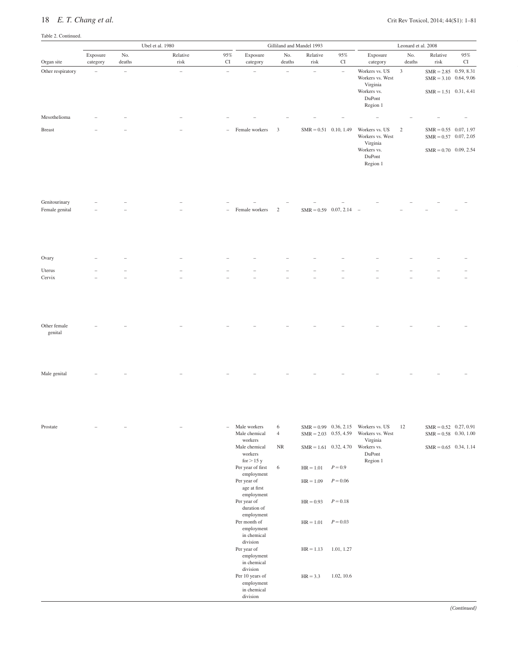Table 2 . Continued.

|                                 |                      |               | Ubel et al. 1980 |                          |                                                                      |                          | Gilliland and Mandel 1993                          |            |                                                                                     | Leonard et al. 2008 |                                                                               |           |
|---------------------------------|----------------------|---------------|------------------|--------------------------|----------------------------------------------------------------------|--------------------------|----------------------------------------------------|------------|-------------------------------------------------------------------------------------|---------------------|-------------------------------------------------------------------------------|-----------|
| Organ site                      | Exposure<br>category | No.<br>deaths | Relative<br>risk | 95%<br>CI                | Exposure<br>category                                                 | No.<br>deaths            | Relative<br>risk                                   | 95%<br>CI  | Exposure<br>category                                                                | No.<br>deaths       | Relative<br>risk                                                              | 95%<br>CI |
| Other respiratory               | ÷,                   | $\equiv$      | ÷,               | $\overline{\phantom{a}}$ | $\equiv$                                                             | $\overline{\phantom{0}}$ | ÷,                                                 | $\equiv$   | Workers vs. US<br>Workers vs. West<br>Virginia<br>Workers vs.<br>DuPont<br>Region 1 | $\mathbf{3}$        | $SMR = 2.85$ 0.59, 8.31<br>$SMR = 3.10$ 0.64, 9.06<br>$SMR = 1.51$ 0.31, 4.41 |           |
| Mesothelioma                    |                      |               |                  |                          |                                                                      |                          |                                                    |            |                                                                                     |                     |                                                                               |           |
| <b>Breast</b>                   |                      |               |                  | $\overline{\phantom{0}}$ | Female workers                                                       | $\overline{\mathbf{3}}$  | $SMR = 0.51$ 0.10, 1.49                            |            | Workers vs. US<br>Workers vs. West<br>Virginia<br>Workers vs.<br>DuPont<br>Region 1 | $\overline{c}$      | $SMR = 0.55$ 0.07, 1.97<br>$SMR = 0.57$ 0.07, 2.05<br>$SMR = 0.70$ 0.09, 2.54 |           |
| Genitourinary<br>Female genital |                      |               |                  | ÷                        | Female workers                                                       | $\overline{c}$           | $SMR = 0.59$ 0.07, 2.14 -                          |            |                                                                                     |                     |                                                                               |           |
| Ovary                           |                      |               |                  |                          |                                                                      |                          |                                                    |            |                                                                                     |                     |                                                                               |           |
| Uterus<br>Cervix                |                      |               |                  |                          |                                                                      |                          |                                                    |            |                                                                                     |                     |                                                                               |           |
| Other female<br>genital         |                      |               |                  |                          |                                                                      |                          |                                                    |            |                                                                                     |                     |                                                                               |           |
| Male genital                    |                      |               |                  |                          |                                                                      |                          |                                                    |            |                                                                                     |                     |                                                                               |           |
| Prostate                        |                      |               |                  | $\overline{a}$           | Male workers                                                         | 6                        | $SMR = 0.99$ 0.36, 2.15                            |            | Workers vs. US                                                                      | 12                  | $SMR = 0.52$ 0.27, 0.91                                                       |           |
|                                 |                      |               |                  |                          | Male chemical<br>workers<br>Male chemical<br>workers                 | $\overline{4}$<br>NR     | $SMR = 2.03$ 0.55, 4.59<br>$SMR = 1.61$ 0.32, 4.70 |            | Workers vs. West<br>Virginia<br>Workers vs.<br>DuPont                               |                     | $SMR = 0.58$ 0.30, 1.00<br>$SMR = 0.65$ 0.34, 1.14                            |           |
|                                 |                      |               |                  |                          | for $>$ 15 y<br>Per year of first                                    | 6                        | $HR = 1.01$                                        | $P = 0.9$  | Region 1                                                                            |                     |                                                                               |           |
|                                 |                      |               |                  |                          | employment<br>Per year of<br>age at first<br>employment              |                          | $HR = 1.09$                                        | $P = 0.06$ |                                                                                     |                     |                                                                               |           |
|                                 |                      |               |                  |                          | Per year of<br>duration of<br>employment                             |                          | $HR = 0.93$                                        | $P = 0.18$ |                                                                                     |                     |                                                                               |           |
|                                 |                      |               |                  |                          | Per month of<br>employment<br>in chemical<br>division                |                          | $HR = 1.01$                                        | $P = 0.03$ |                                                                                     |                     |                                                                               |           |
|                                 |                      |               |                  |                          | Per year of<br>employment<br>in chemical                             |                          | $HR = 1.13$                                        | 1.01, 1.27 |                                                                                     |                     |                                                                               |           |
|                                 |                      |               |                  |                          | division<br>Per 10 years of<br>employment<br>in chemical<br>division |                          | $HR = 3.3$                                         | 1.02, 10.6 |                                                                                     |                     |                                                                               |           |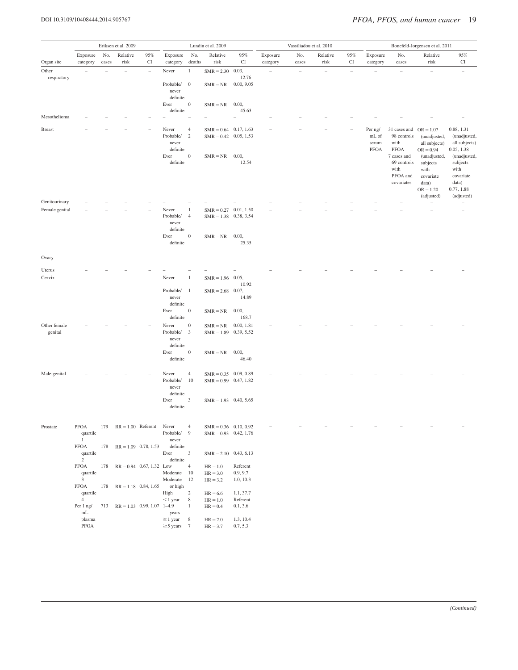|                      |                            |       | Eriksen et al. 2009              |                                   |                                     |                              | Lundin et al. 2009                                 |                       |          | Vassiliadou et al. 2010 |          |     |                  |                             | Bonefeld-Jorgensen et al. 2011 |                                   |
|----------------------|----------------------------|-------|----------------------------------|-----------------------------------|-------------------------------------|------------------------------|----------------------------------------------------|-----------------------|----------|-------------------------|----------|-----|------------------|-----------------------------|--------------------------------|-----------------------------------|
|                      | Exposure                   | No.   | Relative                         | 95%                               | Exposure                            | No.                          | Relative                                           | 95%                   | Exposure | No.                     | Relative | 95% | Exposure         | No.                         | Relative                       | 95%                               |
| Organ site           | category                   | cases | risk                             | <b>CI</b>                         | category                            | deaths                       | risk                                               | CI                    | category | cases                   | risk     | CI  | category         | cases                       | risk                           | CI                                |
| Other<br>respiratory | L.                         | L.    | j.                               | $\hspace{1.0cm} - \hspace{1.0cm}$ | Never                               | $\mathbf{1}$                 | $SMR = 2.30$ 0.03,                                 | 12.76                 | ÷        | j.                      | L.       | Ē.  | ÷                | ÷                           | $\qquad \qquad -$              | $\hspace{1.0cm} - \hspace{1.0cm}$ |
|                      |                            |       |                                  |                                   | Probable/                           | $\mathbf{0}$                 | $SMR = NR$                                         | 0.00, 9.05            |          |                         |          |     |                  |                             |                                |                                   |
|                      |                            |       |                                  |                                   | never                               |                              |                                                    |                       |          |                         |          |     |                  |                             |                                |                                   |
|                      |                            |       |                                  |                                   | definite                            |                              |                                                    |                       |          |                         |          |     |                  |                             |                                |                                   |
|                      |                            |       |                                  |                                   | Ever<br>definite                    | $\boldsymbol{0}$             | $SMR = NR$                                         | 0.00,<br>45.63        |          |                         |          |     |                  |                             |                                |                                   |
| Mesothelioma         |                            |       |                                  |                                   |                                     |                              |                                                    | i.                    |          |                         |          |     |                  |                             |                                |                                   |
|                      |                            |       |                                  |                                   |                                     |                              |                                                    |                       |          |                         |          |     |                  |                             |                                |                                   |
| <b>Breast</b>        |                            |       |                                  |                                   | Never<br>Probable/                  | $\overline{4}$<br>$\sqrt{2}$ | $SMR = 0.64$ 0.17, 1.63<br>$SMR = 0.42$ 0.05, 1.53 |                       |          |                         |          |     | Per ng/<br>mL of | 31 cases and<br>98 controls | $OR = 1.07$                    | 0.88, 1.31<br>(unadjusted,        |
|                      |                            |       |                                  |                                   | never                               |                              |                                                    |                       |          |                         |          |     | serum            | with                        | (unadjusted,<br>all subjects)  | all subjects)                     |
|                      |                            |       |                                  |                                   | definite                            |                              |                                                    |                       |          |                         |          |     | <b>PFOA</b>      | <b>PFOA</b>                 | $OR = 0.94$                    | 0.05, 1.38                        |
|                      |                            |       |                                  |                                   | Ever                                | $\boldsymbol{0}$             | $SMR = NR$                                         | 0.00,                 |          |                         |          |     |                  | 7 cases and                 | (unadjusted,                   | (unadjusted,                      |
|                      |                            |       |                                  |                                   | definite                            |                              |                                                    | 12.54                 |          |                         |          |     |                  | 69 controls<br>with         | subjects<br>with               | subjects<br>with                  |
|                      |                            |       |                                  |                                   |                                     |                              |                                                    |                       |          |                         |          |     |                  | PFOA and                    | covariate                      | covariate                         |
|                      |                            |       |                                  |                                   |                                     |                              |                                                    |                       |          |                         |          |     |                  | covariates                  | data)                          | data)                             |
|                      |                            |       |                                  |                                   |                                     |                              |                                                    |                       |          |                         |          |     |                  |                             | $OR = 1.20$                    | 0.77, 1.88                        |
| Genitourinary        |                            |       |                                  |                                   |                                     |                              |                                                    |                       |          |                         |          |     |                  |                             | (adjusted)                     | (adjusted)                        |
| Female genital       |                            |       |                                  |                                   | Never                               | -1                           | $SMR = 0.27$ 0.01, 1.50                            |                       |          |                         |          |     |                  |                             |                                |                                   |
|                      |                            |       |                                  |                                   | Probable/                           | $\overline{4}$               | $SMR = 1.38$ 0.38, 3.54                            |                       |          |                         |          |     |                  |                             |                                |                                   |
|                      |                            |       |                                  |                                   | never                               |                              |                                                    |                       |          |                         |          |     |                  |                             |                                |                                   |
|                      |                            |       |                                  |                                   | definite                            |                              | $SMR = NR$                                         |                       |          |                         |          |     |                  |                             |                                |                                   |
|                      |                            |       |                                  |                                   | Ever<br>definite                    | $\boldsymbol{0}$             |                                                    | 0.00,<br>25.35        |          |                         |          |     |                  |                             |                                |                                   |
|                      |                            |       |                                  |                                   |                                     |                              |                                                    |                       |          |                         |          |     |                  |                             |                                |                                   |
| Ovary                |                            |       |                                  |                                   |                                     |                              |                                                    |                       |          |                         |          |     |                  |                             |                                |                                   |
|                      |                            |       |                                  |                                   |                                     |                              |                                                    |                       |          |                         |          |     |                  |                             |                                |                                   |
| Uterus               |                            |       |                                  |                                   |                                     | -1                           |                                                    | 0.05,                 |          |                         |          |     |                  |                             |                                |                                   |
| Cervix               |                            |       |                                  |                                   | Never                               |                              | $SMR = 1.96$                                       | 10.92                 |          |                         |          |     |                  |                             |                                |                                   |
|                      |                            |       |                                  |                                   | Probable/                           | $\mathbf{1}$                 | $SMR = 2.68$ 0.07,                                 |                       |          |                         |          |     |                  |                             |                                |                                   |
|                      |                            |       |                                  |                                   | never                               |                              |                                                    | 14.89                 |          |                         |          |     |                  |                             |                                |                                   |
|                      |                            |       |                                  |                                   | definite<br>Ever                    | $\bf{0}$                     | $SMR = NR$                                         | 0.00,                 |          |                         |          |     |                  |                             |                                |                                   |
|                      |                            |       |                                  |                                   | definite                            |                              |                                                    | 168.7                 |          |                         |          |     |                  |                             |                                |                                   |
| Other female         |                            |       |                                  |                                   | Never                               | $\boldsymbol{0}$             | $SMR = NR$                                         | 0.00, 1.81            |          |                         |          |     |                  |                             |                                |                                   |
| genital              |                            |       |                                  |                                   | Probable/                           | 3                            | $SMR = 1.89$                                       | 0.39, 5.52            |          |                         |          |     |                  |                             |                                |                                   |
|                      |                            |       |                                  |                                   | never                               |                              |                                                    |                       |          |                         |          |     |                  |                             |                                |                                   |
|                      |                            |       |                                  |                                   | definite<br>Ever                    | $\bf{0}$                     | $SMR = NR$                                         | 0.00,                 |          |                         |          |     |                  |                             |                                |                                   |
|                      |                            |       |                                  |                                   | definite                            |                              |                                                    | 46.40                 |          |                         |          |     |                  |                             |                                |                                   |
|                      |                            |       |                                  |                                   |                                     |                              |                                                    |                       |          |                         |          |     |                  |                             |                                |                                   |
| Male genital         |                            |       |                                  |                                   | Never                               | $\overline{4}$               | $SMR = 0.35$ 0.09, 0.89                            |                       |          |                         |          |     |                  |                             |                                |                                   |
|                      |                            |       |                                  |                                   | Probable/                           | 10                           | $SMR = 0.99$ 0.47, 1.82                            |                       |          |                         |          |     |                  |                             |                                |                                   |
|                      |                            |       |                                  |                                   | never<br>definite                   |                              |                                                    |                       |          |                         |          |     |                  |                             |                                |                                   |
|                      |                            |       |                                  |                                   | Ever                                | 3                            | $SMR = 1.93$ 0.40, 5.65                            |                       |          |                         |          |     |                  |                             |                                |                                   |
|                      |                            |       |                                  |                                   | definite                            |                              |                                                    |                       |          |                         |          |     |                  |                             |                                |                                   |
|                      |                            |       |                                  |                                   |                                     |                              |                                                    |                       |          |                         |          |     |                  |                             |                                |                                   |
| Prostate             | <b>PFOA</b>                |       | $179$ RR = 1.00 Referent Never   |                                   |                                     | 4                            | $SMR = 0.36$ 0.10, 0.92                            |                       |          |                         |          |     |                  |                             |                                |                                   |
|                      | quartile                   |       |                                  |                                   | Probable/ 9                         |                              | $SMR = 0.93$ 0.42, 1.76                            |                       |          |                         |          |     |                  |                             |                                |                                   |
|                      | $\mathbf{1}$               |       |                                  |                                   | never                               |                              |                                                    |                       |          |                         |          |     |                  |                             |                                |                                   |
|                      | PFOA                       |       | $178$ RR = 1.09 0.78, 1.53       |                                   | definite                            |                              |                                                    |                       |          |                         |          |     |                  |                             |                                |                                   |
|                      | quartile<br>$\overline{c}$ |       |                                  |                                   | Ever<br>definite                    | $\mathbf{3}$                 | $SMR = 2.10$ 0.43, 6.13                            |                       |          |                         |          |     |                  |                             |                                |                                   |
|                      | <b>PFOA</b>                |       | $178$ RR = 0.94 0.67, 1.32 Low   |                                   |                                     | $\overline{4}$               | $HR = 1.0$                                         | Referent              |          |                         |          |     |                  |                             |                                |                                   |
|                      | quartile                   |       |                                  |                                   | Moderate 10                         |                              | $HR = 3.0$                                         | 0.9, 9.7              |          |                         |          |     |                  |                             |                                |                                   |
|                      | $\mathfrak{Z}$             |       |                                  |                                   | Moderate 12                         |                              | $HR = 3.2$                                         | 1.0, 10.3             |          |                         |          |     |                  |                             |                                |                                   |
|                      | PFOA<br>quartile           | 178   | $RR = 1.18$ 0.84, 1.65           |                                   | or high<br>High                     | $\overline{c}$               | $HR = 6.6$                                         | 1.1, 37.7             |          |                         |          |     |                  |                             |                                |                                   |
|                      | $\overline{4}$             |       |                                  |                                   | $\leq$ 1 year 8                     |                              | $HR = 1.0$                                         | Referent              |          |                         |          |     |                  |                             |                                |                                   |
|                      | Per 1 ng/                  |       | 713 $RR = 1.03$ 0.99, 1.07 1-4.9 |                                   |                                     | $\mathbf{1}$                 | $HR = 0.4$                                         | 0.1, 3.6              |          |                         |          |     |                  |                             |                                |                                   |
|                      | mL                         |       |                                  |                                   | years                               |                              |                                                    |                       |          |                         |          |     |                  |                             |                                |                                   |
|                      | plasma<br><b>PFOA</b>      |       |                                  |                                   | $\geq 1$ year 8<br>$\geq$ 5 years 7 |                              | $HR = 2.0$<br>$HR = 3.7$                           | 1.3, 10.4<br>0.7, 5.3 |          |                         |          |     |                  |                             |                                |                                   |
|                      |                            |       |                                  |                                   |                                     |                              |                                                    |                       |          |                         |          |     |                  |                             |                                |                                   |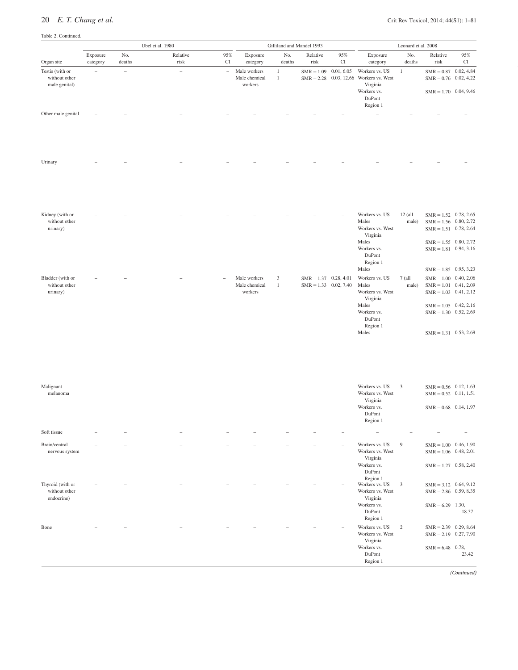### 20 *E. T. Chang et al.* Crit Rev Toxicol, 2014; 44(S1): 1–81

#### Table 2. Continued.

|                                                   |                      |                          | Ubel et al. 1980         |                          |                                          | Gilliland and Mandel 1993 |                                                    |            |                                                                                                                | Leonard et al. 2008 |                                                                                                                                                                |           |
|---------------------------------------------------|----------------------|--------------------------|--------------------------|--------------------------|------------------------------------------|---------------------------|----------------------------------------------------|------------|----------------------------------------------------------------------------------------------------------------|---------------------|----------------------------------------------------------------------------------------------------------------------------------------------------------------|-----------|
| Organ site                                        | Exposure<br>category | No.<br>deaths            | Relative<br>risk         | 95%<br>CI                | Exposure<br>category                     | No.<br>deaths             | Relative<br>risk                                   | 95%<br>CI  | Exposure<br>category                                                                                           | No.<br>deaths       | Relative<br>risk                                                                                                                                               | 95%<br>CI |
| Testis (with or<br>without other<br>male genital) | $\sim$               | $\overline{\phantom{a}}$ | $\overline{\phantom{a}}$ | $\overline{\phantom{a}}$ | Male workers<br>Male chemical<br>workers | 1<br>$\mathbf{1}$         | $SMR = 1.09$<br>$SMR = 2.28$                       | 0.01, 6.05 | Workers vs. US<br>0.03, 12.66 Workers vs. West<br>Virginia<br>Workers vs.<br>DuPont<br>Region 1                | $\mathbf{1}$        | $SMR = 0.87$ 0.02, 4.84<br>$SMR = 0.76$ 0.02, 4.22<br>$SMR = 1.70$ 0.04, 9.46                                                                                  |           |
| Other male genital                                |                      |                          |                          |                          |                                          |                           |                                                    |            | L.                                                                                                             |                     |                                                                                                                                                                |           |
| Urinary                                           |                      |                          |                          |                          |                                          |                           |                                                    |            |                                                                                                                |                     |                                                                                                                                                                |           |
| Kidney (with or<br>without other<br>urinary)      |                      |                          |                          |                          |                                          |                           |                                                    |            | Workers vs. US<br>Males<br>Workers vs. West<br>Virginia<br>Males<br>Workers vs.<br>DuPont<br>Region 1<br>Males | $12$ (all<br>male)  | $SMR = 1.52$ 0.78, 2.65<br>$SMR = 1.56$ 0.80, 2.72<br>$SMR = 1.51$ 0.78, 2.64<br>$SMR = 1.55$ 0.80, 2.72<br>$SMR = 1.81$ 0.94, 3.16<br>$SMR = 1.85$ 0.95, 3.23 |           |
| Bladder (with or<br>without other<br>urinary)     |                      |                          |                          |                          | Male workers<br>Male chemical<br>workers | 3<br>$\mathbf{1}$         | $SMR = 1.37$ 0.28, 4.01<br>$SMR = 1.33$ 0.02, 7.40 |            | Workers vs. US<br>Males<br>Workers vs. West<br>Virginia<br>Males<br>Workers vs.<br>DuPont<br>Region 1<br>Males | $7$ (all<br>male)   | $SMR = 1.00$ 0.40, 2.06<br>$SMR = 1.01$ 0.41, 2.09<br>$SMR = 1.03$ 0.41, 2.12<br>$SMR = 1.05$ 0.42, 2.16<br>$SMR = 1.30$ 0.52, 2.69<br>$SMR = 1.31$ 0.53, 2.69 |           |
| Malignant<br>melanoma                             |                      |                          |                          |                          |                                          |                           |                                                    |            | Workers vs. US<br>Workers vs. West<br>Virginia<br>Workers vs.<br>DuPont<br>${\tt Region\ 1}$                   | $\mathfrak{Z}$      | $SMR = 0.56$ 0.12, 1.63<br>$SMR = 0.52$ 0.11, 1.51<br>$SMR = 0.68$ 0.14, 1.97                                                                                  |           |
| Soft tissue                                       |                      |                          |                          |                          |                                          |                           |                                                    |            |                                                                                                                |                     |                                                                                                                                                                |           |
| Brain/central<br>nervous system                   |                      |                          |                          |                          |                                          |                           |                                                    |            | Workers vs. US<br>Workers vs. West<br>Virginia<br>Workers vs.<br>DuPont                                        | 9                   | $SMR = 1.00$ 0.46, 1.90<br>$SMR = 1.06$ 0.48, 2.01<br>$SMR = 1.27$ 0.58, 2.40                                                                                  |           |
| Thyroid (with or<br>without other<br>endocrine)   |                      |                          |                          |                          |                                          |                           |                                                    |            | Region 1<br>Workers vs. US<br>Workers vs. West<br>Virginia<br>Workers vs.<br>DuPont<br>Region 1                | 3                   | $SMR = 3.12$ 0.64, 9.12<br>$SMR = 2.86$ 0.59, 8.35<br>$SMR = 6.29$ 1.30,                                                                                       | 18.37     |
| Bone                                              |                      |                          |                          |                          |                                          |                           |                                                    |            | Workers vs. US<br>Workers vs. West<br>Virginia<br>Workers vs.<br>DuPont<br>Region 1                            | 2                   | $SMR = 2.39$ 0.29, 8.64<br>$SMR = 2.19$ 0.27, 7.90<br>$SMR = 6.48$ 0.78,                                                                                       | 23.42     |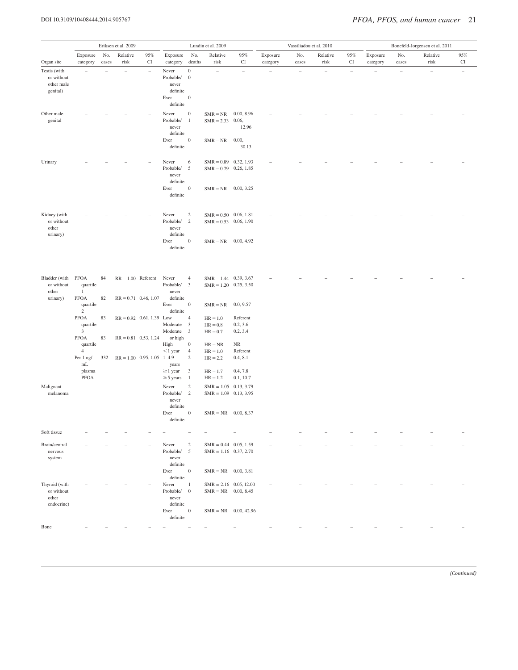|                                                      |                                                                                                                                                                                  |                             | Eriksen et al. 2009      |                                                                                                                |                                                                                                                                                                  |                                                                                                                                                                                              | Lundin et al. 2009                                                                                                                                                              |                                                                                                      |                          | Vassiliadou et al. 2010  |                                   |                          |          |       | Bonefeld-Jorgensen et al. 2011 |                          |
|------------------------------------------------------|----------------------------------------------------------------------------------------------------------------------------------------------------------------------------------|-----------------------------|--------------------------|----------------------------------------------------------------------------------------------------------------|------------------------------------------------------------------------------------------------------------------------------------------------------------------|----------------------------------------------------------------------------------------------------------------------------------------------------------------------------------------------|---------------------------------------------------------------------------------------------------------------------------------------------------------------------------------|------------------------------------------------------------------------------------------------------|--------------------------|--------------------------|-----------------------------------|--------------------------|----------|-------|--------------------------------|--------------------------|
|                                                      | Exposure                                                                                                                                                                         | No.                         | Relative                 | 95%                                                                                                            | Exposure                                                                                                                                                         | No.                                                                                                                                                                                          | Relative                                                                                                                                                                        | $95\%$                                                                                               | Exposure                 | No.                      | Relative                          | 95%                      | Exposure | No.   | Relative                       | 95%                      |
| Organ site                                           | category                                                                                                                                                                         | cases                       | risk                     | $\rm CI$                                                                                                       | category                                                                                                                                                         | deaths                                                                                                                                                                                       | risk                                                                                                                                                                            | $\rm CI$                                                                                             | category                 | cases                    | risk                              | CI                       | category | cases | risk                           | $\rm CI$                 |
| Testis (with<br>or without<br>other male<br>genital) |                                                                                                                                                                                  | ÷                           | $\overline{\phantom{a}}$ | $\overline{\phantom{a}}$                                                                                       | Never<br>Probable/<br>never<br>definite<br>Ever<br>definite                                                                                                      | $\mathbf{0}$<br>$\bf{0}$<br>$\bf{0}$                                                                                                                                                         | $\overline{\phantom{a}}$                                                                                                                                                        | $\overline{\phantom{a}}$                                                                             | $\overline{\phantom{a}}$ | $\overline{\phantom{a}}$ | $\hspace{1.0cm} - \hspace{1.0cm}$ | $\overline{\phantom{a}}$ | ÷        | ÷.    | $\overline{\phantom{a}}$       | $\overline{\phantom{a}}$ |
| Other male<br>genital                                |                                                                                                                                                                                  |                             |                          |                                                                                                                | Never<br>Probable/<br>never<br>definite<br>Ever<br>definite                                                                                                      | $\boldsymbol{0}$<br>$\mathbf{1}$<br>$\boldsymbol{0}$                                                                                                                                         | $SMR = NR$<br>$SMR = 2.33$ 0.06,<br>$SMR = NR$                                                                                                                                  | 0.00, 8.96<br>12.96<br>0.00,<br>30.13                                                                |                          |                          |                                   |                          |          |       |                                |                          |
| Urinary                                              |                                                                                                                                                                                  |                             |                          |                                                                                                                | Never<br>Probable/<br>never<br>definite<br>Ever<br>definite                                                                                                      | 6<br>5<br>$\bf{0}$                                                                                                                                                                           | $SMR = 0.89$ 0.32, 1.93<br>$SMR = 0.79$ 0.26, 1.85<br>$SMR = NR$ 0.00, 3.25                                                                                                     |                                                                                                      |                          |                          |                                   |                          |          |       |                                |                          |
| Kidney (with<br>or without<br>other<br>urinary)      |                                                                                                                                                                                  |                             |                          |                                                                                                                | Never<br>Probable/<br>never<br>definite<br>Ever<br>definite                                                                                                      | $\overline{c}$<br>$\overline{c}$<br>$\boldsymbol{0}$                                                                                                                                         | $SMR = 0.50$ 0.06, 1.81<br>$SMR = 0.53$ 0.06, 1.90<br>$SMR = NR$ 0.00, 4.92                                                                                                     |                                                                                                      |                          |                          |                                   |                          |          |       |                                |                          |
| Bladder (with<br>or without<br>other<br>urinary)     | <b>PFOA</b><br>quartile<br>1<br>PFOA<br>quartile<br>$\overline{c}$<br><b>PFOA</b><br>quartile<br>3<br><b>PFOA</b><br>quartile<br>$\sqrt{4}$<br>Per 1 ng/<br>mL<br>plasma<br>PFOA | 84<br>82<br>83<br>83<br>332 | $RR = 1.00$ Referent     | $RR = 0.71$ 0.46, 1.07<br>$RR = 0.92$ 0.61, 1.39 Low<br>$RR = 0.81$ 0.53, 1.24<br>$RR = 1.00$ 0.95, 1.05 1-4.9 | Never<br>Probable/<br>never<br>definite<br>Ever<br>definite<br>Moderate<br>Moderate<br>or high<br>High<br>$<$ 1 year<br>years<br>$\geq$ 1 year<br>$\geq$ 5 years | $\overline{4}$<br>$\overline{\mathbf{3}}$<br>$\boldsymbol{0}$<br>$\overline{4}$<br>3<br>$\overline{\mathbf{3}}$<br>$\boldsymbol{0}$<br>$\overline{4}$<br>$\overline{c}$<br>3<br>$\mathbf{1}$ | $SMR = 1.44$ 0.39, 3.67<br>$SMR = 1.20$ 0.25, 3.50<br>$SMR = NR$<br>$HR = 1.0$<br>$HR = 0.8$<br>$HR = 0.7$<br>$HR = NR$<br>$HR = 1.0$<br>$HR = 2.2$<br>$HR = 1.7$<br>$HR = 1.2$ | 0.0, 9.57<br>Referent<br>0.2, 3.6<br>0.2, 3.4<br>NR<br>Referent<br>0.4, 8.1<br>0.4, 7.8<br>0.1, 10.7 |                          |                          |                                   |                          |          |       |                                |                          |
| Malignant<br>melanoma                                | L.                                                                                                                                                                               |                             |                          |                                                                                                                | Never<br>Probable/<br>never<br>definite<br>Ever<br>definite                                                                                                      | $\overline{c}$<br>2<br>$\boldsymbol{0}$                                                                                                                                                      | $SMR = 1.05$ 0.13, 3.79<br>$SMR = 1.09$ 0.13, 3.95<br>$SMR = NR$ 0.00, 8.37                                                                                                     |                                                                                                      |                          |                          |                                   |                          |          |       |                                |                          |
| Soft tissue                                          |                                                                                                                                                                                  |                             |                          |                                                                                                                |                                                                                                                                                                  |                                                                                                                                                                                              |                                                                                                                                                                                 |                                                                                                      |                          |                          |                                   |                          |          |       |                                |                          |
| Brain/central<br>nervous<br>system                   |                                                                                                                                                                                  |                             |                          |                                                                                                                | Never<br>Probable/<br>never<br>definite<br>Ever<br>definite                                                                                                      | 2<br>5<br>$\overline{0}$                                                                                                                                                                     | $SMR = 0.44$ 0.05, 1.59<br>$SMR = 1.16$ 0.37, 2.70<br>$SMR = NR$ 0.00, 3.81                                                                                                     |                                                                                                      |                          |                          |                                   |                          |          |       |                                |                          |
| Thyroid (with<br>or without<br>other<br>endocrine)   |                                                                                                                                                                                  |                             |                          |                                                                                                                | Never<br>Probable/<br>never<br>definite<br>Ever                                                                                                                  | $\mathbf{1}$<br>$\bf{0}$<br>$\boldsymbol{0}$                                                                                                                                                 | $SMR = 2.16$ 0.05, 12.00<br>$SMR = NR$ 0.00, 8.45<br>$SMR = NR$ 0.00, 42.96                                                                                                     |                                                                                                      |                          |                          |                                   |                          |          |       |                                |                          |
|                                                      |                                                                                                                                                                                  |                             |                          |                                                                                                                | definite                                                                                                                                                         |                                                                                                                                                                                              |                                                                                                                                                                                 |                                                                                                      |                          |                          |                                   |                          |          |       |                                |                          |
| Bone                                                 |                                                                                                                                                                                  |                             |                          |                                                                                                                |                                                                                                                                                                  |                                                                                                                                                                                              |                                                                                                                                                                                 |                                                                                                      |                          |                          |                                   |                          |          |       |                                |                          |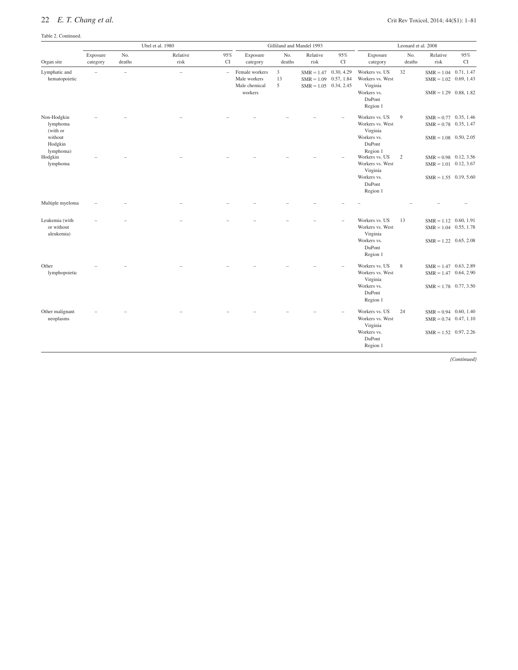### 22 *E. T. Chang et al.* Crit Rev Toxicol, 2014; 44(S1): 1–81

#### Table 2. Continued.

|                                                           |                      |               | Ubel et al. 1980  |           |                                                            |                           | Gilliland and Mandel 1993                                          |            |                                                                                                 | Leonard et al. 2008 |                                                                               |           |
|-----------------------------------------------------------|----------------------|---------------|-------------------|-----------|------------------------------------------------------------|---------------------------|--------------------------------------------------------------------|------------|-------------------------------------------------------------------------------------------------|---------------------|-------------------------------------------------------------------------------|-----------|
| Organ site                                                | Exposure<br>category | No.<br>deaths | Relative<br>risk  | 95%<br>CI | Exposure<br>category                                       | No.<br>deaths             | Relative<br>risk                                                   | 95%<br>CI  | Exposure<br>category                                                                            | No.<br>deaths       | Relative<br>risk                                                              | 95%<br>CI |
| Lymphatic and<br>hematopoietic                            | ÷.                   | $\equiv$      | $\qquad \qquad -$ | $\equiv$  | Female workers<br>Male workers<br>Male chemical<br>workers | $\mathfrak{Z}$<br>13<br>5 | $SMR = 1.47$ 0.30, 4.29<br>$SMR = 1.09$<br>$SMR = 1.05$ 0.34, 2.45 | 0.57, 1.84 | Workers vs. US<br>Workers vs. West<br>Virginia<br>Workers vs.<br>DuPont<br>Region 1             | 32                  | $SMR = 1.04$ 0.71, 1.47<br>$SMR = 1.02$ 0.69, 1.43<br>$SMR = 1.29$ 0.88, 1.82 |           |
| Non-Hodgkin<br>lymphoma<br>(with or<br>without<br>Hodgkin |                      |               |                   |           |                                                            |                           |                                                                    |            | Workers vs. US<br>Workers vs. West<br>Virginia<br>Workers vs.<br>DuPont                         | 9                   | $SMR = 0.77$ 0.35, 1.46<br>$SMR = 0.78$ 0.35, 1.47<br>$SMR = 1.08$ 0.50, 2.05 |           |
| lymphoma)<br>Hodgkin<br>lymphoma                          |                      |               |                   |           |                                                            |                           |                                                                    |            | Region 1<br>Workers vs. US<br>Workers vs. West<br>Virginia<br>Workers vs.<br>DuPont<br>Region 1 | $\overline{c}$      | $SMR = 0.98$ 0.12, 3.56<br>$SMR = 1.01$ 0.12, 3.67<br>$SMR = 1.55$ 0.19, 5.60 |           |
| Multiple myeloma                                          |                      |               |                   |           |                                                            |                           |                                                                    |            |                                                                                                 |                     |                                                                               |           |
| Leukemia (with<br>or without<br>aleukemia)                |                      |               |                   |           |                                                            |                           |                                                                    |            | Workers vs. US<br>Workers vs. West<br>Virginia<br>Workers vs.<br>DuPont<br>Region 1             | 13                  | $SMR = 1.12$ 0.60, 1.91<br>$SMR = 1.04$ 0.55, 1.78<br>$SMR = 1.22$ 0.65, 2.08 |           |
| Other<br>lymphopoietic                                    |                      |               |                   |           |                                                            |                           |                                                                    |            | Workers vs. US<br>Workers vs. West<br>Virginia<br>Workers vs.<br>DuPont<br>Region 1             | 8                   | $SMR = 1.47$ 0.63, 2.89<br>$SMR = 1.47$ 0.64, 2.90<br>$SMR = 1.78$ 0.77, 3.50 |           |
| Other malignant<br>neoplasms                              |                      |               |                   |           |                                                            |                           |                                                                    |            | Workers vs. US<br>Workers vs. West<br>Virginia<br>Workers vs.<br>DuPont<br>Region 1             | 24                  | $SMR = 0.94$ 0.60, 1.40<br>$SMR = 0.74$ 0.47, 1.10<br>$SMR = 1.52$ 0.97, 2.26 |           |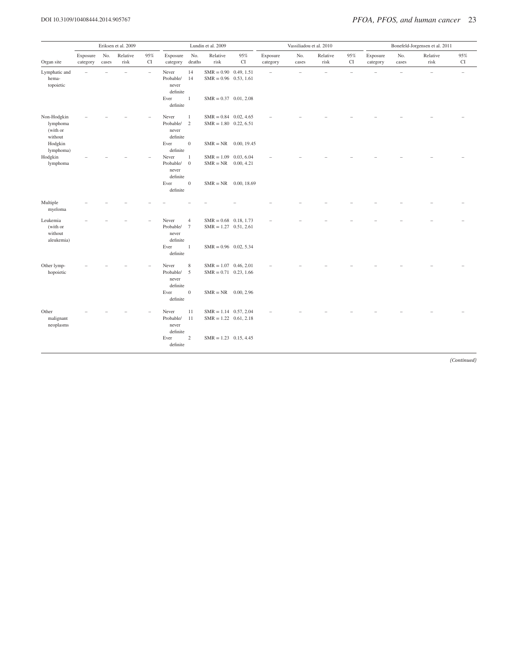## DOI 10.3109/10408444.2014.905767 *PFOA, PFOS, and human cancer* 23

|                                                |                      |              | Eriksen et al. 2009 |                  |                                                             |                                        | Lundin et al. 2009                                                            |                  |                      | Vassiliadou et al. 2010 |                  |           |                      |              | Bonefeld-Jorgensen et al. 2011 |                   |
|------------------------------------------------|----------------------|--------------|---------------------|------------------|-------------------------------------------------------------|----------------------------------------|-------------------------------------------------------------------------------|------------------|----------------------|-------------------------|------------------|-----------|----------------------|--------------|--------------------------------|-------------------|
| Organ site                                     | Exposure<br>category | No.<br>cases | Relative<br>risk    | 95%<br><b>CI</b> | Exposure<br>category                                        | No.<br>deaths                          | Relative<br>risk                                                              | 95%<br><b>CI</b> | Exposure<br>category | No.<br>cases            | Relative<br>risk | 95%<br>CI | Exposure<br>category | No.<br>cases | Relative<br>risk               | 95%<br>CI         |
| Lymphatic and<br>hema-<br>topoietic            |                      |              |                     | ÷                | Never<br>Probable/<br>never<br>definite<br>Ever<br>definite | 14<br>14<br>1                          | $SMR = 0.90$ 0.49, 1.51<br>$SMR = 0.96$ 0.53, 1.61<br>$SMR = 0.37$ 0.01, 2.08 |                  | ÷                    | ۳                       |                  | ۳         |                      |              | ۳                              | $\qquad \qquad -$ |
| Non-Hodgkin<br>lymphoma<br>(with or<br>without |                      |              |                     |                  | Never<br>Probable/<br>never<br>definite                     | $\mathbf{1}$<br>$\sqrt{2}$             | $SMR = 0.84$ 0.02, 4.65<br>$SMR = 1.80$ 0.22, 6.51                            |                  |                      |                         |                  |           |                      |              |                                |                   |
| Hodgkin<br>lymphoma)<br>Hodgkin<br>lymphoma    |                      |              |                     |                  | Ever<br>definite<br>Never<br>Probable/<br>never             | $\mathbf{0}$<br>-1<br>$\overline{0}$   | $SMR = NR$ 0.00, 19.45<br>$SMR = 1.09$ 0.03, 6.04<br>$SMR = NR$ 0.00, 4.21    |                  |                      |                         |                  |           |                      |              |                                |                   |
|                                                |                      |              |                     |                  | definite<br>Ever<br>definite                                | $\mathbf{0}$                           | $SMR = NR$ 0.00, 18.69                                                        |                  |                      |                         |                  |           |                      |              |                                |                   |
| Multiple<br>myeloma                            |                      |              |                     |                  |                                                             |                                        |                                                                               |                  |                      |                         |                  |           |                      |              |                                |                   |
| Leukemia<br>(with or<br>without<br>aleukemia)  |                      |              |                     |                  | Never<br>Probable/<br>never<br>definite<br>Ever             | $\overline{4}$<br>$7\phantom{.0}$<br>1 | $SMR = 0.68$ 0.18, 1.73<br>$SMR = 1.27$ 0.51, 2.61<br>$SMR = 0.96$ 0.02, 5.34 |                  |                      |                         |                  |           |                      |              |                                |                   |
|                                                |                      |              |                     |                  | definite                                                    |                                        |                                                                               |                  |                      |                         |                  |           |                      |              |                                |                   |
| Other lymp-<br>hopoietic                       |                      |              |                     |                  | Never<br>Probable/<br>never<br>definite                     | $\,$ 8 $\,$<br>5                       | $SMR = 1.07$ 0.46, 2.01<br>$SMR = 0.71$ 0.23, 1.66                            |                  |                      |                         |                  |           |                      |              |                                |                   |
|                                                |                      |              |                     |                  | Ever<br>definite                                            | $\mathbf{0}$                           | $SMR = NR$ 0.00, 2.96                                                         |                  |                      |                         |                  |           |                      |              |                                |                   |
| Other<br>malignant<br>neoplasms                |                      |              |                     |                  | Never<br>Probable/<br>never<br>definite                     | 11<br>-11                              | $SMR = 1.14$ 0.57, 2.04<br>$SMR = 1.22$ 0.61, 2.18                            |                  |                      |                         |                  |           |                      |              |                                |                   |
|                                                |                      |              |                     |                  | Ever<br>definite                                            | $\overline{c}$                         | $SMR = 1.23$ 0.15, 4.45                                                       |                  |                      |                         |                  |           |                      |              |                                |                   |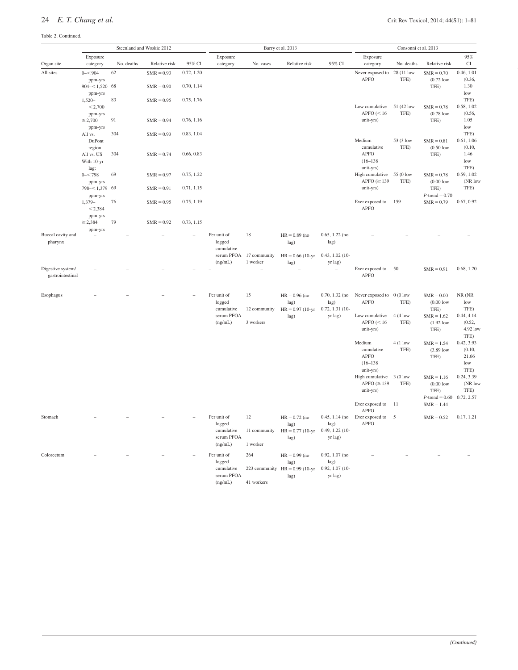|                   |                             |            | Steenland and Woskie 2012 |            |                          |              | Barry et al. 2013                         |                              |                                               | Consonni et al. 2013 |                                   |                      |
|-------------------|-----------------------------|------------|---------------------------|------------|--------------------------|--------------|-------------------------------------------|------------------------------|-----------------------------------------------|----------------------|-----------------------------------|----------------------|
|                   | Exposure                    |            |                           |            | Exposure                 |              |                                           |                              | Exposure                                      |                      |                                   | 95%                  |
| Organ site        | category                    | No. deaths | Relative risk             | 95% CI     | category                 | No. cases    | Relative risk                             | 95% CI                       | category                                      | No. deaths           | Relative risk                     | CI                   |
| All sites         | $0 - 5904$                  | 62         | $SMR = 0.93$              | 0.72, 1.20 |                          |              |                                           | L.                           | Never exposed to                              | 28 (11 low           | $SMR = 0.70$                      | 0.46, 1.01           |
|                   | ppm-yrs<br>$904 - 1,520$ 68 |            | $SMR = 0.90$              | 0.70, 1.14 |                          |              |                                           |                              | <b>APFO</b>                                   | TFE)                 | $(0.72 \text{ low}$<br>TFE)       | (0.36,<br>1.30       |
|                   | ppm-yrs<br>$1,520-$         | 83         | $SMR = 0.95$              | 0.75, 1.76 |                          |              |                                           |                              |                                               |                      |                                   | low<br>TFE)          |
|                   | < 2,700                     |            |                           |            |                          |              |                                           |                              | Low cumulative                                | 51 (42 low           | $SMR = 0.78$                      | 0.58, 1.02           |
|                   | ppm-yrs                     |            |                           |            |                          |              |                                           |                              | APFO $(< 16$                                  | TFE)                 | $(0.78 \text{ low}$               | (0.56,               |
|                   | $\geq 2,700$                | 91         | $SMR = 0.94$              | 0.76, 1.16 |                          |              |                                           |                              | unit-yrs)                                     |                      | TFE)                              | 1.05                 |
|                   | ppm-yrs<br>All vs.          | 304        | $SMR = 0.93$              | 0.83, 1.04 |                          |              |                                           |                              |                                               |                      |                                   | low<br>TFE)          |
|                   | DuPont                      |            |                           |            |                          |              |                                           |                              | Medium                                        | 53 (3 low            | $SMR = 0.81$                      | 0.61, 1.06           |
|                   | region                      |            |                           |            |                          |              |                                           |                              | cumulative                                    | TFE)                 | $(0.50 \text{ low}$               | (0.10,               |
|                   | All vs. US                  | 304        | $SMR = 0.74$              | 0.66, 0.83 |                          |              |                                           |                              | <b>APFO</b>                                   |                      | TFE)                              | 1.46                 |
|                   | With 10-yr                  |            |                           |            |                          |              |                                           |                              | $(16 - 138)$<br>unit-yrs)                     |                      |                                   | low<br>TFE)          |
|                   | lag:<br>$0 - 798$           | 69         | $SMR = 0.97$              | 0.75, 1.22 |                          |              |                                           |                              | High cumulative                               | 55 (0 low            | $SMR = 0.78$                      | 0.59, 1.02           |
|                   | ppm-yrs                     |            |                           |            |                          |              |                                           |                              | APFO $(\geq 139$                              | TFE)                 | $(0.001$ ow                       | (NR low              |
|                   | 798-<1,379 69               |            | $SMR = 0.91$              | 0.71, 1.15 |                          |              |                                           |                              | unit-yrs)                                     |                      | TFE)                              | TFE)                 |
|                   | ppm-yrs<br>$1,379-$         | 76         | $SMR = 0.95$              | 0.75, 1.19 |                          |              |                                           |                              | Ever exposed to                               | 159                  | $P$ -trend = 0.70<br>$SMR = 0.79$ | 0.67, 0.92           |
|                   | < 2,384                     |            |                           |            |                          |              |                                           |                              | <b>APFO</b>                                   |                      |                                   |                      |
|                   | ppm-yrs                     |            |                           |            |                          |              |                                           |                              |                                               |                      |                                   |                      |
|                   | $\geq 2,384$                | 79         | $SMR = 0.92$              | 0.73, 1.15 |                          |              |                                           |                              |                                               |                      |                                   |                      |
| Buccal cavity and | ppm-yrs                     |            |                           |            | Per unit of              | 18           | $HR = 0.89$ (no                           | $0.65, 1.22$ (no             |                                               |                      |                                   |                      |
| pharynx           |                             |            |                           |            | logged                   |              | lag)                                      | lag)                         |                                               |                      |                                   |                      |
|                   |                             |            |                           |            | cumulative               |              |                                           |                              |                                               |                      |                                   |                      |
|                   |                             |            |                           |            | serum PFOA               | 17 community | $HR = 0.66$ (10-yr)                       | $0.43, 1.02$ (10-            |                                               |                      |                                   |                      |
| Digestive system/ |                             |            |                           |            | (ng/mL)                  | 1 worker     | lag)                                      | yr lag)                      | Ever exposed to                               | 50                   | $SMR = 0.91$                      | 0.68, 1.20           |
| gastrointestinal  |                             |            |                           |            |                          |              |                                           |                              | <b>APFO</b>                                   |                      |                                   |                      |
|                   |                             |            |                           |            |                          |              |                                           |                              |                                               |                      |                                   |                      |
| Esophagus         |                             |            |                           |            | Per unit of              | 15           | $HR = 0.96$ (no                           | $0.70, 1.32$ (no             | Never exposed to $0(0 \text{ low})$           |                      | $SMR = 0.00$                      | NR (NR               |
|                   |                             |            |                           |            | logged                   |              | lag)                                      | lag)                         | <b>APFO</b>                                   | TFE)                 | $(0.001$ ow                       | low                  |
|                   |                             |            |                           |            | cumulative               | 12 community | $HR = 0.97(10-yr)$                        | $0.72, 1.31$ (10-            |                                               |                      | TFE)                              | TFE)                 |
|                   |                             |            |                           |            | serum PFOA               |              | lag)                                      | yr lag)                      | Low cumulative<br>APFO $(< 16$                | $4(4$ low<br>TFE)    | $SMR = 1.62$                      | 0.44, 4.14<br>(0.52, |
|                   |                             |            |                           |            | (ng/mL)                  | 3 workers    |                                           |                              | unit-yrs)                                     |                      | $(1.92$ low<br>TFE)               | 4.92 low             |
|                   |                             |            |                           |            |                          |              |                                           |                              |                                               |                      |                                   | TFE)                 |
|                   |                             |            |                           |            |                          |              |                                           |                              | Medium                                        | $4(1$ low            | $SMR = 1.54$                      | 0.42, 3.93           |
|                   |                             |            |                           |            |                          |              |                                           |                              | cumulative                                    | TFE)                 | $(3.89$ low                       | (0.10,               |
|                   |                             |            |                           |            |                          |              |                                           |                              | <b>APFO</b><br>$(16 - 138)$                   |                      | TFE)                              | 21.66<br>low         |
|                   |                             |            |                           |            |                          |              |                                           |                              | unit-yrs)                                     |                      |                                   | TFE)                 |
|                   |                             |            |                           |            |                          |              |                                           |                              | High cumulative $3(0 \text{ low})$            |                      | $SMR = 1.16$                      | 0.24, 3.39           |
|                   |                             |            |                           |            |                          |              |                                           |                              | APFO $(\geq 139$                              | TFE)                 | $(0.001$ ow                       | (NR low              |
|                   |                             |            |                           |            |                          |              |                                           |                              | unit-yrs)                                     |                      | TFE)<br>$P$ -trend = 0.60         | TFE)<br>0.72, 2.57   |
|                   |                             |            |                           |            |                          |              |                                           |                              | Ever exposed to                               | - 11                 | $SMR = 1.44$                      |                      |
|                   |                             |            |                           |            |                          |              |                                           |                              | <b>APFO</b>                                   |                      |                                   |                      |
| Stomach           |                             |            |                           |            | Per unit of<br>logged    | 12           | $HR = 0.72$ (no<br>lag)                   | lag)                         | 0.45, 1.14 (no Ever exposed to<br><b>APFO</b> | - 5                  | $SMR = 0.52$                      | 0.17, 1.21           |
|                   |                             |            |                           |            | cumulative               | 11 community | $HR = 0.77(10-yr)$                        | $0.49, 1.22$ (10-            |                                               |                      |                                   |                      |
|                   |                             |            |                           |            | serum PFOA               |              | lag)                                      | yr lag)                      |                                               |                      |                                   |                      |
|                   |                             |            |                           |            | (ng/mL)                  | 1 worker     |                                           |                              |                                               |                      |                                   |                      |
| Colorectum        |                             |            |                           |            | Per unit of              | 264          | $HR = 0.99$ (no                           | $0.92, 1.07$ (no             |                                               |                      |                                   |                      |
|                   |                             |            |                           |            | logged                   |              | lag)                                      | lag)                         |                                               |                      |                                   |                      |
|                   |                             |            |                           |            | cumulative<br>serum PFOA |              | 223 community $HR = 0.99$ (10-yr)<br>lag) | $0.92, 1.07$ (10-<br>yr lag) |                                               |                      |                                   |                      |
|                   |                             |            |                           |            |                          |              |                                           |                              |                                               |                      |                                   |                      |

(ng/mL) 41 workers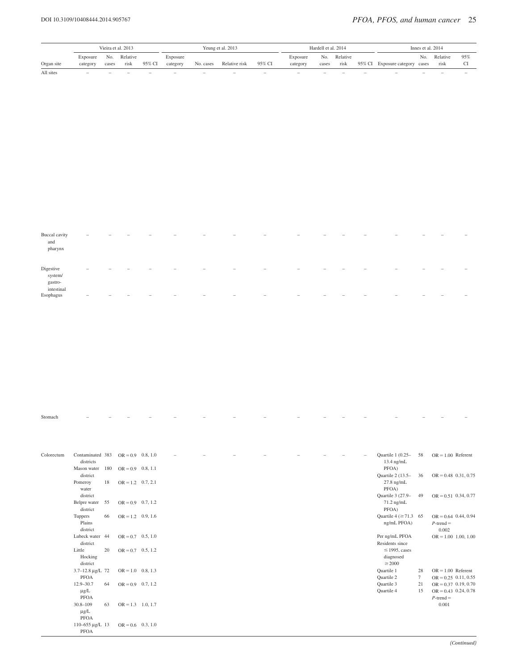|            |                          |       | Vieira et al. 2013   |                          |                      |           | Yeung et al. 2013 |                          |                      | Hardell et al. 2014      |                          |                          |                                     | Innes et al. 2014 |          |                          |
|------------|--------------------------|-------|----------------------|--------------------------|----------------------|-----------|-------------------|--------------------------|----------------------|--------------------------|--------------------------|--------------------------|-------------------------------------|-------------------|----------|--------------------------|
| Organ site | Exposure<br>category     | cases | No. Relative<br>risk | 95% CI                   | Exposure<br>category | No. cases | Relative risk     | 95% CI                   | Exposure<br>category | cases                    | No. Relative<br>risk     |                          | 95% CI Exposure category cases risk | No.               | Relative | 95%                      |
| All sites  | $\overline{\phantom{a}}$ |       | -                    | $\overline{\phantom{a}}$ | $\sim$               | -         |                   | $\overline{\phantom{a}}$ | $-$                  | $\overline{\phantom{a}}$ | $\overline{\phantom{a}}$ | $\overline{\phantom{a}}$ | $\overline{\phantom{a}}$            | $-$               | $\sim$   | $\overline{\phantom{a}}$ |

| Buccal cavity | $\overline{\phantom{a}}$ | $\overline{\phantom{0}}$ |   | -                        | $\overline{\phantom{a}}$ | $\overline{\phantom{0}}$                                                                                                                                | $\overline{\phantom{0}}$ | $\overline{\phantom{0}}$ | - | - |                          |                          |   | -                        |   | - |
|---------------|--------------------------|--------------------------|---|--------------------------|--------------------------|---------------------------------------------------------------------------------------------------------------------------------------------------------|--------------------------|--------------------------|---|---|--------------------------|--------------------------|---|--------------------------|---|---|
| and           |                          |                          |   |                          |                          |                                                                                                                                                         |                          |                          |   |   |                          |                          |   |                          |   |   |
| pharynx       |                          |                          |   |                          |                          |                                                                                                                                                         |                          |                          |   |   |                          |                          |   |                          |   |   |
|               |                          |                          |   |                          |                          |                                                                                                                                                         |                          |                          |   |   |                          |                          |   |                          |   |   |
| Digestive     | $-$                      |                          |   | -                        | $\overline{\phantom{a}}$ | $\hspace{0.1cm} \hspace{0.1cm} \hspace{0.1cm} \hspace{0.1cm} \hspace{0.1cm} \hspace{0.1cm} \hspace{0.1cm} \hspace{0.1cm} \hspace{0.1cm} \hspace{0.1cm}$ | -                        | -                        |   |   |                          |                          |   |                          |   |   |
| system/       |                          |                          |   |                          |                          |                                                                                                                                                         |                          |                          |   |   |                          |                          |   |                          |   |   |
| gastro-       |                          |                          |   |                          |                          |                                                                                                                                                         |                          |                          |   |   |                          |                          |   |                          |   |   |
| intestinal    |                          |                          |   |                          |                          |                                                                                                                                                         |                          |                          |   |   |                          |                          |   |                          |   |   |
| Esophagus     | $\overline{\phantom{a}}$ | -                        | - | $\overline{\phantom{a}}$ | $\overline{\phantom{a}}$ | $\overline{\phantom{m}}$                                                                                                                                | $\overline{\phantom{0}}$ | $\overline{\phantom{0}}$ | - | - | $\overline{\phantom{a}}$ | $\overline{\phantom{a}}$ | - | $\overline{\phantom{a}}$ | - | - |

| Colorectum | Contaminated 383 $OR = 0.9$ 0.8, 1.0<br>districts |    |                         |  |  |  |  |  |  | Quartile 1 (0.25-<br>$13.4$ ng/mL              | 58       | $OR = 1.00$ Referent                                             |
|------------|---------------------------------------------------|----|-------------------------|--|--|--|--|--|--|------------------------------------------------|----------|------------------------------------------------------------------|
|            | Mason water                                       |    | $180$ OR = 0.9 0.8, 1.1 |  |  |  |  |  |  | PFOA)                                          |          |                                                                  |
|            | district                                          |    |                         |  |  |  |  |  |  | Quartile 2 (13.5-                              | 36       | $OR = 0.48$ 0.31, 0.75                                           |
|            | Pomeroy<br>water                                  | 18 | $OR = 1.2$ 0.7, 2.1     |  |  |  |  |  |  | $27.8$ ng/mL<br>PFOA)                          |          |                                                                  |
|            | district                                          |    |                         |  |  |  |  |  |  | Quartile 3 (27.9-                              | 49       | $OR = 0.51$ 0.34, 0.77                                           |
|            | Belpre water 55<br>district                       |    | $OR = 0.9$ 0.7, 1.2     |  |  |  |  |  |  | 71.2 ng/mL<br>PFOA)                            |          |                                                                  |
|            | Tuppers<br>Plains<br>district                     | 66 | $OR = 1.2$ 0.9, 1.6     |  |  |  |  |  |  | Ouartile $4 \approx 71.3$ 65<br>ng/mL PFOA)    |          | $OR = 0.64$ 0.44, 0.94<br>$P$ -trend =<br>0.002                  |
|            | Lubeck water 44<br>district                       |    | $OR = 0.7$ 0.5, 1.0     |  |  |  |  |  |  | Per ng/mL PFOA<br>Residents since              |          | $OR = 1.00$ 1.00, 1.00                                           |
|            | Little<br>Hocking<br>district                     | 20 | $OR = 0.7$ 0.5, 1.2     |  |  |  |  |  |  | $\leq$ 1995, cases<br>diagnosed<br>$\geq$ 2000 |          |                                                                  |
|            | $3.7 - 12.8 \mu g/L$ 72<br><b>PFOA</b>            |    | $OR = 1.0$ 0.8, 1.3     |  |  |  |  |  |  | Quartile 1<br>Quartile 2                       | 28<br>7  | $OR = 1.00$ Referent<br>$OR = 0.25$ 0.11, 0.55                   |
|            | $12.9 - 30.7$<br>μg/L<br><b>PFOA</b>              | 64 | $OR = 0.9$ 0.7, 1.2     |  |  |  |  |  |  | Quartile 3<br>Quartile 4                       | 21<br>15 | $OR = 0.37$ 0.19, 0.70<br>$OR = 0.43$ 0.24, 0.78<br>$P$ -trend = |
|            | $30.8 - 109$<br>$\mu$ g/L                         | 63 | $OR = 1.3$ 1.0, 1.7     |  |  |  |  |  |  |                                                |          | 0.001                                                            |
|            | <b>PFOA</b>                                       |    |                         |  |  |  |  |  |  |                                                |          |                                                                  |
|            | 110-655 µg/L 13<br><b>PFOA</b>                    |    | $OR = 0.6$ 0.3, 1.0     |  |  |  |  |  |  |                                                |          |                                                                  |

Stomach – – – – – – – – – – – – – – – –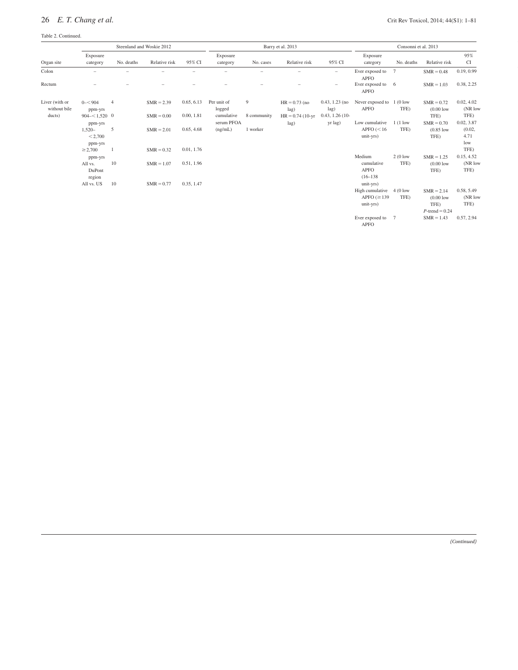Table 2. Continued.

|                                          |                                                           |                | Steenland and Woskie 2012    |                          |                                     |                  | Barry et al. 2013                             |                                               |                                                                      | Consonni et al. 2013                          |                                                                          |                                             |
|------------------------------------------|-----------------------------------------------------------|----------------|------------------------------|--------------------------|-------------------------------------|------------------|-----------------------------------------------|-----------------------------------------------|----------------------------------------------------------------------|-----------------------------------------------|--------------------------------------------------------------------------|---------------------------------------------|
| Organ site                               | Exposure<br>category                                      | No. deaths     | Relative risk                | 95% CI                   | Exposure<br>category                | No. cases        | Relative risk                                 | 95% CI                                        | Exposure<br>category                                                 | No. deaths                                    | Relative risk                                                            | 95%<br>$\rm CI$                             |
| Colon                                    | $\overline{\phantom{0}}$                                  |                |                              |                          | ۳                                   | ÷                | ÷                                             | $-$                                           | Ever exposed to<br><b>APFO</b>                                       | $7\phantom{.0}$                               | $SMR = 0.48$                                                             | 0.19, 0.99                                  |
| Rectum                                   |                                                           |                |                              |                          |                                     |                  |                                               | -                                             | Ever exposed to<br><b>APFO</b>                                       | - 6                                           | $SMR = 1.03$                                                             | 0.38, 2.25                                  |
| Liver (with or<br>without bile<br>ducts) | $0 - 5904$<br>ppm-yrs<br>$904 - 1,520$ 0                  | $\overline{4}$ | $SMR = 2.39$<br>$SMR = 0.00$ | 0.65, 6.13<br>0.00, 1.81 | Per unit of<br>logged<br>cumulative | 9<br>8 community | $HR = 0.73$ (no<br>lag)<br>$HR = 0.74(10-yr)$ | $0.43, 1.23$ (no<br>lag)<br>$0.43, 1.26$ (10- | Never exposed to<br><b>APFO</b>                                      | $1(0 \text{ low})$<br>TFE)                    | $SMR = 0.72$<br>$(0.001$ ow<br>TFE)                                      | 0.02, 4.02<br>(NR low<br>TFE)               |
|                                          | ppm-yrs<br>$1,520-$<br>< 2,700<br>ppm-yrs<br>$\geq$ 2,700 | 5<br>1         | $SMR = 2.01$<br>$SMR = 0.32$ | 0.65, 4.68<br>0.01, 1.76 | serum PFOA<br>(ng/mL)               | 1 worker         | lag)                                          | yr lag)                                       | Low cumulative<br>APFO $(< 16$<br>unit-yrs)                          | $1(1$ low<br>TFE)                             | $SMR = 0.70$<br>$(0.85)$ low<br>TFE)                                     | 0.02, 3.87<br>(0.02,<br>4.71<br>low<br>TFE) |
|                                          | ppm-yrs<br>All vs.<br>DuPont<br>region<br>All vs. US      | 10<br>10       | $SMR = 1.07$<br>$SMR = 0.77$ | 0.51, 1.96<br>0.35, 1.47 |                                     |                  |                                               |                                               | Medium<br>cumulative<br>APFO<br>$(16 - 138)$<br>unit-yrs)            | $2(0 \text{ low})$<br>TFE)                    | $SMR = 1.25$<br>$(0.001$ ow<br>TFE)                                      | 0.15, 4.52<br>(NR low<br>TFE)               |
|                                          |                                                           |                |                              |                          |                                     |                  |                                               |                                               | High cumulative<br>APFO $(\geq 139)$<br>unit-yrs)<br>Ever exposed to | $4(0 \text{ low})$<br>TFE)<br>$7\phantom{.0}$ | $SMR = 2.14$<br>$(0.001$ ow<br>TFE)<br>$P$ -trend = 0.24<br>$SMR = 1.43$ | 0.58, 5.49<br>(NR low<br>TFE)<br>0.57, 2.94 |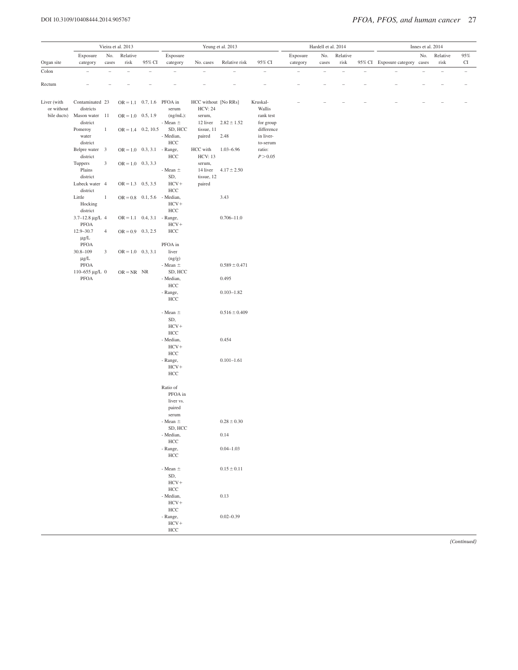|                           | Vieira et al. 2013                      |                |                               |        |                                           | Yeung et al. 2013                      |                   |                                     | Hardell et al. 2014      |           |                          |    | Innes et al. 2014              |                |          |                |
|---------------------------|-----------------------------------------|----------------|-------------------------------|--------|-------------------------------------------|----------------------------------------|-------------------|-------------------------------------|--------------------------|-----------|--------------------------|----|--------------------------------|----------------|----------|----------------|
|                           | Exposure                                | No.            | Relative                      |        | Exposure                                  |                                        |                   |                                     | Exposure                 | No.       | Relative                 |    |                                | No.            | Relative | $95\%$         |
| Organ site                | category                                | cases          | risk                          | 95% CI | category                                  | No. cases                              | Relative risk     | 95% CI                              | category                 | cases     | risk                     |    | 95% CI Exposure category cases |                | risk     | CI             |
| $\operatorname{Colon}$    | ÷                                       | L,             | ÷,                            | L,     | ÷                                         | $\overline{\phantom{0}}$               | Ĭ.                | $\overline{\phantom{0}}$            | $\overline{\phantom{a}}$ | $\bar{ }$ | $\overline{\phantom{a}}$ | j. |                                | $\overline{a}$ | $\sim$   | $\overline{a}$ |
| Rectum                    |                                         |                |                               |        |                                           |                                        |                   |                                     |                          |           |                          |    |                                |                |          |                |
| Liver (with<br>or without | Contaminated 23<br>districts            |                | $OR = 1.1$ 0.7, 1.6 PFOA in   |        | serum                                     | HCC without [No RRs]<br><b>HCV: 24</b> |                   | Kruskal-<br>Wallis                  |                          |           |                          |    |                                |                |          |                |
| bile ducts)               | Mason water 11<br>district              |                | $OR = 1.0$ 0.5, 1.9           |        | $(ng/mL)$ :<br>- Mean $\pm$               | serum,<br>12 liver                     | $2.82 \pm 1.52$   | rank test<br>for group              |                          |           |                          |    |                                |                |          |                |
|                           | Pomeroy<br>water<br>district            | $\mathbf{1}$   | $OR = 1.4$ 0.2, 10.5          |        | SD, HCC<br>- Median,<br>$_{\mathrm{HCC}}$ | tissue, 11<br>paired                   | 2.48              | difference<br>in liver-<br>to-serum |                          |           |                          |    |                                |                |          |                |
|                           | Belpre water 3<br>district              |                | $OR = 1.0$ 0.3, 3.1 - Range,  |        | HCC                                       | HCC with<br><b>HCV: 13</b>             | $1.03 - 6.96$     | ratio:<br>P > 0.05                  |                          |           |                          |    |                                |                |          |                |
|                           | Tuppers<br>Plains<br>district           | $_{\rm 3}$     | $OR = 1.0$ 0.3, 3.3           |        | - Mean $\pm$<br>SD,                       | serum,<br>14 liver<br>tissue, 12       | $4.17 \pm 2.50$   |                                     |                          |           |                          |    |                                |                |          |                |
|                           | Lubeck water 4<br>district              |                | $OR = 1.3$ 0.5, 3.5           |        | $HCV+$<br>HCC                             | paired                                 |                   |                                     |                          |           |                          |    |                                |                |          |                |
|                           | Little<br>Hocking<br>district           | $\mathbf{1}$   | $OR = 0.8$ 0.1, 5.6 - Median, |        | $HCV+$<br>$_{\mathrm{HCC}}$               |                                        | 3.43              |                                     |                          |           |                          |    |                                |                |          |                |
|                           | $3.7 - 12.8 \,\mu g/L$ 4<br><b>PFOA</b> |                | $OR = 1.1$ 0.4, 3.1 - Range,  |        | $HCV+$                                    |                                        | $0.706 - 11.0$    |                                     |                          |           |                          |    |                                |                |          |                |
|                           | 12.9-30.7<br>$\mu$ g/L<br>PFOA          | $\overline{4}$ | $OR = 0.9$ 0.3, 2.5           |        | HCC<br>PFOA in                            |                                        |                   |                                     |                          |           |                          |    |                                |                |          |                |
|                           | $30.8 - 109$<br>$\mu$ g/L<br>PFOA       | $_{\rm 3}$     | $OR = 1.0$ 0.3, 3.1           |        | liver<br>(ng/g)<br>- Mean $\pm$           |                                        | $0.589 \pm 0.471$ |                                     |                          |           |                          |    |                                |                |          |                |
|                           | 110-655 µg/L 0<br><b>PFOA</b>           |                | $OR = NR$ $NR$                |        | SD, HCC<br>- Median,                      |                                        | 0.495             |                                     |                          |           |                          |    |                                |                |          |                |
|                           |                                         |                |                               |        | $_{\mathrm{HCC}}$<br>- Range,<br>HCC      |                                        | $0.103 - 1.82$    |                                     |                          |           |                          |    |                                |                |          |                |
|                           |                                         |                |                               |        | - Mean $\pm$<br>SD,<br>$HCV+$             |                                        | $0.516 \pm 0.409$ |                                     |                          |           |                          |    |                                |                |          |                |
|                           |                                         |                |                               |        | $_{\mathrm{HCC}}$<br>- Median,<br>$HCV+$  |                                        | 0.454             |                                     |                          |           |                          |    |                                |                |          |                |
|                           |                                         |                |                               |        | HCC<br>- Range,<br>$HCV+$<br>HCC          |                                        | $0.101 - 1.61$    |                                     |                          |           |                          |    |                                |                |          |                |
|                           |                                         |                |                               |        | Ratio of<br>PFOA in<br>liver vs.          |                                        |                   |                                     |                          |           |                          |    |                                |                |          |                |
|                           |                                         |                |                               |        | paired<br>serum<br>$-Mean \pm$<br>SD, HCC |                                        | $0.28 \pm 0.30$   |                                     |                          |           |                          |    |                                |                |          |                |
|                           |                                         |                |                               |        | - Median,<br>HCC                          |                                        | 0.14              |                                     |                          |           |                          |    |                                |                |          |                |
|                           |                                         |                |                               |        | - Range,<br>HCC                           |                                        | $0.04 - 1.03$     |                                     |                          |           |                          |    |                                |                |          |                |
|                           |                                         |                |                               |        | - Mean $\pm$<br>SD,<br>$HCV+$             |                                        | $0.15 \pm 0.11$   |                                     |                          |           |                          |    |                                |                |          |                |
|                           |                                         |                |                               |        | HCC<br>- Median,<br>$HCV+$                |                                        | 0.13              |                                     |                          |           |                          |    |                                |                |          |                |
|                           |                                         |                |                               |        | HCC<br>- Range,<br>$HCV+$<br>HCC          |                                        | $0.02 - 0.39$     |                                     |                          |           |                          |    |                                |                |          |                |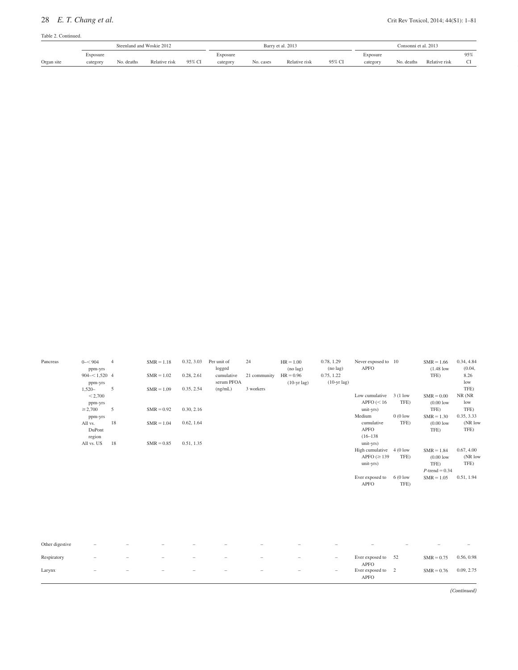### 28 *E. T. Chang et al.* Crit Rev Toxicol, 2014; 44(S1): 1–81

#### Table 2. Continued.

|            |          | Steenland and Woskie 2012 |               |        |          |           | Barry et al. 2013 |        |          | Consonni et al. 2013 |               |     |
|------------|----------|---------------------------|---------------|--------|----------|-----------|-------------------|--------|----------|----------------------|---------------|-----|
|            | Exposure |                           |               |        | Exposure |           |                   |        | Exposure |                      |               | 95% |
| Organ site | category | No. deaths                | Relative risk | 95% CI | category | No. cases | Relative risk     | 95% CI | category | No. deaths           | Relative risk |     |

| Pancreas        | $0 - 904$<br>ppm-yrs                                 | $\overline{4}$ | $SMR = 1.18$                 | 0.32, 3.03               | Per unit of<br>logged    | 24           | $HR = 1.00$<br>(no lag)         | 0.78, 1.29<br>(no lag)         | Never exposed to 10<br>APFO                             |                            | $SMR = 1.66$<br>$(1.48$ low                              | 0.34, 4.84<br>(0.04,          |
|-----------------|------------------------------------------------------|----------------|------------------------------|--------------------------|--------------------------|--------------|---------------------------------|--------------------------------|---------------------------------------------------------|----------------------------|----------------------------------------------------------|-------------------------------|
|                 | $904 - 1,520$ 4<br>ppm-yrs                           |                | $SMR = 1.02$                 | 0.28, 2.61               | cumulative<br>serum PFOA | 21 community | $HR = 0.96$<br>$(10-yr \, lag)$ | 0.75, 1.22<br>$(10-yr \, lag)$ |                                                         |                            | TFE)                                                     | 8.26<br>low                   |
|                 | $1,520-$<br>< 2,700                                  | 5              | $SMR = 1.09$                 | 0.35, 2.54               | (ng/mL)                  | 3 workers    |                                 |                                | Low cumulative $3(1 \text{ low})$<br>APFO $(< 16$       | TFE)                       | $SMR = 0.00$<br>$(0.001$ ow                              | TFE)<br>NR (NR<br>low         |
|                 | ppm-yrs<br>$\geq$ 2,700                              | 5              | $SMR = 0.92$                 | 0.30, 2.16               |                          |              |                                 |                                | unit-yrs)                                               |                            | TFE)                                                     | TFE)                          |
|                 | ppm-yrs<br>All vs.<br>DuPont<br>region<br>All vs. US | 18<br>18       | $SMR = 1.04$<br>$SMR = 0.85$ | 0.62, 1.64<br>0.51, 1.35 |                          |              |                                 |                                | Medium<br>cumulative<br>APFO<br>$(16-138)$<br>unit-yrs) | $0(0)$ low<br>TFE)         | $SMR = 1.30$<br>$(0.001$ ow<br>TFE)                      | 0.35, 3.33<br>(NR low<br>TFE) |
|                 |                                                      |                |                              |                          |                          |              |                                 |                                | High cumulative<br>APFO ( $\geq$ 139<br>unit-yrs)       | $4(0 \text{ low})$<br>TFE) | $SMR = 1.84$<br>$(0.001$ ow<br>TFE)<br>$P$ -trend = 0.34 | 0.67, 4.00<br>(NR low<br>TFE) |
|                 |                                                      |                |                              |                          |                          |              |                                 |                                | Ever exposed to<br>APFO                                 | $6(0 \text{ low})$<br>TFE) | $SMR = 1.05$                                             | 0.51, 1.94                    |
|                 |                                                      |                |                              |                          |                          |              |                                 |                                |                                                         |                            |                                                          |                               |
| Other digestive |                                                      |                |                              |                          |                          |              |                                 |                                |                                                         |                            |                                                          |                               |
| Respiratory     |                                                      |                |                              |                          |                          | L.           |                                 | $\qquad \qquad -$              | Ever exposed to<br><b>APFO</b>                          | 52                         | $SMR = 0.75$                                             | 0.56, 0.98                    |
| Larynx          |                                                      |                |                              |                          |                          |              |                                 |                                | Ever exposed to<br>APFO                                 | 2                          | $SMR = 0.76$                                             | 0.09, 2.75                    |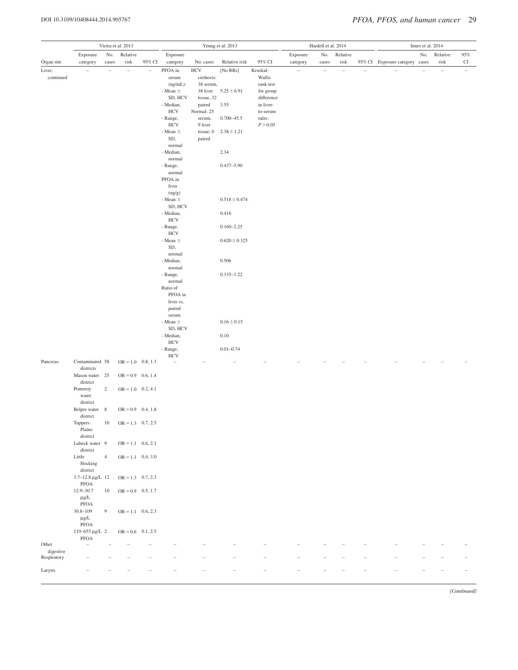|                     |                                                       |                | Vieira et al. 2013                         |          |                                                                                                                                                                                                                                                                                                                                                                                                                                                                                                       |                                                                                                                              | Yeung et al. 2013                                                                                                                                                                                                                 |                                                                                                           |                      | Hardell et al. 2014      |                  |                          |                                | Innes et al. 2014 |                          |           |
|---------------------|-------------------------------------------------------|----------------|--------------------------------------------|----------|-------------------------------------------------------------------------------------------------------------------------------------------------------------------------------------------------------------------------------------------------------------------------------------------------------------------------------------------------------------------------------------------------------------------------------------------------------------------------------------------------------|------------------------------------------------------------------------------------------------------------------------------|-----------------------------------------------------------------------------------------------------------------------------------------------------------------------------------------------------------------------------------|-----------------------------------------------------------------------------------------------------------|----------------------|--------------------------|------------------|--------------------------|--------------------------------|-------------------|--------------------------|-----------|
| Organ site          | Exposure<br>category                                  | No.<br>cases   | Relative<br>risk                           | 95% CI   | Exposure<br>category                                                                                                                                                                                                                                                                                                                                                                                                                                                                                  | No. cases                                                                                                                    | Relative risk                                                                                                                                                                                                                     | 95% CI                                                                                                    | Exposure<br>category | No.<br>cases             | Relative<br>risk |                          | 95% CI Exposure category cases | No.               | Relative<br>risk         | 95%<br>CI |
| Liver,<br>continued | $\overline{\phantom{a}}$                              | L.             | $\equiv$                                   | $\equiv$ | PFOA in<br>serum<br>$(ng/mL)$ :<br>$-Mean \pm$<br>SD, HCV<br>- Median,<br><b>HCV</b><br>- Range,<br><b>HCV</b><br>- Mean $\pm$<br>SD,<br>normal<br>- Median,<br>normal<br>- Range,<br>normal<br>PFOA in<br>liver<br>(ng/g)<br>- Mean $\pm$<br>SD, HCV<br>- Median,<br><b>HCV</b><br>- Range,<br><b>HCV</b><br>- Mean $\pm$<br>SD,<br>normal<br>- Median,<br>normal<br>- Range,<br>normal<br>Ratio of<br>PFOA in<br>liver vs.<br>paired<br>serum<br>- Mean $\pm$<br>SD, HCV<br>- Median,<br><b>HCV</b> | HCV<br>cirrhosis:<br>38 serum,<br>38 liver<br>tissue, 32<br>paired<br>Normal: 25<br>serum,<br>9 liver<br>tissue, 0<br>paired | [No RRs]<br>$5.25 \pm 6.91$<br>3.55<br>$0.700 - 45.5$<br>$2.38 \pm 1.21$<br>2.34<br>$0.437 - 5.90$<br>$0.518 \pm 0.474$<br>0.416<br>$0.160 - 2.25$<br>$0.620 \pm 0.325$<br>0.506<br>$0.335 - 1.22$<br>$0.16 \pm 0.15$<br>$0.10\,$ | Kruskal-<br>Wallis<br>rank test<br>for group<br>difference<br>in liver-<br>to-serum<br>ratio:<br>P > 0.05 | ÷                    | $\overline{\phantom{a}}$ | $\equiv$         | $\overline{\phantom{a}}$ | $\equiv$                       | Ē.                | $\overline{\phantom{a}}$ | $\equiv$  |
| Pancreas            | Contaminated 58                                       |                | $OR = 1.0$ 0.8, 1.3                        |          | - Range,<br><b>HCV</b>                                                                                                                                                                                                                                                                                                                                                                                                                                                                                |                                                                                                                              | $0.01 - 0.74$                                                                                                                                                                                                                     |                                                                                                           |                      |                          |                  |                          |                                |                   |                          |           |
|                     | districts<br>Mason water 25                           |                | $OR = 0.9$ 0.6, 1.4                        |          |                                                                                                                                                                                                                                                                                                                                                                                                                                                                                                       |                                                                                                                              |                                                                                                                                                                                                                                   |                                                                                                           |                      |                          |                  |                          |                                |                   |                          |           |
|                     | district<br>Pomeroy<br>water                          | $\sqrt{2}$     | $OR = 1.0$ 0.2, 4.1                        |          |                                                                                                                                                                                                                                                                                                                                                                                                                                                                                                       |                                                                                                                              |                                                                                                                                                                                                                                   |                                                                                                           |                      |                          |                  |                          |                                |                   |                          |           |
|                     | district<br>Belpre water 8                            |                | $OR = 0.9$ 0.4, 1.8                        |          |                                                                                                                                                                                                                                                                                                                                                                                                                                                                                                       |                                                                                                                              |                                                                                                                                                                                                                                   |                                                                                                           |                      |                          |                  |                          |                                |                   |                          |           |
|                     | district<br>Tuppers<br>Plains<br>district             | 10             | $OR = 1.3$ 0.7, 2.5                        |          |                                                                                                                                                                                                                                                                                                                                                                                                                                                                                                       |                                                                                                                              |                                                                                                                                                                                                                                   |                                                                                                           |                      |                          |                  |                          |                                |                   |                          |           |
|                     | Lubeck water 9<br>district                            |                | $OR = 1.1$ 0.6, 2.1                        |          |                                                                                                                                                                                                                                                                                                                                                                                                                                                                                                       |                                                                                                                              |                                                                                                                                                                                                                                   |                                                                                                           |                      |                          |                  |                          |                                |                   |                          |           |
|                     | Little<br>Hocking<br>district                         | $\overline{4}$ | $OR = 1.1$ 0.4, 3.0                        |          |                                                                                                                                                                                                                                                                                                                                                                                                                                                                                                       |                                                                                                                              |                                                                                                                                                                                                                                   |                                                                                                           |                      |                          |                  |                          |                                |                   |                          |           |
|                     | 3.7-12.8 µg/L 12<br><b>PFOA</b>                       |                | $OR = 1.3$ 0.7, 2.3                        |          |                                                                                                                                                                                                                                                                                                                                                                                                                                                                                                       |                                                                                                                              |                                                                                                                                                                                                                                   |                                                                                                           |                      |                          |                  |                          |                                |                   |                          |           |
|                     | 12.9-30.7<br>$\mu g/L$<br><b>PFOA</b><br>$30.8 - 109$ | $10\,$<br>9    | $OR = 0.9$ 0.5, 1.7<br>$OR = 1.1$ 0.6, 2.3 |          |                                                                                                                                                                                                                                                                                                                                                                                                                                                                                                       |                                                                                                                              |                                                                                                                                                                                                                                   |                                                                                                           |                      |                          |                  |                          |                                |                   |                          |           |
|                     | $\mu g/L$<br>PFOA<br>110-655 μg/L 2                   |                | $OR = 0.6$ 0.1, 2.5                        |          |                                                                                                                                                                                                                                                                                                                                                                                                                                                                                                       |                                                                                                                              |                                                                                                                                                                                                                                   |                                                                                                           |                      |                          |                  |                          |                                |                   |                          |           |
| Other<br>digestive  | <b>PFOA</b><br>÷                                      |                |                                            |          |                                                                                                                                                                                                                                                                                                                                                                                                                                                                                                       |                                                                                                                              |                                                                                                                                                                                                                                   |                                                                                                           |                      |                          |                  |                          |                                |                   |                          |           |
| Respiratory         |                                                       |                |                                            |          |                                                                                                                                                                                                                                                                                                                                                                                                                                                                                                       |                                                                                                                              |                                                                                                                                                                                                                                   |                                                                                                           |                      |                          |                  |                          |                                |                   |                          |           |
| Larynx              |                                                       |                |                                            |          |                                                                                                                                                                                                                                                                                                                                                                                                                                                                                                       |                                                                                                                              |                                                                                                                                                                                                                                   |                                                                                                           |                      |                          |                  |                          |                                |                   |                          |           |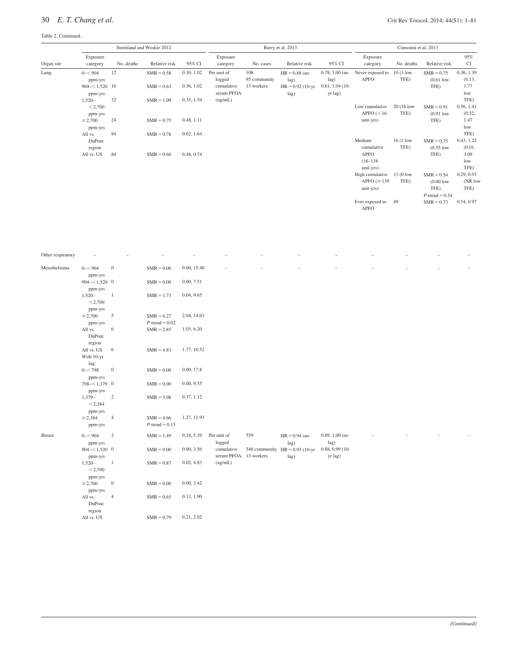Table 2. Continued.

|            |                                         |            | Steenland and Woskie 2012    |                          |                                     |                     | Barry et al. 2013          |                              |                                                   | Consonni et al. 2013        |                                                          |                               |
|------------|-----------------------------------------|------------|------------------------------|--------------------------|-------------------------------------|---------------------|----------------------------|------------------------------|---------------------------------------------------|-----------------------------|----------------------------------------------------------|-------------------------------|
| Organ site | Exposure<br>category                    | No. deaths | Relative risk                | 95% CI                   | Exposure<br>category                | No. cases           | Relative risk              | 95% CI                       | Exposure<br>category                              | No. deaths                  | Relative risk                                            | 95%<br>CI                     |
| Lung       | $0 - 904$<br>ppm-yrs                    | 12         | $SMR = 0.58$                 | 0.30, 1.02               | Per unit of<br>logged               | 108<br>95 community | $HR = 0.88$ (no<br>lag)    | $0.78, 1.00$ (no<br>lag)     | Never exposed to<br>APFO                          | $10(3$ low<br>TFE)          | $SMR = 0.75$<br>$(0.61$ low                              | 0.36, 1.39<br>(0.13,          |
|            | $904 - 1,520$ 16<br>ppm-yrs<br>$1,520-$ | 32         | $SMR = 0.63$<br>$SMR = 1.09$ | 0.36, 1.02<br>0.35, 1.54 | cumulative<br>serum PFOA<br>(ng/mL) | 13 workers          | $HR = 0.92(10-yr)$<br>lag) | $0.81, 1.04$ (10-<br>yr lag) |                                                   |                             | TFE)                                                     | 1.77<br>low<br>TFE)           |
|            | < 2,700<br>ppm-yrs                      |            |                              |                          |                                     |                     |                            |                              | Low cumulative<br>APFO $(< 16$                    | $20(16)$ low<br>TFE)        | $SMR = 0.91$<br>$(0.91$ low                              | 0.56, 1.41<br>(0.52,          |
|            | $\geq 2,700$<br>ppm-yrs                 | 24         | $SMR = 0.75$                 | 0.48, 1.11               |                                     |                     |                            |                              | unit-yrs)                                         |                             | TFE)                                                     | 1.47<br>low                   |
|            | All vs.<br>DuPont<br>region             | 84         | $SMR = 0.78$                 | 0.62, 1.64               |                                     |                     |                            |                              | Medium<br>cumulative                              | $16(1 \text{ low})$<br>TFE) | $SMR = 0.75$<br>$(0.55$ low                              | TFE)<br>0.43, 1.22<br>(0.01,  |
|            | All vs. US                              | 84         | $SMR = 0.60$                 | 0.48, 0.74               |                                     |                     |                            |                              | APFO<br>$(16-138)$<br>unit-yrs)                   |                             | TFE)                                                     | 3.09<br>low<br>TFE)           |
|            |                                         |            |                              |                          |                                     |                     |                            |                              | High cumulative<br>APFO $(\geq 139)$<br>unit-yrs) | $13(0 \text{ low})$<br>TFE) | $SMR = 0.54$<br>$(0.001$ ow<br>TFE)<br>$P$ -trend = 0.34 | 0.29, 0.93<br>(NR low<br>TFE) |
|            |                                         |            |                              |                          |                                     |                     |                            |                              | Ever exposed to<br><b>APFO</b>                    | 49                          | $SMR = 0.73$                                             | 0.54, 0.97                    |

| Other respiratory | Ĭ.                                        |                  |                                   |                          |                                     |     |                                           |                              |                          |   |  |
|-------------------|-------------------------------------------|------------------|-----------------------------------|--------------------------|-------------------------------------|-----|-------------------------------------------|------------------------------|--------------------------|---|--|
| Mesothelioma      | $0 - 5904$                                | $\boldsymbol{0}$ | $SMR = 0.00$                      | 0.00, 15.40              | $\overline{\phantom{0}}$            | ÷   | ÷                                         | $\overline{\phantom{0}}$     | $\overline{\phantom{0}}$ | ÷ |  |
|                   | ppm-yrs<br>$904 - 1,520$ 0                |                  | $SMR = 0.00$                      | 0.00, 7.51               |                                     |     |                                           |                              |                          |   |  |
|                   | ppm-yrs<br>$1,520-$<br>< 2,700            | $\mathbf{1}$     | $SMR = 1.73$                      | 0.04, 9.65               |                                     |     |                                           |                              |                          |   |  |
|                   | ppm-yrs<br>$\geq$ 2,700                   | 5                | $SMR = 6.27$                      | 2.04, 14.63              |                                     |     |                                           |                              |                          |   |  |
|                   | ppm-yrs                                   |                  | $P$ -trend = 0.02                 |                          |                                     |     |                                           |                              |                          |   |  |
|                   | All vs.<br>DuPont<br>region               | 6                | $SMR = 2.85$                      | 1.05, 6.20               |                                     |     |                                           |                              |                          |   |  |
|                   | All vs. US<br>With 10-yr                  | 6                | $SMR = 4.83$                      | 1.77, 10.52              |                                     |     |                                           |                              |                          |   |  |
|                   | lag:<br>$0 - 798$                         | $\boldsymbol{0}$ | $SMR = 0.00$                      | 0.00, 17.8               |                                     |     |                                           |                              |                          |   |  |
|                   | ppm-yrs<br>$798 - 1,379$ 0                |                  | $SMR = 0.00$                      | 0.00, 9.55               |                                     |     |                                           |                              |                          |   |  |
|                   | ppm-yrs<br>$1,379-$<br>< 2,384            | $\overline{c}$   | $SMR = 3.08$                      | 0.37, 1.12               |                                     |     |                                           |                              |                          |   |  |
|                   | ppm-yrs<br>$\geq$ 2,384<br>ppm-yrs        | $\overline{4}$   | $SMR = 4.66$<br>$P$ -trend = 0.15 | 1.27, 11.93              |                                     |     |                                           |                              |                          |   |  |
| <b>Breast</b>     | $0 - 5904$                                | $\overline{c}$   | $SMR = 1.49$                      | 0.18, 5.39               | Per unit of<br>logged               | 559 | $HR = 0.94$ (no<br>lag)                   | $0.89, 1.00$ (no<br>lag)     |                          |   |  |
|                   | ppm-yrs<br>$904 - 1,520$ 0<br>ppm-yrs     |                  | $SMR = 0.00$                      | 0.00, 3.56               | cumulative<br>serum PFOA 13 workers |     | 546 community $HR = 0.93$ (10-yr)<br>lag) | $0.88, 0.99$ (10-<br>yr lag) |                          |   |  |
|                   | $1,520-$<br>< 2,700                       | $\mathbf{1}$     | $SMR = 0.87$                      | 0.02, 4.83               | (ng/mL)                             |     |                                           |                              |                          |   |  |
|                   | ppm-yrs<br>$\geq$ 2,700<br>ppm-yrs        | $\overline{0}$   | $SMR = 0.00$                      | 0.00, 3.42               |                                     |     |                                           |                              |                          |   |  |
|                   | All vs.<br>DuPont<br>region<br>All vs. US | $\overline{4}$   | $SMR = 0.65$<br>$SMR = 0.79$      | 0.13, 1.90<br>0.21, 2.02 |                                     |     |                                           |                              |                          |   |  |
|                   |                                           |                  |                                   |                          |                                     |     |                                           |                              |                          |   |  |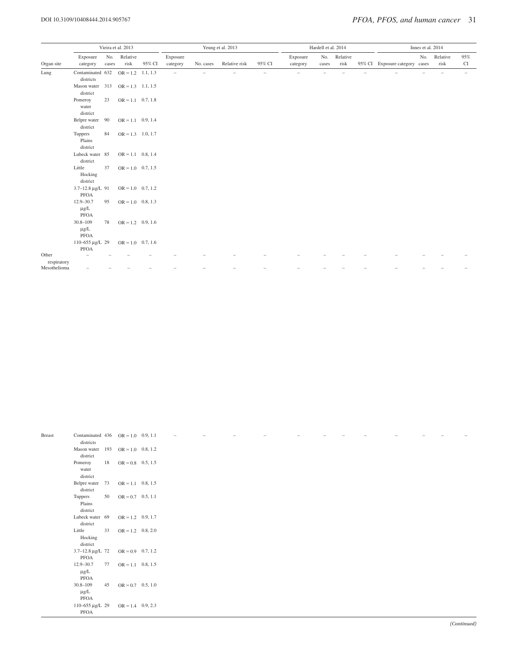|                                      |                                                   |              | Vieira et al. 2013    |        |                      |           | Yeung et al. 2013 |        |                          | Hardell et al. 2014 |                  |                                | Innes et al. 2014 |                          |                          |
|--------------------------------------|---------------------------------------------------|--------------|-----------------------|--------|----------------------|-----------|-------------------|--------|--------------------------|---------------------|------------------|--------------------------------|-------------------|--------------------------|--------------------------|
| Organ site                           | Exposure<br>category                              | No.<br>cases | Relative<br>risk      | 95% CI | Exposure<br>category | No. cases | Relative risk     | 95% CI | Exposure<br>category     | No.<br>cases        | Relative<br>risk | 95% CI Exposure category cases | No.               | Relative<br>risk         | 95%<br>CI                |
| Lung                                 | Contaminated $632$ OR = 1.2 1.1, 1.3<br>districts |              |                       |        | ÷                    | L.        | L.                | L.     | $\overline{\phantom{0}}$ | $\equiv$            |                  |                                |                   | $\overline{\phantom{a}}$ | $\overline{\phantom{a}}$ |
|                                      | Mason water<br>district                           |              | 313 OR = 1.3 1.1, 1.5 |        |                      |           |                   |        |                          |                     |                  |                                |                   |                          |                          |
|                                      | Pomeroy<br>water<br>district                      | 23           | $OR = 1.1$ 0.7, 1.8   |        |                      |           |                   |        |                          |                     |                  |                                |                   |                          |                          |
|                                      | Belpre water<br>district                          | 90           | $OR = 1.1$ 0.9, 1.4   |        |                      |           |                   |        |                          |                     |                  |                                |                   |                          |                          |
|                                      | Tuppers<br>Plains<br>district                     | 84           | $OR = 1.3$ 1.0, 1.7   |        |                      |           |                   |        |                          |                     |                  |                                |                   |                          |                          |
|                                      | Lubeck water 85<br>district                       |              | $OR = 1.1$ 0.8, 1.4   |        |                      |           |                   |        |                          |                     |                  |                                |                   |                          |                          |
|                                      | Little<br>Hocking<br>district                     | 37           | $OR = 1.0$ 0.7, 1.5   |        |                      |           |                   |        |                          |                     |                  |                                |                   |                          |                          |
|                                      | $3.7 - 12.8 \,\mu g/L$ 91<br><b>PFOA</b>          |              | $OR = 1.0$ 0.7, 1.2   |        |                      |           |                   |        |                          |                     |                  |                                |                   |                          |                          |
|                                      | $12.9 - 30.7$<br>$\mu$ g/L<br><b>PFOA</b>         | 95           | $OR = 1.0$ 0.8, 1.3   |        |                      |           |                   |        |                          |                     |                  |                                |                   |                          |                          |
|                                      | $30.8 - 109$<br>$\mu$ g/L<br><b>PFOA</b>          | 78           | $OR = 1.2$ 0.9, 1.6   |        |                      |           |                   |        |                          |                     |                  |                                |                   |                          |                          |
|                                      | 110-655 µg/L 29<br><b>PFOA</b>                    |              | $OR = 1.0$ 0.7, 1.6   |        |                      |           |                   |        |                          |                     |                  |                                |                   |                          |                          |
| Other<br>respiratory<br>Mesothelioma | ÷<br>$\overline{\phantom{0}}$                     |              |                       |        |                      |           |                   |        |                          |                     |                  |                                |                   |                          |                          |

| <b>Breast</b> | Contaminated $436$ OR = 1.0 0.9, 1.1     |    |                         | $\qquad \qquad -$ |  |  |  |  |  |  |
|---------------|------------------------------------------|----|-------------------------|-------------------|--|--|--|--|--|--|
|               | districts                                |    |                         |                   |  |  |  |  |  |  |
|               | Mason water<br>district                  |    | 193 $OR = 1.0$ 0.8, 1.2 |                   |  |  |  |  |  |  |
|               | Pomeroy<br>water<br>district             | 18 | $OR = 0.8$ 0.5, 1.5     |                   |  |  |  |  |  |  |
|               | Belpre water<br>district                 | 73 | $OR = 1.1$ 0.8, 1.5     |                   |  |  |  |  |  |  |
|               | Tuppers<br>Plains<br>district            | 50 | $OR = 0.7$ 0.5, 1.1     |                   |  |  |  |  |  |  |
|               | Lubeck water 69<br>district              |    | $OR = 1.2$ 0.9, 1.7     |                   |  |  |  |  |  |  |
|               | Little<br>Hocking<br>district            | 33 | $OR = 1.2$ 0.8, 2.0     |                   |  |  |  |  |  |  |
|               | 3.7-12.8 µg/L 72<br>PFOA                 |    | $OR = 0.9$ 0.7, 1.2     |                   |  |  |  |  |  |  |
|               | 12.9-30.7<br>$\mu$ g/L<br><b>PFOA</b>    | 77 | $OR = 1.1$ 0.8, 1.5     |                   |  |  |  |  |  |  |
|               | $30.8 - 109$<br>$\mu$ g/L<br><b>PFOA</b> | 45 | $OR = 0.7$ 0.5, 1.0     |                   |  |  |  |  |  |  |
|               | 110-655 µg/L 29<br><b>PFOA</b>           |    | $OR = 1.4$ 0.9, 2.3     |                   |  |  |  |  |  |  |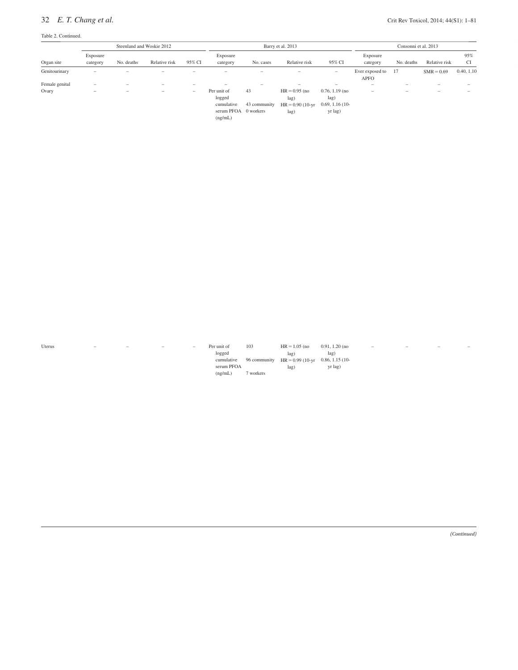Uterus – – – – – – Per unit of

– – ––

#### Table 2. Continued.

|                |                          |                          | Steenland and Woskie 2012 |                          |                                                             |                    | Barry et al. 2013                                       | Consonni et al. 2013                                    |                                |                          |               |            |  |
|----------------|--------------------------|--------------------------|---------------------------|--------------------------|-------------------------------------------------------------|--------------------|---------------------------------------------------------|---------------------------------------------------------|--------------------------------|--------------------------|---------------|------------|--|
|                | Exposure                 |                          |                           |                          | Exposure                                                    |                    |                                                         |                                                         | Exposure                       |                          |               | 95%        |  |
| Organ site     | category                 | No. deaths               | Relative risk             | 95% CI                   | category                                                    | No. cases          | Relative risk                                           | 95% CI                                                  | category                       | No. deaths               | Relative risk | CI         |  |
| Genitourinary  | $\overline{\phantom{0}}$ | $\overline{\phantom{a}}$ | -                         |                          | -                                                           | -                  | -                                                       | $\equiv$                                                | Ever exposed to<br><b>APFO</b> | 17                       | $SMR = 0.69$  | 0.40, 1.10 |  |
| Female genital | $\overline{\phantom{a}}$ | $\overline{\phantom{a}}$ | -                         | -                        |                                                             |                    |                                                         |                                                         | $\overline{\phantom{0}}$       | -                        |               |            |  |
| Ovary          | $\qquad \qquad$          | -                        | -                         | $\overline{\phantom{0}}$ | Per unit of<br>logged<br>cumulative<br>serum PFOA 0 workers | 43<br>43 community | $HR = 0.95$ (no<br>lag)<br>$HR = 0.90(10 - yr)$<br>lag) | $0.76, 1.19$ (no<br>lag)<br>$0.69, 1.16(10-$<br>yr lag) | $\overline{\phantom{a}}$       | $\overline{\phantom{a}}$ | -             |            |  |

(ng/mL)

logged cumulative serum PFOA (ng/mL)

103

7 workers

 $\frac{\text{lag}}{\text{HR} = 0.99 \text{ (10-yr)}}$ 

 $HR = 1.05$  (no

0.91, 1.20 (no lag) 0.86, 1.15 (10 yr lag)

lag)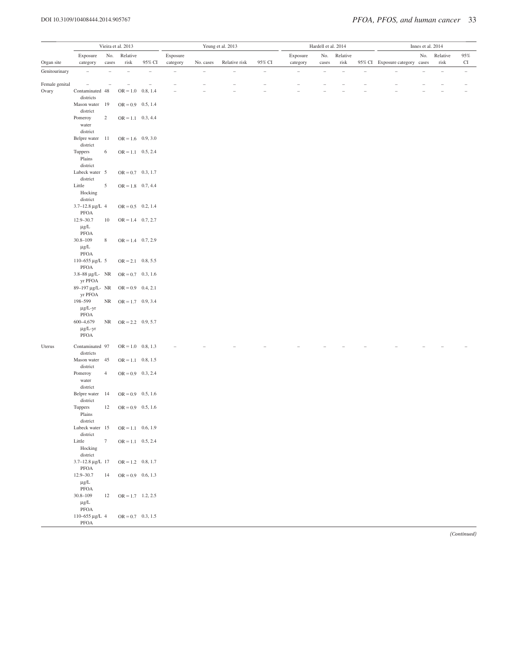|                         |                                                      |                 | Vieira et al. 2013  |        |          |           | Yeung et al. 2013        |                |          | Hardell et al. 2014 |          |    | Innes et al. 2014              |     |                          |     |  |
|-------------------------|------------------------------------------------------|-----------------|---------------------|--------|----------|-----------|--------------------------|----------------|----------|---------------------|----------|----|--------------------------------|-----|--------------------------|-----|--|
|                         | Exposure                                             | No.             | Relative            |        | Exposure |           |                          |                | Exposure | No.                 | Relative |    |                                | No. | Relative                 | 95% |  |
| Organ site              | category                                             | cases           | risk                | 95% CI | category | No. cases | Relative risk            | 95% CI         | category | cases               | risk     |    | 95% CI Exposure category cases |     | risk                     | CI  |  |
| Genitourinary           | $\overline{\phantom{a}}$                             | L               | Ē,                  | ÷      | L.       |           | $\overline{\phantom{0}}$ | $\overline{a}$ | i.       | $\sim$              | ÷        | ÷, |                                | L.  | $\overline{\phantom{a}}$ | i.  |  |
| Female genital<br>Ovary | Contaminated 48<br>districts                         |                 | $OR = 1.0$ 0.8, 1.4 |        |          |           |                          |                |          |                     |          |    |                                |     |                          |     |  |
|                         | Mason water 19<br>district                           |                 | $OR = 0.9$ 0.5, 1.4 |        |          |           |                          |                |          |                     |          |    |                                |     |                          |     |  |
|                         | Pomeroy<br>water<br>district                         | $\overline{c}$  | $OR = 1.1$ 0.3, 4.4 |        |          |           |                          |                |          |                     |          |    |                                |     |                          |     |  |
|                         | Belpre water 11<br>district                          |                 | $OR = 1.6$ 0.9, 3.0 |        |          |           |                          |                |          |                     |          |    |                                |     |                          |     |  |
|                         | Tuppers<br>Plains<br>district                        | 6               | $OR = 1.1$ 0.5, 2.4 |        |          |           |                          |                |          |                     |          |    |                                |     |                          |     |  |
|                         | Lubeck water 5<br>district                           |                 | $OR = 0.7$ 0.3, 1.7 |        |          |           |                          |                |          |                     |          |    |                                |     |                          |     |  |
|                         | Little<br>Hocking<br>district                        | $\sqrt{5}$      | $OR = 1.8$ 0.7, 4.4 |        |          |           |                          |                |          |                     |          |    |                                |     |                          |     |  |
|                         | $3.7 - 12.8 \,\mu g/L$ 4<br><b>PFOA</b>              |                 | $OR = 0.5$ 0.2, 1.4 |        |          |           |                          |                |          |                     |          |    |                                |     |                          |     |  |
|                         | $12.9 - 30.7$<br>$\mu g/L$<br><b>PFOA</b>            | $10\,$          | $OR = 1.4$ 0.7, 2.7 |        |          |           |                          |                |          |                     |          |    |                                |     |                          |     |  |
|                         | $30.8 - 109$<br>$\mu$ g/L<br>PFOA                    | $\,$ 8 $\,$     | $OR = 1.4$ 0.7, 2.9 |        |          |           |                          |                |          |                     |          |    |                                |     |                          |     |  |
|                         | 110-655 µg/L 5<br>PFOA                               |                 | $OR = 2.1$ 0.8, 5.5 |        |          |           |                          |                |          |                     |          |    |                                |     |                          |     |  |
|                         | 3.8-88 $\mu$ g/L-NR<br>yr PFOA                       |                 | $OR = 0.7$ 0.3, 1.6 |        |          |           |                          |                |          |                     |          |    |                                |     |                          |     |  |
|                         | $89-197 \mu g/L$ - NR $OR = 0.9$ 0.4, 2.1<br>yr PFOA |                 |                     |        |          |           |                          |                |          |                     |          |    |                                |     |                          |     |  |
|                         | 198-599<br>$\mu$ g/L-yr<br>PFOA                      | <b>NR</b>       | $OR = 1.7$ 0.9, 3.4 |        |          |           |                          |                |          |                     |          |    |                                |     |                          |     |  |
|                         | 600-4,679<br>$\mu g/L$ -yr<br><b>PFOA</b>            | <b>NR</b>       | $OR = 2.2$ 0.9, 5.7 |        |          |           |                          |                |          |                     |          |    |                                |     |                          |     |  |
| Uterus                  | Contaminated 97<br>districts                         |                 | $OR = 1.0$ 0.8, 1.3 |        |          |           |                          |                |          |                     |          |    |                                |     |                          |     |  |
|                         | Mason water 45<br>district                           |                 | $OR = 1.1$ 0.8, 1.5 |        |          |           |                          |                |          |                     |          |    |                                |     |                          |     |  |
|                         | Pomeroy<br>water<br>district                         | $\overline{4}$  | $OR = 0.9$ 0.3, 2.4 |        |          |           |                          |                |          |                     |          |    |                                |     |                          |     |  |
|                         | Belpre water<br>district                             | - 14            | $OR = 0.9$ 0.5, 1.6 |        |          |           |                          |                |          |                     |          |    |                                |     |                          |     |  |
|                         | Tuppers<br>Plains<br>district                        | 12              | $OR = 0.9$ 0.5, 1.6 |        |          |           |                          |                |          |                     |          |    |                                |     |                          |     |  |
|                         | Lubeck water 15<br>district                          |                 | $OR = 1.1$ 0.6, 1.9 |        |          |           |                          |                |          |                     |          |    |                                |     |                          |     |  |
|                         | Little<br>Hocking<br>district                        | $7\phantom{.0}$ | $OR = 1.1$ 0.5, 2.4 |        |          |           |                          |                |          |                     |          |    |                                |     |                          |     |  |
|                         | 3.7-12.8 µg/L 17<br>PFOA                             |                 | $OR = 1.2$ 0.8, 1.7 |        |          |           |                          |                |          |                     |          |    |                                |     |                          |     |  |
|                         | 12.9-30.7<br>$\mu$ g/L                               | 14              | $OR = 0.9$ 0.6, 1.3 |        |          |           |                          |                |          |                     |          |    |                                |     |                          |     |  |
|                         | PFOA<br>$30.8 - 109$<br>$\mu$ g/L                    | 12              | $OR = 1.7$ 1.2, 2.5 |        |          |           |                          |                |          |                     |          |    |                                |     |                          |     |  |
|                         | PFOA<br>110-655 µg/L 4<br>${\rm PFOA}$               |                 | $OR = 0.7$ 0.3, 1.5 |        |          |           |                          |                |          |                     |          |    |                                |     |                          |     |  |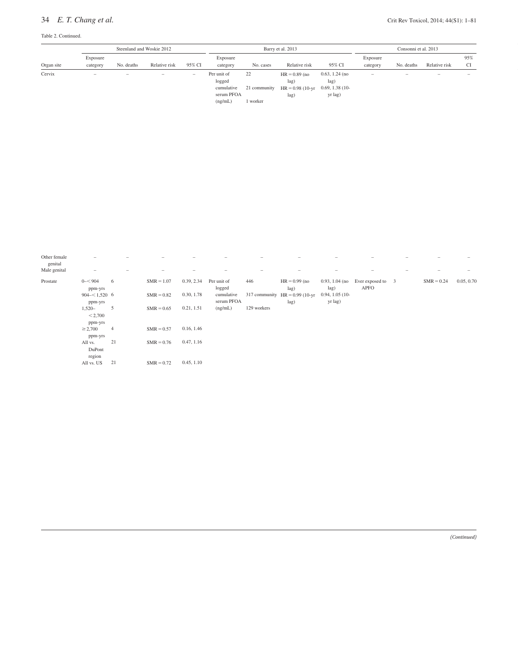# 34 *E. T. Chang et al.* Crit Rev Toxicol, 2014; 44(S1): 1–81

#### Table 2. Continued.

|            |                          |                          | Steenland and Woskie 2012 |                          |                                                   |                    | Barry et al. 2013                                       | Consonni et al. 2013                                     |                          |                          |               |           |  |
|------------|--------------------------|--------------------------|---------------------------|--------------------------|---------------------------------------------------|--------------------|---------------------------------------------------------|----------------------------------------------------------|--------------------------|--------------------------|---------------|-----------|--|
| Organ site | Exposure<br>category     | No. deaths               | Relative risk             | 95% CI                   | Exposure<br>category                              | No. cases          | Relative risk                                           | 95% CI                                                   | Exposure<br>category     | No. deaths               | Relative risk | 95%<br>CI |  |
| Cervix     | $\overline{\phantom{a}}$ | $\overline{\phantom{a}}$ | $\overline{\phantom{a}}$  | $\overline{\phantom{a}}$ | Per unit of<br>logged<br>cumulative<br>serum PFOA | 22<br>21 community | $HR = 0.89$ (no<br>lag)<br>$HR = 0.98(10 - yr)$<br>lag) | $0.63$ , 1.24 (no<br>lag)<br>$0.69, 1.38(10-$<br>yr lag) | $\overline{\phantom{a}}$ | $\overline{\phantom{a}}$ | -             |           |  |
|            |                          |                          |                           |                          | (ng/mL)                                           | i worker           |                                                         |                                                          |                          |                          |               |           |  |

| Other female | $\overline{\phantom{0}}$       |                |              |            |                          |             |                                           |                              |                                  |  |              |            |
|--------------|--------------------------------|----------------|--------------|------------|--------------------------|-------------|-------------------------------------------|------------------------------|----------------------------------|--|--------------|------------|
| genital      |                                |                |              |            |                          |             |                                           |                              |                                  |  |              |            |
| Male genital | $\overline{\phantom{a}}$       |                |              |            |                          |             |                                           |                              |                                  |  |              |            |
| Prostate     | $0 - 5904$<br>ppm-yrs          | 6              | $SMR = 1.07$ | 0.39, 2.34 | Per unit of<br>logged    | 446         | $HR = 0.99$ (no<br>lag)                   | $0.93, 1.04$ (no<br>lag)     | Ever exposed to 3<br><b>APFO</b> |  | $SMR = 0.24$ | 0.05, 0.70 |
|              | $904 - 1,520$ 6<br>ppm-yrs     |                | $SMR = 0.82$ | 0.30, 1.78 | cumulative<br>serum PFOA |             | 317 community $HR = 0.99$ (10-yr)<br>lag) | $0.94, 1.05$ (10-<br>yr lag) |                                  |  |              |            |
|              | $1,520-$<br>< 2,700<br>ppm-yrs | 5              | $SMR = 0.65$ | 0.21, 1.51 | (ng/mL)                  | 129 workers |                                           |                              |                                  |  |              |            |
|              | $\geq$ 2,700<br>ppm-yrs        | $\overline{4}$ | $SMR = 0.57$ | 0.16, 1.46 |                          |             |                                           |                              |                                  |  |              |            |
|              | All vs.<br>DuPont              | 21             | $SMR = 0.76$ | 0.47, 1.16 |                          |             |                                           |                              |                                  |  |              |            |
|              | region<br>All vs. US           | 21             | $SMR = 0.72$ | 0.45, 1.10 |                          |             |                                           |                              |                                  |  |              |            |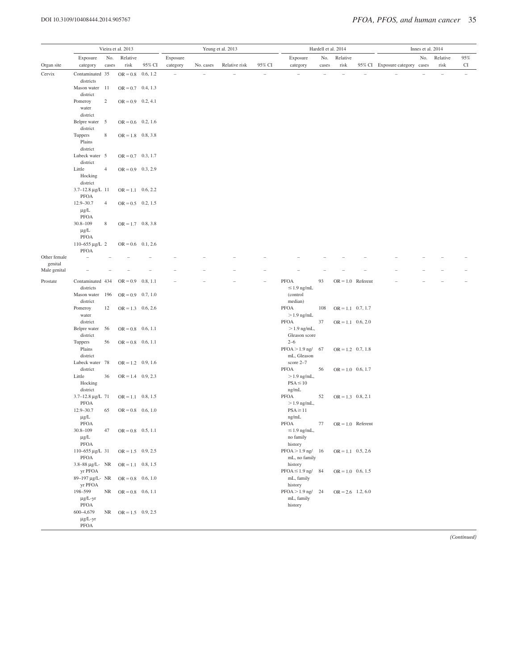|                         | Vieira et al. 2013                                                   |                |                                            |        |                            |           | Yeung et al. 2013 |                                    |                                                |            | Hardell et al. 2014                        |    | Innes et al. 2014              |     |                        |                |  |
|-------------------------|----------------------------------------------------------------------|----------------|--------------------------------------------|--------|----------------------------|-----------|-------------------|------------------------------------|------------------------------------------------|------------|--------------------------------------------|----|--------------------------------|-----|------------------------|----------------|--|
|                         | Exposure                                                             | No.            | Relative                                   |        | Exposure                   | No. cases | Relative risk     |                                    | Exposure                                       | No.        | Relative<br>risk                           |    |                                | No. | Relative               | 95%            |  |
| Organ site              | category                                                             | cases          | risk                                       | 95% CI | category<br>$\overline{a}$ | L.        |                   | 95% CI<br>$\overline{\phantom{a}}$ | category<br>L.                                 | cases<br>÷ | ÷,                                         | L. | 95% CI Exposure category cases |     | risk<br>$\overline{a}$ | CI<br>$\equiv$ |  |
| Cervix                  | Contaminated 35<br>districts<br>Mason water 11                       |                | $OR = 0.8$ 0.6, 1.2<br>$OR = 0.7$ 0.4, 1.3 |        |                            |           |                   |                                    |                                                |            |                                            |    |                                |     |                        |                |  |
|                         | district                                                             |                |                                            |        |                            |           |                   |                                    |                                                |            |                                            |    |                                |     |                        |                |  |
|                         | Pomeroy<br>water<br>district                                         | $\overline{c}$ | $OR = 0.9$ 0.2, 4.1                        |        |                            |           |                   |                                    |                                                |            |                                            |    |                                |     |                        |                |  |
|                         | Belpre water 5<br>district                                           |                | $OR = 0.6$ 0.2, 1.6                        |        |                            |           |                   |                                    |                                                |            |                                            |    |                                |     |                        |                |  |
|                         | Tuppers<br>Plains<br>district                                        | 8              | $OR = 1.8$ 0.8, 3.8                        |        |                            |           |                   |                                    |                                                |            |                                            |    |                                |     |                        |                |  |
|                         | Lubeck water 5<br>district                                           |                | $OR = 0.7$ 0.3, 1.7                        |        |                            |           |                   |                                    |                                                |            |                                            |    |                                |     |                        |                |  |
|                         | Little<br>Hocking                                                    | $\overline{4}$ | $OR = 0.9$ 0.3, 2.9                        |        |                            |           |                   |                                    |                                                |            |                                            |    |                                |     |                        |                |  |
|                         | district<br>$3.7 - 12.8 \,\mu g/L$ 11<br><b>PFOA</b>                 |                | $OR = 1.1$ 0.6, 2.2                        |        |                            |           |                   |                                    |                                                |            |                                            |    |                                |     |                        |                |  |
|                         | 12.9-30.7<br>$\mu\text{g}/\text{L}$                                  | $\overline{4}$ | $OR = 0.5$ 0.2, 1.5                        |        |                            |           |                   |                                    |                                                |            |                                            |    |                                |     |                        |                |  |
|                         | <b>PFOA</b><br>$30.8 - 109$<br>$\mu\text{g}/\text{L}$                | 8              | $OR = 1.7$ 0.8, 3.8                        |        |                            |           |                   |                                    |                                                |            |                                            |    |                                |     |                        |                |  |
|                         | <b>PFOA</b><br>110-655 µg/L 2<br><b>PFOA</b>                         |                | $OR = 0.6$ 0.1, 2.6                        |        |                            |           |                   |                                    |                                                |            |                                            |    |                                |     |                        |                |  |
| Other female            | L.                                                                   |                |                                            |        |                            |           |                   |                                    |                                                |            |                                            |    |                                |     |                        |                |  |
| genital<br>Male genital |                                                                      |                |                                            |        |                            |           |                   |                                    |                                                |            |                                            |    |                                |     |                        |                |  |
| Prostate                | Contaminated 434<br>districts                                        |                | $OR = 0.9$ 0.8, 1.1                        |        |                            |           |                   |                                    | PFOA<br>$\leq$ 1.9 ng/mL                       | 93         | $OR = 1.0$ Referent                        |    |                                |     |                        |                |  |
|                         | Mason water<br>district                                              | 196            | $OR = 0.9$ 0.7, 1.0                        |        |                            |           |                   |                                    | (control<br>median)                            |            |                                            |    |                                |     |                        |                |  |
|                         | Pomeroy<br>water<br>district                                         | 12             | $OR = 1.3$ 0.6, 2.6                        |        |                            |           |                   |                                    | <b>PFOA</b><br>$>1.9$ ng/mL<br><b>PFOA</b>     | 108<br>37  | $OR = 1.1$ 0.7, 1.7<br>$OR = 1.1$ 0.6, 2.0 |    |                                |     |                        |                |  |
|                         | Belpre water<br>district                                             | - 56           | $OR = 0.8$ 0.6, 1.1                        |        |                            |           |                   |                                    | $>1.9$ ng/mL,<br>Gleason score                 |            |                                            |    |                                |     |                        |                |  |
|                         | Tuppers<br>Plains<br>district                                        | 56             | $OR = 0.8$ 0.6, 1.1                        |        |                            |           |                   |                                    | $2 - 6$<br>$PFOA > 1.9$ ng/ 67<br>mL, Gleason  |            | $OR = 1.2$ 0.7, 1.8                        |    |                                |     |                        |                |  |
|                         | Lubeck water 78<br>district                                          |                | $OR = 1.2$ 0.9, 1.6                        |        |                            |           |                   |                                    | score 2-7<br><b>PFOA</b>                       | 56         | $OR = 1.0$ 0.6, 1.7                        |    |                                |     |                        |                |  |
|                         | Little<br>Hocking                                                    | 36             | $OR = 1.4$ 0.9, 2.3                        |        |                            |           |                   |                                    | $>1.9$ ng/mL,<br>$PSA \leq 10$                 |            |                                            |    |                                |     |                        |                |  |
|                         | district<br>3.7-12.8 µg/L 71<br><b>PFOA</b>                          |                | $OR = 1.1$ 0.8, 1.5                        |        |                            |           |                   |                                    | ng/mL<br><b>PFOA</b><br>$>1.9$ ng/mL,          | 52         | $OR = 1.3$ 0.8, 2.1                        |    |                                |     |                        |                |  |
|                         | 12.9-30.7<br>$\mu$ g/L                                               | 65             | $OR = 0.8$ 0.6, 1.0                        |        |                            |           |                   |                                    | $PSA \geq 11$<br>ng/mL                         |            |                                            |    |                                |     |                        |                |  |
|                         | PFOA<br>$30.8 - 109$<br>$\mu$ g/L                                    | 47             | $OR = 0.8$ 0.5, 1.1                        |        |                            |           |                   |                                    | PFOA<br>$\leq$ 1.9 ng/mL,<br>no family         | $77\,$     | $OR = 1.0$ Referent                        |    |                                |     |                        |                |  |
|                         | <b>PFOA</b><br>110-655 μg/L 31                                       |                | $OR = 1.5$ 0.9, 2.5                        |        |                            |           |                   |                                    | history<br>$PFOA > 1.9$ ng/ 16                 |            | $OR = 1.1$ 0.5, 2.6                        |    |                                |     |                        |                |  |
|                         | <b>PFOA</b><br>3.8-88 $\mu$ g/L-NR OR = 1.1 0.8, 1.5                 |                |                                            |        |                            |           |                   |                                    | mL, no family<br>history                       |            |                                            |    |                                |     |                        |                |  |
|                         | yr PFOA<br>$89-197 \text{ µg/L}$ - NR $OR = 0.8$ 0.6, 1.0<br>yr PFOA |                |                                            |        |                            |           |                   |                                    | $PFOA \le 1.9$ ng/ 84<br>mL, family<br>history |            | $OR = 1.0$ 0.6, 1.5                        |    |                                |     |                        |                |  |
|                         | 198-599<br>$\mu$ g/L-yr                                              |                | NR $OR = 0.8$ 0.6, 1.1                     |        |                            |           |                   |                                    | $PFOA > 1.9$ ng/ 24<br>mL, family              |            | $OR = 2.6$ 1.2, 6.0                        |    |                                |     |                        |                |  |
|                         | <b>PFOA</b><br>600-4,679<br>$\mu$ g/L-yr<br>PFOA                     |                | NR $OR = 1.5$ 0.9, 2.5                     |        |                            |           |                   |                                    | history                                        |            |                                            |    |                                |     |                        |                |  |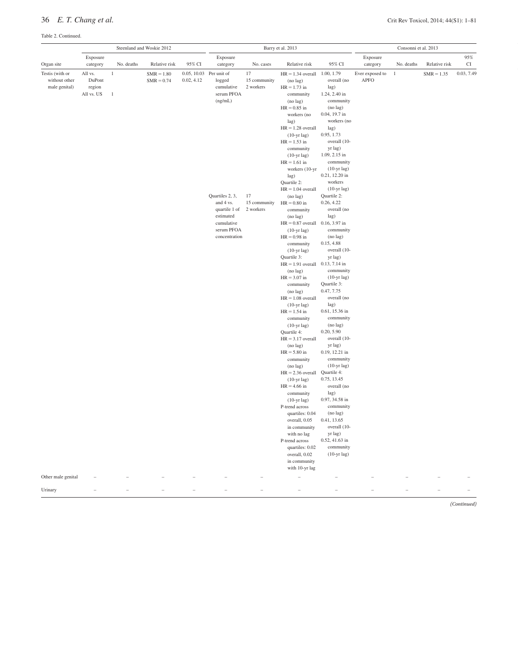|                                                   |                                           |                   | Steenland and Woskie 2012    |            |                                                                                                         |                                 | Barry et al. 2013                                                                                                                                                                                                                                                                                                                                                                                                                                                                                                                                                                                                                                                                                                                                                 |                                                                                                                                                                                                                                                                                                                                                                                                                                                                                                                                                  |                                | Consonni et al. 2013 |               |            |
|---------------------------------------------------|-------------------------------------------|-------------------|------------------------------|------------|---------------------------------------------------------------------------------------------------------|---------------------------------|-------------------------------------------------------------------------------------------------------------------------------------------------------------------------------------------------------------------------------------------------------------------------------------------------------------------------------------------------------------------------------------------------------------------------------------------------------------------------------------------------------------------------------------------------------------------------------------------------------------------------------------------------------------------------------------------------------------------------------------------------------------------|--------------------------------------------------------------------------------------------------------------------------------------------------------------------------------------------------------------------------------------------------------------------------------------------------------------------------------------------------------------------------------------------------------------------------------------------------------------------------------------------------------------------------------------------------|--------------------------------|----------------------|---------------|------------|
| Organ site                                        | Exposure<br>category                      | No. deaths        | Relative risk                | 95% CI     | Exposure<br>category                                                                                    | No. cases                       | Relative risk                                                                                                                                                                                                                                                                                                                                                                                                                                                                                                                                                                                                                                                                                                                                                     | 95% CI                                                                                                                                                                                                                                                                                                                                                                                                                                                                                                                                           | Exposure<br>category           | No. deaths           | Relative risk | 95%<br>CI  |
| Testis (with or<br>without other<br>male genital) | All vs.<br>DuPont<br>region<br>All vs. US | 1<br>$\mathbf{1}$ | $SMR = 1.80$<br>$SMR = 0.74$ | 0.02, 4.12 | 0.05, 10.03 Per unit of<br>logged<br>cumulative<br>serum PFOA<br>(ng/mL)                                | 17<br>15 community<br>2 workers | $HR = 1.34$ overall<br>(no lag)<br>$HR = 1.73$ in<br>community<br>(no lag)<br>$HR = 0.85$ in<br>workers (no<br>lag)<br>$HR = 1.28$ overall<br>$(10-yr \, lag)$<br>$HR = 1.53$ in<br>community<br>$(10-yr \, lag)$<br>$HR = 1.61$ in<br>workers (10-yr<br>lag)<br>Quartile 2:                                                                                                                                                                                                                                                                                                                                                                                                                                                                                      | 1.00, 1.79<br>overall (no<br>lag)<br>1.24, 2.40 in<br>community<br>(no lag)<br>0.04, 19.7 in<br>workers (no<br>lag)<br>0.95, 1.73<br>overall (10-<br>yr lag)<br>1.09, 2.15 in<br>community<br>$(10-yr \, lag)$<br>0.21, 12.20 in<br>workers                                                                                                                                                                                                                                                                                                      | Ever exposed to<br><b>APFO</b> | $\mathbf{1}$         | $SMR = 1.35$  | 0.03, 7.49 |
|                                                   |                                           |                   |                              |            | Quartiles 2, 3,<br>and 4 vs.<br>quartile 1 of<br>estimated<br>cumulative<br>serum PFOA<br>concentration | 17<br>15 community<br>2 workers | $HR = 1.04$ overall<br>(no lag)<br>$HR = 0.80$ in<br>community<br>(no lag)<br>$HR = 0.87$ overall 0.16, 3.97 in<br>$(10-yr \, lag)$<br>$HR = 0.98$ in<br>community<br>$(10-yr \, lag)$<br>Quartile 3:<br>$HR = 1.91$ overall 0.13, 7.14 in<br>(no lag)<br>$HR = 3.07$ in<br>community<br>(no lag)<br>$HR = 1.08$ overall<br>$(10-yr \, lag)$<br>$HR = 1.54$ in<br>community<br>$(10-yr \, lag)$<br>Quartile 4:<br>$HR = 3.17$ overall<br>(no lag)<br>$HR = 5.80$ in<br>community<br>(no lag)<br>$HR = 2.36$ overall Quartile 4:<br>$(10-yr \, lag)$<br>$HR = 4.66$ in<br>community<br>$(10-yr \, lag)$<br>P-trend across<br>quartiles: 0.04<br>overall, 0.05<br>in community<br>with no lag<br>P-trend across<br>quartiles: 0.02<br>overall, 0.02<br>in community | $(10-yr \, lag)$<br>Quartile 2:<br>0.26, 4.22<br>overall (no<br>lag)<br>community<br>(no lag)<br>0.15, 4.88<br>overall (10-<br>yr lag)<br>community<br>$(10-yr \, lag)$<br>Quartile 3:<br>0.47, 7.75<br>overall (no<br>lag)<br>0.61, 15.36 in<br>community<br>(no lag)<br>0.20, 5.90<br>overall (10-<br>yr lag)<br>0.19, 12.21 in<br>community<br>$(10-yr \, lag)$<br>0.75, 13.45<br>overall (no<br>lag)<br>0.97, 34.58 in<br>community<br>(no lag)<br>0.41, 13.65<br>overall (10-<br>yr lag)<br>0.52, 41.63 in<br>community<br>$(10-yr \, lag)$ |                                |                      |               |            |
| Other male genital                                |                                           |                   |                              |            |                                                                                                         |                                 | with 10-yr lag<br>$\qquad \qquad -$                                                                                                                                                                                                                                                                                                                                                                                                                                                                                                                                                                                                                                                                                                                               |                                                                                                                                                                                                                                                                                                                                                                                                                                                                                                                                                  |                                |                      |               |            |
| Urinary                                           |                                           |                   |                              |            |                                                                                                         |                                 | $\overline{\phantom{0}}$                                                                                                                                                                                                                                                                                                                                                                                                                                                                                                                                                                                                                                                                                                                                          |                                                                                                                                                                                                                                                                                                                                                                                                                                                                                                                                                  |                                |                      |               |            |

Table 2. Continued.

36 *E. T. Chang et al.* Crit Rev Toxicol, 2014; 44(S1): 1–81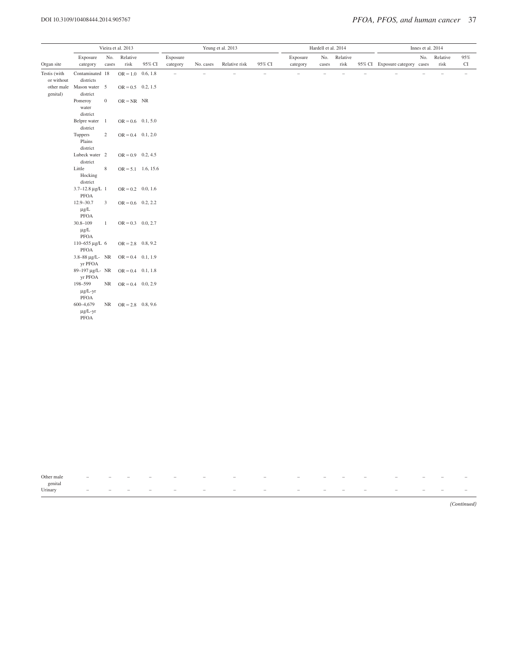| 95% CI<br>No. cases<br>Relative risk<br>$\bar{ }$<br>$\qquad \qquad -$<br>÷ | Relative<br>No.<br>Exposure<br>risk<br>cases<br>category<br>$\bar{ }$<br>$\overline{\phantom{a}}$<br>$\overline{\phantom{m}}$<br>$\overline{\phantom{m}}$ | No.<br>Relative<br>95%<br>risk<br>95% CI Exposure category cases<br><b>CI</b><br>$\overline{\phantom{a}}$<br>$\sim$<br>$\overline{\phantom{a}}$ |
|-----------------------------------------------------------------------------|-----------------------------------------------------------------------------------------------------------------------------------------------------------|-------------------------------------------------------------------------------------------------------------------------------------------------|
|                                                                             |                                                                                                                                                           |                                                                                                                                                 |
|                                                                             |                                                                                                                                                           |                                                                                                                                                 |
|                                                                             |                                                                                                                                                           |                                                                                                                                                 |
|                                                                             |                                                                                                                                                           |                                                                                                                                                 |
|                                                                             |                                                                                                                                                           |                                                                                                                                                 |
|                                                                             |                                                                                                                                                           |                                                                                                                                                 |
|                                                                             |                                                                                                                                                           |                                                                                                                                                 |
|                                                                             |                                                                                                                                                           |                                                                                                                                                 |
|                                                                             |                                                                                                                                                           |                                                                                                                                                 |
|                                                                             |                                                                                                                                                           |                                                                                                                                                 |
|                                                                             |                                                                                                                                                           |                                                                                                                                                 |
|                                                                             |                                                                                                                                                           |                                                                                                                                                 |
|                                                                             |                                                                                                                                                           |                                                                                                                                                 |
|                                                                             |                                                                                                                                                           |                                                                                                                                                 |
|                                                                             |                                                                                                                                                           |                                                                                                                                                 |
|                                                                             |                                                                                                                                                           |                                                                                                                                                 |
|                                                                             |                                                                                                                                                           |                                                                                                                                                 |
|                                                                             |                                                                                                                                                           |                                                                                                                                                 |

| Other male         | $-$                      | $\overline{\phantom{a}}$ | $\overline{\phantom{a}}$ | $\overline{\phantom{a}}$ | $\overline{\phantom{0}}$ | $\overline{\phantom{0}}$ | $-$ | $-$                      | $-$ | $-$                      | $-$ | $\overline{\phantom{a}}$ | $-$ | $\overline{\phantom{a}}$ | $-$ |  |
|--------------------|--------------------------|--------------------------|--------------------------|--------------------------|--------------------------|--------------------------|-----|--------------------------|-----|--------------------------|-----|--------------------------|-----|--------------------------|-----|--|
| genital<br>Jrinary | $\overline{\phantom{0}}$ | $\overline{\phantom{a}}$ |                          | $\overline{\phantom{a}}$ | $-$                      | $\overline{\phantom{0}}$ |     | $\overline{\phantom{a}}$ | $-$ | $\overline{\phantom{0}}$ | $-$ | $\overline{\phantom{a}}$ | $-$ | $-$                      | $-$ |  |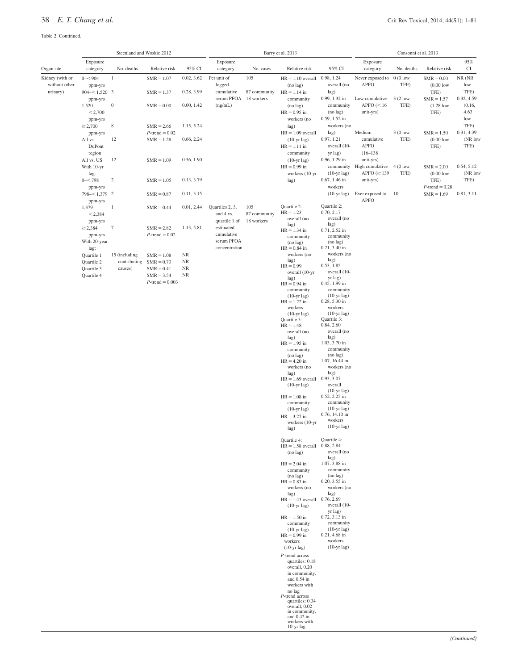Table 2. Continued.

|                           |                                    |                | Steenland and Woskie 2012         |            |                                  |                     | Barry et al. 2013                                         |                                                 |                                                 | Consonni et al. 2013       |                                          |                      |
|---------------------------|------------------------------------|----------------|-----------------------------------|------------|----------------------------------|---------------------|-----------------------------------------------------------|-------------------------------------------------|-------------------------------------------------|----------------------------|------------------------------------------|----------------------|
| Organ site                | Exposure<br>category               | No. deaths     | Relative risk                     | 95% CI     | Exposure<br>category             | No. cases           | Relative risk                                             | 95% CI                                          | Exposure<br>category                            | No. deaths                 | Relative risk                            | 95%<br>CI            |
| Kidney (with or           | $0 - 5904$                         | $\mathbf{1}$   | $SMR = 1.07$                      | 0.02, 3.62 | Per unit of                      | 105                 | $HR = 1.10$ overall 0.98, 1.24                            |                                                 | Never exposed to                                | $0(0 1$ ow                 | $SMR = 0.00$                             | NR (NR               |
| without other<br>urinary) | ppm-yrs<br>$904 - 1,520$ 3         |                | $SMR = 1.37$                      | 0.28, 3.99 | logged<br>cumulative             | 87 community        | (no lag)<br>$HR = 1.14$ in                                | overall (no<br>lag)                             | <b>APFO</b>                                     | TFE)                       | $(0.00)$ low<br>TFE)                     | low<br>TFE)          |
|                           | ppm-yrs<br>$1,520-$                | $\mathbf{0}$   | $SMR = 0.00$                      | 0.00, 1.42 | serum PFOA 18 workers<br>(ng/mL) |                     | community<br>(no lag)                                     | 0.99, 1.32 in<br>community                      | Low cumulative<br>APFO $(< 16$                  | $3(2 \text{ low})$<br>TFE) | $SMR = 1.57$<br>$(1.28$ low              | 0.32, 4.59<br>(0.16, |
|                           | < 2,700<br>ppm-yrs                 |                |                                   |            |                                  |                     | $HR = 0.95$ in<br>workers (no                             | (no lag)<br>0.59, 1.52 in                       | unit-yrs)                                       |                            | TFE)                                     | 4.63<br>low          |
|                           | $\geq 2,700$<br>ppm-yrs            | 8              | $SMR = 2.66$<br>$P$ -trend = 0.02 | 1.15, 5.24 |                                  |                     | lag)<br>$HR = 1.09$ overall                               | workers (no<br>lag)                             | Medium                                          | $3(0 \text{ low})$         | $SMR = 1.50$                             | TFE)<br>0.31, 4.39   |
|                           | All vs.<br>DuPont                  | 12             | $SMR = 1.28$                      | 0.66, 2.24 |                                  |                     | $(10-yr \, lag)$<br>$HR = 1.11$ in                        | 0.97, 1.21<br>overall (10-<br>yr lag)           | cumulative<br><b>APFO</b><br>$(16-138)$         | TFE)                       | $(0.001$ ow<br>TFE)                      | (NR low<br>TFE)      |
|                           | region<br>All vs. US<br>With 10-yr | 12             | $SMR = 1.09$                      | 0.56, 1.90 |                                  |                     | community<br>$(10-yr \, lag)$<br>$HR = 0.99$ in           | 0.96, 1.29 in                                   | unit-yrs)<br>community High cumulative 4 (0 low |                            | $SMR = 2.00$                             | 0.54, 5.12           |
|                           | lag:<br>$0 - 798$                  | $\overline{c}$ | $SMR = 1.05$                      | 0.13, 3.79 |                                  |                     | workers (10-yr<br>lag)                                    | $(10-yr \, lag)$<br>$0.67$ , 1.46 in<br>workers | APFO $(\geq 139)$<br>unit-yrs)                  | TFE)                       | $(0.001$ ow<br>TFE)<br>$P$ -trend = 0.28 | (NR low<br>TFE)      |
|                           | ppm-yrs<br>$798 - 1,379$ 2         |                | $SMR = 0.87$                      | 0.11, 3.15 |                                  |                     |                                                           | $(10-yr \, lag)$                                | Ever exposed to<br><b>APFO</b>                  | 10                         | $SMR = 1.69$                             | 0.81, 3.11           |
|                           | ppm-yrs<br>1,379-<br>< 2,384       | $\mathbf{1}$   | $SMR = 0.44$                      | 0.01, 2.44 | Quartiles 2, 3,<br>and 4 vs.     | 105<br>87 community | Quartile 2:<br>$HR = 1.23$<br>overall (no                 | Quartile 2:<br>0.70, 2.17<br>overall (no        |                                                 |                            |                                          |                      |
|                           | ppm-yrs<br>$\geq 2,384$            | $\tau$         | $SMR = 2.82$                      | 1.13, 5.81 | quartile 1 of<br>estimated       | 18 workers          | lag)<br>$HR = 1.34$ in                                    | lag)<br>$0.71, 2.52$ in                         |                                                 |                            |                                          |                      |
|                           | ppm-yrs<br>With 20-year            |                | $P$ -trend = 0.02                 |            | cumulative<br>serum PFOA         |                     | community<br>(no lag)                                     | community<br>(no lag)<br>$0.21, 3.40$ in        |                                                 |                            |                                          |                      |
|                           | lag:<br>Quartile 1                 | 15 (including  | $SMR = 1.08$                      | NR         | concentration                    |                     | $HR = 0.84$ in<br>workers (no                             | workers (no                                     |                                                 |                            |                                          |                      |
|                           | Quartile 2                         | contributing   | $SMR = 0.73$                      | $\rm NR$   |                                  |                     | lag)<br>$HR = 0.99$                                       | lag)<br>0.53, 1.85                              |                                                 |                            |                                          |                      |
|                           | Quartile 3<br>Quartile 4           | causes)        | $SMR = 0.41$<br>$SMR = 3.54$      | NR<br>NR   |                                  |                     | overall (10-yr                                            | overall (10-                                    |                                                 |                            |                                          |                      |
|                           |                                    |                | $P$ -trend = 0.003                |            |                                  |                     | lag)<br>$HR = 0.94$ in                                    | yr lag)<br>0.45, 1.99 in                        |                                                 |                            |                                          |                      |
|                           |                                    |                |                                   |            |                                  |                     | community<br>$(10-yr \, lag)$                             | community<br>$(10-yr \, lag)$                   |                                                 |                            |                                          |                      |
|                           |                                    |                |                                   |            |                                  |                     | $HR = 1.22$ in<br>workers<br>$(10-yr \, lag)$             | 0.28, 5.30 in<br>workers<br>$(10-yr \, lag)$    |                                                 |                            |                                          |                      |
|                           |                                    |                |                                   |            |                                  |                     | Quartile 3:<br>$HR = 1.48$                                | Quartile 3:<br>0.84, 2.60                       |                                                 |                            |                                          |                      |
|                           |                                    |                |                                   |            |                                  |                     | overall (no<br>lag)                                       | overall (no<br>lag)                             |                                                 |                            |                                          |                      |
|                           |                                    |                |                                   |            |                                  |                     | $HR = 1.95$ in<br>community                               | 1.03, 3.70 in<br>community                      |                                                 |                            |                                          |                      |
|                           |                                    |                |                                   |            |                                  |                     | (no lag)<br>$HR = 4.20$ in<br>workers (no                 | (no lag)<br>1.07, 16.44 in<br>workers (no       |                                                 |                            |                                          |                      |
|                           |                                    |                |                                   |            |                                  |                     | lag)<br>$HR = 1.69$ overall 0.93, 3.07                    | lag)                                            |                                                 |                            |                                          |                      |
|                           |                                    |                |                                   |            |                                  |                     | $(10-yr \, lag)$<br>$HR = 1.08$ in                        | overall<br>$(10-yr \, lag)$<br>0.52, 2.25 in    |                                                 |                            |                                          |                      |
|                           |                                    |                |                                   |            |                                  |                     | community<br>$(10-yr \, lag)$                             | community<br>$(10-yr \, lag)$                   |                                                 |                            |                                          |                      |
|                           |                                    |                |                                   |            |                                  |                     | $HR = 3.27$ in                                            | 0.76, 14.10 in<br>workers                       |                                                 |                            |                                          |                      |
|                           |                                    |                |                                   |            |                                  |                     | workers (10-yr<br>lag)                                    | $(10-yr \, lag)$                                |                                                 |                            |                                          |                      |
|                           |                                    |                |                                   |            |                                  |                     | Quartile 4:<br>$HR = 1.58$ overall 0.88, 2.84<br>(no lag) | Quartile 4:<br>overall (no<br>lag)              |                                                 |                            |                                          |                      |
|                           |                                    |                |                                   |            |                                  |                     | $HR = 2.04$ in                                            | 1.07, 3.88 in<br>community                      |                                                 |                            |                                          |                      |
|                           |                                    |                |                                   |            |                                  |                     | community<br>(no lag)                                     | (no lag)                                        |                                                 |                            |                                          |                      |
|                           |                                    |                |                                   |            |                                  |                     | $HR = 0.83$ in<br>workers (no                             | $0.20, 3.55$ in<br>workers (no                  |                                                 |                            |                                          |                      |
|                           |                                    |                |                                   |            |                                  |                     | lag)                                                      | lag)                                            |                                                 |                            |                                          |                      |
|                           |                                    |                |                                   |            |                                  |                     | $HR = 1.43$ overall 0.76, 2.69<br>$(10-yr \, lag)$        | overall (10-<br>yr lag)                         |                                                 |                            |                                          |                      |
|                           |                                    |                |                                   |            |                                  |                     | $HR = 1.50$ in                                            | $0.72, 3.13$ in                                 |                                                 |                            |                                          |                      |
|                           |                                    |                |                                   |            |                                  |                     | community<br>$(10-yr \, lag)$                             | community<br>$(10-yr \, lag)$                   |                                                 |                            |                                          |                      |
|                           |                                    |                |                                   |            |                                  |                     | $HR = 0.99$ in                                            | $0.21, 4.68$ in                                 |                                                 |                            |                                          |                      |
|                           |                                    |                |                                   |            |                                  |                     | workers<br>$(10-yr \, lag)$                               | workers<br>$(10-yr \, lag)$                     |                                                 |                            |                                          |                      |
|                           |                                    |                |                                   |            |                                  |                     | $P$ -trend across<br>quartiles: 0.18                      |                                                 |                                                 |                            |                                          |                      |
|                           |                                    |                |                                   |            |                                  |                     | overall, 0.20<br>in community,<br>and 0.54 in             |                                                 |                                                 |                            |                                          |                      |
|                           |                                    |                |                                   |            |                                  |                     | workers with<br>no lag                                    |                                                 |                                                 |                            |                                          |                      |
|                           |                                    |                |                                   |            |                                  |                     | P-trend across<br>quartiles: 0.34                         |                                                 |                                                 |                            |                                          |                      |
|                           |                                    |                |                                   |            |                                  |                     | overall, 0.02<br>in community,<br>and $0.42$ in           |                                                 |                                                 |                            |                                          |                      |
|                           |                                    |                |                                   |            |                                  |                     | workers with<br>10-yr lag                                 |                                                 |                                                 |                            |                                          |                      |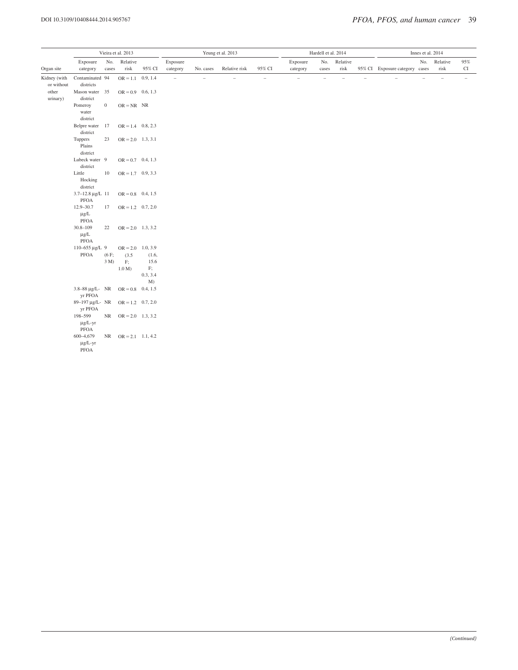|                            |                                                  |                  | Vieira et al. 2013     |                   |                          |           | Yeung et al. 2013 |                          |          | Hardell et al. 2014 |                   |                                | Innes et al. 2014 |          |                          |
|----------------------------|--------------------------------------------------|------------------|------------------------|-------------------|--------------------------|-----------|-------------------|--------------------------|----------|---------------------|-------------------|--------------------------------|-------------------|----------|--------------------------|
|                            | Exposure                                         | No.              | Relative               |                   | Exposure                 |           |                   |                          | Exposure | No.                 | Relative          |                                | No.               | Relative | $95\%$                   |
| Organ site                 | category                                         | cases            | risk                   | 95% CI            | category                 | No. cases | Relative risk     | 95% CI                   | category | cases               | risk              | 95% CI Exposure category cases |                   | risk     | CI                       |
| Kidney (with<br>or without | Contaminated 94<br>districts                     |                  | $OR = 1.1$ 0.9, 1.4    |                   | $\overline{\phantom{0}}$ |           |                   | $\overline{\phantom{a}}$ | $\equiv$ | $\qquad \qquad -$   | $\qquad \qquad -$ |                                |                   | ÷        | $\overline{\phantom{a}}$ |
| other<br>urinary)          | Mason water 35<br>district                       |                  | $OR = 0.9$ 0.6, 1.3    |                   |                          |           |                   |                          |          |                     |                   |                                |                   |          |                          |
|                            | Pomeroy<br>water<br>district                     | $\boldsymbol{0}$ | $OR = NR$ $NR$         |                   |                          |           |                   |                          |          |                     |                   |                                |                   |          |                          |
|                            | Belpre water 17<br>district                      |                  | $OR = 1.4$ 0.8, 2.3    |                   |                          |           |                   |                          |          |                     |                   |                                |                   |          |                          |
|                            | Tuppers<br>Plains<br>district                    | 23               | $OR = 2.0$ 1.3, 3.1    |                   |                          |           |                   |                          |          |                     |                   |                                |                   |          |                          |
|                            | Lubeck water 9<br>district                       |                  | $OR = 0.7$ 0.4, 1.3    |                   |                          |           |                   |                          |          |                     |                   |                                |                   |          |                          |
|                            | Little<br>Hocking<br>district                    | 10               | $OR = 1.7$ 0.9, 3.3    |                   |                          |           |                   |                          |          |                     |                   |                                |                   |          |                          |
|                            | 3.7-12.8 µg/L 11<br><b>PFOA</b>                  |                  | $OR = 0.8$ 0.4, 1.5    |                   |                          |           |                   |                          |          |                     |                   |                                |                   |          |                          |
|                            | $12.9 - 30.7$<br>$\mu$ g/L<br><b>PFOA</b>        | 17               | $OR = 1.2$ 0.7, 2.0    |                   |                          |           |                   |                          |          |                     |                   |                                |                   |          |                          |
|                            | $30.8 - 109$<br>$\mu$ g/L<br><b>PFOA</b>         | 22               | $OR = 2.0$ 1.3, 3.2    |                   |                          |           |                   |                          |          |                     |                   |                                |                   |          |                          |
|                            | 110-655 µg/L 9                                   |                  | $OR = 2.0$ 1.0, 3.9    |                   |                          |           |                   |                          |          |                     |                   |                                |                   |          |                          |
|                            | <b>PFOA</b>                                      | (6 F;            | (3.5)                  | (1.6,             |                          |           |                   |                          |          |                     |                   |                                |                   |          |                          |
|                            |                                                  | 3 M)             | F;                     | 15.6              |                          |           |                   |                          |          |                     |                   |                                |                   |          |                          |
|                            |                                                  |                  | 1.0 M                  | F;                |                          |           |                   |                          |          |                     |                   |                                |                   |          |                          |
|                            |                                                  |                  |                        | 0.3, 3.4<br>$M$ ) |                          |           |                   |                          |          |                     |                   |                                |                   |          |                          |
|                            | 3.8–88 $\mu$ g/L-NR OR = 0.8 0.4, 1.5<br>yr PFOA |                  |                        |                   |                          |           |                   |                          |          |                     |                   |                                |                   |          |                          |
|                            | 89-197 $\mu$ g/L-NR OR = 1.2 0.7, 2.0<br>yr PFOA |                  |                        |                   |                          |           |                   |                          |          |                     |                   |                                |                   |          |                          |
|                            | 198-599<br>$\mu$ g/L-yr<br><b>PFOA</b>           |                  | NR $OR = 2.0$ 1.3, 3.2 |                   |                          |           |                   |                          |          |                     |                   |                                |                   |          |                          |
|                            | 600-4,679<br>$\mu$ g/L-yr<br><b>PFOA</b>         |                  | NR $OR = 2.1$ 1.1, 4.2 |                   |                          |           |                   |                          |          |                     |                   |                                |                   |          |                          |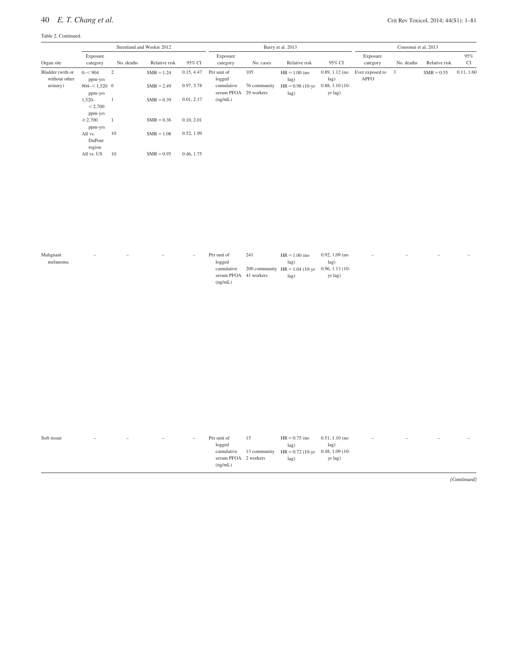Table 2. Continued.

|                                               |                                                                                                                                                              |               | Steenland and Woskie 2012                                                                    |                                                                                  |                                                              |                                   | Barry et al. 2013                                       |                                                         |                           | Consonni et al. 2013 |               |                  |
|-----------------------------------------------|--------------------------------------------------------------------------------------------------------------------------------------------------------------|---------------|----------------------------------------------------------------------------------------------|----------------------------------------------------------------------------------|--------------------------------------------------------------|-----------------------------------|---------------------------------------------------------|---------------------------------------------------------|---------------------------|----------------------|---------------|------------------|
| Organ site                                    | Exposure<br>category                                                                                                                                         | No. deaths    | Relative risk                                                                                | 95% CI                                                                           | Exposure<br>category                                         | No. cases                         | Relative risk                                           | 95% CI                                                  | Exposure<br>category      | No. deaths           | Relative risk | 95%<br><b>CI</b> |
| Bladder (with or<br>without other<br>urinary) | $0 - 904$<br>ppm-yrs<br>$904 - 1.520$ 6<br>ppm-yrs<br>$1,520-$<br>< 2,700<br>ppm-yrs<br>$\geq$ 2,700<br>ppm-yrs<br>All vs.<br>DuPont<br>region<br>All vs. US | 2<br>10<br>10 | $SMR = 1.24$<br>$SMR = 2.49$<br>$SMR = 0.39$<br>$SMR = 0.36$<br>$SMR = 1.08$<br>$SMR = 0.95$ | 0.15, 4.47<br>0.97, 5.78<br>0.01, 2.17<br>0.10, 2.01<br>0.52, 1.99<br>0.46, 1.75 | Per unit of<br>logged<br>cumulative<br>serum PFOA<br>(ng/mL) | 105<br>76 community<br>29 workers | $HR = 1.00$ (no<br>lag)<br>$HR = 0.98(10 - yr)$<br>lag) | $0.89, 1.12$ (no<br>lag)<br>$0.88, 1.10(10-$<br>yr lag) | Ever exposed to 3<br>APFO |                      | $SMR = 0.55$  | 0.11, 1.60       |
|                                               |                                                                                                                                                              |               |                                                                                              |                                                                                  |                                                              |                                   |                                                         |                                                         |                           |                      |               |                  |

| Malignant | $\overline{\phantom{0}}$ | $-$ | $\overline{\phantom{0}}$ | $\qquad \qquad -$ | Per unit of           | 241 | $HR = 1.00$ (no                                     | $0.92, 1.09$ (no | $\qquad \qquad -$ | $\qquad \qquad -$ | $-$ | $-$ |
|-----------|--------------------------|-----|--------------------------|-------------------|-----------------------|-----|-----------------------------------------------------|------------------|-------------------|-------------------|-----|-----|
| melanoma  |                          |     |                          |                   | logged                |     | lag)                                                | lag)             |                   |                   |     |     |
|           |                          |     |                          |                   | cumulative            |     | 200 community $HR = 1.04 (10-yr \t 0.96, 1.13 (10-$ |                  |                   |                   |     |     |
|           |                          |     |                          |                   | serum PFOA 41 workers |     | lag)                                                | yr lag)          |                   |                   |     |     |
|           |                          |     |                          |                   | (ng/mL)               |     |                                                     |                  |                   |                   |     |     |
|           |                          |     |                          |                   |                       |     |                                                     |                  |                   |                   |     |     |

| Soft tissue | $\sim$ | $\overline{\phantom{m}}$ | $\overline{\phantom{a}}$ | $\overline{\phantom{m}}$ | Per unit of<br>logged<br>cumulative<br>serum PFOA 2 workers<br>(ng/mL) | 15 | $HR = 0.75$ (no<br>lag)<br>13 community $HR = 0.72$ (10-yr 0.48, 1.09 (10-<br>lag) | $0.51, 1.10$ (no<br>lag)<br>yr lag) | $\overline{\phantom{m}}$ | $\hspace{0.1mm}-\hspace{0.1mm}$ | $\overline{\phantom{m}}$ | $\overline{\phantom{a}}$ |
|-------------|--------|--------------------------|--------------------------|--------------------------|------------------------------------------------------------------------|----|------------------------------------------------------------------------------------|-------------------------------------|--------------------------|---------------------------------|--------------------------|--------------------------|
|             |        |                          |                          |                          |                                                                        |    |                                                                                    |                                     |                          |                                 |                          |                          |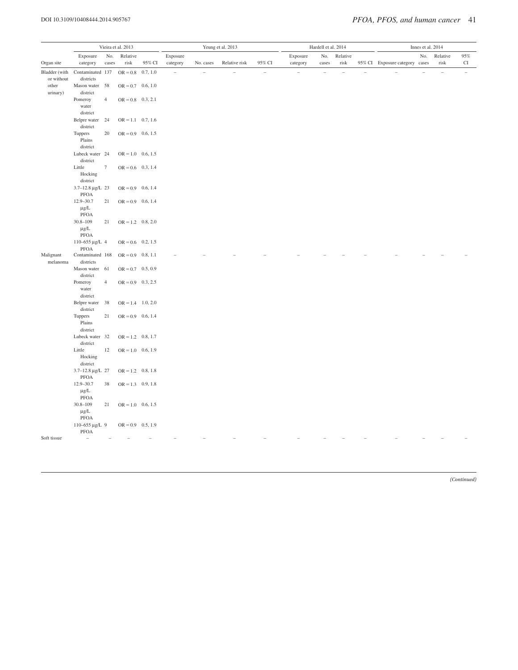|                             |                                           |                | Vieira et al. 2013  |        |                      |                | Yeung et al. 2013 |                |                      | Hardell et al. 2014 |                  |                                | Innes et al. 2014 |                  |                |
|-----------------------------|-------------------------------------------|----------------|---------------------|--------|----------------------|----------------|-------------------|----------------|----------------------|---------------------|------------------|--------------------------------|-------------------|------------------|----------------|
| Organ site                  | Exposure<br>category                      | No.<br>cases   | Relative<br>risk    | 95% CI | Exposure<br>category | No. cases      | Relative risk     | 95% CI         | Exposure<br>category | No.<br>cases        | Relative<br>risk | 95% CI Exposure category cases | No.               | Relative<br>risk | 95%<br>CI      |
| Bladder (with<br>or without | Contaminated 137<br>districts             |                | $OR = 0.8$ 0.7, 1.0 |        | $\overline{a}$       | $\overline{a}$ | $\overline{a}$    | $\overline{a}$ | $\equiv$             | L,                  | $\equiv$         |                                |                   | $\equiv$         | $\overline{a}$ |
| other<br>urinary)           | Mason water 58<br>district                |                | $OR = 0.7$ 0.6, 1.0 |        |                      |                |                   |                |                      |                     |                  |                                |                   |                  |                |
|                             | Pomeroy<br>water<br>district              | $\overline{4}$ | $OR = 0.8$ 0.3, 2.1 |        |                      |                |                   |                |                      |                     |                  |                                |                   |                  |                |
|                             | Belpre water<br>district                  | 24             | $OR = 1.1$ 0.7, 1.6 |        |                      |                |                   |                |                      |                     |                  |                                |                   |                  |                |
|                             | Tuppers<br>Plains<br>district             | 20             | $OR = 0.9$ 0.6, 1.5 |        |                      |                |                   |                |                      |                     |                  |                                |                   |                  |                |
|                             | Lubeck water 24<br>district               |                | $OR = 1.0$ 0.6, 1.5 |        |                      |                |                   |                |                      |                     |                  |                                |                   |                  |                |
|                             | Little<br>Hocking<br>district             | $\tau$         | $OR = 0.6$ 0.3, 1.4 |        |                      |                |                   |                |                      |                     |                  |                                |                   |                  |                |
|                             | 3.7-12.8 µg/L 23<br><b>PFOA</b>           |                | $OR = 0.9$ 0.6, 1.4 |        |                      |                |                   |                |                      |                     |                  |                                |                   |                  |                |
|                             | $12.9 - 30.7$<br>$\mu$ g/L<br><b>PFOA</b> | 21             | $OR = 0.9$ 0.6, 1.4 |        |                      |                |                   |                |                      |                     |                  |                                |                   |                  |                |
|                             | $30.8 - 109$<br>$\mu$ g/L<br>PFOA         | 21             | $OR = 1.2$ 0.8, 2.0 |        |                      |                |                   |                |                      |                     |                  |                                |                   |                  |                |
|                             | 110-655 µg/L 4<br><b>PFOA</b>             |                | $OR = 0.6$ 0.2, 1.5 |        |                      |                |                   |                |                      |                     |                  |                                |                   |                  |                |
| Malignant<br>melanoma       | Contaminated 168<br>districts             |                | $OR = 0.9$ 0.8, 1.1 |        |                      |                |                   |                |                      |                     |                  |                                |                   |                  |                |
|                             | Mason water 61<br>district                |                | $OR = 0.7$ 0.5, 0.9 |        |                      |                |                   |                |                      |                     |                  |                                |                   |                  |                |
|                             | Pomeroy<br>water<br>district              | $\overline{4}$ | $OR = 0.9$ 0.3, 2.5 |        |                      |                |                   |                |                      |                     |                  |                                |                   |                  |                |
|                             | Belpre water 38<br>district               |                | $OR = 1.4$ 1.0, 2.0 |        |                      |                |                   |                |                      |                     |                  |                                |                   |                  |                |
|                             | Tuppers<br>Plains<br>district             | 21             | $OR = 0.9$ 0.6, 1.4 |        |                      |                |                   |                |                      |                     |                  |                                |                   |                  |                |
|                             | Lubeck water 32<br>district               |                | $OR = 1.2$ 0.8, 1.7 |        |                      |                |                   |                |                      |                     |                  |                                |                   |                  |                |
|                             | Little<br>Hocking<br>district             | $12\,$         | $OR = 1.0$ 0.6, 1.9 |        |                      |                |                   |                |                      |                     |                  |                                |                   |                  |                |
|                             | 3.7-12.8 µg/L 27<br><b>PFOA</b>           |                | $OR = 1.2$ 0.8, 1.8 |        |                      |                |                   |                |                      |                     |                  |                                |                   |                  |                |
|                             | 12.9-30.7<br>$\mu$ g/L<br><b>PFOA</b>     | 38             | $OR = 1.3$ 0.9, 1.8 |        |                      |                |                   |                |                      |                     |                  |                                |                   |                  |                |
|                             | $30.8 - 109$<br>$\mu$ g/L<br><b>PFOA</b>  | 21             | $OR = 1.0$ 0.6, 1.5 |        |                      |                |                   |                |                      |                     |                  |                                |                   |                  |                |
|                             | 110-655 µg/L 9<br><b>PFOA</b>             |                | $OR = 0.9$ 0.5, 1.9 |        |                      |                |                   |                |                      |                     |                  |                                |                   |                  |                |
| Soft tissue                 |                                           |                |                     |        |                      |                |                   |                |                      |                     |                  |                                |                   |                  |                |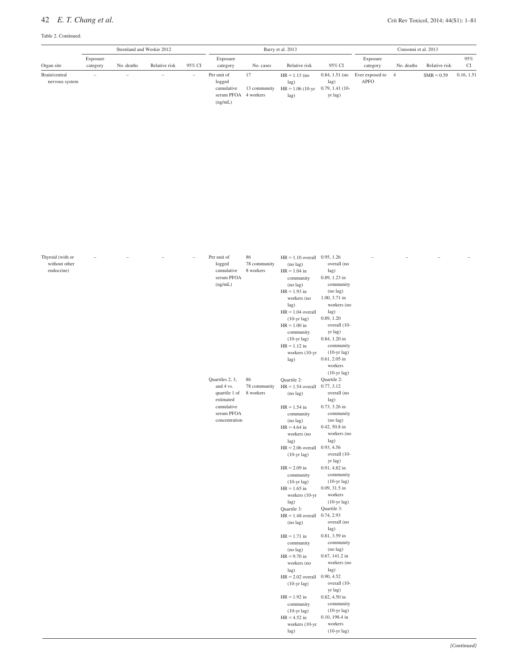### Table 2. Continued.

|                                 |                      |            | Steenland and Woskie 2012 |                          |                                               |              | Barry et al. 2013          |                              |                                | Consonni et al. 2013 |               |            |
|---------------------------------|----------------------|------------|---------------------------|--------------------------|-----------------------------------------------|--------------|----------------------------|------------------------------|--------------------------------|----------------------|---------------|------------|
| Organ site                      | Exposure<br>category | No. deaths | Relative risk             | 95% CI                   | Exposure<br>category                          | No. cases    | Relative risk              | 95% CI                       | Exposure<br>category           | No. deaths           | Relative risk | 95%<br>CI  |
| Brain/central<br>nervous system | -                    |            | -                         | $\overline{\phantom{a}}$ | Per unit of<br>logged                         | 17           | $HR = 1.13$ (no<br>lag)    | $0.84, 1.51$ (no<br>lag)     | Ever exposed to<br><b>APFO</b> | 4                    | $SMR = 0.59$  | 0.16, 1.51 |
|                                 |                      |            |                           |                          | cumulative<br>serum PFOA 4 workers<br>(ng/mL) | 13 community | $HR = 1.06(10-yr)$<br>lag) | $0.79, 1.41$ (10-<br>yr lag) |                                |                      |               |            |

| Thyroid (with or<br>without other<br>endocrine) |  |  | Per unit of<br>logged<br>cumulative<br>serum PFOA<br>(ng/mL)                                            | 86<br>78 community<br>8 workers | $HR = 1.10$ overall 0.95, 1.26<br>(no lag)<br>$HR = 1.04$ in<br>community<br>(no lag)<br>$HR = 1.93$ in<br>workers (no<br>lag)<br>$HR = 1.04$ overall<br>$(10-yr \, lag)$<br>$HR = 1.00$ in<br>community<br>$(10-yr \, lag)$<br>$HR = 1.12$ in<br>workers (10-yr<br>lag)                                                                                                                                                                                                                                                                                                                                 | overall (no<br>lag)<br>0.89, 1.23 in<br>community<br>(no lag)<br>1.00, 3.71 in<br>workers (no<br>lag)<br>0.89, 1.20<br>overall (10-<br>yr lag)<br>0.84, 1.20 in<br>community<br>$(10-yr \, lag)$<br>$0.61, 2.05$ in<br>workers<br>$(10-yr \, lag)$                                                                                                                                                                                                                                                       |  |  |
|-------------------------------------------------|--|--|---------------------------------------------------------------------------------------------------------|---------------------------------|----------------------------------------------------------------------------------------------------------------------------------------------------------------------------------------------------------------------------------------------------------------------------------------------------------------------------------------------------------------------------------------------------------------------------------------------------------------------------------------------------------------------------------------------------------------------------------------------------------|----------------------------------------------------------------------------------------------------------------------------------------------------------------------------------------------------------------------------------------------------------------------------------------------------------------------------------------------------------------------------------------------------------------------------------------------------------------------------------------------------------|--|--|
|                                                 |  |  | Quartiles 2, 3,<br>and 4 vs.<br>quartile 1 of<br>estimated<br>cumulative<br>serum PFOA<br>concentration | 86<br>78 community<br>8 workers | Quartile 2:<br>$HR = 1.54$ overall 0.77, 3.12<br>(no lag)<br>$HR = 1.54$ in<br>community<br>(no lag)<br>$HR = 4.64$ in<br>workers (no<br>lag)<br>$HR = 2.06$ overall 0.93, 4.56<br>$(10-yr \, lag)$<br>$HR = 2.09$ in<br>community<br>$(10-yr \, lag)$<br>$HR = 1.65$ in<br>workers (10-yr<br>lag)<br>Quartile 3:<br>$HR = 1.48$ overall 0.74, 2.93<br>(no lag)<br>$HR = 1.71$ in<br>community<br>(no lag)<br>$HR = 9.70$ in<br>workers (no<br>lag)<br>$HR = 2.02$ overall 0.90, 4.52<br>$(10-yr \, lag)$<br>$HR = 1.92$ in<br>community<br>$(10-yr \, lag)$<br>$HR = 4.52$ in<br>workers (10-yr<br>lag) | Quartile 2:<br>overall (no<br>lag)<br>0.73, 3.26 in<br>community<br>(no lag)<br>0.42, 50.8 in<br>workers (no<br>lag)<br>overall (10-<br>yr lag)<br>0.91, 4.82 in<br>community<br>$(10-yr \, lag)$<br>0.09, 31.5 in<br>workers<br>$(10-yr \, lag)$<br>Quartile 3:<br>overall (no<br>lag)<br>0.81, 3.59 in<br>community<br>(no lag)<br>0.67, 141.2 in<br>workers (no<br>lag)<br>overall (10-<br>yr lag)<br>0.82, 4.50 in<br>community<br>$(10-yr \, lag)$<br>0.10, 198.4 in<br>workers<br>$(10-yr \, lag)$ |  |  |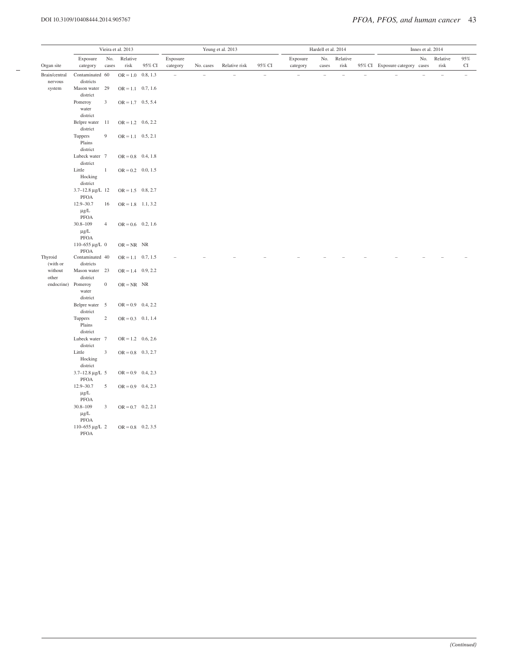|                     |                                          |                             | Vieira et al. 2013  |        |                      |           | Yeung et al. 2013 |        |                      | Hardell et al. 2014 |                  |    |                          | Innes et al. 2014 |                          |                          |
|---------------------|------------------------------------------|-----------------------------|---------------------|--------|----------------------|-----------|-------------------|--------|----------------------|---------------------|------------------|----|--------------------------|-------------------|--------------------------|--------------------------|
| Organ site          | Exposure<br>category                     | No.<br>cases                | Relative<br>risk    | 95% CI | Exposure<br>category | No. cases | Relative risk     | 95% CI | Exposure<br>category | No.<br>cases        | Relative<br>risk |    | 95% CI Exposure category | No.<br>cases      | Relative<br>risk         | 95%<br>CI                |
| Brain/central       | Contaminated 60                          |                             | $OR = 1.0$ 0.8, 1.3 |        | $\equiv$             |           |                   | ÷,     |                      | L,                  | $\equiv$         | L. |                          |                   | $\overline{\phantom{a}}$ | $\overline{\phantom{a}}$ |
| nervous<br>system   | districts<br>Mason water 29<br>district  |                             | $OR = 1.1$ 0.7, 1.6 |        |                      |           |                   |        |                      |                     |                  |    |                          |                   |                          |                          |
|                     | Pomeroy<br>water<br>district             | 3                           | $OR = 1.7$ 0.5, 5.4 |        |                      |           |                   |        |                      |                     |                  |    |                          |                   |                          |                          |
|                     | Belpre water 11<br>district              |                             | $OR = 1.2$ 0.6, 2.2 |        |                      |           |                   |        |                      |                     |                  |    |                          |                   |                          |                          |
|                     | Tuppers<br>Plains<br>district            | 9                           | $OR = 1.1$ 0.5, 2.1 |        |                      |           |                   |        |                      |                     |                  |    |                          |                   |                          |                          |
|                     | Lubeck water 7<br>district               |                             | $OR = 0.8$ 0.4, 1.8 |        |                      |           |                   |        |                      |                     |                  |    |                          |                   |                          |                          |
|                     | Little<br>Hocking<br>district            | $\mathbf{1}$                | $OR = 0.2$ 0.0, 1.5 |        |                      |           |                   |        |                      |                     |                  |    |                          |                   |                          |                          |
|                     | 3.7-12.8 µg/L 12<br><b>PFOA</b>          |                             | $OR = 1.5$ 0.8, 2.7 |        |                      |           |                   |        |                      |                     |                  |    |                          |                   |                          |                          |
|                     | $12.9 - 30.7$<br>$\mu$ g/L<br>PFOA       | 16                          | $OR = 1.8$ 1.1, 3.2 |        |                      |           |                   |        |                      |                     |                  |    |                          |                   |                          |                          |
|                     | $30.8 - 109$<br>$\mu$ g/L<br>PFOA        | $\overline{4}$              | $OR = 0.6$ 0.2, 1.6 |        |                      |           |                   |        |                      |                     |                  |    |                          |                   |                          |                          |
|                     | 110-655 μg/L 0<br><b>PFOA</b>            |                             | $OR = NR$ $NR$      |        |                      |           |                   |        |                      |                     |                  |    |                          |                   |                          |                          |
| Thyroid<br>(with or | Contaminated 40<br>districts             |                             | $OR = 1.1$ 0.7, 1.5 |        |                      |           |                   |        |                      |                     |                  |    |                          |                   |                          |                          |
| without<br>other    | Mason water 23<br>district               |                             | $OR = 1.4$ 0.9, 2.2 |        |                      |           |                   |        |                      |                     |                  |    |                          |                   |                          |                          |
| endocrine) Pomeroy  | water<br>district                        | $\,0\,$                     | $OR = NR$ $NR$      |        |                      |           |                   |        |                      |                     |                  |    |                          |                   |                          |                          |
|                     | Belpre water 5<br>district               |                             | $OR = 0.9$ 0.4, 2.2 |        |                      |           |                   |        |                      |                     |                  |    |                          |                   |                          |                          |
|                     | Tuppers<br>Plains<br>district            | $\overline{c}$              | $OR = 0.3$ 0.1, 1.4 |        |                      |           |                   |        |                      |                     |                  |    |                          |                   |                          |                          |
|                     | Lubeck water 7<br>district               |                             | $OR = 1.2$ 0.6, 2.6 |        |                      |           |                   |        |                      |                     |                  |    |                          |                   |                          |                          |
|                     | Little<br>Hocking<br>district            | $\ensuremath{\mathfrak{Z}}$ | $OR = 0.8$ 0.3, 2.7 |        |                      |           |                   |        |                      |                     |                  |    |                          |                   |                          |                          |
|                     | $3.7 - 12.8 \,\mu g/L$ 5<br>PFOA         |                             | $OR = 0.9$ 0.4, 2.3 |        |                      |           |                   |        |                      |                     |                  |    |                          |                   |                          |                          |
|                     | $12.9 - 30.7$<br>$\mu$ g/L<br>PFOA       | 5                           | $OR = 0.9$ 0.4, 2.3 |        |                      |           |                   |        |                      |                     |                  |    |                          |                   |                          |                          |
|                     | $30.8 - 109$<br>$\mu$ g/L<br><b>PFOA</b> | $\mathbf{3}$                | $OR = 0.7$ 0.2, 2.1 |        |                      |           |                   |        |                      |                     |                  |    |                          |                   |                          |                          |
|                     | 110-655 μg/L 2<br><b>PFOA</b>            |                             | $OR = 0.8$ 0.2, 3.5 |        |                      |           |                   |        |                      |                     |                  |    |                          |                   |                          |                          |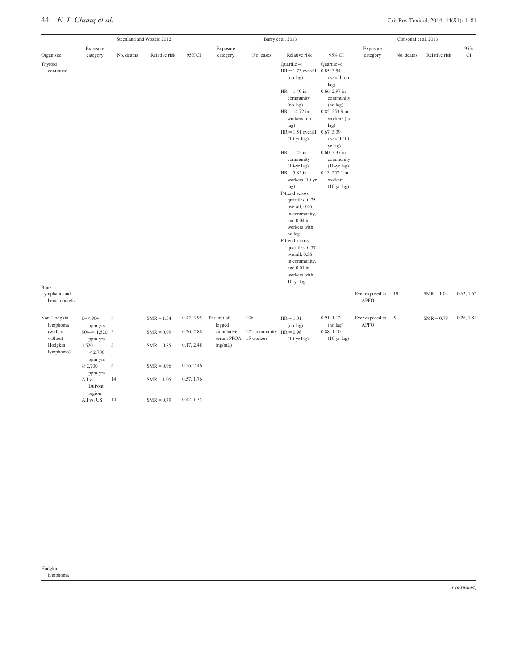|                                |                                |                | Steenland and Woskie 2012 |            |                                     |                           | Barry et al. 2013                                             |                                                                  |                                | Consonni et al. 2013 |               |              |
|--------------------------------|--------------------------------|----------------|---------------------------|------------|-------------------------------------|---------------------------|---------------------------------------------------------------|------------------------------------------------------------------|--------------------------------|----------------------|---------------|--------------|
| Organ site                     | Exposure<br>category           | No. deaths     | Relative risk             | 95% CI     | Exposure<br>category                | No. cases                 | Relative risk                                                 | 95% CI                                                           | Exposure<br>category           | No. deaths           | Relative risk | $95\%$<br>CI |
| Thyroid<br>continued           |                                |                |                           |            |                                     |                           | Quartile 4:<br>$HR = 1.73$ overall 0.85, 3.54<br>(no lag)     | Quartile 4:<br>overall (no                                       |                                |                      |               |              |
|                                |                                |                |                           |            |                                     |                           | $HR = 1.40$ in<br>community                                   | lag)<br>0.66, 2.97 in<br>community                               |                                |                      |               |              |
|                                |                                |                |                           |            |                                     |                           | (no lag)<br>$HR = 14.72$ in                                   | (no lag)<br>0.85, 253.9 in                                       |                                |                      |               |              |
|                                |                                |                |                           |            |                                     |                           | workers (no<br>lag)<br>$HR = 1.51$ overall 0.67, 3.39         | workers (no<br>lag)                                              |                                |                      |               |              |
|                                |                                |                |                           |            |                                     |                           | $(10-yr \, lag)$                                              | overall (10-<br>yr lag)                                          |                                |                      |               |              |
|                                |                                |                |                           |            |                                     |                           | $HR = 1.42$ in<br>community<br>$(10-yr \, lag)$               | 0.60, 3.37 in<br>community<br>$(10-yr \, lag)$<br>0.13, 257.1 in |                                |                      |               |              |
|                                |                                |                |                           |            |                                     |                           | $HR = 5.85$ in<br>workers (10-yr<br>lag)                      | workers<br>$(10-yr \, lag)$                                      |                                |                      |               |              |
|                                |                                |                |                           |            |                                     |                           | P-trend across<br>quartiles: 0.25<br>overall, 0.46            |                                                                  |                                |                      |               |              |
|                                |                                |                |                           |            |                                     |                           | in community,<br>and $0.04$ in<br>workers with                |                                                                  |                                |                      |               |              |
|                                |                                |                |                           |            |                                     |                           | no lag<br>P-trend across<br>quartiles: 0.57                   |                                                                  |                                |                      |               |              |
|                                |                                |                |                           |            |                                     |                           | overall, 0.56<br>in community,<br>and 0.01 in<br>workers with |                                                                  |                                |                      |               |              |
| Bone                           |                                |                |                           |            |                                     |                           | 10-yr lag                                                     |                                                                  |                                |                      |               |              |
| Lymphatic and<br>hematopoietic |                                |                |                           |            |                                     |                           | $\overline{\phantom{a}}$                                      | $\overline{\phantom{0}}$                                         | Ever exposed to<br><b>APFO</b> | 19                   | $SMR = 1.04$  | 0.62, 1.62   |
| Non-Hodgkin<br>lymphoma        | $0 - 5904$<br>ppm-yrs          | $\overline{4}$ | $SMR = 1.54$              | 0.42, 3.95 | Per unit of<br>logged               | 136                       | $HR = 1.01$<br>(no lag)                                       | 0.91, 1.12<br>(no lag)                                           | Ever exposed to<br><b>APFO</b> | $\overline{5}$       | $SMR = 0.79$  | 0.26, 1.84   |
| (with or<br>without            | $904 - 1,520$ 3<br>ppm-yrs     |                | $SMR = 0.99$              | 0.20, 2.88 | cumulative<br>serum PFOA 15 workers | 121 community $HR = 0.98$ | $(10-yr \, lag)$                                              | 0.88, 1.10<br>$(10-yr \, lag)$                                   |                                |                      |               |              |
| Hodgkin<br>lymphoma)           | $1,520-$<br>< 2,700<br>ppm-yrs | $\mathfrak z$  | $SMR = 0.85$              | 0.17, 2.48 | (ng/mL)                             |                           |                                                               |                                                                  |                                |                      |               |              |
|                                | $\geq 2,700$<br>ppm-yrs        | $\overline{4}$ | $SMR = 0.96$              | 0.26, 2.46 |                                     |                           |                                                               |                                                                  |                                |                      |               |              |
|                                | All vs.<br>DuPont<br>region    | 14             | $SMR = 1.05$              | 0.57, 1.76 |                                     |                           |                                                               |                                                                  |                                |                      |               |              |
|                                | All vs. US                     | 14             | $SMR = 0.79$              | 0.42, 1.35 |                                     |                           |                                                               |                                                                  |                                |                      |               |              |

– – – – – – – – – – ––

Hodgkin

lymphoma

*(Continued)*

## 44 *E. T. Chang et al.* Crit Rev Toxicol, 2014; 44(S1): 1–81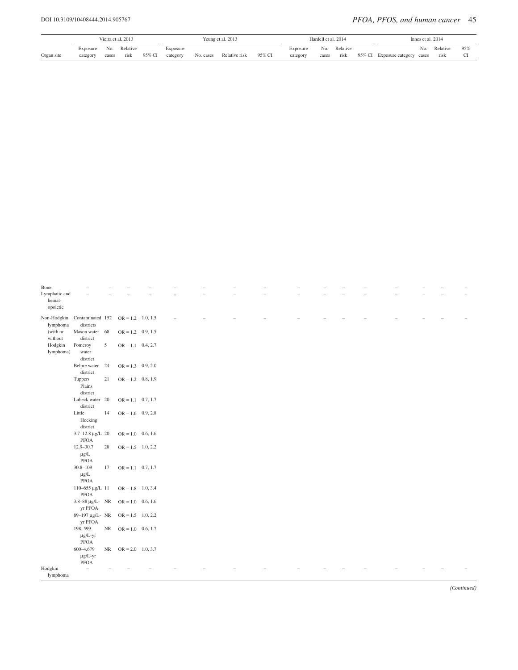## DOI 10.3109/10408444.2014.905767 *PFOA, PFOS, and human cancer* 45

|            |                       | Vieira et al. 2013 |          | Yeung et al. 2013                                                  |                       | Hardell et al. 2014 |  |                                                   | Innes et al. 2014 |                  |  |
|------------|-----------------------|--------------------|----------|--------------------------------------------------------------------|-----------------------|---------------------|--|---------------------------------------------------|-------------------|------------------|--|
|            | Exposure No. Relative |                    | Exposure |                                                                    | Exposure No. Relative |                     |  |                                                   |                   | No. Relative 95% |  |
| Organ site |                       |                    |          | category cases risk 95% CI category No. cases Relative risk 95% CI | category              |                     |  | cases risk 95% CI Exposure category cases risk CI |                   |                  |  |

| Bone                                |                                                        |    |                        |  |  |  |  |  |  |  |
|-------------------------------------|--------------------------------------------------------|----|------------------------|--|--|--|--|--|--|--|
| Lymphatic and<br>hemat-<br>opoietic |                                                        |    |                        |  |  |  |  |  |  |  |
| Non-Hodgkin<br>lymphoma             | Contaminated $152$ OR = 1.2 1.0, 1.5<br>districts      |    |                        |  |  |  |  |  |  |  |
| (with or<br>without                 | Mason water 68<br>district                             |    | $OR = 1.2$ 0.9, 1.5    |  |  |  |  |  |  |  |
| Hodgkin<br>lymphoma)                | Pomeroy<br>water<br>district                           | 5  | $OR = 1.1$ 0.4, 2.7    |  |  |  |  |  |  |  |
|                                     | Belpre water<br>district                               | 24 | $OR = 1.3$ 0.9, 2.0    |  |  |  |  |  |  |  |
|                                     | Tuppers<br>Plains<br>district                          | 21 | $OR = 1.2$ 0.8, 1.9    |  |  |  |  |  |  |  |
|                                     | Lubeck water 20<br>district                            |    | $OR = 1.1$ 0.7, 1.7    |  |  |  |  |  |  |  |
|                                     | Little<br>Hocking<br>district                          | 14 | $OR = 1.6$ 0.9, 2.8    |  |  |  |  |  |  |  |
|                                     | $3.7 - 12.8 \,\mu g/L$ 20<br><b>PFOA</b>               |    | $OR = 1.0$ 0.6, 1.6    |  |  |  |  |  |  |  |
|                                     | $12.9 - 30.7$<br>$\mu\text{g}/\text{L}$<br><b>PFOA</b> | 28 | $OR = 1.5$ 1.0, 2.2    |  |  |  |  |  |  |  |
|                                     | $30.8 - 109$<br>$\mu\text{g}/\text{L}$<br><b>PFOA</b>  | 17 | $OR = 1.1$ 0.7, 1.7    |  |  |  |  |  |  |  |
|                                     | 110-655 µg/L 11<br><b>PFOA</b>                         |    | $OR = 1.8$ 1.0, 3.4    |  |  |  |  |  |  |  |
|                                     | 3.8–88 $\mu$ g/L-NR OR = 1.0 0.6, 1.6<br>yr PFOA       |    |                        |  |  |  |  |  |  |  |
|                                     | 89-197 $\mu$ g/L-NR OR = 1.5 1.0, 2.2<br>yr PFOA       |    |                        |  |  |  |  |  |  |  |
|                                     | 198-599<br>$\mu$ g/L-yr<br><b>PFOA</b>                 |    | NR $OR = 1.0$ 0.6, 1.7 |  |  |  |  |  |  |  |
|                                     | 600-4,679<br>$\mu$ g/L-yr<br><b>PFOA</b>               |    | NR $OR = 2.0$ 1.0, 3.7 |  |  |  |  |  |  |  |
| Hodgkin<br>lymphoma                 | ÷.                                                     |    |                        |  |  |  |  |  |  |  |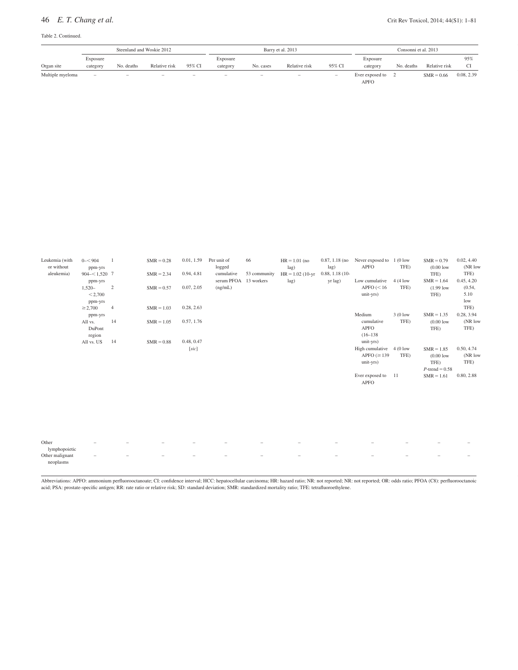Table 2. Continued.

|                  |                   |                          | Steenland and Woskie 2012 |                          |                          |                          | Barry et al. 2013        |                   |                                | Consonni et al. 2013 |               |            |
|------------------|-------------------|--------------------------|---------------------------|--------------------------|--------------------------|--------------------------|--------------------------|-------------------|--------------------------------|----------------------|---------------|------------|
|                  | Exposure          |                          |                           |                          | Exposure                 |                          |                          |                   | Exposure                       |                      |               | 95%        |
| Organ site       | category          | No. deaths               | Relative risk             | 95% CI                   | category                 | No. cases                | Relative risk            | 95% CI            | category                       | No. deaths           | Relative risk |            |
| Multiple myeloma | $\qquad \qquad -$ | $\overline{\phantom{0}}$ | $\overline{\phantom{0}}$  | $\overline{\phantom{0}}$ | $\overline{\phantom{0}}$ | $\overline{\phantom{0}}$ | $\overline{\phantom{0}}$ | $\qquad \qquad -$ | Ever exposed to<br><b>APFO</b> |                      | $SMR = 0.66$  | 0.08, 2.39 |

| Leukemia (with  | $0 - 904$       | -1             | $SMR = 0.28$ | 0.01, 1.59 | Per unit of           | 66           | $HR = 1.01$ (no     |                   | $0.87, 1.18$ (no Never exposed to $1(0 \text{ low})$ |                    | $SMR = 0.79$      | 0.02, 4.40 |
|-----------------|-----------------|----------------|--------------|------------|-----------------------|--------------|---------------------|-------------------|------------------------------------------------------|--------------------|-------------------|------------|
| or without      | ppm-yrs         |                |              |            | logged                |              | lag)                | lag)              | APFO                                                 | TFE)               | $(0.001$ ow       | (NR low    |
| aleukemia)      | $904 - 1,520$ 7 |                | $SMR = 2.34$ | 0.94, 4.81 | cumulative            | 53 community | $HR = 1.02 (10-vr)$ | $0.88, 1.18$ (10- |                                                      |                    | TFE)              | TFE)       |
|                 | ppm-yrs         |                |              |            | serum PFOA 13 workers |              | lag)                | yr lag)           | Low cumulative                                       | $4(4$ low          | $SMR = 1.64$      | 0.45, 4.20 |
|                 | $1,520-$        | $\overline{c}$ | $SMR = 0.57$ | 0.07, 2.05 | (ng/mL)               |              |                     |                   | APFO $(< 16$                                         | TFE)               | $(1.99$ low       | (0.54,     |
|                 | < 2,700         |                |              |            |                       |              |                     |                   | unit-yrs)                                            |                    | TFE)              | 5.10       |
|                 | ppm-yrs         |                |              |            |                       |              |                     |                   |                                                      |                    |                   | low        |
|                 | $\geq 2,700$    | $\overline{4}$ | $SMR = 1.03$ | 0.28, 2.63 |                       |              |                     |                   |                                                      |                    |                   | TFE)       |
|                 | ppm-yrs         |                |              |            |                       |              |                     |                   | Medium                                               | 3 (0 low           | $SMR = 1.35$      | 0.28, 3.94 |
|                 | All vs.         | 14             | $SMR = 1.05$ | 0.57, 1.76 |                       |              |                     |                   | cumulative                                           | TFE)               | $(0.001$ ow       | (NR low    |
|                 | DuPont          |                |              |            |                       |              |                     |                   | APFO                                                 |                    | TFE)              | TFE)       |
|                 | region          |                |              |            |                       |              |                     |                   | $(16-138)$                                           |                    |                   |            |
|                 | All vs. US      | 14             | $SMR = 0.88$ | 0.48, 0.47 |                       |              |                     |                   | unit-yrs)                                            |                    |                   |            |
|                 |                 |                |              | [sic]      |                       |              |                     |                   | High cumulative                                      | $4(0 \text{ low})$ | $SMR = 1.85$      | 0.50, 4.74 |
|                 |                 |                |              |            |                       |              |                     |                   | APFO $(\geq 139)$                                    | TFE)               | $(0.001$ ow       | (NR low    |
|                 |                 |                |              |            |                       |              |                     |                   | unit-yrs)                                            |                    | TFE)              | TFE)       |
|                 |                 |                |              |            |                       |              |                     |                   |                                                      |                    | $P$ -trend = 0.58 |            |
|                 |                 |                |              |            |                       |              |                     |                   | Ever exposed to                                      | 11                 | $SMR = 1.61$      | 0.80, 2.88 |
|                 |                 |                |              |            |                       |              |                     |                   | <b>APFO</b>                                          |                    |                   |            |
|                 |                 |                |              |            |                       |              |                     |                   |                                                      |                    |                   |            |
|                 |                 |                |              |            |                       |              |                     |                   |                                                      |                    |                   |            |
|                 |                 |                |              |            |                       |              |                     |                   |                                                      |                    |                   |            |
|                 |                 |                |              |            |                       |              |                     |                   |                                                      |                    |                   |            |
|                 |                 |                |              |            |                       |              |                     |                   |                                                      |                    |                   |            |
|                 |                 |                |              |            |                       |              |                     |                   |                                                      |                    |                   |            |
|                 |                 |                |              |            |                       |              |                     |                   |                                                      |                    |                   |            |
|                 |                 |                |              |            |                       |              |                     |                   |                                                      |                    |                   |            |
| Other           |                 |                |              |            |                       |              |                     |                   |                                                      |                    |                   |            |
| lymphopoietic   |                 |                |              |            |                       |              |                     |                   |                                                      |                    |                   |            |
| Other malignant |                 |                |              |            |                       |              |                     |                   |                                                      |                    |                   |            |
| neoplasms       |                 |                |              |            |                       |              |                     |                   |                                                      |                    |                   |            |

Abbreviations: APFO: ammonium perfluorooctanoate; CI: confidence interval; HCC: hepatocellular carcinoma; HR: hazard ratio; NR: not reported; NR: not reported; OR: odds ratio; PFOA (C8): perfluorooctanoic<br>acid; PSA: prosta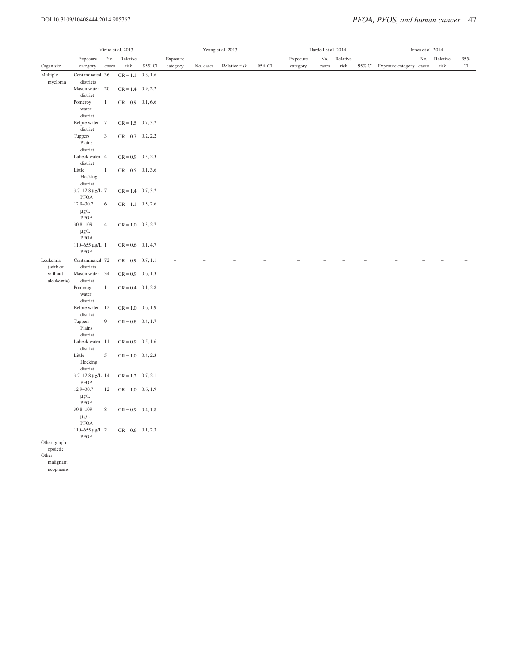|                                 |                                                    |                      | Vieira et al. 2013  |          |          |           | Yeung et al. 2013 |        |          | Hardell et al. 2014     |                  |                                | Innes et al. 2014 |                  |                    |
|---------------------------------|----------------------------------------------------|----------------------|---------------------|----------|----------|-----------|-------------------|--------|----------|-------------------------|------------------|--------------------------------|-------------------|------------------|--------------------|
|                                 | Exposure                                           | No.                  | Relative<br>risk    | 95% CI   | Exposure |           | Relative risk     | 95% CI | Exposure | No.                     | Relative<br>risk | 95% CI Exposure category cases | No.               | Relative<br>risk | 95%<br>$_{\rm CI}$ |
| Organ site                      | category                                           | cases                |                     |          | category | No. cases | L.                | L,     | category | cases<br>$\overline{a}$ | Ĭ.               |                                |                   |                  |                    |
| Multiple<br>myeloma             | Contaminated 36<br>districts                       |                      | $OR = 1.1$          | 0.8, 1.6 |          |           |                   |        |          |                         |                  |                                |                   |                  |                    |
|                                 | Mason water 20<br>district                         |                      | $OR = 1.4$ 0.9, 2.2 |          |          |           |                   |        |          |                         |                  |                                |                   |                  |                    |
|                                 | Pomeroy<br>water                                   | $\,1$                | $OR = 0.9$ 0.1, 6.6 |          |          |           |                   |        |          |                         |                  |                                |                   |                  |                    |
|                                 | district<br>Belpre water 7                         |                      | $OR = 1.5$ 0.7, 3.2 |          |          |           |                   |        |          |                         |                  |                                |                   |                  |                    |
|                                 | district<br>Tuppers<br>Plains                      | $\boldsymbol{\beta}$ | $OR = 0.7$ 0.2, 2.2 |          |          |           |                   |        |          |                         |                  |                                |                   |                  |                    |
|                                 | district<br>Lubeck water 4<br>district             |                      | $OR = 0.9$ 0.3, 2.3 |          |          |           |                   |        |          |                         |                  |                                |                   |                  |                    |
|                                 | Little<br>Hocking<br>district                      | $\mathbf{1}$         | $OR = 0.5$ 0.1, 3.6 |          |          |           |                   |        |          |                         |                  |                                |                   |                  |                    |
|                                 | 3.7-12.8 µg/L 7<br>PFOA                            |                      | $OR = 1.4$ 0.7, 3.2 |          |          |           |                   |        |          |                         |                  |                                |                   |                  |                    |
|                                 | 12.9-30.7<br>$\mu$ g/L                             | 6                    | $OR = 1.1$ 0.5, 2.6 |          |          |           |                   |        |          |                         |                  |                                |                   |                  |                    |
|                                 | <b>PFOA</b><br>$30.8 - 109$<br>$\mu$ g/L           | $\overline{4}$       | $OR = 1.0$ 0.3, 2.7 |          |          |           |                   |        |          |                         |                  |                                |                   |                  |                    |
|                                 | PFOA<br>110-655 μg/L 1<br><b>PFOA</b>              |                      | $OR = 0.6$ 0.1, 4.7 |          |          |           |                   |        |          |                         |                  |                                |                   |                  |                    |
| Leukemia<br>(with or            | Contaminated 72<br>districts                       |                      | $OR = 0.9$ 0.7, 1.1 |          |          |           |                   |        |          |                         |                  |                                |                   |                  |                    |
| without<br>aleukemia)           | Mason water 34<br>district                         |                      | $OR = 0.9$ 0.6, 1.3 |          |          |           |                   |        |          |                         |                  |                                |                   |                  |                    |
|                                 | Pomeroy<br>water<br>district                       | $\mathbf{1}$         | $OR = 0.4$ 0.1, 2.8 |          |          |           |                   |        |          |                         |                  |                                |                   |                  |                    |
|                                 | Belpre water 12<br>district                        |                      | $OR = 1.0$ 0.6, 1.9 |          |          |           |                   |        |          |                         |                  |                                |                   |                  |                    |
|                                 | Tuppers<br>Plains<br>district                      | $\overline{9}$       | $OR = 0.8$ 0.4, 1.7 |          |          |           |                   |        |          |                         |                  |                                |                   |                  |                    |
|                                 | Lubeck water 11<br>district                        |                      | $OR = 0.9$ 0.5, 1.6 |          |          |           |                   |        |          |                         |                  |                                |                   |                  |                    |
|                                 | Little<br>Hocking<br>district                      | $\sqrt{5}$           | $OR = 1.0$ 0.4, 2.3 |          |          |           |                   |        |          |                         |                  |                                |                   |                  |                    |
|                                 | 3.7-12.8 µg/L 14<br><b>PFOA</b>                    |                      | $OR = 1.2$ 0.7, 2.1 |          |          |           |                   |        |          |                         |                  |                                |                   |                  |                    |
|                                 | 12.9-30.7<br>$\mu\text{g}/\text{L}$<br><b>PFOA</b> | 12                   | $OR = 1.0$ 0.6, 1.9 |          |          |           |                   |        |          |                         |                  |                                |                   |                  |                    |
|                                 | $30.8 - 109$<br>$\mu$ g/L                          | $\,$ 8 $\,$          | $OR = 0.9$ 0.4, 1.8 |          |          |           |                   |        |          |                         |                  |                                |                   |                  |                    |
|                                 | <b>PFOA</b><br>110-655 µg/L 2<br>PFOA              |                      | $OR = 0.6$ 0.1, 2.3 |          |          |           |                   |        |          |                         |                  |                                |                   |                  |                    |
| Other lymph-<br>opoietic        |                                                    |                      |                     |          |          |           |                   |        |          |                         |                  |                                |                   |                  |                    |
| Other<br>malignant<br>neoplasms |                                                    |                      |                     |          |          |           |                   |        |          |                         |                  |                                |                   |                  |                    |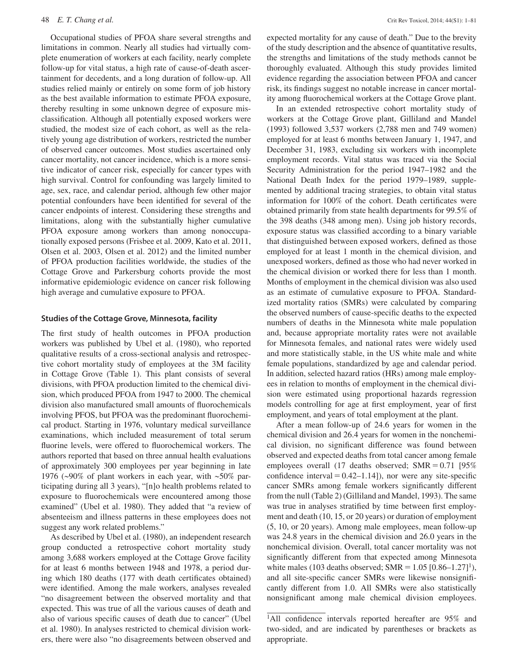Occupational studies of PFOA share several strengths and limitations in common. Nearly all studies had virtually complete enumeration of workers at each facility, nearly complete follow-up for vital status, a high rate of cause-of-death ascertainment for decedents, and a long duration of follow-up. All studies relied mainly or entirely on some form of job history as the best available information to estimate PFOA exposure, thereby resulting in some unknown degree of exposure misclassification. Although all potentially exposed workers were studied, the modest size of each cohort, as well as the relatively young age distribution of workers, restricted the number of observed cancer outcomes. Most studies ascertained only cancer mortality, not cancer incidence, which is a more sensitive indicator of cancer risk, especially for cancer types with high survival. Control for confounding was largely limited to age, sex, race, and calendar period, although few other major potential confounders have been identified for several of the cancer endpoints of interest. Considering these strengths and limitations, along with the substantially higher cumulative PFOA exposure among workers than among nonoccupationally exposed persons (Frisbee et al. 2009, Kato et al. 2011, Olsen et al. 2003, Olsen et al. 2012) and the limited number of PFOA production facilities worldwide, the studies of the Cottage Grove and Parkersburg cohorts provide the most informative epidemiologic evidence on cancer risk following high average and cumulative exposure to PFOA.

#### **Studies of the Cottage Grove, Minnesota, facility**

The first study of health outcomes in PFOA production workers was published by Ubel et al. (1980), who reported qualitative results of a cross-sectional analysis and retrospective cohort mortality study of employees at the 3M facility in Cottage Grove (Table 1). This plant consists of several divisions, with PFOA production limited to the chemical division, which produced PFOA from 1947 to 2000. The chemical division also manufactured small amounts of fluorochemicals involving PFOS, but PFOA was the predominant fluorochemical product. Starting in 1976, voluntary medical surveillance examinations, which included measurement of total serum fluorine levels, were offered to fluorochemical workers. The authors reported that based on three annual health evaluations of approximately 300 employees per year beginning in late 1976 ( $\sim$ 90% of plant workers in each year, with  $\sim$ 50% participating during all 3 years), " [n]o health problems related to exposure to fluorochemicals were encountered among those examined" (Ubel et al. 1980). They added that "a review of absenteeism and illness patterns in these employees does not suggest any work related problems."

 As described by Ubel et al. (1980), an independent research group conducted a retrospective cohort mortality study among 3,688 workers employed at the Cottage Grove facility for at least 6 months between 1948 and 1978, a period during which 180 deaths (177 with death certificates obtained) were identified. Among the male workers, analyses revealed " no disagreement between the observed mortality and that expected. This was true of all the various causes of death and also of various specific causes of death due to cancer" (Ubel et al. 1980). In analyses restricted to chemical division workers, there were also "no disagreements between observed and

expected mortality for any cause of death. " Due to the brevity of the study description and the absence of quantitative results, the strengths and limitations of the study methods cannot be thoroughly evaluated. Although this study provides limited evidence regarding the association between PFOA and cancer risk, its findings suggest no notable increase in cancer mortality among fluorochemical workers at the Cottage Grove plant.

 In an extended retrospective cohort mortality study of workers at the Cottage Grove plant, Gilliland and Mandel (1993) followed 3,537 workers (2,788 men and 749 women) employed for at least 6 months between January 1, 1947, and December 31, 1983, excluding six workers with incomplete employment records. Vital status was traced via the Social Security Administration for the period 1947–1982 and the National Death Index for the period 1979–1989, supplemented by additional tracing strategies, to obtain vital status information for 100% of the cohort. Death certificates were obtained primarily from state health departments for 99.5% of the 398 deaths (348 among men). Using job history records, exposure status was classified according to a binary variable that distinguished between exposed workers, defined as those employed for at least 1 month in the chemical division, and unexposed workers, defined as those who had never worked in the chemical division or worked there for less than 1 month. Months of employment in the chemical division was also used as an estimate of cumulative exposure to PFOA. Standardized mortality ratios (SMRs) were calculated by comparing the observed numbers of cause-specific deaths to the expected numbers of deaths in the Minnesota white male population and, because appropriate mortality rates were not available for Minnesota females, and national rates were widely used and more statistically stable, in the US white male and white female populations, standardized by age and calendar period. In addition, selected hazard ratios (HRs) among male employees in relation to months of employment in the chemical division were estimated using proportional hazards regression models controlling for age at first employment, year of first employment, and years of total employment at the plant.

 After a mean follow-up of 24.6 years for women in the chemical division and 26.4 years for women in the nonchemical division, no significant difference was found between observed and expected deaths from total cancer among female employees overall (17 deaths observed;  $SMR = 0.71$  [95%] confidence interval  $= 0.42 - 1.14$ ]), nor were any site-specific cancer SMRs among female workers significantly different from the null (Table 2) (Gilliland and Mandel, 1993). The same was true in analyses stratified by time between first employment and death (10, 15, or 20 years) or duration of employment (5, 10, or 20 years). Among male employees, mean follow-up was 24.8 years in the chemical division and 26.0 years in the nonchemical division. Overall, total cancer mortality was not significantly different from that expected among Minnesota white males (103 deaths observed; SMR =  $1.05$  [0.86–1.27]<sup>1</sup>), and all site-specific cancer SMRs were likewise nonsignificantly different from 1.0. All SMRs were also statistically nonsignificant among male chemical division employees.

<sup>&</sup>lt;sup>1</sup>All confidence intervals reported hereafter are 95% and two-sided, and are indicated by parentheses or brackets as appropriate.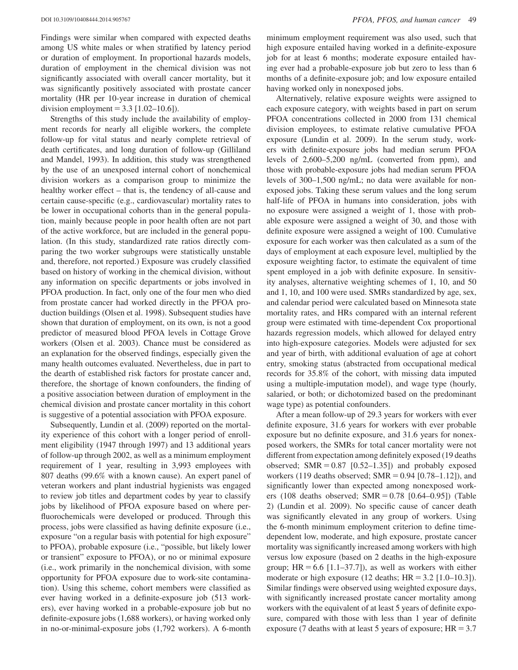Findings were similar when compared with expected deaths among US white males or when stratified by latency period or duration of employment. In proportional hazards models, duration of employment in the chemical division was not significantly associated with overall cancer mortality, but it was significantly positively associated with prostate cancer mortality (HR per 10-year increase in duration of chemical division employment =  $3.3$  [1.02–10.6]).

 Strengths of this study include the availability of employment records for nearly all eligible workers, the complete follow-up for vital status and nearly complete retrieval of death certificates, and long duration of follow-up (Gilliland and Mandel, 1993). In addition, this study was strengthened by the use of an unexposed internal cohort of nonchemical division workers as a comparison group to minimize the healthy worker effect – that is, the tendency of all-cause and certain cause-specific (e.g., cardiovascular) mortality rates to be lower in occupational cohorts than in the general population, mainly because people in poor health often are not part of the active workforce, but are included in the general population. (In this study, standardized rate ratios directly comparing the two worker subgroups were statistically unstable and, therefore, not reported.) Exposure was crudely classified based on history of working in the chemical division, without any information on specific departments or jobs involved in PFOA production. In fact, only one of the four men who died from prostate cancer had worked directly in the PFOA production buildings (Olsen et al. 1998). Subsequent studies have shown that duration of employment, on its own, is not a good predictor of measured blood PFOA levels in Cottage Grove workers (Olsen et al. 2003). Chance must be considered as an explanation for the observed findings, especially given the many health outcomes evaluated. Nevertheless, due in part to the dearth of established risk factors for prostate cancer and, therefore, the shortage of known confounders, the finding of a positive association between duration of employment in the chemical division and prostate cancer mortality in this cohort is suggestive of a potential association with PFOA exposure.

 Subsequently, Lundin et al. (2009) reported on the mortality experience of this cohort with a longer period of enrollment eligibility (1947 through 1997) and 13 additional years of follow-up through 2002, as well as a minimum employment requirement of 1 year, resulting in 3,993 employees with 807 deaths (99.6% with a known cause). An expert panel of veteran workers and plant industrial hygienists was engaged to review job titles and department codes by year to classify jobs by likelihood of PFOA exposure based on where perfluorochemicals were developed or produced. Through this process, jobs were classified as having definite exposure (i.e., exposure "on a regular basis with potential for high exposure" to PFOA), probable exposure (i.e., " possible, but likely lower or transient" exposure to PFOA), or no or minimal exposure (i.e., work primarily in the nonchemical division, with some opportunity for PFOA exposure due to work-site contamination). Using this scheme, cohort members were classified as ever having worked in a definite-exposure job (513 workers), ever having worked in a probable-exposure job but no definite-exposure jobs (1,688 workers), or having worked only in no-or-minimal-exposure jobs (1,792 workers). A 6-month

minimum employment requirement was also used, such that high exposure entailed having worked in a definite-exposure job for at least 6 months; moderate exposure entailed having ever had a probable-exposure job but zero to less than 6 months of a definite-exposure job; and low exposure entailed having worked only in nonexposed jobs.

 Alternatively, relative exposure weights were assigned to each exposure category, with weights based in part on serum PFOA concentrations collected in 2000 from 131 chemical division employees, to estimate relative cumulative PFOA exposure (Lundin et al. 2009). In the serum study, workers with definite-exposure jobs had median serum PFOA levels of  $2,600-5,200$  ng/mL (converted from ppm), and those with probable-exposure jobs had median serum PFOA levels of 300-1,500 ng/mL; no data were available for nonexposed jobs. Taking these serum values and the long serum half-life of PFOA in humans into consideration, jobs with no exposure were assigned a weight of 1, those with probable exposure were assigned a weight of 30, and those with definite exposure were assigned a weight of 100. Cumulative exposure for each worker was then calculated as a sum of the days of employment at each exposure level, multiplied by the exposure weighting factor, to estimate the equivalent of time spent employed in a job with definite exposure. In sensitivity analyses, alternative weighting schemes of 1, 10, and 50 and 1, 10, and 100 were used. SMRs standardized by age, sex, and calendar period were calculated based on Minnesota state mortality rates, and HRs compared with an internal referent group were estimated with time-dependent Cox proportional hazards regression models, which allowed for delayed entry into high-exposure categories. Models were adjusted for sex and year of birth, with additional evaluation of age at cohort entry, smoking status (abstracted from occupational medical records for 35.8% of the cohort, with missing data imputed using a multiple-imputation model), and wage type (hourly, salaried, or both; or dichotomized based on the predominant wage type) as potential confounders.

 After a mean follow-up of 29.3 years for workers with ever definite exposure, 31.6 years for workers with ever probable exposure but no definite exposure, and 31.6 years for nonexposed workers, the SMRs for total cancer mortality were not different from expectation among definitely exposed (19 deaths) observed;  $SMR = 0.87$  [0.52–1.35]) and probably exposed workers (119 deaths observed;  $SMR = 0.94$  [0.78-1.12]), and significantly lower than expected among nonexposed workers (108 deaths observed;  $SMR = 0.78$  [0.64-0.95]) (Table 2) (Lundin et al. 2009). No specific cause of cancer death was significantly elevated in any group of workers. Using the 6-month minimum employment criterion to define timedependent low, moderate, and high exposure, prostate cancer mortality was significantly increased among workers with high versus low exposure (based on 2 deaths in the high-exposure group;  $HR = 6.6$  [1.1–37.7]), as well as workers with either moderate or high exposure (12 deaths;  $HR = 3.2$  [1.0–10.3]). Similar findings were observed using weighted exposure days, with significantly increased prostate cancer mortality among workers with the equivalent of at least 5 years of definite exposure, compared with those with less than 1 year of definite exposure (7 deaths with at least 5 years of exposure;  $HR = 3.7$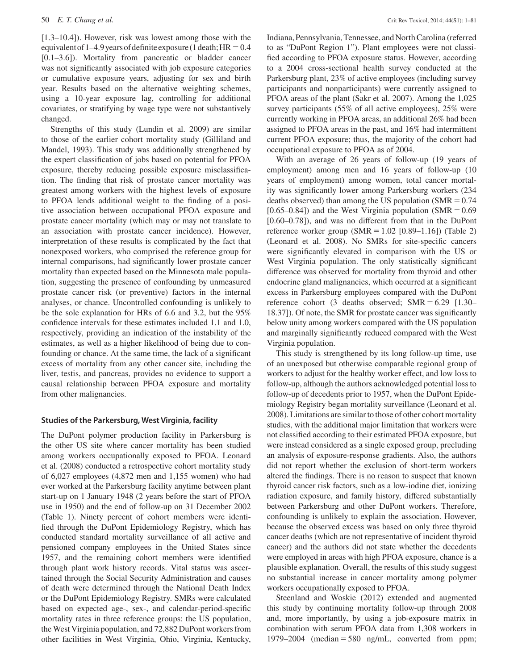[1.3–10.4]). However, risk was lowest among those with the equivalent of  $1-4.9$  years of definite exposure (1 death; HR = 0.4 [0.1-3.6]). Mortality from pancreatic or bladder cancer was not significantly associated with job exposure categories or cumulative exposure years, adjusting for sex and birth year. Results based on the alternative weighting schemes, using a 10-year exposure lag, controlling for additional covariates, or stratifying by wage type were not substantively changed.

 Strengths of this study (Lundin et al. 2009) are similar to those of the earlier cohort mortality study (Gilliland and Mandel, 1993). This study was additionally strengthened by the expert classification of jobs based on potential for PFOA exposure, thereby reducing possible exposure misclassification. The finding that risk of prostate cancer mortality was greatest among workers with the highest levels of exposure to PFOA lends additional weight to the finding of a positive association between occupational PFOA exposure and prostate cancer mortality (which may or may not translate to an association with prostate cancer incidence). However, interpretation of these results is complicated by the fact that nonexposed workers, who comprised the reference group for internal comparisons, had significantly lower prostate cancer mortality than expected based on the Minnesota male population, suggesting the presence of confounding by unmeasured prostate cancer risk (or preventive) factors in the internal analyses, or chance. Uncontrolled confounding is unlikely to be the sole explanation for HRs of 6.6 and 3.2, but the 95% confidence intervals for these estimates included 1.1 and 1.0, respectively, providing an indication of the instability of the estimates, as well as a higher likelihood of being due to confounding or chance. At the same time, the lack of a significant excess of mortality from any other cancer site, including the liver, testis, and pancreas, provides no evidence to support a causal relationship between PFOA exposure and mortality from other malignancies.

### **Studies of the Parkersburg, West Virginia, facility**

 The DuPont polymer production facility in Parkersburg is the other US site where cancer mortality has been studied among workers occupationally exposed to PFOA. Leonard et al. (2008) conducted a retrospective cohort mortality study of 6,027 employees (4,872 men and 1,155 women) who had ever worked at the Parkersburg facility anytime between plant start-up on 1 January 1948 (2 years before the start of PFOA use in 1950) and the end of follow-up on 31 December 2002 (Table 1). Ninety percent of cohort members were identified through the DuPont Epidemiology Registry, which has conducted standard mortality surveillance of all active and pensioned company employees in the United States since 1957, and the remaining cohort members were identified through plant work history records. Vital status was ascertained through the Social Security Administration and causes of death were determined through the National Death Index or the DuPont Epidemiology Registry. SMRs were calculated based on expected age-, sex-, and calendar-period-specific mortality rates in three reference groups: the US population, the West Virginia population, and 72,882 DuPont workers from other facilities in West Virginia, Ohio, Virginia, Kentucky,

Indiana, Pennsylvania, Tennessee, and North Carolina (referred to as "DuPont Region 1"). Plant employees were not classified according to PFOA exposure status. However, according to a 2004 cross-sectional health survey conducted at the Parkersburg plant, 23% of active employees (including survey participants and nonparticipants) were currently assigned to PFOA areas of the plant (Sakr et al. 2007). Among the 1,025 survey participants (55% of all active employees), 25% were currently working in PFOA areas, an additional 26% had been assigned to PFOA areas in the past, and 16% had intermittent current PFOA exposure; thus, the majority of the cohort had occupational exposure to PFOA as of 2004.

 With an average of 26 years of follow-up (19 years of employment) among men and 16 years of follow-up (10 years of employment) among women, total cancer mortality was significantly lower among Parkersburg workers (234 deaths observed) than among the US population ( $\text{SMR} = 0.74$ )  $[0.65 - 0.84]$ ) and the West Virginia population (SMR = 0.69  $[0.60 - 0.78]$ , and was no different from that in the DuPont reference worker group  $(SMR = 1.02 [0.89 - 1.16])$  (Table 2) (Leonard et al. 2008). No SMRs for site-specific cancers were significantly elevated in comparison with the US or West Virginia population. The only statistically significant difference was observed for mortality from thyroid and other endocrine gland malignancies, which occurred at a significant excess in Parkersburg employees compared with the DuPont reference cohort (3 deaths observed;  $SMR = 6.29$  [1.30– 18.37]). Of note, the SMR for prostate cancer was significantly below unity among workers compared with the US population and marginally significantly reduced compared with the West Virginia population.

 This study is strengthened by its long follow-up time, use of an unexposed but otherwise comparable regional group of workers to adjust for the healthy worker effect, and low loss to follow-up, although the authors acknowledged potential loss to follow-up of decedents prior to 1957, when the DuPont Epidemiology Registry began mortality surveillance (Leonard et al. 2008). Limitations are similar to those of other cohort mortality studies, with the additional major limitation that workers were not classified according to their estimated PFOA exposure, but were instead considered as a single exposed group, precluding an analysis of exposure-response gradients. Also, the authors did not report whether the exclusion of short-term workers altered the findings. There is no reason to suspect that known thyroid cancer risk factors, such as a low-iodine diet, ionizing radiation exposure, and family history, differed substantially between Parkersburg and other DuPont workers. Therefore, confounding is unlikely to explain the association. However, because the observed excess was based on only three thyroid cancer deaths (which are not representative of incident thyroid cancer) and the authors did not state whether the decedents were employed in areas with high PFOA exposure, chance is a plausible explanation. Overall, the results of this study suggest no substantial increase in cancer mortality among polymer workers occupationally exposed to PFOA.

 Steenland and Woskie (2012) extended and augmented this study by continuing mortality follow-up through 2008 and, more importantly, by using a job-exposure matrix in combination with serum PFOA data from 1,308 workers in  $1979 - 2004$  (median = 580 ng/mL, converted from ppm;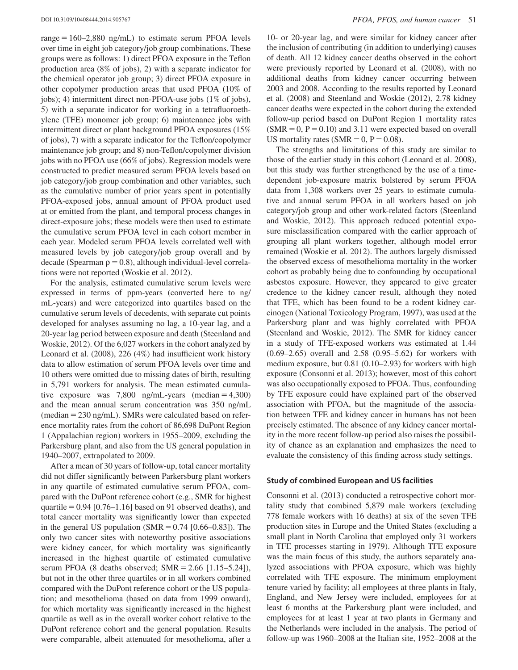range  $= 160 - 2,880$  ng/mL) to estimate serum PFOA levels over time in eight job category/job group combinations. These groups were as follows: 1) direct PFOA exposure in the Teflon production area (8% of jobs), 2) with a separate indicator for the chemical operator job group; 3) direct PFOA exposure in other copolymer production areas that used PFOA (10% of jobs); 4) intermittent direct non-PFOA-use jobs (1% of jobs), 5) with a separate indicator for working in a tetrafluoroethylene (TFE) monomer job group; 6) maintenance jobs with intermittent direct or plant background PFOA exposures (15% of jobs), 7) with a separate indicator for the Teflon/copolymer maintenance job group; and 8) non-Teflon/copolymer division jobs with no PFOA use (66% of jobs). Regression models were constructed to predict measured serum PFOA levels based on job category/job group combination and other variables, such as the cumulative number of prior years spent in potentially PFOA-exposed jobs, annual amount of PFOA product used at or emitted from the plant, and temporal process changes in direct-exposure jobs; these models were then used to estimate the cumulative serum PFOA level in each cohort member in each year. Modeled serum PFOA levels correlated well with measured levels by job category/job group overall and by decade (Spearman  $\rho = 0.8$ ), although individual-level correlations were not reported (Woskie et al. 2012).

 For the analysis, estimated cumulative serum levels were expressed in terms of ppm-years (converted here to ng/ mL-years) and were categorized into quartiles based on the cumulative serum levels of decedents, with separate cut points developed for analyses assuming no lag, a 10-year lag, and a 20-year lag period between exposure and death (Steenland and Woskie, 2012). Of the 6,027 workers in the cohort analyzed by Leonard et al.  $(2008)$ ,  $226 (4%)$  had insufficient work history data to allow estimation of serum PFOA levels over time and 10 others were omitted due to missing dates of birth, resulting in 5,791 workers for analysis. The mean estimated cumulative exposure was  $7,800$  ng/mL-years (median  $= 4,300$ ) and the mean annual serum concentration was 350 ng/mL  $(\text{median} = 230 \text{ ng/mL})$ . SMRs were calculated based on reference mortality rates from the cohort of 86,698 DuPont Region 1 (Appalachian region) workers in 1955 – 2009, excluding the Parkersburg plant, and also from the US general population in 1940–2007, extrapolated to 2009.

 After a mean of 30 years of follow-up, total cancer mortality did not differ significantly between Parkersburg plant workers in any quartile of estimated cumulative serum PFOA, compared with the DuPont reference cohort (e.g., SMR for highest quartile  $= 0.94$  [0.76–1.16] based on 91 observed deaths), and total cancer mortality was significantly lower than expected in the general US population  $(SMR = 0.74$  [0.66–0.83]). The only two cancer sites with noteworthy positive associations were kidney cancer, for which mortality was significantly increased in the highest quartile of estimated cumulative serum PFOA (8 deaths observed;  $SMR = 2.66$  [1.15–5.24]), but not in the other three quartiles or in all workers combined compared with the DuPont reference cohort or the US population; and mesothelioma (based on data from 1999 onward), for which mortality was significantly increased in the highest quartile as well as in the overall worker cohort relative to the DuPont reference cohort and the general population. Results were comparable, albeit attenuated for mesothelioma, after a

10- or 20-year lag, and were similar for kidney cancer after the inclusion of contributing (in addition to underlying) causes of death. All 12 kidney cancer deaths observed in the cohort were previously reported by Leonard et al. (2008), with no additional deaths from kidney cancer occurring between 2003 and 2008. According to the results reported by Leonard et al. (2008) and Steenland and Woskie (2012), 2.78 kidney cancer deaths were expected in the cohort during the extended follow-up period based on DuPont Region 1 mortality rates  $(SMR = 0, P = 0.10)$  and 3.11 were expected based on overall US mortality rates (SMR =  $0, P = 0.08$ ).

 The strengths and limitations of this study are similar to those of the earlier study in this cohort (Leonard et al. 2008), but this study was further strengthened by the use of a timedependent job-exposure matrix bolstered by serum PFOA data from 1,308 workers over 25 years to estimate cumulative and annual serum PFOA in all workers based on job category/job group and other work-related factors (Steenland and Woskie, 2012). This approach reduced potential exposure misclassification compared with the earlier approach of grouping all plant workers together, although model error remained (Woskie et al. 2012). The authors largely dismissed the observed excess of mesothelioma mortality in the worker cohort as probably being due to confounding by occupational asbestos exposure. However, they appeared to give greater credence to the kidney cancer result, although they noted that TFE, which has been found to be a rodent kidney carcinogen (National Toxicology Program, 1997), was used at the Parkersburg plant and was highly correlated with PFOA (Steenland and Woskie, 2012). The SMR for kidney cancer in a study of TFE-exposed workers was estimated at 1.44  $(0.69 - 2.65)$  overall and  $2.58$   $(0.95 - 5.62)$  for workers with medium exposure, but  $0.81$  ( $0.10-2.93$ ) for workers with high exposure (Consonni et al. 2013); however, most of this cohort was also occupationally exposed to PFOA. Thus, confounding by TFE exposure could have explained part of the observed association with PFOA, but the magnitude of the association between TFE and kidney cancer in humans has not been precisely estimated. The absence of any kidney cancer mortality in the more recent follow-up period also raises the possibility of chance as an explanation and emphasizes the need to evaluate the consistency of this finding across study settings.

#### **Study of combined European and US facilities**

 Consonni et al. (2013) conducted a retrospective cohort mortality study that combined 5,879 male workers (excluding 778 female workers with 16 deaths) at six of the seven TFE production sites in Europe and the United States (excluding a small plant in North Carolina that employed only 31 workers in TFE processes starting in 1979). Although TFE exposure was the main focus of this study, the authors separately analyzed associations with PFOA exposure, which was highly correlated with TFE exposure. The minimum employment tenure varied by facility; all employees at three plants in Italy, England, and New Jersey were included, employees for at least 6 months at the Parkersburg plant were included, and employees for at least 1 year at two plants in Germany and the Netherlands were included in the analysis. The period of follow-up was  $1960 - 2008$  at the Italian site,  $1952 - 2008$  at the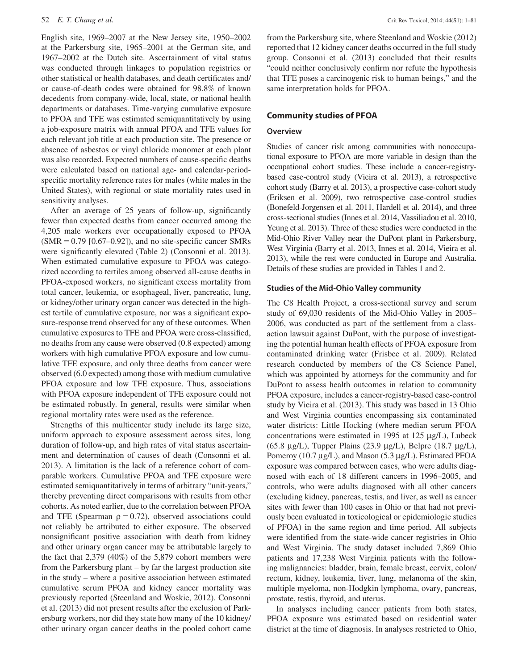English site,  $1969 - 2007$  at the New Jersey site,  $1950 - 2002$ at the Parkersburg site, 1965 – 2001 at the German site, and 1967-2002 at the Dutch site. Ascertainment of vital status was conducted through linkages to population registries or other statistical or health databases, and death certificates and/ or cause-of-death codes were obtained for 98.8% of known decedents from company-wide, local, state, or national health departments or databases. Time-varying cumulative exposure to PFOA and TFE was estimated semiquantitatively by using a job-exposure matrix with annual PFOA and TFE values for each relevant job title at each production site. The presence or absence of asbestos or vinyl chloride monomer at each plant was also recorded. Expected numbers of cause-specific deaths were calculated based on national age- and calendar-periodspecific mortality reference rates for males (white males in the United States), with regional or state mortality rates used in sensitivity analyses.

After an average of 25 years of follow-up, significantly fewer than expected deaths from cancer occurred among the 4,205 male workers ever occupationally exposed to PFOA  $(SMR = 0.79$  [0.67–0.92]), and no site-specific cancer SMRs were significantly elevated (Table 2) (Consonni et al. 2013). When estimated cumulative exposure to PFOA was categorized according to tertiles among observed all-cause deaths in PFOA-exposed workers, no significant excess mortality from total cancer, leukemia, or esophageal, liver, pancreatic, lung, or kidney/other urinary organ cancer was detected in the highest tertile of cumulative exposure, nor was a significant exposure-response trend observed for any of these outcomes. When cumulative exposures to TFE and PFOA were cross-classified, no deaths from any cause were observed (0.8 expected) among workers with high cumulative PFOA exposure and low cumulative TFE exposure, and only three deaths from cancer were observed (6.0 expected) among those with medium cumulative PFOA exposure and low TFE exposure. Thus, associations with PFOA exposure independent of TFE exposure could not be estimated robustly. In general, results were similar when regional mortality rates were used as the reference.

 Strengths of this multicenter study include its large size, uniform approach to exposure assessment across sites, long duration of follow-up, and high rates of vital status ascertainment and determination of causes of death (Consonni et al. 2013). A limitation is the lack of a reference cohort of comparable workers. Cumulative PFOA and TFE exposure were estimated semiquantitatively in terms of arbitrary "unit-years," thereby preventing direct comparisons with results from other cohorts. As noted earlier, due to the correlation between PFOA and TFE (Spearman  $\rho = 0.72$ ), observed associations could not reliably be attributed to either exposure. The observed nonsignificant positive association with death from kidney and other urinary organ cancer may be attributable largely to the fact that 2,379 (40%) of the 5,879 cohort members were from the Parkersburg plant – by far the largest production site in the study – where a positive association between estimated cumulative serum PFOA and kidney cancer mortality was previously reported (Steenland and Woskie, 2012). Consonni et al. (2013) did not present results after the exclusion of Parkersburg workers, nor did they state how many of the 10 kidney/ other urinary organ cancer deaths in the pooled cohort came

from the Parkersburg site, where Steenland and Woskie (2012) reported that 12 kidney cancer deaths occurred in the full study group. Consonni et al. (2013) concluded that their results " could neither conclusively confirm nor refute the hypothesis that TFE poses a carcinogenic risk to human beings, " and the same interpretation holds for PFOA.

#### **Community studies of PFOA**

### **Overview**

 Studies of cancer risk among communities with nonoccupational exposure to PFOA are more variable in design than the occupational cohort studies. These include a cancer-registrybased case-control study (Vieira et al. 2013), a retrospective cohort study (Barry et al. 2013), a prospective case-cohort study (Eriksen et al. 2009), two retrospective case-control studies (Bonefeld-Jorgensen et al. 2011, Hardell et al. 2014), and three cross-sectional studies (Innes et al. 2014, Vassiliadou et al. 2010, Yeung et al. 2013). Three of these studies were conducted in the Mid-Ohio River Valley near the DuPont plant in Parkersburg, West Virginia (Barry et al. 2013, Innes et al. 2014, Vieira et al. 2013), while the rest were conducted in Europe and Australia. Details of these studies are provided in Tables 1 and 2.

### **Studies of the Mid-Ohio Valley community**

 The C8 Health Project, a cross-sectional survey and serum study of 69,030 residents of the Mid-Ohio Valley in 2005- 2006, was conducted as part of the settlement from a classaction lawsuit against DuPont, with the purpose of investigating the potential human health effects of PFOA exposure from contaminated drinking water (Frisbee et al. 2009). Related research conducted by members of the C8 Science Panel, which was appointed by attorneys for the community and for DuPont to assess health outcomes in relation to community PFOA exposure, includes a cancer-registry-based case-control study by Vieira et al. (2013). This study was based in 13 Ohio and West Virginia counties encompassing six contaminated water districts: Little Hocking (where median serum PFOA concentrations were estimated in 1995 at 125  $\mu$ g/L), Lubeck  $(65.8 \mu g/L)$ , Tupper Plains (23.9 μg/L), Belpre (18.7 μg/L), Pomeroy (10.7 μg/L), and Mason (5.3 μg/L). Estimated PFOA exposure was compared between cases, who were adults diagnosed with each of 18 different cancers in 1996–2005, and controls, who were adults diagnosed with all other cancers (excluding kidney, pancreas, testis, and liver, as well as cancer sites with fewer than 100 cases in Ohio or that had not previously been evaluated in toxicological or epidemiologic studies of PFOA) in the same region and time period. All subjects were identified from the state-wide cancer registries in Ohio and West Virginia. The study dataset included 7,869 Ohio patients and 17,238 West Virginia patients with the following malignancies: bladder, brain, female breast, cervix, colon/ rectum, kidney, leukemia, liver, lung, melanoma of the skin, multiple myeloma, non-Hodgkin lymphoma, ovary, pancreas, prostate, testis, thyroid, and uterus.

 In analyses including cancer patients from both states, PFOA exposure was estimated based on residential water district at the time of diagnosis. In analyses restricted to Ohio,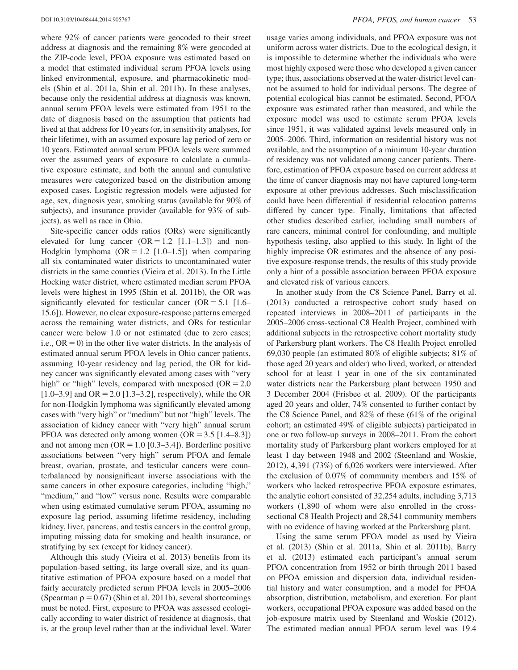where 92% of cancer patients were geocoded to their street address at diagnosis and the remaining 8% were geocoded at the ZIP-code level, PFOA exposure was estimated based on a model that estimated individual serum PFOA levels using linked environmental, exposure, and pharmacokinetic models (Shin et al. 2011a, Shin et al. 2011b). In these analyses, because only the residential address at diagnosis was known, annual serum PFOA levels were estimated from 1951 to the date of diagnosis based on the assumption that patients had lived at that address for 10 years (or, in sensitivity analyses, for their lifetime), with an assumed exposure lag period of zero or 10 years. Estimated annual serum PFOA levels were summed over the assumed years of exposure to calculate a cumulative exposure estimate, and both the annual and cumulative measures were categorized based on the distribution among exposed cases. Logistic regression models were adjusted for age, sex, diagnosis year, smoking status (available for 90% of subjects), and insurance provider (available for 93% of subjects), as well as race in Ohio.

Site-specific cancer odds ratios (ORs) were significantly elevated for lung cancer  $(OR = 1.2 [1.1 - 1.3])$  and non-Hodgkin lymphoma  $(OR = 1.2 [1.0 - 1.5])$  when comparing all six contaminated water districts to uncontaminated water districts in the same counties (Vieira et al. 2013). In the Little Hocking water district, where estimated median serum PFOA levels were highest in 1995 (Shin et al. 2011b), the OR was significantly elevated for testicular cancer ( $OR = 5.1$  [1.6– 15.6]). However, no clear exposure-response patterns emerged across the remaining water districts, and ORs for testicular cancer were below 1.0 or not estimated (due to zero cases; i.e.,  $OR = 0$ ) in the other five water districts. In the analysis of estimated annual serum PFOA levels in Ohio cancer patients, assuming 10-year residency and lag period, the OR for kidney cancer was significantly elevated among cases with "very high" or "high" levels, compared with unexposed ( $OR = 2.0$ )  $[1.0-3.9]$  and OR = 2.0  $[1.3-3.2]$ , respectively), while the OR for non-Hodgkin lymphoma was significantly elevated among cases with "very high" or "medium" but not "high" levels. The association of kidney cancer with "very high" annual serum PFOA was detected only among women  $(OR = 3.5 [1.4–8.3])$ and not among men  $(OR = 1.0 [0.3–3.4])$ . Borderline positive associations between "very high" serum PFOA and female breast, ovarian, prostate, and testicular cancers were counterbalanced by nonsignificant inverse associations with the same cancers in other exposure categories, including "high," "medium," and "low" versus none. Results were comparable when using estimated cumulative serum PFOA, assuming no exposure lag period, assuming lifetime residency, including kidney, liver, pancreas, and testis cancers in the control group, imputing missing data for smoking and health insurance, or stratifying by sex (except for kidney cancer).

Although this study (Vieira et al. 2013) benefits from its population-based setting, its large overall size, and its quantitative estimation of PFOA exposure based on a model that fairly accurately predicted serum PFOA levels in 2005-2006 (Spearman  $\rho = 0.67$ ) (Shin et al. 2011b), several shortcomings must be noted. First, exposure to PFOA was assessed ecologically according to water district of residence at diagnosis, that is, at the group level rather than at the individual level. Water

usage varies among individuals, and PFOA exposure was not uniform across water districts. Due to the ecological design, it is impossible to determine whether the individuals who were most highly exposed were those who developed a given cancer type; thus, associations observed at the water-district level cannot be assumed to hold for individual persons. The degree of potential ecological bias cannot be estimated. Second, PFOA exposure was estimated rather than measured, and while the exposure model was used to estimate serum PFOA levels since 1951, it was validated against levels measured only in 2005 – 2006. Third, information on residential history was not available, and the assumption of a minimum 10-year duration of residency was not validated among cancer patients. Therefore, estimation of PFOA exposure based on current address at the time of cancer diagnosis may not have captured long-term exposure at other previous addresses. Such misclassification could have been differential if residential relocation patterns differed by cancer type. Finally, limitations that affected other studies described earlier, including small numbers of rare cancers, minimal control for confounding, and multiple hypothesis testing, also applied to this study. In light of the highly imprecise OR estimates and the absence of any positive exposure-response trends, the results of this study provide only a hint of a possible association between PFOA exposure and elevated risk of various cancers.

 In another study from the C8 Science Panel, Barry et al. (2013) conducted a retrospective cohort study based on repeated interviews in 2008–2011 of participants in the 2005–2006 cross-sectional C8 Health Project, combined with additional subjects in the retrospective cohort mortality study of Parkersburg plant workers. The C8 Health Project enrolled 69,030 people (an estimated 80% of eligible subjects; 81% of those aged 20 years and older) who lived, worked, or attended school for at least 1 year in one of the six contaminated water districts near the Parkersburg plant between 1950 and 3 December 2004 (Frisbee et al. 2009). Of the participants aged 20 years and older, 74% consented to further contact by the C8 Science Panel, and 82% of these (61% of the original cohort; an estimated 49% of eligible subjects) participated in one or two follow-up surveys in 2008-2011. From the cohort mortality study of Parkersburg plant workers employed for at least 1 day between 1948 and 2002 (Steenland and Woskie, 2012), 4,391 (73%) of 6,026 workers were interviewed. After the exclusion of 0.07% of community members and 15% of workers who lacked retrospective PFOA exposure estimates, the analytic cohort consisted of 32,254 adults, including 3,713 workers (1,890 of whom were also enrolled in the crosssectional C8 Health Project) and 28,541 community members with no evidence of having worked at the Parkersburg plant.

 Using the same serum PFOA model as used by Vieira et al. (2013) (Shin et al. 2011a, Shin et al. 2011b), Barry et al. (2013) estimated each participant's annual serum PFOA concentration from 1952 or birth through 2011 based on PFOA emission and dispersion data, individual residential history and water consumption, and a model for PFOA absorption, distribution, metabolism, and excretion. For plant workers, occupational PFOA exposure was added based on the job-exposure matrix used by Steenland and Woskie (2012). The estimated median annual PFOA serum level was 19.4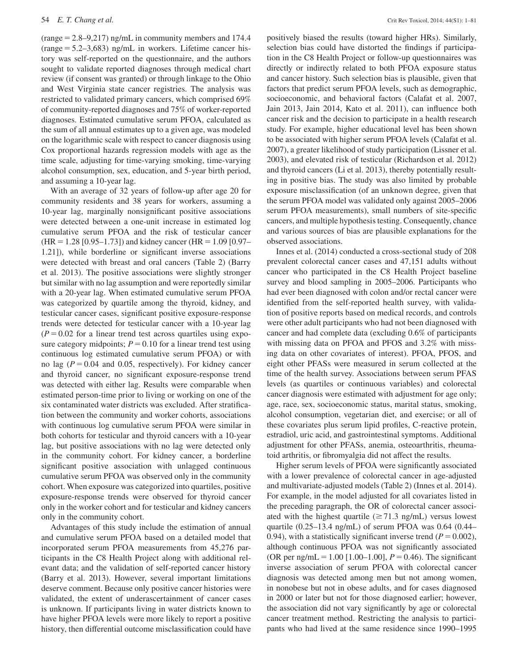$(range = 2.8 - 9.217)$  ng/mL in community members and 174.4  $(range = 5.2 - 3.683)$  ng/mL in workers. Lifetime cancer history was self-reported on the questionnaire, and the authors sought to validate reported diagnoses through medical chart review (if consent was granted) or through linkage to the Ohio and West Virginia state cancer registries. The analysis was restricted to validated primary cancers, which comprised 69% of community-reported diagnoses and 75% of worker-reported diagnoses. Estimated cumulative serum PFOA, calculated as the sum of all annual estimates up to a given age, was modeled on the logarithmic scale with respect to cancer diagnosis using Cox proportional hazards regression models with age as the time scale, adjusting for time-varying smoking, time-varying alcohol consumption, sex, education, and 5-year birth period, and assuming a 10-year lag.

 With an average of 32 years of follow-up after age 20 for community residents and 38 years for workers, assuming a 10-year lag, marginally nonsignificant positive associations were detected between a one-unit increase in estimated log cumulative serum PFOA and the risk of testicular cancer  $(HR = 1.28 [0.95 - 1.73])$  and kidney cancer  $(HR = 1.09 [0.97 - 1.73])$ 1.21]), while borderline or significant inverse associations were detected with breast and oral cancers (Table 2) (Barry et al. 2013). The positive associations were slightly stronger but similar with no lag assumption and were reportedly similar with a 20-year lag. When estimated cumulative serum PFOA was categorized by quartile among the thyroid, kidney, and testicular cancer cases, significant positive exposure-response trends were detected for testicular cancer with a 10-year lag  $(P = 0.02$  for a linear trend test across quartiles using exposure category midpoints;  $P = 0.10$  for a linear trend test using continuous log estimated cumulative serum PFOA) or with no lag ( $P = 0.04$  and 0.05, respectively). For kidney cancer and thyroid cancer, no significant exposure-response trend was detected with either lag. Results were comparable when estimated person-time prior to living or working on one of the six contaminated water districts was excluded. After stratification between the community and worker cohorts, associations with continuous log cumulative serum PFOA were similar in both cohorts for testicular and thyroid cancers with a 10-year lag, but positive associations with no lag were detected only in the community cohort. For kidney cancer, a borderline significant positive association with unlagged continuous cumulative serum PFOA was observed only in the community cohort. When exposure was categorized into quartiles, positive exposure-response trends were observed for thyroid cancer only in the worker cohort and for testicular and kidney cancers only in the community cohort.

 Advantages of this study include the estimation of annual and cumulative serum PFOA based on a detailed model that incorporated serum PFOA measurements from 45,276 participants in the C8 Health Project along with additional relevant data; and the validation of self-reported cancer history (Barry et al. 2013). However, several important limitations deserve comment. Because only positive cancer histories were validated, the extent of underascertainment of cancer cases is unknown. If participants living in water districts known to have higher PFOA levels were more likely to report a positive history, then differential outcome misclassification could have positively biased the results (toward higher HRs). Similarly, selection bias could have distorted the findings if participation in the C8 Health Project or follow-up questionnaires was directly or indirectly related to both PFOA exposure status and cancer history. Such selection bias is plausible, given that factors that predict serum PFOA levels, such as demographic, socioeconomic, and behavioral factors (Calafat et al. 2007, Jain 2013, Jain 2014, Kato et al. 2011), can influence both cancer risk and the decision to participate in a health research study. For example, higher educational level has been shown to be associated with higher serum PFOA levels (Calafat et al. 2007), a greater likelihood of study participation (Lissner et al. 2003), and elevated risk of testicular (Richardson et al. 2012) and thyroid cancers (Li et al. 2013), thereby potentially resulting in positive bias. The study was also limited by probable exposure misclassification (of an unknown degree, given that the serum PFOA model was validated only against 2005 – 2006 serum PFOA measurements), small numbers of site-specific cancers, and multiple hypothesis testing. Consequently, chance and various sources of bias are plausible explanations for the observed associations.

 Innes et al. (2014) conducted a cross-sectional study of 208 prevalent colorectal cancer cases and 47,151 adults without cancer who participated in the C8 Health Project baseline survey and blood sampling in 2005-2006. Participants who had ever been diagnosed with colon and/or rectal cancer were identified from the self-reported health survey, with validation of positive reports based on medical records, and controls were other adult participants who had not been diagnosed with cancer and had complete data (excluding 0.6% of participants with missing data on PFOA and PFOS and 3.2% with missing data on other covariates of interest). PFOA, PFOS, and eight other PFASs were measured in serum collected at the time of the health survey. Associations between serum PFAS levels (as quartiles or continuous variables) and colorectal cancer diagnosis were estimated with adjustment for age only; age, race, sex, socioeconomic status, marital status, smoking, alcohol consumption, vegetarian diet, and exercise; or all of these covariates plus serum lipid profiles, C-reactive protein, estradiol, uric acid, and gastrointestinal symptoms. Additional adjustment for other PFASs, anemia, osteoarthritis, rheumatoid arthritis, or fibromyalgia did not affect the results.

Higher serum levels of PFOA were significantly associated with a lower prevalence of colorectal cancer in age-adjusted and multivariate-adjusted models (Table 2) (Innes et al. 2014). For example, in the model adjusted for all covariates listed in the preceding paragraph, the OR of colorectal cancer associated with the highest quartile ( $\geq$  71.3 ng/mL) versus lowest quartile  $(0.25-13.4 \text{ ng/mL})$  of serum PFOA was 0.64  $(0.44-$ 0.94), with a statistically significant inverse trend  $(P = 0.002)$ , although continuous PFOA was not significantly associated (OR per ng/mL =  $1.00$  [1.00–1.00],  $P = 0.46$ ). The significant inverse association of serum PFOA with colorectal cancer diagnosis was detected among men but not among women, in nonobese but not in obese adults, and for cases diagnosed in 2000 or later but not for those diagnosed earlier; however, the association did not vary significantly by age or colorectal cancer treatment method. Restricting the analysis to participants who had lived at the same residence since 1990–1995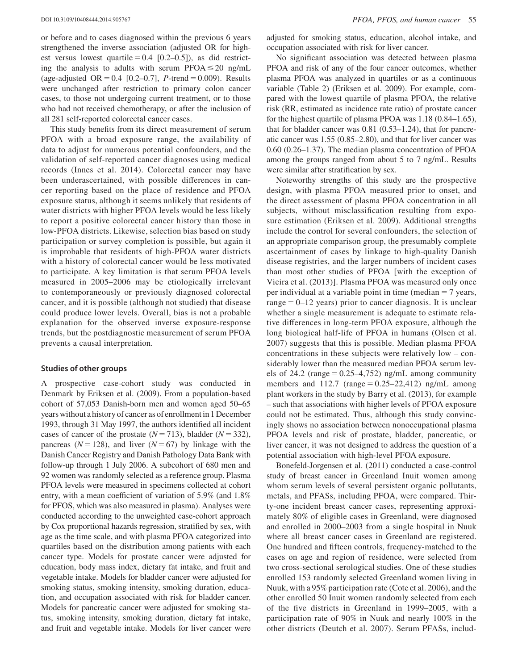or before and to cases diagnosed within the previous 6 years strengthened the inverse association (adjusted OR for highest versus lowest quartile  $= 0.4$  [0.2–0.5]), as did restricting the analysis to adults with serum PFOA  $\leq$  20 ng/mL (age-adjusted OR  $= 0.4$  [0.2–0.7], *P*-trend  $= 0.009$ ). Results were unchanged after restriction to primary colon cancer cases, to those not undergoing current treatment, or to those who had not received chemotherapy, or after the inclusion of all 281 self-reported colorectal cancer cases.

This study benefits from its direct measurement of serum PFOA with a broad exposure range, the availability of data to adjust for numerous potential confounders, and the validation of self-reported cancer diagnoses using medical records (Innes et al. 2014). Colorectal cancer may have been underascertained, with possible differences in cancer reporting based on the place of residence and PFOA exposure status, although it seems unlikely that residents of water districts with higher PFOA levels would be less likely to report a positive colorectal cancer history than those in low-PFOA districts. Likewise, selection bias based on study participation or survey completion is possible, but again it is improbable that residents of high-PFOA water districts with a history of colorectal cancer would be less motivated to participate. A key limitation is that serum PFOA levels measured in 2005-2006 may be etiologically irrelevant to contemporaneously or previously diagnosed colorectal cancer, and it is possible (although not studied) that disease could produce lower levels. Overall, bias is not a probable explanation for the observed inverse exposure-response trends, but the postdiagnostic measurement of serum PFOA prevents a causal interpretation.

#### **Studies of other groups**

 A prospective case-cohort study was conducted in Denmark by Eriksen et al. (2009). From a population-based cohort of 57,053 Danish-born men and women aged 50–65 years without a history of cancer as of enrollment in 1 December 1993, through 31 May 1997, the authors identified all incident cases of cancer of the prostate  $(N = 713)$ , bladder  $(N = 332)$ , pancreas ( $N = 128$ ), and liver ( $N = 67$ ) by linkage with the Danish Cancer Registry and Danish Pathology Data Bank with follow-up through 1 July 2006. A subcohort of 680 men and 92 women was randomly selected as a reference group. Plasma PFOA levels were measured in specimens collected at cohort entry, with a mean coefficient of variation of  $5.9\%$  (and  $1.8\%$ ) for PFOS, which was also measured in plasma). Analyses were conducted according to the unweighted case-cohort approach by Cox proportional hazards regression, stratified by sex, with age as the time scale, and with plasma PFOA categorized into quartiles based on the distribution among patients with each cancer type. Models for prostate cancer were adjusted for education, body mass index, dietary fat intake, and fruit and vegetable intake. Models for bladder cancer were adjusted for smoking status, smoking intensity, smoking duration, education, and occupation associated with risk for bladder cancer. Models for pancreatic cancer were adjusted for smoking status, smoking intensity, smoking duration, dietary fat intake, and fruit and vegetable intake. Models for liver cancer were

adjusted for smoking status, education, alcohol intake, and occupation associated with risk for liver cancer.

No significant association was detected between plasma PFOA and risk of any of the four cancer outcomes, whether plasma PFOA was analyzed in quartiles or as a continuous variable (Table 2) (Eriksen et al. 2009). For example, compared with the lowest quartile of plasma PFOA, the relative risk (RR, estimated as incidence rate ratio) of prostate cancer for the highest quartile of plasma PFOA was  $1.18$  (0.84–1.65), that for bladder cancer was  $0.81$   $(0.53-1.24)$ , that for pancreatic cancer was  $1.55$  (0.85–2.80), and that for liver cancer was  $0.60$   $(0.26-1.37)$ . The median plasma concentration of PFOA among the groups ranged from about 5 to 7 ng/mL. Results were similar after stratification by sex.

 Noteworthy strengths of this study are the prospective design, with plasma PFOA measured prior to onset, and the direct assessment of plasma PFOA concentration in all subjects, without misclassification resulting from exposure estimation (Eriksen et al. 2009). Additional strengths include the control for several confounders, the selection of an appropriate comparison group, the presumably complete ascertainment of cases by linkage to high-quality Danish disease registries, and the larger numbers of incident cases than most other studies of PFOA [with the exception of Vieira et al. (2013)]. Plasma PFOA was measured only once per individual at a variable point in time (median  $= 7$  years, range  $= 0 - 12$  years) prior to cancer diagnosis. It is unclear whether a single measurement is adequate to estimate relative differences in long-term PFOA exposure, although the long biological half-life of PFOA in humans (Olsen et al. 2007) suggests that this is possible. Median plasma PFOA concentrations in these subjects were relatively low – considerably lower than the measured median PFOA serum levels of 24.2 (range  $= 0.25 - 4.752$ ) ng/mL among community members and  $112.7$  (range = 0.25–22,412) ng/mL among plant workers in the study by Barry et al. (2013), for example – such that associations with higher levels of PFOA exposure could not be estimated. Thus, although this study convincingly shows no association between nonoccupational plasma PFOA levels and risk of prostate, bladder, pancreatic, or liver cancer, it was not designed to address the question of a potential association with high-level PFOA exposure.

 Bonefeld-Jorgensen et al. (2011) conducted a case-control study of breast cancer in Greenland Inuit women among whom serum levels of several persistent organic pollutants, metals, and PFASs, including PFOA, were compared. Thirty-one incident breast cancer cases, representing approximately 80% of eligible cases in Greenland, were diagnosed and enrolled in 2000–2003 from a single hospital in Nuuk where all breast cancer cases in Greenland are registered. One hundred and fifteen controls, frequency-matched to the cases on age and region of residence, were selected from two cross-sectional serological studies. One of these studies enrolled 153 randomly selected Greenland women living in Nuuk, with a 95% participation rate (Cote et al. 2006), and the other enrolled 50 Inuit women randomly selected from each of the five districts in Greenland in 1999–2005, with a participation rate of 90% in Nuuk and nearly 100% in the other districts (Deutch et al. 2007). Serum PFASs, includ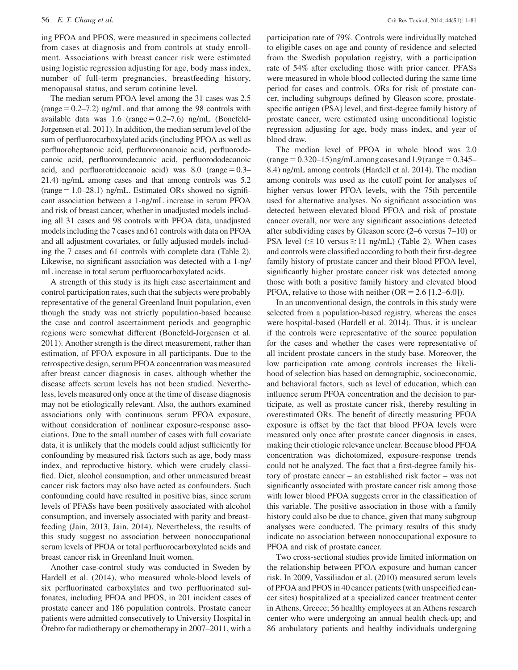ing PFOA and PFOS, were measured in specimens collected from cases at diagnosis and from controls at study enrollment. Associations with breast cancer risk were estimated using logistic regression adjusting for age, body mass index, number of full-term pregnancies, breastfeeding history, menopausal status, and serum cotinine level.

 The median serum PFOA level among the 31 cases was 2.5  $(range = 0.2 - 7.2)$  ng/mL and that among the 98 controls with available data was 1.6 (range  $= 0.2 - 7.6$ ) ng/mL (Bonefeld-Jorgensen et al. 2011). In addition, the median serum level of the sum of perfluorocarboxylated acids (including PFOA as well as perfluoroheptanoic acid, perfluorononanoic acid, perfluorodecanoic acid, perfluoroundecanoic acid, perfluorododecanoic acid, and perfluorotridecanoic acid) was  $8.0 \text{ (range = } 0.3 -$  21.4) ng/mL among cases and that among controls was 5.2  $(range = 1.0-28.1)$  ng/mL. Estimated ORs showed no significant association between a 1-ng/mL increase in serum PFOA and risk of breast cancer, whether in unadjusted models including all 31 cases and 98 controls with PFOA data, unadjusted models including the 7 cases and 61 controls with data on PFOA and all adjustment covariates, or fully adjusted models including the 7 cases and 61 controls with complete data (Table 2). Likewise, no significant association was detected with a 1-ng/ mL increase in total serum perfluorocarboxylated acids.

 A strength of this study is its high case ascertainment and control participation rates, such that the subjects were probably representative of the general Greenland Inuit population, even though the study was not strictly population-based because the case and control ascertainment periods and geographic regions were somewhat different (Bonefeld-Jorgensen et al. 2011). Another strength is the direct measurement, rather than estimation, of PFOA exposure in all participants. Due to the retrospective design, serum PFOA concentration was measured after breast cancer diagnosis in cases, although whether the disease affects serum levels has not been studied. Nevertheless, levels measured only once at the time of disease diagnosis may not be etiologically relevant. Also, the authors examined associations only with continuous serum PFOA exposure, without consideration of nonlinear exposure-response associations. Due to the small number of cases with full covariate data, it is unlikely that the models could adjust sufficiently for confounding by measured risk factors such as age, body mass index, and reproductive history, which were crudely classified. Diet, alcohol consumption, and other unmeasured breast cancer risk factors may also have acted as confounders. Such confounding could have resulted in positive bias, since serum levels of PFASs have been positively associated with alcohol consumption, and inversely associated with parity and breastfeeding (Jain, 2013, Jain, 2014). Nevertheless, the results of this study suggest no association between nonoccupational serum levels of PFOA or total perfluorocarboxylated acids and breast cancer risk in Greenland Inuit women.

 Another case-control study was conducted in Sweden by Hardell et al. (2014), who measured whole-blood levels of six perfluorinated carboxylates and two perfluorinated sulfonates, including PFOA and PFOS, in 201 incident cases of prostate cancer and 186 population controls. Prostate cancer patients were admitted consecutively to University Hospital in Orebro for radiotherapy or chemotherapy in 2007–2011, with a

participation rate of 79%. Controls were individually matched to eligible cases on age and county of residence and selected from the Swedish population registry, with a participation rate of 54% after excluding those with prior cancer. PFASs were measured in whole blood collected during the same time period for cases and controls. ORs for risk of prostate cancer, including subgroups defined by Gleason score, prostatespecific antigen (PSA) level, and first-degree family history of prostate cancer, were estimated using unconditional logistic regression adjusting for age, body mass index, and year of blood draw.

 The median level of PFOA in whole blood was 2.0  $(range = 0.320-15)$  ng/mL among cases and  $1.9$  (range  $= 0.345-$  8.4) ng/mL among controls (Hardell et al. 2014). The median among controls was used as the cutoff point for analyses of higher versus lower PFOA levels, with the 75th percentile used for alternative analyses. No significant association was detected between elevated blood PFOA and risk of prostate cancer overall, nor were any significant associations detected after subdividing cases by Gleason score (2-6 versus 7-10) or PSA level ( $\leq 10$  versus  $\geq 11$  ng/mL) (Table 2). When cases and controls were classified according to both their first-degree family history of prostate cancer and their blood PFOA level, significantly higher prostate cancer risk was detected among those with both a positive family history and elevated blood PFOA, relative to those with neither  $(OR = 2.6 [1.2 - 6.0])$ .

 In an unconventional design, the controls in this study were selected from a population-based registry, whereas the cases were hospital-based (Hardell et al. 2014). Thus, it is unclear if the controls were representative of the source population for the cases and whether the cases were representative of all incident prostate cancers in the study base. Moreover, the low participation rate among controls increases the likelihood of selection bias based on demographic, socioeconomic, and behavioral factors, such as level of education, which can influence serum PFOA concentration and the decision to participate, as well as prostate cancer risk, thereby resulting in overestimated ORs. The benefit of directly measuring PFOA exposure is offset by the fact that blood PFOA levels were measured only once after prostate cancer diagnosis in cases, making their etiologic relevance unclear. Because blood PFOA concentration was dichotomized, exposure-response trends could not be analyzed. The fact that a first-degree family history of prostate cancer – an established risk factor – was not significantly associated with prostate cancer risk among those with lower blood PFOA suggests error in the classification of this variable. The positive association in those with a family history could also be due to chance, given that many subgroup analyses were conducted. The primary results of this study indicate no association between nonoccupational exposure to PFOA and risk of prostate cancer.

 Two cross-sectional studies provide limited information on the relationship between PFOA exposure and human cancer risk. In 2009, Vassiliadou et al. (2010) measured serum levels of PFOA and PFOS in 40 cancer patients (with unspecified cancer sites) hospitalized at a specialized cancer treatment center in Athens, Greece; 56 healthy employees at an Athens research center who were undergoing an annual health check-up; and 86 ambulatory patients and healthy individuals undergoing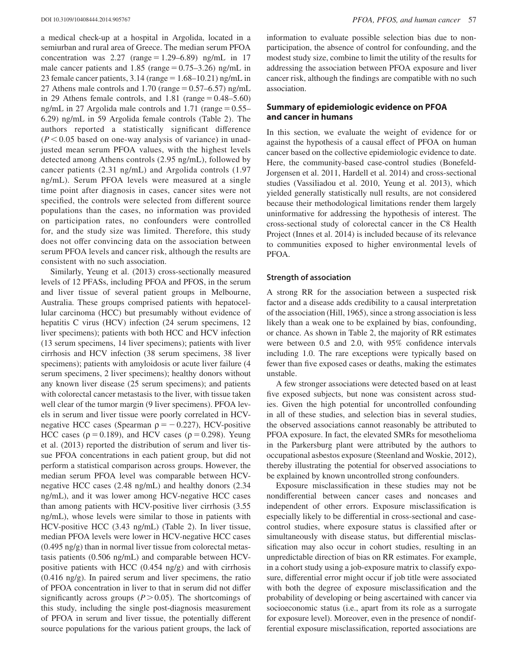a medical check-up at a hospital in Argolida, located in a semiurban and rural area of Greece. The median serum PFOA concentration was  $2.27$  (range  $= 1.29 - 6.89$ ) ng/mL in 17 male cancer patients and  $1.85$  (range =  $0.75-3.26$ ) ng/mL in 23 female cancer patients,  $3.14$  (range = 1.68–10.21) ng/mL in 27 Athens male controls and 1.70 (range  $= 0.57 - 6.57$ ) ng/mL in 29 Athens female controls, and  $1.81$  (range  $= 0.48 - 5.60$ ) ng/mL in 27 Argolida male controls and 1.71 (range  $= 0.55 -$  6.29) ng/mL in 59 Argolida female controls (Table 2). The authors reported a statistically significant difference  $(P<0.05$  based on one-way analysis of variance) in unadjusted mean serum PFOA values, with the highest levels detected among Athens controls (2.95 ng/mL), followed by cancer patients (2.31 ng/mL) and Argolida controls (1.97 ng/mL). Serum PFOA levels were measured at a single time point after diagnosis in cases, cancer sites were not specified, the controls were selected from different source populations than the cases, no information was provided on participation rates, no confounders were controlled for, and the study size was limited. Therefore, this study does not offer convincing data on the association between serum PFOA levels and cancer risk, although the results are consistent with no such association.

 Similarly, Yeung et al. (2013) cross-sectionally measured levels of 12 PFASs, including PFOA and PFOS, in the serum and liver tissue of several patient groups in Melbourne, Australia. These groups comprised patients with hepatocellular carcinoma (HCC) but presumably without evidence of hepatitis C virus (HCV) infection (24 serum specimens, 12 liver specimens); patients with both HCC and HCV infection (13 serum specimens, 14 liver specimens); patients with liver cirrhosis and HCV infection (38 serum specimens, 38 liver specimens); patients with amyloidosis or acute liver failure (4 serum specimens, 2 liver specimens); healthy donors without any known liver disease (25 serum specimens); and patients with colorectal cancer metastasis to the liver, with tissue taken well clear of the tumor margin (9 liver specimens). PFOA levels in serum and liver tissue were poorly correlated in HCVnegative HCC cases (Spearman  $\rho = -0.227$ ), HCV-positive HCC cases ( $\rho = 0.189$ ), and HCV cases ( $\rho = 0.298$ ). Yeung et al. (2013) reported the distribution of serum and liver tissue PFOA concentrations in each patient group, but did not perform a statistical comparison across groups. However, the median serum PFOA level was comparable between HCVnegative HCC cases (2.48 ng/mL) and healthy donors (2.34 ng/mL), and it was lower among HCV-negative HCC cases than among patients with HCV-positive liver cirrhosis (3.55 ng/mL), whose levels were similar to those in patients with HCV-positive HCC (3.43 ng/mL) (Table 2). In liver tissue, median PFOA levels were lower in HCV-negative HCC cases  $(0.495 \text{ ng/g})$  than in normal liver tissue from colorectal metastasis patients (0.506 ng/mL) and comparable between HCVpositive patients with HCC (0.454 ng/g) and with cirrhosis (0.416 ng/g). In paired serum and liver specimens, the ratio of PFOA concentration in liver to that in serum did not differ significantly across groups  $(P > 0.05)$ . The shortcomings of this study, including the single post-diagnosis measurement of PFOA in serum and liver tissue, the potentially different source populations for the various patient groups, the lack of information to evaluate possible selection bias due to nonparticipation, the absence of control for confounding, and the modest study size, combine to limit the utility of the results for addressing the association between PFOA exposure and liver cancer risk, although the findings are compatible with no such association.

## **Summary of epidemiologic evidence on PFOA and cancer in humans**

 In this section, we evaluate the weight of evidence for or against the hypothesis of a causal effect of PFOA on human cancer based on the collective epidemiologic evidence to date. Here, the community-based case-control studies (Bonefeld-Jorgensen et al. 2011, Hardell et al. 2014) and cross-sectional studies (Vassiliadou et al. 2010, Yeung et al. 2013), which yielded generally statistically null results, are not considered because their methodological limitations render them largely uninformative for addressing the hypothesis of interest. The cross-sectional study of colorectal cancer in the C8 Health Project (Innes et al. 2014) is included because of its relevance to communities exposed to higher environmental levels of PFOA.

### **Strength of association**

 A strong RR for the association between a suspected risk factor and a disease adds credibility to a causal interpretation of the association (Hill, 1965), since a strong association is less likely than a weak one to be explained by bias, confounding, or chance. As shown in Table 2, the majority of RR estimates were between  $0.5$  and  $2.0$ , with  $95\%$  confidence intervals including 1.0. The rare exceptions were typically based on fewer than five exposed cases or deaths, making the estimates unstable.

 A few stronger associations were detected based on at least five exposed subjects, but none was consistent across studies. Given the high potential for uncontrolled confounding in all of these studies, and selection bias in several studies, the observed associations cannot reasonably be attributed to PFOA exposure. In fact, the elevated SMRs for mesothelioma in the Parkersburg plant were attributed by the authors to occupational asbestos exposure (Steenland and Woskie, 2012), thereby illustrating the potential for observed associations to be explained by known uncontrolled strong confounders.

Exposure misclassification in these studies may not be nondifferential between cancer cases and noncases and independent of other errors. Exposure misclassification is especially likely to be differential in cross-sectional and casecontrol studies, where exposure status is classified after or simultaneously with disease status, but differential misclassification may also occur in cohort studies, resulting in an unpredictable direction of bias on RR estimates. For example, in a cohort study using a job-exposure matrix to classify exposure, differential error might occur if job title were associated with both the degree of exposure misclassification and the probability of developing or being ascertained with cancer via socioeconomic status (i.e., apart from its role as a surrogate for exposure level). Moreover, even in the presence of nondifferential exposure misclassification, reported associations are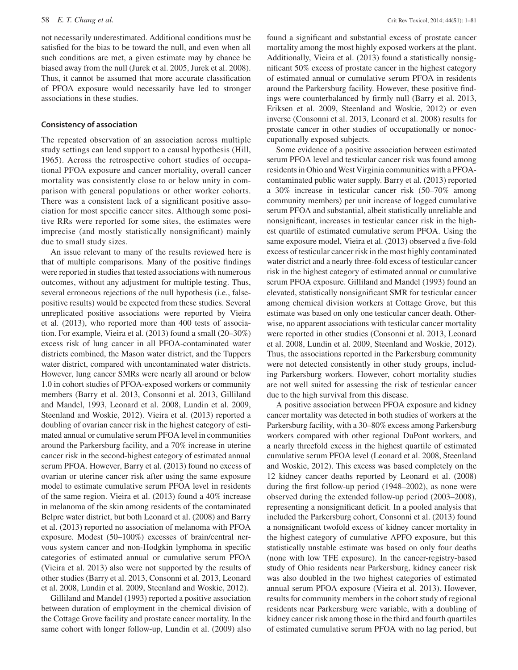not necessarily underestimated. Additional conditions must be satisfied for the bias to be toward the null, and even when all such conditions are met, a given estimate may by chance be biased away from the null (Jurek et al. 2005, Jurek et al. 2008). Thus, it cannot be assumed that more accurate classification of PFOA exposure would necessarily have led to stronger associations in these studies.

## **Consistency of association**

 The repeated observation of an association across multiple study settings can lend support to a causal hypothesis (Hill, 1965). Across the retrospective cohort studies of occupational PFOA exposure and cancer mortality, overall cancer mortality was consistently close to or below unity in comparison with general populations or other worker cohorts. There was a consistent lack of a significant positive association for most specific cancer sites. Although some positive RRs were reported for some sites, the estimates were imprecise (and mostly statistically nonsignificant) mainly due to small study sizes.

 An issue relevant to many of the results reviewed here is that of multiple comparisons. Many of the positive findings were reported in studies that tested associations with numerous outcomes, without any adjustment for multiple testing. Thus, several erroneous rejections of the null hypothesis (i.e., falsepositive results) would be expected from these studies. Several unreplicated positive associations were reported by Vieira et al. (2013), who reported more than 400 tests of association. For example, Vieira et al. (2013) found a small (20–30%) excess risk of lung cancer in all PFOA-contaminated water districts combined, the Mason water district, and the Tuppers water district, compared with uncontaminated water districts. However, lung cancer SMRs were nearly all around or below 1.0 in cohort studies of PFOA-exposed workers or community members (Barry et al. 2013, Consonni et al. 2013, Gilliland and Mandel, 1993, Leonard et al. 2008, Lundin et al. 2009, Steenland and Woskie, 2012). Vieira et al. (2013) reported a doubling of ovarian cancer risk in the highest category of estimated annual or cumulative serum PFOA level in communities around the Parkersburg facility, and a 70% increase in uterine cancer risk in the second-highest category of estimated annual serum PFOA. However, Barry et al. (2013) found no excess of ovarian or uterine cancer risk after using the same exposure model to estimate cumulative serum PFOA level in residents of the same region. Vieira et al. (2013) found a 40% increase in melanoma of the skin among residents of the contaminated Belpre water district, but both Leonard et al. (2008) and Barry et al. (2013) reported no association of melanoma with PFOA exposure. Modest (50–100%) excesses of brain/central nervous system cancer and non-Hodgkin lymphoma in specific categories of estimated annual or cumulative serum PFOA (Vieira et al. 2013) also were not supported by the results of other studies (Barry et al. 2013, Consonni et al. 2013, Leonard et al. 2008, Lundin et al. 2009, Steenland and Woskie, 2012).

 Gilliland and Mandel (1993) reported a positive association between duration of employment in the chemical division of the Cottage Grove facility and prostate cancer mortality. In the same cohort with longer follow-up, Lundin et al. (2009) also

found a significant and substantial excess of prostate cancer mortality among the most highly exposed workers at the plant. Additionally, Vieira et al. (2013) found a statistically nonsignificant 50% excess of prostate cancer in the highest category of estimated annual or cumulative serum PFOA in residents around the Parkersburg facility. However, these positive findings were counterbalanced by firmly null (Barry et al. 2013, Eriksen et al. 2009, Steenland and Woskie, 2012) or even inverse (Consonni et al. 2013, Leonard et al. 2008) results for prostate cancer in other studies of occupationally or nonoccupationally exposed subjects.

 Some evidence of a positive association between estimated serum PFOA level and testicular cancer risk was found among residents in Ohio and West Virginia communities with a PFOAcontaminated public water supply. Barry et al. (2013) reported a 30% increase in testicular cancer risk (50-70% among community members) per unit increase of logged cumulative serum PFOA and substantial, albeit statistically unreliable and nonsignificant, increases in testicular cancer risk in the highest quartile of estimated cumulative serum PFOA. Using the same exposure model, Vieira et al. (2013) observed a five-fold excess of testicular cancer risk in the most highly contaminated water district and a nearly three-fold excess of testicular cancer risk in the highest category of estimated annual or cumulative serum PFOA exposure. Gilliland and Mandel (1993) found an elevated, statistically nonsignificant SMR for testicular cancer among chemical division workers at Cottage Grove, but this estimate was based on only one testicular cancer death. Otherwise, no apparent associations with testicular cancer mortality were reported in other studies (Consonni et al. 2013, Leonard et al. 2008, Lundin et al. 2009, Steenland and Woskie, 2012). Thus, the associations reported in the Parkersburg community were not detected consistently in other study groups, including Parkersburg workers. However, cohort mortality studies are not well suited for assessing the risk of testicular cancer due to the high survival from this disease.

 A positive association between PFOA exposure and kidney cancer mortality was detected in both studies of workers at the Parkersburg facility, with a 30-80% excess among Parkersburg workers compared with other regional DuPont workers, and a nearly threefold excess in the highest quartile of estimated cumulative serum PFOA level (Leonard et al. 2008, Steenland and Woskie, 2012). This excess was based completely on the 12 kidney cancer deaths reported by Leonard et al. (2008) during the first follow-up period (1948–2002), as none were observed during the extended follow-up period (2003–2008), representing a nonsignificant deficit. In a pooled analysis that included the Parkersburg cohort, Consonni et al. (2013) found a nonsignificant twofold excess of kidney cancer mortality in the highest category of cumulative APFO exposure, but this statistically unstable estimate was based on only four deaths (none with low TFE exposure). In the cancer-registry-based study of Ohio residents near Parkersburg, kidney cancer risk was also doubled in the two highest categories of estimated annual serum PFOA exposure (Vieira et al. 2013). However, results for community members in the cohort study of regional residents near Parkersburg were variable, with a doubling of kidney cancer risk among those in the third and fourth quartiles of estimated cumulative serum PFOA with no lag period, but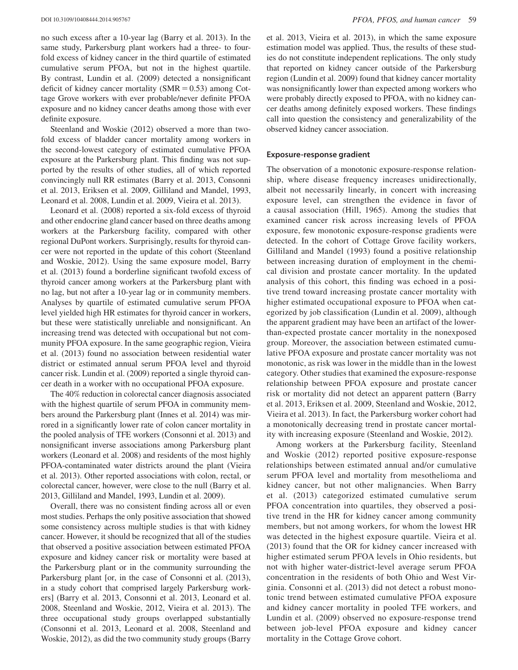no such excess after a 10-year lag (Barry et al. 2013). In the same study, Parkersburg plant workers had a three- to fourfold excess of kidney cancer in the third quartile of estimated cumulative serum PFOA, but not in the highest quartile. By contrast, Lundin et al. (2009) detected a nonsignificant deficit of kidney cancer mortality ( $SMR = 0.53$ ) among Cottage Grove workers with ever probable/never definite PFOA exposure and no kidney cancer deaths among those with ever definite exposure.

 Steenland and Woskie (2012) observed a more than twofold excess of bladder cancer mortality among workers in the second-lowest category of estimated cumulative PFOA exposure at the Parkersburg plant. This finding was not supported by the results of other studies, all of which reported convincingly null RR estimates (Barry et al. 2013, Consonni et al. 2013, Eriksen et al. 2009, Gilliland and Mandel, 1993, Leonard et al. 2008, Lundin et al. 2009, Vieira et al. 2013).

 Leonard et al. (2008) reported a six-fold excess of thyroid and other endocrine gland cancer based on three deaths among workers at the Parkersburg facility, compared with other regional DuPont workers. Surprisingly, results for thyroid cancer were not reported in the update of this cohort (Steenland and Woskie, 2012). Using the same exposure model, Barry et al. (2013) found a borderline significant twofold excess of thyroid cancer among workers at the Parkersburg plant with no lag, but not after a 10-year lag or in community members. Analyses by quartile of estimated cumulative serum PFOA level yielded high HR estimates for thyroid cancer in workers, but these were statistically unreliable and nonsignificant. An increasing trend was detected with occupational but not community PFOA exposure. In the same geographic region, Vieira et al. (2013) found no association between residential water district or estimated annual serum PFOA level and thyroid cancer risk. Lundin et al. (2009) reported a single thyroid cancer death in a worker with no occupational PFOA exposure.

 The 40% reduction in colorectal cancer diagnosis associated with the highest quartile of serum PFOA in community members around the Parkersburg plant (Innes et al. 2014) was mirrored in a significantly lower rate of colon cancer mortality in the pooled analysis of TFE workers (Consonni et al. 2013) and nonsignificant inverse associations among Parkersburg plant workers (Leonard et al. 2008) and residents of the most highly PFOA-contaminated water districts around the plant (Vieira et al. 2013). Other reported associations with colon, rectal, or colorectal cancer, however, were close to the null (Barry et al. 2013, Gilliland and Mandel, 1993, Lundin et al. 2009).

Overall, there was no consistent finding across all or even most studies. Perhaps the only positive association that showed some consistency across multiple studies is that with kidney cancer. However, it should be recognized that all of the studies that observed a positive association between estimated PFOA exposure and kidney cancer risk or mortality were based at the Parkersburg plant or in the community surrounding the Parkersburg plant [or, in the case of Consonni et al. (2013), in a study cohort that comprised largely Parkersburg workers] (Barry et al. 2013, Consonni et al. 2013, Leonard et al. 2008, Steenland and Woskie, 2012, Vieira et al. 2013). The three occupational study groups overlapped substantially (Consonni et al. 2013, Leonard et al. 2008, Steenland and Woskie, 2012), as did the two community study groups (Barry

et al. 2013, Vieira et al. 2013), in which the same exposure estimation model was applied. Thus, the results of these studies do not constitute independent replications. The only study that reported on kidney cancer outside of the Parkersburg region (Lundin et al. 2009) found that kidney cancer mortality was nonsignificantly lower than expected among workers who were probably directly exposed to PFOA, with no kidney cancer deaths among definitely exposed workers. These findings call into question the consistency and generalizability of the observed kidney cancer association.

### **Exposure-response gradient**

 The observation of a monotonic exposure-response relationship, where disease frequency increases unidirectionally, albeit not necessarily linearly, in concert with increasing exposure level, can strengthen the evidence in favor of a causal association (Hill, 1965). Among the studies that examined cancer risk across increasing levels of PFOA exposure, few monotonic exposure-response gradients were detected. In the cohort of Cottage Grove facility workers, Gilliland and Mandel (1993) found a positive relationship between increasing duration of employment in the chemical division and prostate cancer mortality. In the updated analysis of this cohort, this finding was echoed in a positive trend toward increasing prostate cancer mortality with higher estimated occupational exposure to PFOA when categorized by job classification (Lundin et al. 2009), although the apparent gradient may have been an artifact of the lowerthan-expected prostate cancer mortality in the nonexposed group. Moreover, the association between estimated cumulative PFOA exposure and prostate cancer mortality was not monotonic, as risk was lower in the middle than in the lowest category. Other studies that examined the exposure-response relationship between PFOA exposure and prostate cancer risk or mortality did not detect an apparent pattern (Barry et al. 2013, Eriksen et al. 2009, Steenland and Woskie, 2012, Vieira et al. 2013). In fact, the Parkersburg worker cohort had a monotonically decreasing trend in prostate cancer mortality with increasing exposure (Steenland and Woskie, 2012).

 Among workers at the Parkersburg facility, Steenland and Woskie (2012) reported positive exposure-response relationships between estimated annual and/or cumulative serum PFOA level and mortality from mesothelioma and kidney cancer, but not other malignancies. When Barry et al. (2013) categorized estimated cumulative serum PFOA concentration into quartiles, they observed a positive trend in the HR for kidney cancer among community members, but not among workers, for whom the lowest HR was detected in the highest exposure quartile. Vieira et al. (2013) found that the OR for kidney cancer increased with higher estimated serum PFOA levels in Ohio residents, but not with higher water-district-level average serum PFOA concentration in the residents of both Ohio and West Virginia. Consonni et al. (2013) did not detect a robust monotonic trend between estimated cumulative PFOA exposure and kidney cancer mortality in pooled TFE workers, and Lundin et al. (2009) observed no exposure-response trend between job-level PFOA exposure and kidney cancer mortality in the Cottage Grove cohort.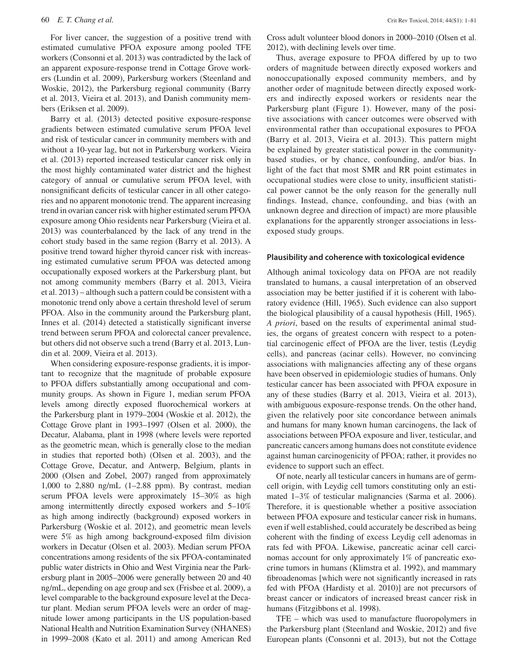For liver cancer, the suggestion of a positive trend with estimated cumulative PFOA exposure among pooled TFE workers (Consonni et al. 2013) was contradicted by the lack of an apparent exposure-response trend in Cottage Grove workers (Lundin et al. 2009), Parkersburg workers (Steenland and Woskie, 2012), the Parkersburg regional community (Barry et al. 2013, Vieira et al. 2013), and Danish community members (Eriksen et al. 2009).

 Barry et al. (2013) detected positive exposure-response gradients between estimated cumulative serum PFOA level and risk of testicular cancer in community members with and without a 10-year lag, but not in Parkersburg workers. Vieira et al. (2013) reported increased testicular cancer risk only in the most highly contaminated water district and the highest category of annual or cumulative serum PFOA level, with nonsignificant deficits of testicular cancer in all other categories and no apparent monotonic trend. The apparent increasing trend in ovarian cancer risk with higher estimated serum PFOA exposure among Ohio residents near Parkersburg (Vieira et al. 2013) was counterbalanced by the lack of any trend in the cohort study based in the same region (Barry et al. 2013). A positive trend toward higher thyroid cancer risk with increasing estimated cumulative serum PFOA was detected among occupationally exposed workers at the Parkersburg plant, but not among community members (Barry et al. 2013, Vieira et al. 2013) – although such a pattern could be consistent with a monotonic trend only above a certain threshold level of serum PFOA. Also in the community around the Parkersburg plant, Innes et al. (2014) detected a statistically significant inverse trend between serum PFOA and colorectal cancer prevalence, but others did not observe such a trend (Barry et al. 2013, Lundin et al. 2009, Vieira et al. 2013).

 When considering exposure-response gradients, it is important to recognize that the magnitude of probable exposure to PFOA differs substantially among occupational and community groups. As shown in Figure 1, median serum PFOA levels among directly exposed fluorochemical workers at the Parkersburg plant in 1979 – 2004 (Woskie et al. 2012), the Cottage Grove plant in 1993-1997 (Olsen et al. 2000), the Decatur, Alabama, plant in 1998 (where levels were reported as the geometric mean, which is generally close to the median in studies that reported both) (Olsen et al. 2003), and the Cottage Grove, Decatur, and Antwerp, Belgium, plants in 2000 (Olsen and Zobel, 2007) ranged from approximately 1,000 to 2,880 ng/mL  $(1-2.88$  ppm). By contrast, median serum PFOA levels were approximately 15-30% as high among intermittently directly exposed workers and  $5{\text -}10\%$ as high among indirectly (background) exposed workers in Parkersburg (Woskie et al. 2012), and geometric mean levels were  $5\%$  as high among background-exposed film division workers in Decatur (Olsen et al. 2003). Median serum PFOA concentrations among residents of the six PFOA-contaminated public water districts in Ohio and West Virginia near the Parkersburg plant in 2005–2006 were generally between 20 and 40 ng/mL, depending on age group and sex (Frisbee et al. 2009), a level comparable to the background exposure level at the Decatur plant. Median serum PFOA levels were an order of magnitude lower among participants in the US population-based National Health and Nutrition Examination Survey (NHANES) in 1999-2008 (Kato et al. 2011) and among American Red

Cross adult volunteer blood donors in 2000–2010 (Olsen et al. 2012), with declining levels over time.

Thus, average exposure to PFOA differed by up to two orders of magnitude between directly exposed workers and nonoccupationally exposed community members, and by another order of magnitude between directly exposed workers and indirectly exposed workers or residents near the Parkersburg plant (Figure 1). However, many of the positive associations with cancer outcomes were observed with environmental rather than occupational exposures to PFOA (Barry et al. 2013, Vieira et al. 2013). This pattern might be explained by greater statistical power in the communitybased studies, or by chance, confounding, and/or bias. In light of the fact that most SMR and RR point estimates in occupational studies were close to unity, insufficient statistical power cannot be the only reason for the generally null findings. Instead, chance, confounding, and bias (with an unknown degree and direction of impact) are more plausible explanations for the apparently stronger associations in lessexposed study groups.

### **Plausibility and coherence with toxicological evidence**

 Although animal toxicology data on PFOA are not readily translated to humans, a causal interpretation of an observed association may be better justified if it is coherent with laboratory evidence (Hill, 1965). Such evidence can also support the biological plausibility of a causal hypothesis (Hill, 1965). *A priori* , based on the results of experimental animal studies, the organs of greatest concern with respect to a potential carcinogenic effect of PFOA are the liver, testis (Leydig cells), and pancreas (acinar cells). However, no convincing associations with malignancies affecting any of these organs have been observed in epidemiologic studies of humans. Only testicular cancer has been associated with PFOA exposure in any of these studies (Barry et al. 2013, Vieira et al. 2013), with ambiguous exposure-response trends. On the other hand, given the relatively poor site concordance between animals and humans for many known human carcinogens, the lack of associations between PFOA exposure and liver, testicular, and pancreatic cancers among humans does not constitute evidence against human carcinogenicity of PFOA; rather, it provides no evidence to support such an effect.

 Of note, nearly all testicular cancers in humans are of germcell origin, with Leydig cell tumors constituting only an estimated 1-3% of testicular malignancies (Sarma et al. 2006). Therefore, it is questionable whether a positive association between PFOA exposure and testicular cancer risk in humans, even if well established, could accurately be described as being coherent with the finding of excess Leydig cell adenomas in rats fed with PFOA. Likewise, pancreatic acinar cell carcinomas account for only approximately 1% of pancreatic exocrine tumors in humans (Klimstra et al. 1992), and mammary fibroadenomas [which were not significantly increased in rats fed with PFOA (Hardisty et al. 2010)] are not precursors of breast cancer or indicators of increased breast cancer risk in humans (Fitzgibbons et al. 1998).

TFE – which was used to manufacture fluoropolymers in the Parkersburg plant (Steenland and Woskie, 2012) and five European plants (Consonni et al. 2013), but not the Cottage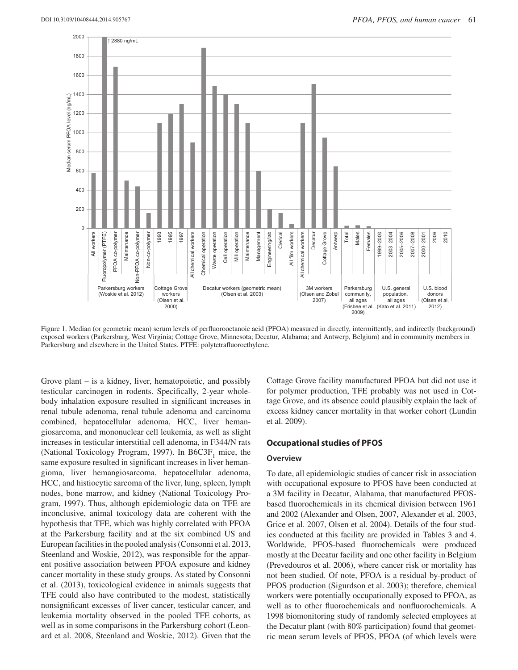

Figure 1. Median (or geometric mean) serum levels of perfluorooctanoic acid (PFOA) measured in directly, intermittently, and indirectly (background) exposed workers (Parkersburg, West Virginia; Cottage Grove, Minnesota; Decatur, Alabama; and Antwerp, Belgium) and in community members in Parkersburg and elsewhere in the United States. PTFE: polytetrafluoroethylene.

Grove plant – is a kidney, liver, hematopoietic, and possibly testicular carcinogen in rodents. Specifically, 2-year wholebody inhalation exposure resulted in significant increases in renal tubule adenoma, renal tubule adenoma and carcinoma combined, hepatocellular adenoma, HCC, liver hemangiosarcoma, and mononuclear cell leukemia, as well as slight increases in testicular interstitial cell adenoma, in F344/N rats (National Toxicology Program, 1997). In  $B6C3F<sub>1</sub>$  mice, the same exposure resulted in significant increases in liver hemangioma, liver hemangiosarcoma, hepatocellular adenoma, HCC, and histiocytic sarcoma of the liver, lung, spleen, lymph nodes, bone marrow, and kidney (National Toxicology Program, 1997). Thus, although epidemiologic data on TFE are inconclusive, animal toxicology data are coherent with the hypothesis that TFE, which was highly correlated with PFOA at the Parkersburg facility and at the six combined US and European facilities in the pooled analysis (Consonni et al. 2013, Steenland and Woskie, 2012), was responsible for the apparent positive association between PFOA exposure and kidney cancer mortality in these study groups. As stated by Consonni et al. (2013), toxicological evidence in animals suggests that TFE could also have contributed to the modest, statistically nonsignificant excesses of liver cancer, testicular cancer, and leukemia mortality observed in the pooled TFE cohorts, as well as in some comparisons in the Parkersburg cohort (Leonard et al. 2008, Steenland and Woskie, 2012). Given that the

Cottage Grove facility manufactured PFOA but did not use it for polymer production, TFE probably was not used in Cottage Grove, and its absence could plausibly explain the lack of excess kidney cancer mortality in that worker cohort (Lundin et al. 2009).

## **Occupational studies of PFOS**

## **Overview**

 To date, all epidemiologic studies of cancer risk in association with occupational exposure to PFOS have been conducted at a 3M facility in Decatur, Alabama, that manufactured PFOSbased fluorochemicals in its chemical division between 1961 and 2002 (Alexander and Olsen, 2007, Alexander et al. 2003, Grice et al. 2007, Olsen et al. 2004). Details of the four studies conducted at this facility are provided in Tables 3 and 4. Worldwide, PFOS-based fluorochemicals were produced mostly at the Decatur facility and one other facility in Belgium (Prevedouros et al. 2006), where cancer risk or mortality has not been studied. Of note, PFOA is a residual by-product of PFOS production (Sigurdson et al. 2003); therefore, chemical workers were potentially occupationally exposed to PFOA, as well as to other fluorochemicals and nonfluorochemicals. A 1998 biomonitoring study of randomly selected employees at the Decatur plant (with 80% participation) found that geometric mean serum levels of PFOS, PFOA (of which levels were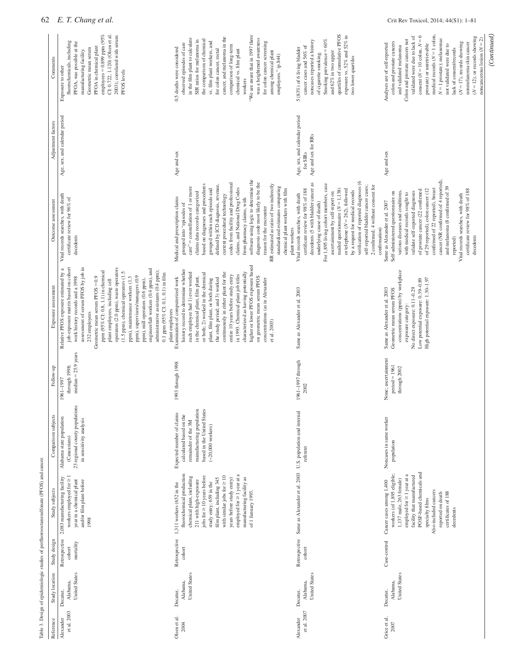| of cigarette smoking.<br>employees." (p.844)<br>two lower quartiles<br>Exposure to other<br>PFOS levels<br>workers<br>Age, sex, and calendar period<br>Age, sex, and calendar period<br>Age and sex for RRs<br>Age and sex<br>Age and sex<br>for SIRs<br>software using logic to determine the<br>cancer (NR confirmed of 4 reported),<br>verification of reported diagnoses (6<br>diagnosis code most likely to be the<br>codes from facility and professional<br>decedents (5 with bladder cancer as<br>For 1,895 living cohort members, case<br>based on diagnoses and procedures<br>RR estimated as ratio of two indirectly<br>defined by ICD diagnosis, revenue,<br>self-reported bladder cancer cases;<br>2 confirmed, 4 without consent for<br>standardized estimates comparing<br>and melanoma (8 confirmed of 39<br>$care" = constellation of 1 or more$<br>claims, and National Drug Codes<br>mailed questionnaire $(N = 1, 138)$<br>confirmed of 22 reported), breast<br>or telephone ( $N = 262$ ), followed<br>chemical plant workers with film<br>of 29 reported), colon cancer (12<br>grouped within each episode and<br>certificate review for 98% of 188<br>certificate review for 98% of 188<br>of prostate cancer (22 confirmed<br>by a request for medical records<br>claims data records categorized<br>various diseases and conditions,<br>validate self-reported diagnoses<br>Self-administered questionnaire on<br>ascertainment by self-report on<br>with medical records sought to<br>Vital records searches, with death<br>Vital records searches, with death<br>Vital records searches, with death<br>current procedural technology<br>Medical and prescription claims<br>certificate review for 96% of<br>from pharmacy claims, with<br>Same as Alexander et al. 2007<br>underlying cause of death)<br>ao sobosiqo" omi boquorg<br>reason for the encounter<br>confirmation)<br>plant workers<br>decedents<br>decedents<br>reported)<br>higher or lower PFOS exposure based<br>job-exposure matrix based on cohort<br>assessment of serum PFOS by job in<br>operators (2.0 ppm), waste operators<br>Relative PFOS exposure estimated by a<br>engineer/lab workers (0.4 ppm), and<br>history record to determine whether<br>administrative assistants (0.4 ppm);<br>ppm (95% CI: 0.8, 1.1) in chemical<br>concentrations (ppm) by workplace<br>(1.5 ppm), chemical operators (1.5<br>each employee had 1) ever worked<br>or both; 2) worked in the chemical<br>continuously in either plant for the<br>characterized as having potentially<br>0.1 ppm (95% CI: 0.1, 0.1) in film<br>in 1993. Chemical plant job titles<br>entire 10 years before study entry<br>ppm), supervisors/managers (0.9<br>on geometric mean serum PFOS<br>work history records and a 1998<br>Geometric mean serum PFOS $= 0.9$<br>in the chemical plant, film plant,<br>ppm), maintenance workers (1.3<br>Examination of computerized work<br>plant, film plant, or both during<br>the study period; and 3) worked<br>concentrations (as in Alexander<br>High potential exposure: 1.30-1.97<br>Low potential exposure: 0.39-0.89<br>ppm), mill operators (0.6 ppm),<br>plant employees, including cell<br>No direct exposure: 0.11-0.29<br>Same as Alexander et al. 2003<br>Same as Alexander et al. 2003<br>Geometric mean serum PFOS<br>exposure category:<br>plant employees<br>232 employees<br>et al. 2003)<br>$median = 25.9$ years<br>None; ascertainment<br>1961-1997 through<br>1993 through 1998<br>through 1998;<br>$period = 1961$<br>through 2002<br>1961-1997<br>2002<br>23 regional county populations<br>in sensitivity analysis<br>manufacturing population<br>based in the United States<br>Retrospective Same as Alexander et al. 2003 U.S. population and internal<br>Expected number of claims<br>calculated based on the<br>Alabama state population<br>Noncases in same worker<br>remainder of the 3M<br>$(-20,000$ workers)<br>(Caucasians)<br>population<br>referent<br>POSF-based chemicals and<br>workers (of 1,895 eligible;<br>employed for ≥ 1 year at a<br>employed for $\geq 1$ year at a<br>fluorochemical production<br>facility that manufactured<br>jobs for $\geq$ 10 years before<br>with similar jobs for $\geq 10$<br>workers employed for $\geq 1$<br>chemical plant, including<br>2,083 manufacturing facility<br>years before study entry)<br>manufacturing facility as<br>film plant, including 345<br>1,137 male, 263 female)<br>year in a chemical plant<br>and/or film plant before<br>211 with high-exposure<br>Cancer cases among 1,400<br>Retrospective 1,311 workers (652 in the<br>study entry; 659 in the<br>Also included cancers<br>of 1 January 1993.<br>certificates of 188<br>reported on death<br>specialty films<br>decedents<br>1998<br>Retrospective<br>Case-control<br>mortality<br>cohort<br>cohort<br>cohort<br>United States<br>United States<br>United States<br>United States<br>Alabama,<br>Alabama,<br>Alabama,<br>Alabama,<br>Decatur,<br>Decatur,<br>Decatur,<br>Decatur,<br>et al. 2003<br>et al. 2007<br>Olsen et al.<br>Grice et al.<br>Alexander<br>Alexander<br>2004<br>2007 | Reference | Study location | Study design | Table 3. Design of epidemiologic studies of perfluorooctanesulfonate (PFOS) and cancer.<br>Study subjects | Comparison subjects | Follow-up | Exposure assessment | Outcome assessment | Adjustment factors | Comments                                                                                                                                                                                                                                                                                                                                                                                                                                                                                             |
|----------------------------------------------------------------------------------------------------------------------------------------------------------------------------------------------------------------------------------------------------------------------------------------------------------------------------------------------------------------------------------------------------------------------------------------------------------------------------------------------------------------------------------------------------------------------------------------------------------------------------------------------------------------------------------------------------------------------------------------------------------------------------------------------------------------------------------------------------------------------------------------------------------------------------------------------------------------------------------------------------------------------------------------------------------------------------------------------------------------------------------------------------------------------------------------------------------------------------------------------------------------------------------------------------------------------------------------------------------------------------------------------------------------------------------------------------------------------------------------------------------------------------------------------------------------------------------------------------------------------------------------------------------------------------------------------------------------------------------------------------------------------------------------------------------------------------------------------------------------------------------------------------------------------------------------------------------------------------------------------------------------------------------------------------------------------------------------------------------------------------------------------------------------------------------------------------------------------------------------------------------------------------------------------------------------------------------------------------------------------------------------------------------------------------------------------------------------------------------------------------------------------------------------------------------------------------------------------------------------------------------------------------------------------------------------------------------------------------------------------------------------------------------------------------------------------------------------------------------------------------------------------------------------------------------------------------------------------------------------------------------------------------------------------------------------------------------------------------------------------------------------------------------------------------------------------------------------------------------------------------------------------------------------------------------------------------------------------------------------------------------------------------------------------------------------------------------------------------------------------------------------------------------------------------------------------------------------------------------------------------------------------------------------------------------------------------------------------------------------------------------------------------------------------------------------------------------------------------------------------------------------------------------------------------------------------------------------------------------------------------------------------------------------------------------------------------------------------------------------------------------------------------------------------------------------------------------------------------------------------------------------------------------------------------------------------------------------------------------------------------------------------------------------------------------------------------------------------------------------------------------------------------------------------------------------------------------------------------------------------------------------------------------------------------------------------------------------------------------------------------------------------------------------------------------------------------------------------------------------------------------------------------------------------------------------------------------------------------------------------------------------------------------------------------------------------------------------------------------------------------------------------------------------|-----------|----------------|--------------|-----------------------------------------------------------------------------------------------------------|---------------------|-----------|---------------------|--------------------|--------------------|------------------------------------------------------------------------------------------------------------------------------------------------------------------------------------------------------------------------------------------------------------------------------------------------------------------------------------------------------------------------------------------------------------------------------------------------------------------------------------------------------|
|                                                                                                                                                                                                                                                                                                                                                                                                                                                                                                                                                                                                                                                                                                                                                                                                                                                                                                                                                                                                                                                                                                                                                                                                                                                                                                                                                                                                                                                                                                                                                                                                                                                                                                                                                                                                                                                                                                                                                                                                                                                                                                                                                                                                                                                                                                                                                                                                                                                                                                                                                                                                                                                                                                                                                                                                                                                                                                                                                                                                                                                                                                                                                                                                                                                                                                                                                                                                                                                                                                                                                                                                                                                                                                                                                                                                                                                                                                                                                                                                                                                                                                                                                                                                                                                                                                                                                                                                                                                                                                                                                                                                                                                                                                                                                                                                                                                                                                                                                                                                                                                                                                                                                                |           |                |              |                                                                                                           |                     |           |                     |                    |                    | employees = $0.899$ ppm ( $95\%$<br>CI: 0.722, 1.120) (Olsen et al.<br>2003); correlated with serum<br>fluorochemicals, including<br>PFOA, was possible at the<br>PFOA in chemical plant<br>Geometric mean serum<br>manufacturing facility.                                                                                                                                                                                                                                                          |
|                                                                                                                                                                                                                                                                                                                                                                                                                                                                                                                                                                                                                                                                                                                                                                                                                                                                                                                                                                                                                                                                                                                                                                                                                                                                                                                                                                                                                                                                                                                                                                                                                                                                                                                                                                                                                                                                                                                                                                                                                                                                                                                                                                                                                                                                                                                                                                                                                                                                                                                                                                                                                                                                                                                                                                                                                                                                                                                                                                                                                                                                                                                                                                                                                                                                                                                                                                                                                                                                                                                                                                                                                                                                                                                                                                                                                                                                                                                                                                                                                                                                                                                                                                                                                                                                                                                                                                                                                                                                                                                                                                                                                                                                                                                                                                                                                                                                                                                                                                                                                                                                                                                                                                |           |                |              |                                                                                                           |                     |           |                     |                    |                    | "We are aware that in 1997 there<br>cancer, and melanoma in the<br>in the film plant to calculate<br>was a heightened awareness<br>the comparison of chemical<br>SIR ratios for melanoma in<br>vs. film plant workers, and<br>for colon cancer screening<br>observed episodes of care<br>comparison of long-term<br>0.5 deaths were considered<br>for colon cancer, rectal<br>chemical vs. film plant<br>among chemical plant                                                                        |
|                                                                                                                                                                                                                                                                                                                                                                                                                                                                                                                                                                                                                                                                                                                                                                                                                                                                                                                                                                                                                                                                                                                                                                                                                                                                                                                                                                                                                                                                                                                                                                                                                                                                                                                                                                                                                                                                                                                                                                                                                                                                                                                                                                                                                                                                                                                                                                                                                                                                                                                                                                                                                                                                                                                                                                                                                                                                                                                                                                                                                                                                                                                                                                                                                                                                                                                                                                                                                                                                                                                                                                                                                                                                                                                                                                                                                                                                                                                                                                                                                                                                                                                                                                                                                                                                                                                                                                                                                                                                                                                                                                                                                                                                                                                                                                                                                                                                                                                                                                                                                                                                                                                                                                |           |                |              |                                                                                                           |                     |           |                     |                    |                    | quartiles of cumulative PFOS<br>exposure vs. 52% and 52% in<br>Smoking prevalence = $60\%$<br>noncases reported a history<br>cancer cases and 56% of<br>5 (83%) of 6 living bladder<br>and 62% in two upper                                                                                                                                                                                                                                                                                          |
|                                                                                                                                                                                                                                                                                                                                                                                                                                                                                                                                                                                                                                                                                                                                                                                                                                                                                                                                                                                                                                                                                                                                                                                                                                                                                                                                                                                                                                                                                                                                                                                                                                                                                                                                                                                                                                                                                                                                                                                                                                                                                                                                                                                                                                                                                                                                                                                                                                                                                                                                                                                                                                                                                                                                                                                                                                                                                                                                                                                                                                                                                                                                                                                                                                                                                                                                                                                                                                                                                                                                                                                                                                                                                                                                                                                                                                                                                                                                                                                                                                                                                                                                                                                                                                                                                                                                                                                                                                                                                                                                                                                                                                                                                                                                                                                                                                                                                                                                                                                                                                                                                                                                                                |           |                |              |                                                                                                           |                     |           |                     |                    |                    | (Continued)<br>medical records $(N = 1$ colon,<br>consent ( $N = 10$ colon, $N = 6$<br>validated were due to lack of<br>$(N = 12)$ , or records showing<br>noncancerous lesion $(N = 2)$<br>$N = 1$ prostate); melanomas<br>Colon and prostate cancers not<br>colon and prostate cancers<br>nonmelanoma skin cancer<br>$(N = 17)$ , records showing<br>Analyses are of self-reported<br>prostate) or unretrievable<br>not validated were due to<br>and validated melanoma<br>lack of consent/records |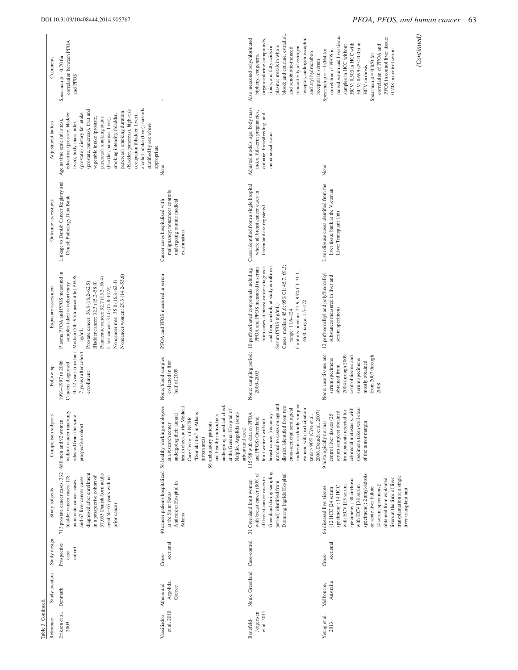| l'able 3. Continued.                  |                                   |                                |                                                                                                                                                                                                                                                                                                                                               |                                                                                                                                                                                                                                                                                                                                                                                   |                                                                                                                                                                           |                                                                                                                                                                                                                                                                                                                                                  |                                                                                                               |                                                                                                                                                                                                                                                                                                                                                                                                                                                                         |                                                                                                                                                                                                                                                                                                                          |
|---------------------------------------|-----------------------------------|--------------------------------|-----------------------------------------------------------------------------------------------------------------------------------------------------------------------------------------------------------------------------------------------------------------------------------------------------------------------------------------------|-----------------------------------------------------------------------------------------------------------------------------------------------------------------------------------------------------------------------------------------------------------------------------------------------------------------------------------------------------------------------------------|---------------------------------------------------------------------------------------------------------------------------------------------------------------------------|--------------------------------------------------------------------------------------------------------------------------------------------------------------------------------------------------------------------------------------------------------------------------------------------------------------------------------------------------|---------------------------------------------------------------------------------------------------------------|-------------------------------------------------------------------------------------------------------------------------------------------------------------------------------------------------------------------------------------------------------------------------------------------------------------------------------------------------------------------------------------------------------------------------------------------------------------------------|--------------------------------------------------------------------------------------------------------------------------------------------------------------------------------------------------------------------------------------------------------------------------------------------------------------------------|
| Reference                             | Study location                    | Study design                   | Study subjects                                                                                                                                                                                                                                                                                                                                | Comparison subjects                                                                                                                                                                                                                                                                                                                                                               | Follow-up                                                                                                                                                                 | Exposure assessment                                                                                                                                                                                                                                                                                                                              | Outcome assessment                                                                                            | Adjustment factors                                                                                                                                                                                                                                                                                                                                                                                                                                                      | Comments                                                                                                                                                                                                                                                                                                                 |
| Eriksen et al.<br>2009                | Denmark                           | Prospective<br>cohort<br>case- | 713 prostate cancer cases, 332<br>57,053 Danish-born adults<br>diagnosed after enrollment<br>bladder cancer cases, 128<br>in a prospective cohort of<br>aged 50-65 years with no<br>and 67 liver cancer cases<br>pancreatic cancer cases,<br>prior cancer                                                                                     | without cancer randomly<br>selected from the same<br>680 men and 92 women<br>prospective cohort                                                                                                                                                                                                                                                                                   | 0-12 years (median:<br>7 years) after cohort<br>1993-1997 to 2006<br>Cancers diagnosed<br>enrollment                                                                      | Plasma PFOA and PFOS measured in<br>Noncancer women: 29.3 (14.2-55.6)<br>Median (5th-95th percentile) PFOS,<br>Pancreatic cancer: 32.7 (15.2-56.4)<br>Noncancer men: 35.0 (16.8-62.4)<br>Bladder cancer: 32.3 (15.2-58.0)<br>Prostate cancer: 36.8 (18.2-62.5)<br>samples taken at cohort entry<br>Liver cancer: 31.0 (15.8-62.9)<br>$\rm ng/mL$ | Linkage to Danish Cancer Registry and<br>Danish Pathology Data Bank                                           | alcohol intake (liver); hazards<br>(prostate, pancreas), fruit and<br>(bladder, pancreas), high-risk<br>education (prostate, bladder,<br>pancreas), smoking duration<br>(prostate), dietary fat intake<br>smoking intensity (bladder,<br>occupation (bladder, liver),<br>vegetable intake (prostate,<br>pancreas), smoking status<br>(bladder, pancreas, liver),<br>Age as time scale (all sites).<br>liver), body mass index<br>stratified by sex where<br>appropriate | correlation between PFOA<br>Spearman $\rho = 0.70$ for<br>and PFOS                                                                                                                                                                                                                                                       |
| et al. 2010<br>Vassiliadou            | Argolida,<br>Athens and<br>Greece | sectional<br>Cross-            | Anticancer Hospital in<br>at the Saint Savas<br>Athens                                                                                                                                                                                                                                                                                        | undergoing a medical check<br>40 cancer patients hospitalized 56 healthy working employees<br>health check at the Medical<br>at the General Hospital of<br>undergoing their annual<br>"Demokritos" in Athens<br>and healthy individuals<br>Nafplio, Argolida (semi-<br>Care Center of NCSR<br>86 ambulatory patients<br>at a research center<br>urban/rural area)<br>(urban area) | None; blood samples<br>collected in first<br>half of 2009                                                                                                                 | PFOA and PFOS measured in serum                                                                                                                                                                                                                                                                                                                  | malignancy; noncancer controls<br>Cancer cases hospitalized with<br>undergoing routine medical<br>examination | None                                                                                                                                                                                                                                                                                                                                                                                                                                                                    |                                                                                                                                                                                                                                                                                                                          |
| et al. 2011<br>Jorgensen<br>Bonefeld- | Nuuk, Greenland Case-control      |                                | Greenland during sampling<br>with breast cancer (80% of<br>Dronning Ingrids Hospital<br>all breast cancer cases in<br>31 Greenland Inuit women<br>period) identified from                                                                                                                                                                     | studies in randomly sampled<br>matched to cases on age and<br>district, identified from two<br>cross-sectional serological<br>women, with participation<br>2006; Deutch et al. 2007)<br>115 (98 with data on PFOA<br>breast cancer frequency-<br>rates $>$ 90% (Cote et al.<br>and PFOS) Greenland<br>Inuit women without                                                         | 2000-2003                                                                                                                                                                 | Cases: median: 45.6; 95% CI: 45.7, 69.3;<br>from cases at breast cancer diagnosis<br>and from controls at study enrollment<br>PFOA and PFOS measured in serum<br>None; sampling period: 10 perfluorinated compounds including<br>Controls: median: 21.9; 95% CI: 31.1,<br>46.0; range: 1.5-172<br>Serum PFOS (ng/mL)<br>range: 11.6-124          | Cases identified from a single hospital<br>where all breast cancer cases in<br>Greenland are registered       | Adjusted models: age, body mass<br>index, full-term pregnancies,<br>cotinine, breastfeeding, and<br>menopausal status                                                                                                                                                                                                                                                                                                                                                   | blood; and cotinine, estradiol,<br>receptor, androgen receptor,<br>Also measured polychlorinated<br>organochlorine compounds,<br>plasma; metals in whole<br>lipids, and fatty acids in<br>transactivity of estrogen<br>and xenobiotic-induced<br>and aryl hydrocarbon<br>biphenyl congeners,<br>receptor in serum        |
| Yeung et al.<br>2013                  | Australia<br>Melbourne,           | sectional<br>Cross-            | specimens]; 2 amyloidosis<br>transplantation at a single<br>livers at the time of liver<br>specimens]; 38 cirrhosis<br>obtained from explanted<br>[4 serum specimens])<br>with HCV [13 serum<br>with HCV [38 serum<br>66 diseased liver tissues<br>specimens]; 14 HCC<br>or acute liver failure<br>(12 HCC [24 serum<br>liver transplant unit | specimens taken well clear<br>colorectal metastasis, with<br>serum samples) obtained<br>from patients resected for<br>control liver tissues (25<br>9 histologically normal<br>of the tumor margin                                                                                                                                                                                 | None; case tissues and<br>2004 through 2009<br>control tissues and<br>from 2007 through<br>serum specimens<br>serum specimens<br>mostly obtained<br>obtained from<br>2008 | 12 perfluoroalkyl and polyfluoroalkyl<br>substances measured in liver and<br>serum specimens                                                                                                                                                                                                                                                     | Liver disease cases identified from the<br>liver tissue bank at the Victorian<br>Liver Transplant Unit        | None                                                                                                                                                                                                                                                                                                                                                                                                                                                                    | paired serum and liver tissue<br>PFOS in control liver tissue;<br>$HCV$ ; 0.699 ( $P < 0.05$ ) in<br>HCV; 0.503 in HCC with<br>samples in HCC without<br>correlation of PFOA and<br>correlation of PFOS in<br>0.708 in control serum<br>Spearman $p = -0.064$ for<br>Spearman $\rho = 0.850$ for<br><b>HCV</b> cirrhosis |
|                                       |                                   |                                |                                                                                                                                                                                                                                                                                                                                               |                                                                                                                                                                                                                                                                                                                                                                                   |                                                                                                                                                                           |                                                                                                                                                                                                                                                                                                                                                  |                                                                                                               |                                                                                                                                                                                                                                                                                                                                                                                                                                                                         | (Continued)                                                                                                                                                                                                                                                                                                              |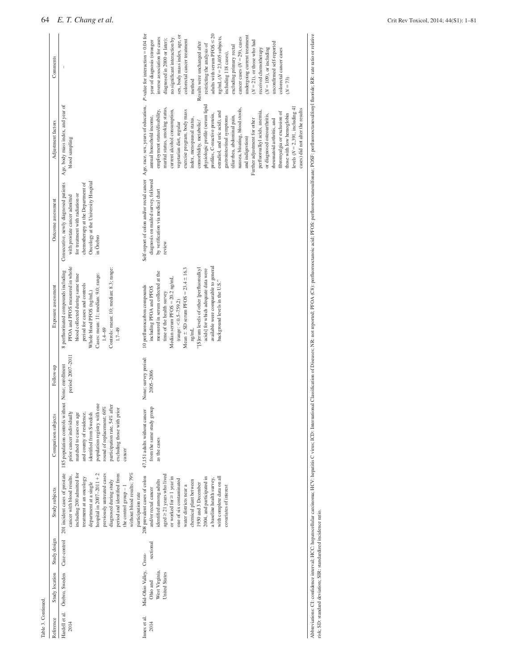| Reference              | Study location                                                                | Study design | Study subjects                                                                                                                                                                                                                                                                                                                                                             | Comparison subjects                                                                                                                                                                                                                                                                                   | Follow-up                         | Exposure assessment                                                                                                                                                                                                                                                                                                                                                                                                               | Outcome assessment                                                                                                                                                                                      | Adjustment factors                                                                                                                                                                                                                                                                                                                                                                                                                                                                                                                                                                                                                                                                                                                            | Comments                                                                                                                                                                                                                                                                                                                                                                                                                                                                                                                                                                                                                          |
|------------------------|-------------------------------------------------------------------------------|--------------|----------------------------------------------------------------------------------------------------------------------------------------------------------------------------------------------------------------------------------------------------------------------------------------------------------------------------------------------------------------------------|-------------------------------------------------------------------------------------------------------------------------------------------------------------------------------------------------------------------------------------------------------------------------------------------------------|-----------------------------------|-----------------------------------------------------------------------------------------------------------------------------------------------------------------------------------------------------------------------------------------------------------------------------------------------------------------------------------------------------------------------------------------------------------------------------------|---------------------------------------------------------------------------------------------------------------------------------------------------------------------------------------------------------|-----------------------------------------------------------------------------------------------------------------------------------------------------------------------------------------------------------------------------------------------------------------------------------------------------------------------------------------------------------------------------------------------------------------------------------------------------------------------------------------------------------------------------------------------------------------------------------------------------------------------------------------------------------------------------------------------------------------------------------------------|-----------------------------------------------------------------------------------------------------------------------------------------------------------------------------------------------------------------------------------------------------------------------------------------------------------------------------------------------------------------------------------------------------------------------------------------------------------------------------------------------------------------------------------------------------------------------------------------------------------------------------------|
| Hardell et al.<br>2014 | Örebro, Sweden                                                                | Case-control | without blood results; 79%<br>including 200 admitted for<br>201 incident cases of prostate<br>hospital in $2007 - 2011 + 2$<br>period and identified from<br>previously untreated cases<br>cancer with blood results,<br>treatment at an oncology<br>diagnosed during study<br>department at a single<br>the control group - 1<br>participation rate                       | 185 population controls without None; enrollment<br>population registry with one<br>participation rate, 54% after<br>round of replacement; 60%<br>excluding those with prior<br>prior cancer individually<br>matched to cases on age<br>and county of residence,<br>identified from Swedish<br>cancer | period: 2007-2011                 | PFOA and PFOS measured in whole<br>Controls: mean: 10; median: 8.3; range:<br>8 perfluorinated compounds including<br>blood collected during same time<br>Cases: mean: 11; median: 9.0; range:<br>period for cases and controls<br>Whole blood PFOS (ng/mL)<br>$1.4 - 69$<br>$1.7 - 49$                                                                                                                                           | Oncology at the University Hospital<br>Consecutive, newly diagnosed patients<br>chemotherapy at the Department of<br>for treatment with radiation or<br>with prostate cancer admitted<br>in Örebro      | Age, body mass index, and year of<br>blood sampling                                                                                                                                                                                                                                                                                                                                                                                                                                                                                                                                                                                                                                                                                           |                                                                                                                                                                                                                                                                                                                                                                                                                                                                                                                                                                                                                                   |
| Innes et al.<br>2014   | Mid-Ohio Valley, Cross-<br>West Virginia,<br><b>United States</b><br>Ohio and | sectional    | $aged \geq 21$ years who lived<br>208 prevalent cases of colon<br>with complete data on all<br>2004, and participated in<br>or worked for $\geq 1$ year in<br>a baseline health survey,<br>one of six contaminated<br>identified among adults<br>chemical plant between<br>1950 and 3 December<br>water districts near a<br>covariates of interest<br>and/or rectal cancer | from the same study group<br>47,151 adults without cancer<br>as the cases                                                                                                                                                                                                                             | None; survey period:<br>2005-2006 | available were comparable to general<br>Mean $\pm$ SD serum PFOS = 23.4 $\pm$ 16.3<br>"[S]erum levels of other [perfluoroalkyl<br>acids] for which adequate data were<br>measured in serum collected at the<br>Median serum PFOS = $20.2$ ng/mL<br>background levels in the U.S."<br>10 perfluorocarbon compounds<br>including PFOA and PFOS<br>time of the health survey<br>${\rm (range: <\!0.5\text{--}759.2)}$<br>$\rm ng/mL$ | Self-report of colon and/or rectal cancer Age, race, sex, years of education, P-value for interaction = 0.04 for<br>diagnosis on mailed survey, followed<br>by verification via medical chart<br>review | physiologic profile (serum lipid<br>levels $(N = 2,391$ , including 41<br>marital status, smoking status,<br>cases) did not alter the results<br>nausea, bloating, blood stools,<br>exercise program, body mass<br>employment status/disability,<br>current alcohol consumption,<br>perfluoroalkyl acids, anemia,<br>estradiol, and uric acid), and<br>fibromyalgia or exclusion of<br>those with low hemoglobin<br>profiles, C-reactive protein,<br>or diagnosed osteoarthritis,<br>gastrointestinal symptoms<br>annual household income,<br>(diarrhea, abdominal pain,<br>index, menopausal status,<br>Further adjustment for other<br>rheumatoid arthritis, and<br>comorbidity, metabolic/<br>vegetarian diet, regular<br>and indigestion) | adults with serum PFOS $\leq$ 20<br>sex, body mass index, age, or<br>undergoing current treatment<br>$ng/mL (N = 23,405$ subjects,<br>inverse association for cases<br>cancer cases $(N = 29)$ , cases<br>no significant interaction by<br>diagnosed in 2000 or later);<br>colorectal cancer treatment<br>$(N = 21)$ , or those who had<br>year of diagnosis (stronger<br>unconfirmed self-reported<br>Results were unchanged after<br>restricting the analysis of<br>excluding primary rectal<br>$(N = 109)$ , or including<br>colorectal cancer cases<br>received chemotherapy<br>including 118 cases),<br>$(N = 73)$<br>method |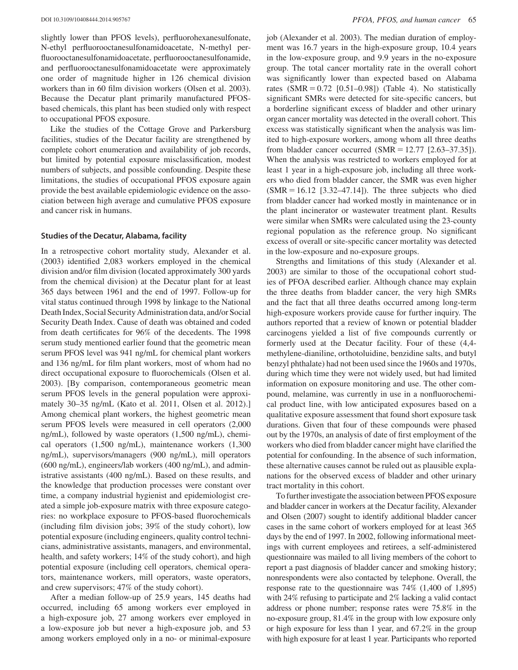slightly lower than PFOS levels), perfluorohexanesulfonate, N-ethyl perfluorooctanesulfonamidoacetate, N-methyl perfluorooctanesulfonamidoacetate, perfluorooctanesulfonamide, and perfluorooctanesulfonamidoacetate were approximately one order of magnitude higher in 126 chemical division workers than in 60 film division workers (Olsen et al. 2003). Because the Decatur plant primarily manufactured PFOSbased chemicals, this plant has been studied only with respect to occupational PFOS exposure.

 Like the studies of the Cottage Grove and Parkersburg facilities, studies of the Decatur facility are strengthened by complete cohort enumeration and availability of job records, but limited by potential exposure misclassification, modest numbers of subjects, and possible confounding. Despite these limitations, the studies of occupational PFOS exposure again provide the best available epidemiologic evidence on the association between high average and cumulative PFOS exposure and cancer risk in humans.

#### **Studies of the Decatur, Alabama, facility**

 In a retrospective cohort mortality study, Alexander et al.  $(2003)$  identified  $2,083$  workers employed in the chemical division and/or film division (located approximately 300 yards from the chemical division) at the Decatur plant for at least 365 days between 1961 and the end of 1997. Follow-up for vital status continued through 1998 by linkage to the National Death Index, Social Security Administration data, and/or Social Security Death Index. Cause of death was obtained and coded from death certificates for 96% of the decedents. The 1998 serum study mentioned earlier found that the geometric mean serum PFOS level was 941 ng/mL for chemical plant workers and 136 ng/mL for film plant workers, most of whom had no direct occupational exposure to fluorochemicals (Olsen et al. 2003). [By comparison, contemporaneous geometric mean serum PFOS levels in the general population were approximately 30–35 ng/mL (Kato et al. 2011, Olsen et al. 2012).] Among chemical plant workers, the highest geometric mean serum PFOS levels were measured in cell operators (2,000 ng/mL), followed by waste operators (1,500 ng/mL), chemical operators (1,500 ng/mL), maintenance workers (1,300 ng/mL), supervisors/managers (900 ng/mL), mill operators (600 ng/mL), engineers/lab workers (400 ng/mL), and administrative assistants (400 ng/mL). Based on these results, and the knowledge that production processes were constant over time, a company industrial hygienist and epidemiologist created a simple job-exposure matrix with three exposure categories: no workplace exposure to PFOS-based fluorochemicals (including film division jobs;  $39\%$  of the study cohort), low potential exposure (including engineers, quality control technicians, administrative assistants, managers, and environmental, health, and safety workers; 14% of the study cohort), and high potential exposure (including cell operators, chemical operators, maintenance workers, mill operators, waste operators, and crew supervisors; 47% of the study cohort).

 After a median follow-up of 25.9 years, 145 deaths had occurred, including 65 among workers ever employed in a high-exposure job, 27 among workers ever employed in a low-exposure job but never a high-exposure job, and 53 among workers employed only in a no- or minimal-exposure job (Alexander et al. 2003). The median duration of employment was 16.7 years in the high-exposure group, 10.4 years in the low-exposure group, and 9.9 years in the no-exposure group. The total cancer mortality rate in the overall cohort was significantly lower than expected based on Alabama rates  $(SMR = 0.72 [0.51 - 0.98])$  (Table 4). No statistically significant SMRs were detected for site-specific cancers, but a borderline significant excess of bladder and other urinary organ cancer mortality was detected in the overall cohort. This excess was statistically significant when the analysis was limited to high-exposure workers, among whom all three deaths from bladder cancer occurred  $(SMR = 12.77 [2.63 - 37.35]).$ When the analysis was restricted to workers employed for at least 1 year in a high-exposure job, including all three workers who died from bladder cancer, the SMR was even higher  $(SMR = 16.12 [3.32-47.14])$ . The three subjects who died from bladder cancer had worked mostly in maintenance or in the plant incinerator or wastewater treatment plant. Results were similar when SMRs were calculated using the 23-county regional population as the reference group. No significant excess of overall or site-specific cancer mortality was detected in the low-exposure and no-exposure groups.

 Strengths and limitations of this study (Alexander et al. 2003) are similar to those of the occupational cohort studies of PFOA described earlier. Although chance may explain the three deaths from bladder cancer, the very high SMRs and the fact that all three deaths occurred among long-term high-exposure workers provide cause for further inquiry. The authors reported that a review of known or potential bladder carcinogens yielded a list of five compounds currently or formerly used at the Decatur facility. Four of these (4,4 methylene-dianiline, orthotoluidine, benzidine salts, and butyl benzyl phthalate) had not been used since the 1960s and 1970s, during which time they were not widely used, but had limited information on exposure monitoring and use. The other compound, melamine, was currently in use in a nonfluorochemical product line, with low anticipated exposures based on a qualitative exposure assessment that found short exposure task durations. Given that four of these compounds were phased out by the 1970s, an analysis of date of first employment of the workers who died from bladder cancer might have clarified the potential for confounding. In the absence of such information, these alternative causes cannot be ruled out as plausible explanations for the observed excess of bladder and other urinary tract mortality in this cohort.

 To further investigate the association between PFOS exposure and bladder cancer in workers at the Decatur facility, Alexander and Olsen (2007) sought to identify additional bladder cancer cases in the same cohort of workers employed for at least 365 days by the end of 1997. In 2002, following informational meetings with current employees and retirees, a self-administered questionnaire was mailed to all living members of the cohort to report a past diagnosis of bladder cancer and smoking history; nonrespondents were also contacted by telephone. Overall, the response rate to the questionnaire was 74% (1,400 of 1,895) with 24% refusing to participate and 2% lacking a valid contact address or phone number; response rates were 75.8% in the no-exposure group, 81.4% in the group with low exposure only or high exposure for less than 1 year, and 67.2% in the group with high exposure for at least 1 year. Participants who reported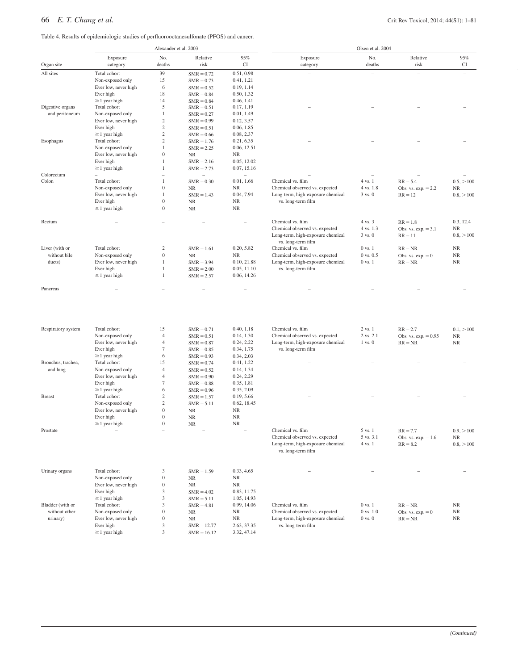|                    |                                                | Alexander et al. 2003   |                                          |                           |                                                                                           | Olsen et al. 2004    |                                     |                         |
|--------------------|------------------------------------------------|-------------------------|------------------------------------------|---------------------------|-------------------------------------------------------------------------------------------|----------------------|-------------------------------------|-------------------------|
|                    | Exposure                                       | No.                     | Relative                                 | 95%                       | Exposure                                                                                  | No.                  | Relative                            | 95%                     |
| Organ site         | category                                       | deaths                  | risk                                     | CI                        | category                                                                                  | deaths               | risk                                | CI                      |
| All sites          | Total cohort                                   | 39                      | $SMR = 0.72$                             | 0.51, 0.98                |                                                                                           |                      | $\equiv$                            |                         |
|                    | Non-exposed only                               | 15                      | $SMR = 0.73$                             | 0.41, 1.21                |                                                                                           |                      |                                     |                         |
|                    | Ever low, never high                           | 6                       | $SMR = 0.52$                             | 0.19, 1.14                |                                                                                           |                      |                                     |                         |
|                    | Ever high<br>$\geq$ 1 year high                | 18<br>14                | $SMR = 0.84$<br>$SMR = 0.84$             | 0.50, 1.32<br>0.46, 1.41  |                                                                                           |                      |                                     |                         |
| Digestive organs   | Total cohort                                   | 5                       | $SMR = 0.51$                             | 0.17, 1.19                |                                                                                           |                      |                                     |                         |
| and peritoneum     | Non-exposed only                               | $\mathbf{1}$            | $SMR = 0.27$                             | 0.01, 1.49                |                                                                                           |                      |                                     |                         |
|                    | Ever low, never high                           | $\overline{c}$          | $SMR = 0.99$                             | 0.12, 3.57                |                                                                                           |                      |                                     |                         |
|                    | Ever high                                      | $\overline{2}$          | $SMR = 0.51$                             | 0.06, 1.85                |                                                                                           |                      |                                     |                         |
|                    | $\geq$ 1 year high                             | $\mathbf{2}$            | $SMR = 0.66$                             | 0.08, 2.37                |                                                                                           |                      |                                     |                         |
| Esophagus          | Total cohort                                   | $\overline{2}$          | $SMR = 1.76$                             | 0.21, 6.35                |                                                                                           |                      |                                     |                         |
|                    | Non-exposed only                               | $\mathbf{1}$            | $SMR = 2.25$                             | 0.06, 12.51               |                                                                                           |                      |                                     |                         |
|                    | Ever low, never high                           | $\boldsymbol{0}$        | NR                                       | <b>NR</b>                 |                                                                                           |                      |                                     |                         |
|                    | Ever high                                      | 1                       | $SMR = 2.16$                             | 0.05, 12.02               |                                                                                           |                      |                                     |                         |
| Colorectum         | $\geq$ 1 year high<br>$\overline{\phantom{0}}$ | 1                       | $SMR = 2.73$<br>$\overline{\phantom{a}}$ | 0.07, 15.16<br>$\equiv$   |                                                                                           |                      |                                     |                         |
| Colon              | Total cohort                                   | $\mathbf{1}$            | $SMR = 0.30$                             | 0.01, 1.66                | Chemical vs. film                                                                         | 4 vs. 1              | $RR = 5.4$                          | $0.5 \ge 100$           |
|                    | Non-exposed only                               | $\boldsymbol{0}$        | NR                                       | <b>NR</b>                 | Chemical observed vs. expected                                                            | 4 vs. 1.8            | Obs. vs. $exp. = 2.2$               | <b>NR</b>               |
|                    | Ever low, never high                           | 1                       | $SMR = 1.43$                             | 0.04, 7.94                | Long-term, high-exposure chemical                                                         | 3 vs. 0              | $RR = 12$                           | $0.8$ , $>100$          |
|                    | Ever high                                      | $\boldsymbol{0}$        | NR                                       | <b>NR</b>                 | vs. long-term film                                                                        |                      |                                     |                         |
|                    | $\geq$ 1 year high                             | $\boldsymbol{0}$        | <b>NR</b>                                | $\rm NR$                  |                                                                                           |                      |                                     |                         |
| Rectum             |                                                |                         |                                          |                           | Chemical vs. film                                                                         | 4 vs. 3              | $RR = 1.8$                          | 0.3, 12.4               |
|                    |                                                |                         |                                          |                           | Chemical observed vs. expected                                                            | 4 vs. 1.3            | Obs. vs. $exp. = 3.1$               | NR                      |
|                    |                                                |                         |                                          |                           | Long-term, high-exposure chemical<br>vs. long-term film                                   | $3 \text{ vs. } 0$   | $RR = 11$                           | 0.8, > 100              |
| Liver (with or     | Total cohort                                   | $\overline{\mathbf{c}}$ | $SMR = 1.61$                             | 0.20, 5.82                | Chemical vs. film                                                                         | $0$ vs. $1$          | $RR = NR$                           | NR                      |
| without bile       | Non-exposed only                               | $\boldsymbol{0}$        | NR                                       | <b>NR</b>                 | Chemical observed vs. expected                                                            | $0$ vs. $0.5$        | Obs. vs. $exp. = 0$                 | NR                      |
| ducts)             | Ever low, never high                           | $\mathbf{1}$            | $SMR = 3.94$                             | 0.10, 21.88               | Long-term, high-exposure chemical                                                         | $0$ vs. $1$          | $RR = NR$                           | <b>NR</b>               |
|                    | Ever high                                      | $\mathbf{1}$            | $SMR = 2.00$                             | 0.05, 11.10               | vs. long-term film                                                                        |                      |                                     |                         |
|                    | $\geq$ 1 year high                             | $\mathbf{1}$            | $SMR = 2.57$                             | 0.06, 14.26               |                                                                                           |                      |                                     |                         |
| Pancreas           |                                                |                         |                                          |                           |                                                                                           |                      |                                     |                         |
| Respiratory system | Total cohort                                   | 15                      | $SMR = 0.71$                             | 0.40, 1.18                | Chemical vs. film                                                                         | 2 vs. 1              | $RR = 2.7$                          | $0.1$ , $>100$          |
|                    | Non-exposed only                               | $\overline{4}$          | $SMR = 0.51$                             | 0.14, 1.30                | Chemical observed vs. expected                                                            | 2 vs. 2.1            | Obs. vs. $exp. = 0.95$              | <b>NR</b>               |
|                    | Ever low, never high                           | $\overline{4}$          | $SMR = 0.87$                             | 0.24, 2.22                | Long-term, high-exposure chemical                                                         | $1$ vs. $0$          | $RR = NR$                           | <b>NR</b>               |
|                    | Ever high                                      | 7                       | $SMR = 0.85$                             | 0.34, 1.75                | vs. long-term film                                                                        |                      |                                     |                         |
|                    | $\geq$ 1 year high                             | 6                       | $SMR = 0.93$                             | 0.34, 2.03                |                                                                                           |                      |                                     |                         |
| Bronchus, trachea, | Total cohort                                   | 15                      | $SMR = 0.74$                             | 0.41, 1.22                |                                                                                           |                      |                                     |                         |
| and lung           | Non-exposed only                               | $\overline{4}$          | $SMR = 0.52$                             | 0.14, 1.34                |                                                                                           |                      |                                     |                         |
|                    | Ever low, never high                           | $\overline{4}$          | $SMR = 0.90$                             | 0.24, 2.29                |                                                                                           |                      |                                     |                         |
|                    | Ever high                                      | $\tau$                  | $SMR = 0.88$                             | 0.35, 1.81                |                                                                                           |                      |                                     |                         |
| <b>Breast</b>      | $\geq$ 1 year high<br>Total cohort             | 6<br>$\mathfrak{2}$     | $SMR = 0.96$<br>$SMR = 1.57$             | 0.35, 2.09                |                                                                                           |                      |                                     |                         |
|                    | Non-exposed only                               | $\mathfrak{2}$          | $SMR = 5.11$                             | 0.19, 5.66<br>0.62, 18.45 |                                                                                           |                      |                                     |                         |
|                    | Ever low, never high                           | $\boldsymbol{0}$        | NR                                       | <b>NR</b>                 |                                                                                           |                      |                                     |                         |
|                    | Ever high                                      | $\mathbf{0}$            | <b>NR</b>                                | $\rm NR$                  |                                                                                           |                      |                                     |                         |
|                    | $\geq$ 1 year high                             | $\boldsymbol{0}$        | <b>NR</b>                                | NR                        |                                                                                           |                      |                                     |                         |
| Prostate           |                                                |                         |                                          |                           | Chemical vs. film                                                                         | 5 vs. 1              | $RR = 7.7$                          | $0.9$ , $>100$          |
|                    |                                                |                         |                                          |                           | Chemical observed vs. expected<br>Long-term, high-exposure chemical<br>vs. long-term film | 5 vs. 3.1<br>4 vs. 1 | Obs. vs. $exp. = 1.6$<br>$RR = 8.2$ | <b>NR</b><br>0.8, > 100 |
|                    | Total cohort                                   | 3                       | $SMR = 1.59$                             | 0.33, 4.65                |                                                                                           |                      |                                     |                         |
| Urinary organs     | Non-exposed only                               | $\boldsymbol{0}$        | <b>NR</b>                                | <b>NR</b>                 |                                                                                           |                      |                                     |                         |
|                    | Ever low, never high                           | $\boldsymbol{0}$        | $\rm NR$                                 | <b>NR</b>                 |                                                                                           |                      |                                     |                         |
|                    | Ever high                                      | 3                       | $SMR = 4.02$                             | 0.83, 11.75               |                                                                                           |                      |                                     |                         |
|                    | $\geq$ 1 year high                             | 3                       | $SMR = 5.11$                             | 1.05, 14.93               |                                                                                           |                      |                                     |                         |
| Bladder (with or   | Total cohort                                   | 3                       | $SMR = 4.81$                             | 0.99, 14.06               | Chemical vs. film                                                                         | $0$ vs. $1$          | $RR = NR$                           | $\rm NR$                |
| without other      | Non-exposed only                               | $\boldsymbol{0}$        | NR                                       | NR                        | Chemical observed vs. expected                                                            | 0 vs. 1.0            | Obs. vs. $exp. = 0$                 | <b>NR</b>               |
| urinary)           | Ever low, never high                           | $\boldsymbol{0}$        | NR                                       | <b>NR</b>                 | Long-term, high-exposure chemical                                                         | $0$ vs. $0$          | $RR = NR$                           | NR                      |
|                    | Ever high                                      | 3                       | $SMR = 12.77$                            | 2.63, 37.35               | vs. long-term film                                                                        |                      |                                     |                         |
|                    | $\geq$ 1 year high                             | 3                       | $SMR = 16.12$                            | 3.32, 47.14               |                                                                                           |                      |                                     |                         |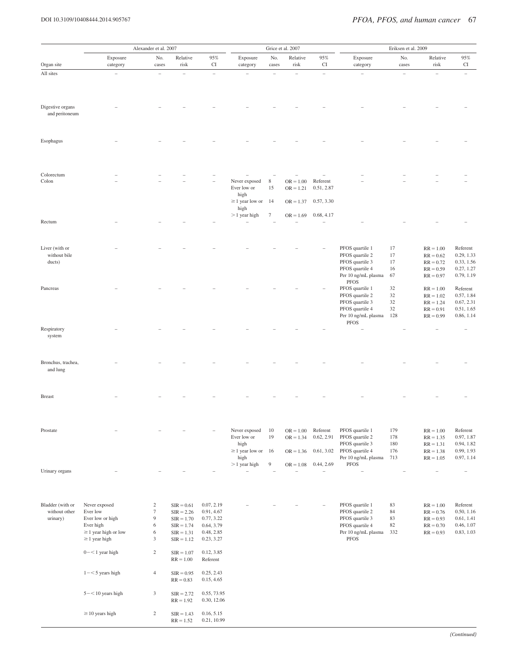|                                |                                                 | Alexander et al. 2007        |                              |                          |                                 |           | Grice et al. 2007 |                          |                                                   | Eriksen et al. 2009 |                            |                          |
|--------------------------------|-------------------------------------------------|------------------------------|------------------------------|--------------------------|---------------------------------|-----------|-------------------|--------------------------|---------------------------------------------------|---------------------|----------------------------|--------------------------|
|                                | Exposure                                        | No.                          | Relative                     | 95%                      | Exposure                        | No.       | Relative          | 95%                      | Exposure                                          | No.                 | Relative                   | 95%                      |
| Organ site                     | category                                        | cases                        | risk                         | CI                       | category                        | cases     | risk              | <b>CI</b>                | category                                          | cases               | risk                       | CI                       |
| All sites                      | $\equiv$                                        | $\overline{\phantom{a}}$     | $\overline{\phantom{a}}$     | ÷,                       | $\bar{ }$                       | $\bar{a}$ | $\equiv$          | $\equiv$                 | $\equiv$                                          | $\equiv$            | $\overline{a}$             | ÷                        |
|                                |                                                 |                              |                              |                          |                                 |           |                   |                          |                                                   |                     |                            |                          |
|                                |                                                 |                              |                              |                          |                                 |           |                   |                          |                                                   |                     |                            |                          |
| Digestive organs               |                                                 |                              |                              |                          |                                 |           |                   |                          |                                                   |                     |                            |                          |
| and peritoneum                 |                                                 |                              |                              |                          |                                 |           |                   |                          |                                                   |                     |                            |                          |
|                                |                                                 |                              |                              |                          |                                 |           |                   |                          |                                                   |                     |                            |                          |
|                                |                                                 |                              |                              |                          |                                 |           |                   |                          |                                                   |                     |                            |                          |
| Esophagus                      |                                                 |                              |                              |                          |                                 |           |                   |                          |                                                   |                     |                            |                          |
|                                |                                                 |                              |                              |                          |                                 |           |                   |                          |                                                   |                     |                            |                          |
|                                |                                                 |                              |                              |                          |                                 |           |                   |                          |                                                   |                     |                            |                          |
|                                |                                                 |                              |                              |                          |                                 |           |                   |                          |                                                   |                     |                            |                          |
| Colorectum<br>Colon            |                                                 |                              |                              |                          | Never exposed                   | 8         | $OR = 1.00$       | Referent                 |                                                   |                     |                            |                          |
|                                |                                                 |                              |                              |                          | Ever low or                     | 15        | $OR = 1.21$       | 0.51, 2.87               |                                                   |                     |                            |                          |
|                                |                                                 |                              |                              |                          | high<br>$\geq$ 1 year low or 14 |           | $OR = 1.37$       | 0.57, 3.30               |                                                   |                     |                            |                          |
|                                |                                                 |                              |                              |                          | high                            |           |                   |                          |                                                   |                     |                            |                          |
|                                |                                                 |                              |                              |                          | $>1$ year high                  | 7         | $OR = 1.69$       | 0.68, 4.17               |                                                   |                     |                            |                          |
| Rectum                         |                                                 |                              |                              |                          |                                 |           |                   |                          |                                                   |                     |                            |                          |
|                                |                                                 |                              |                              |                          |                                 |           |                   |                          |                                                   |                     |                            |                          |
|                                |                                                 |                              |                              |                          |                                 |           |                   |                          |                                                   |                     |                            |                          |
| Liver (with or<br>without bile |                                                 |                              |                              |                          |                                 |           |                   |                          | PFOS quartile 1<br>PFOS quartile 2                | 17<br>17            | $RR = 1.00$<br>$RR = 0.62$ | Referent<br>0.29, 1.33   |
| ducts)                         |                                                 |                              |                              |                          |                                 |           |                   |                          | PFOS quartile 3                                   | 17                  | $RR = 0.72$                | 0.33, 1.56               |
|                                |                                                 |                              |                              |                          |                                 |           |                   |                          | PFOS quartile 4                                   | 16                  | $RR = 0.59$                | 0.27, 1.27               |
|                                |                                                 |                              |                              |                          |                                 |           |                   |                          | Per 10 ng/mL plasma<br><b>PFOS</b>                | 67                  | $RR = 0.97$                | 0.79, 1.19               |
| Pancreas                       |                                                 |                              |                              |                          |                                 |           |                   |                          | PFOS quartile 1                                   | 32                  | $RR = 1.00$                | Referent                 |
|                                |                                                 |                              |                              |                          |                                 |           |                   |                          | PFOS quartile 2<br>PFOS quartile 3                | 32<br>32            | $RR = 1.02$                | 0.57, 1.84               |
|                                |                                                 |                              |                              |                          |                                 |           |                   |                          | PFOS quartile 4                                   | 32                  | $RR = 1.24$<br>$RR = 0.91$ | 0.67, 2.31<br>0.51, 1.65 |
|                                |                                                 |                              |                              |                          |                                 |           |                   |                          | Per 10 ng/mL plasma                               | 128                 | $RR = 0.99$                | 0.86, 1.14               |
| Respiratory                    |                                                 |                              |                              |                          |                                 |           |                   |                          | <b>PFOS</b>                                       |                     |                            |                          |
| system                         |                                                 |                              |                              |                          |                                 |           |                   |                          |                                                   |                     |                            |                          |
|                                |                                                 |                              |                              |                          |                                 |           |                   |                          |                                                   |                     |                            |                          |
|                                |                                                 |                              |                              |                          |                                 |           |                   |                          |                                                   |                     |                            |                          |
| Bronchus, trachea,             |                                                 |                              |                              |                          |                                 |           |                   |                          |                                                   |                     |                            |                          |
| and lung                       |                                                 |                              |                              |                          |                                 |           |                   |                          |                                                   |                     |                            |                          |
|                                |                                                 |                              |                              |                          |                                 |           |                   |                          |                                                   |                     |                            |                          |
|                                |                                                 |                              |                              |                          |                                 |           |                   |                          |                                                   |                     |                            |                          |
| <b>Breast</b>                  |                                                 |                              |                              |                          |                                 |           |                   |                          |                                                   |                     |                            |                          |
|                                |                                                 |                              |                              |                          |                                 |           |                   |                          |                                                   |                     |                            |                          |
|                                |                                                 |                              |                              |                          |                                 |           |                   |                          |                                                   |                     |                            |                          |
| Prostate                       |                                                 |                              |                              |                          | Never exposed                   | 10        | $OR = 1.00$       | Referent                 | PFOS quartile 1                                   | 179                 | $RR = 1.00$                | Referent                 |
|                                |                                                 |                              |                              |                          | Ever low or                     | 19        | $OR = 1.34$       | 0.62, 2.91               | PFOS quartile 2                                   | 178                 | $RR = 1.35$                | 0.97, 1.87               |
|                                |                                                 |                              |                              |                          | high                            |           |                   |                          | PFOS quartile 3                                   | 180                 | $RR = 1.31$                | 0.94, 1.82               |
|                                |                                                 |                              |                              |                          | $\geq$ 1 year low or 16<br>high |           | $OR = 1.36$       |                          | 0.61, 3.02 PFOS quartile 4<br>Per 10 ng/mL plasma | 176<br>713          | $RR = 1.38$<br>$RR = 1.05$ | 0.99, 1.93<br>0.97, 1.14 |
|                                |                                                 |                              |                              |                          | $>1$ year high                  | 9         | $OR = 1.08$       | 0.44, 2.69               | <b>PFOS</b>                                       |                     |                            |                          |
| Urinary organs                 |                                                 |                              |                              |                          | $\equiv$                        |           |                   | $\overline{\phantom{0}}$ |                                                   |                     |                            | ÷                        |
|                                |                                                 |                              |                              |                          |                                 |           |                   |                          |                                                   |                     |                            |                          |
|                                |                                                 |                              |                              |                          |                                 |           |                   |                          |                                                   |                     |                            |                          |
| Bladder (with or               | Never exposed                                   | $\sqrt{2}$                   | $SIR = 0.61$                 | 0.07, 2.19               |                                 |           |                   |                          | PFOS quartile 1                                   | 83                  | $RR = 1.00$                | Referent                 |
| without other                  | Ever low                                        | $\tau$                       | $SIR = 2.26$                 | 0.91, 4.67               |                                 |           |                   |                          | PFOS quartile 2                                   | $\bf 84$            | $RR = 0.76$                | 0.50, 1.16               |
| urinary)                       | Ever low or high                                | $\boldsymbol{9}$             | $SIR = 1.70$                 | 0.77, 3.22               |                                 |           |                   |                          | PFOS quartile 3                                   | 83                  | $RR = 0.93$                | 0.61, 1.41               |
|                                | Ever high                                       | 6                            | $SIR = 1.74$                 | 0.64, 3.79               |                                 |           |                   |                          | PFOS quartile 4                                   | 82                  | $RR = 0.70$                | 0.46, 1.07               |
|                                | $\geq$ 1 year high or low<br>$\geq$ 1 year high | $\sqrt{6}$<br>$\mathfrak{Z}$ | $SIR = 1.31$<br>$SIR = 1.12$ | 0.48, 2.85<br>0.23, 3.27 |                                 |           |                   |                          | Per 10 ng/mL plasma<br>${\rm PFOS}$               | 332                 | $RR = 0.93$                | 0.83, 1.03               |
|                                |                                                 |                              |                              |                          |                                 |           |                   |                          |                                                   |                     |                            |                          |
|                                | $0 - 1$ year high                               | $\sqrt{2}$                   | $SIR = 1.07$                 | 0.12, 3.85               |                                 |           |                   |                          |                                                   |                     |                            |                          |
|                                |                                                 |                              | $RR = 1.00$                  | Referent                 |                                 |           |                   |                          |                                                   |                     |                            |                          |
|                                | $1 - 5$ years high                              | $\overline{4}$               | $SIR = 0.95$                 | 0.25, 2.43               |                                 |           |                   |                          |                                                   |                     |                            |                          |
|                                |                                                 |                              | $RR = 0.83$                  | 0.15, 4.65               |                                 |           |                   |                          |                                                   |                     |                            |                          |
|                                | $5 - < 10$ years high                           | $\mathfrak{Z}$               | $SIR = 2.72$                 | 0.55, 73.95              |                                 |           |                   |                          |                                                   |                     |                            |                          |
|                                |                                                 |                              | $RR = 1.92$                  | 0.30, 12.06              |                                 |           |                   |                          |                                                   |                     |                            |                          |
|                                | $\geq$ 10 years high                            | $\sqrt{2}$                   | $SIR = 1.43$                 | 0.16, 5.15               |                                 |           |                   |                          |                                                   |                     |                            |                          |
|                                |                                                 |                              | $RR = 1.52$                  | 0.21, 10.99              |                                 |           |                   |                          |                                                   |                     |                            |                          |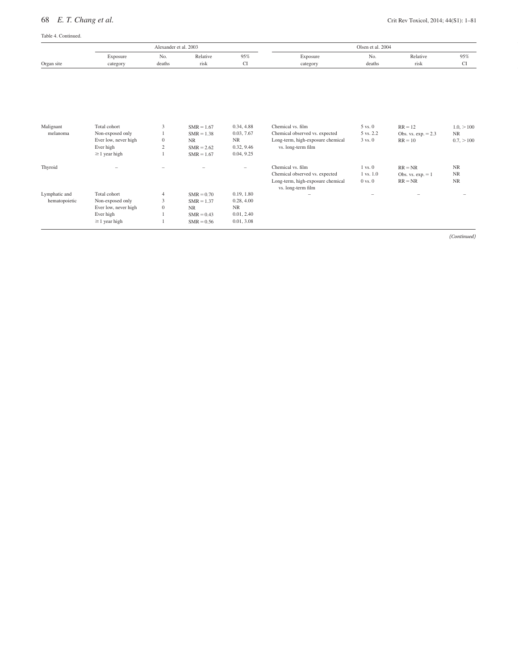Table 4. Continued.

|               |                          | Alexander et al. 2003 |                  |            |                                                         | Olsen et al. 2004  |                       |                  |
|---------------|--------------------------|-----------------------|------------------|------------|---------------------------------------------------------|--------------------|-----------------------|------------------|
| Organ site    | Exposure<br>category     | No.<br>deaths         | Relative<br>risk | 95%<br>CI  | Exposure<br>category                                    | No.<br>deaths      | Relative<br>risk      | 95%<br><b>CI</b> |
|               |                          |                       |                  |            |                                                         |                    |                       |                  |
|               |                          |                       |                  |            |                                                         |                    |                       |                  |
| Malignant     | Total cohort             | 3                     | $SMR = 1.67$     | 0.34, 4.88 | Chemical vs. film                                       | 5 vs. 0            | $RR = 12$             | $1.0 \, > 100$   |
| melanoma      | Non-exposed only         |                       | $SMR = 1.38$     | 0.03, 7.67 | Chemical observed vs. expected                          | 5 vs. 2.2          | Obs. vs. $exp. = 2.3$ | <b>NR</b>        |
|               | Ever low, never high     | $\mathbf{0}$          | <b>NR</b>        | <b>NR</b>  | Long-term, high-exposure chemical                       | 3 vs. 0            | $RR = 10$             | 0.7, > 100       |
|               | Ever high                | 2                     | $SMR = 2.62$     | 0.32, 9.46 | vs. long-term film                                      |                    |                       |                  |
|               | $\geq$ 1 year high       |                       | $SMR = 1.67$     | 0.04, 9.25 |                                                         |                    |                       |                  |
| Thyroid       | $\overline{\phantom{m}}$ | $-$                   |                  | $=$        | Chemical vs. film                                       | $1 \text{ vs. } 0$ | $RR = NR$             | <b>NR</b>        |
|               |                          |                       |                  |            | Chemical observed vs. expected                          | 1 vs. 1.0          | Obs. vs. $exp. = 1$   | <b>NR</b>        |
|               |                          |                       |                  |            | Long-term, high-exposure chemical<br>vs. long-term film | $0$ vs. $0$        | $RR = NR$             | <b>NR</b>        |
| Lymphatic and | Total cohort             | $\overline{4}$        | $SMR = 0.70$     | 0.19, 1.80 |                                                         |                    |                       |                  |
| hematopoietic | Non-exposed only         | 3                     | $SMR = 1.37$     | 0.28, 4.00 |                                                         |                    |                       |                  |
|               | Ever low, never high     | $\mathbf{0}$          | <b>NR</b>        | <b>NR</b>  |                                                         |                    |                       |                  |
|               | Ever high                |                       | $SMR = 0.43$     | 0.01, 2.40 |                                                         |                    |                       |                  |
|               | $\geq$ 1 year high       |                       | $SMR = 0.56$     | 0.01, 3.08 |                                                         |                    |                       |                  |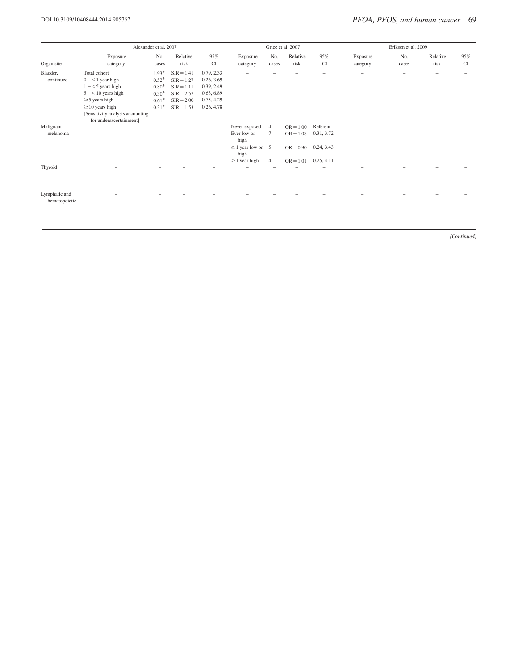|                                |                                                             | Alexander et al. 2007 |                  |                  |                              |                | Grice et al. 2007 |                  | Eriksen et al. 2009  |              |                          |                  |  |
|--------------------------------|-------------------------------------------------------------|-----------------------|------------------|------------------|------------------------------|----------------|-------------------|------------------|----------------------|--------------|--------------------------|------------------|--|
| Organ site                     | Exposure<br>category                                        | No.<br>cases          | Relative<br>risk | 95%<br><b>CI</b> | Exposure<br>category         | No.<br>cases   | Relative<br>risk  | 95%<br><b>CI</b> | Exposure<br>category | No.<br>cases | Relative<br>risk         | 95%<br><b>CI</b> |  |
| Bladder,                       | Total cohort                                                | $1.93*$               | $SIR = 1.41$     | 0.79, 2.33       | $\overline{\phantom{0}}$     |                |                   |                  |                      |              | $\overline{\phantom{0}}$ |                  |  |
| continued                      | $0 - 1$ year high                                           | $0.52*$               | $SIR = 1.27$     | 0.26, 3.69       |                              |                |                   |                  |                      |              |                          |                  |  |
|                                | $1 - 5$ years high                                          | $0.80*$               | $SIR = 1.11$     | 0.39, 2.49       |                              |                |                   |                  |                      |              |                          |                  |  |
|                                | $5 - < 10$ years high                                       | $0.30*$               | $SIR = 2.57$     | 0.63, 6.89       |                              |                |                   |                  |                      |              |                          |                  |  |
|                                | $\geq$ 5 years high                                         | $0.61*$               | $SIR = 2.00$     | 0.75, 4.29       |                              |                |                   |                  |                      |              |                          |                  |  |
|                                | $\geq$ 10 years high                                        | $0.31*$               | $SIR = 1.53$     | 0.26, 4.78       |                              |                |                   |                  |                      |              |                          |                  |  |
|                                | [Sensitivity analysis accounting<br>for underascertainment] |                       |                  |                  |                              |                |                   |                  |                      |              |                          |                  |  |
| Malignant                      | $\overline{\phantom{0}}$                                    | -                     |                  |                  | Never exposed                | $\overline{4}$ | $OR = 1.00$       | Referent         |                      |              |                          |                  |  |
| melanoma                       |                                                             |                       |                  |                  | Ever low or<br>high          | $\tau$         | $OR = 1.08$       | 0.31, 3.72       |                      |              |                          |                  |  |
|                                |                                                             |                       |                  |                  | $\geq$ 1 year low or<br>high | 5              | $OR = 0.90$       | 0.24, 3.43       |                      |              |                          |                  |  |
|                                |                                                             |                       |                  |                  | $>1$ year high               | $\overline{4}$ | $OR = 1.01$       | 0.25, 4.11       |                      |              |                          |                  |  |
| Thyroid                        |                                                             |                       |                  |                  |                              |                |                   |                  |                      |              |                          |                  |  |
|                                |                                                             |                       |                  |                  |                              |                |                   |                  |                      |              |                          |                  |  |
| Lymphatic and<br>hematopoietic |                                                             |                       |                  |                  |                              |                |                   |                  |                      |              |                          |                  |  |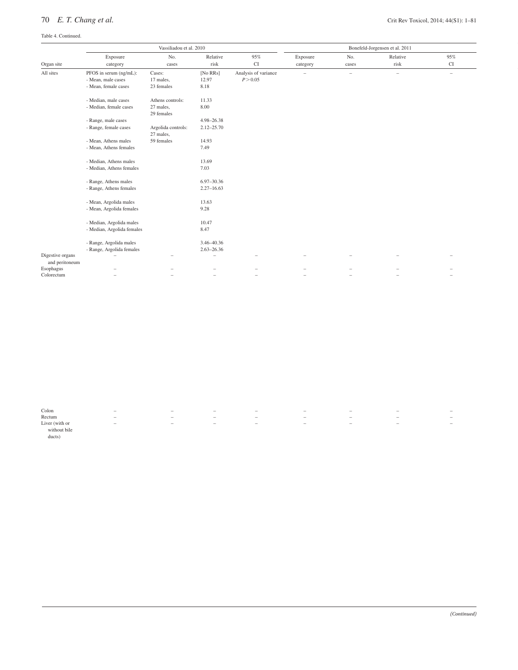### Table 4. Continued.

|                  |                            | Vassiliadou et al. 2010 |                |                            | Bonefeld-Jorgensen et al. 2011 |                          |                          |                          |  |  |  |
|------------------|----------------------------|-------------------------|----------------|----------------------------|--------------------------------|--------------------------|--------------------------|--------------------------|--|--|--|
|                  | Exposure                   | No.                     | Relative       | 95%                        | Exposure                       | No.                      | Relative                 | 95%                      |  |  |  |
| Organ site       | category                   | cases                   | risk           | $\mathop{\rm CI}\nolimits$ | category                       | cases                    | risk                     | CI                       |  |  |  |
| All sites        | PFOS in serum (ng/mL):     | Cases:                  | [No RRs]       | Analysis of variance       | -                              | $\overline{\phantom{m}}$ | $\overline{\phantom{a}}$ | $\overline{\phantom{a}}$ |  |  |  |
|                  | - Mean, male cases         | 17 males,               | 12.97          | P > 0.05                   |                                |                          |                          |                          |  |  |  |
|                  | - Mean, female cases       | 23 females              | 8.18           |                            |                                |                          |                          |                          |  |  |  |
|                  | - Median, male cases       | Athens controls:        | 11.33          |                            |                                |                          |                          |                          |  |  |  |
|                  | - Median, female cases     | 27 males,<br>29 females | 8.00           |                            |                                |                          |                          |                          |  |  |  |
|                  | - Range, male cases        |                         | 4.98-26.38     |                            |                                |                          |                          |                          |  |  |  |
|                  | - Range, female cases      | Argolida controls:      | $2.12 - 25.70$ |                            |                                |                          |                          |                          |  |  |  |
|                  |                            | 27 males,               |                |                            |                                |                          |                          |                          |  |  |  |
|                  | - Mean, Athens males       | 59 females              | 14.93          |                            |                                |                          |                          |                          |  |  |  |
|                  | - Mean, Athens females     |                         | 7.49           |                            |                                |                          |                          |                          |  |  |  |
|                  | - Median, Athens males     |                         | 13.69          |                            |                                |                          |                          |                          |  |  |  |
|                  | - Median, Athens females   |                         | 7.03           |                            |                                |                          |                          |                          |  |  |  |
|                  | - Range, Athens males      |                         | 6.97-30.36     |                            |                                |                          |                          |                          |  |  |  |
|                  | - Range, Athens females    |                         | $2.27 - 16.63$ |                            |                                |                          |                          |                          |  |  |  |
|                  | - Mean, Argolida males     |                         | 13.63          |                            |                                |                          |                          |                          |  |  |  |
|                  | - Mean, Argolida females   |                         | 9.28           |                            |                                |                          |                          |                          |  |  |  |
|                  | - Median, Argolida males   |                         | 10.47          |                            |                                |                          |                          |                          |  |  |  |
|                  | - Median, Argolida females |                         | 8.47           |                            |                                |                          |                          |                          |  |  |  |
|                  | - Range, Argolida males    |                         | 3.46-40.36     |                            |                                |                          |                          |                          |  |  |  |
|                  | - Range, Argolida females  |                         | $2.63 - 26.36$ |                            |                                |                          |                          |                          |  |  |  |
| Digestive organs |                            | ÷                       | ÷              |                            |                                |                          |                          |                          |  |  |  |
| and peritoneum   |                            |                         |                |                            |                                |                          |                          |                          |  |  |  |
| Esophagus        |                            |                         |                |                            |                                |                          |                          |                          |  |  |  |
| Colorectum       |                            |                         | $\equiv$       |                            |                                |                          |                          |                          |  |  |  |

| Colon          | $\sim$                   | $\sim$                   | $\overline{\phantom{0}}$ | $\overline{\phantom{0}}$ | $\overline{\phantom{0}}$          | $\overline{\phantom{0}}$ | $\overline{\phantom{a}}$ | $\sim$                   |
|----------------|--------------------------|--------------------------|--------------------------|--------------------------|-----------------------------------|--------------------------|--------------------------|--------------------------|
| Rectum         | $\overline{\phantom{m}}$ | $\overline{\phantom{0}}$ | $\overline{\phantom{m}}$ | $\overline{\phantom{a}}$ | $\overline{\phantom{m}}$          | $\overline{\phantom{a}}$ | $\overline{\phantom{a}}$ | $\overline{\phantom{m}}$ |
| Liver (with or | $\overline{\phantom{0}}$ | $\overline{\phantom{0}}$ | $-$                      | $-$                      | $\hspace{1.0cm} - \hspace{1.0cm}$ | $-$                      | $\qquad \qquad -$        | $-$                      |
| without bile   |                          |                          |                          |                          |                                   |                          |                          |                          |
| ducts)<br>.    |                          |                          |                          |                          |                                   |                          |                          |                          |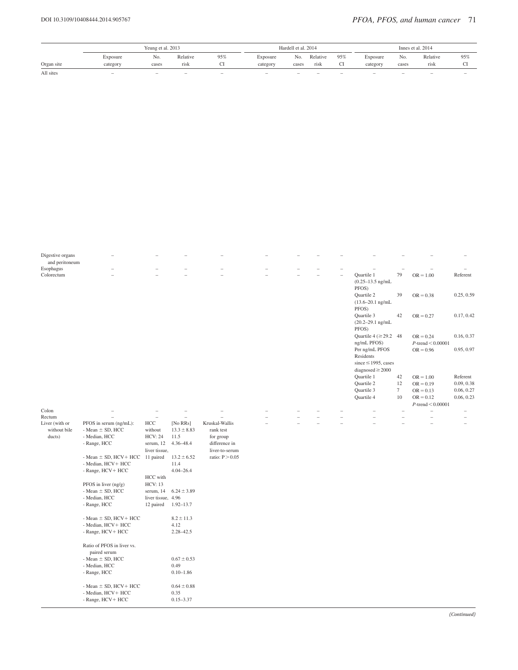$\overline{\phantom{0}}$ 

|            |                          |       | Hardell et al. 2014 |     | Innes et al. 2014 |       |          |     |          |       |          |     |
|------------|--------------------------|-------|---------------------|-----|-------------------|-------|----------|-----|----------|-------|----------|-----|
|            | Exposure                 | No.   | Relative            | 95% | Exposure          | No.   | Relative | 95% | Exposure | No.   | Relative | 95% |
| Organ site | category                 | cases | risk                |     | category          | cases | risk     |     | category | cases | risk     |     |
| All sites  | $\overline{\phantom{a}}$ | -     | -                   | $-$ | $-$               | $-$   | $-$      | -   | $-$      | $-$   | $-$      | -   |

| Digestive organs<br>and peritoneum |                            |                    |                 |                   |  |                          |                          |                                                                                  |        |                                     |                |
|------------------------------------|----------------------------|--------------------|-----------------|-------------------|--|--------------------------|--------------------------|----------------------------------------------------------------------------------|--------|-------------------------------------|----------------|
| Esophagus                          |                            |                    |                 |                   |  |                          |                          |                                                                                  |        |                                     |                |
| Colorectum                         |                            |                    |                 |                   |  |                          | $\overline{\phantom{a}}$ | Quartile 1<br>$(0.25 - 13.5)$ ng/mL<br>PFOS)                                     | 79     | $OR = 1.00$                         | Referent       |
|                                    |                            |                    |                 |                   |  |                          |                          | Quartile 2<br>$(13.6 - 20.1$ ng/mL<br>PFOS)                                      | 39     | $OR = 0.38$                         | 0.25, 0.59     |
|                                    |                            |                    |                 |                   |  |                          |                          | Quartile 3<br>(20.2-29.1 ng/mL<br>PFOS)                                          | 42     | $OR = 0.27$                         | 0.17, 0.42     |
|                                    |                            |                    |                 |                   |  |                          |                          | Quartile 4 ( $\geq$ 29.2 48<br>ng/mL PFOS)                                       |        | $OR = 0.24$<br>$P$ -trend < 0.00001 | 0.16, 0.37     |
|                                    |                            |                    |                 |                   |  |                          |                          | Per ng/mL PFOS<br>Residents<br>since $\leq$ 1995, cases<br>diagnosed $\geq$ 2000 |        | $OR = 0.96$                         | 0.95, 0.97     |
|                                    |                            |                    |                 |                   |  |                          |                          |                                                                                  |        |                                     |                |
|                                    |                            |                    |                 |                   |  |                          |                          | Quartile 1                                                                       | 42     | $OR = 1.00$                         | Referent       |
|                                    |                            |                    |                 |                   |  |                          |                          | Quartile 2                                                                       | 12     | $OR = 0.19$                         | 0.09, 0.38     |
|                                    |                            |                    |                 |                   |  |                          |                          | Quartile 3<br>Quartile 4                                                         | $\tau$ | $OR = 0.13$                         | 0.06, 0.27     |
|                                    |                            |                    |                 |                   |  |                          |                          |                                                                                  | 10     | $OR = 0.12$<br>$P$ -trend < 0.00001 | 0.06, 0.23     |
| Colon                              |                            |                    |                 |                   |  |                          |                          |                                                                                  |        | L                                   |                |
| Rectum                             |                            |                    | $\equiv$        |                   |  |                          |                          | L                                                                                |        | L                                   | $\overline{a}$ |
| Liver (with or                     | PFOS in serum (ng/mL):     | HCC                | [No RRs]        | Kruskal-Wallis    |  | $\overline{\phantom{0}}$ | ÷                        | L                                                                                |        |                                     | L.             |
| without bile                       | - Mean $\pm$ SD, HCC       | without            | $13.3 \pm 8.83$ | rank test         |  |                          |                          |                                                                                  |        |                                     |                |
| ducts)                             | - Median, HCC              | <b>HCV: 24</b>     | 11.5            | for group         |  |                          |                          |                                                                                  |        |                                     |                |
|                                    | - Range, HCC               | serum, 12          | 4.36-48.4       | difference in     |  |                          |                          |                                                                                  |        |                                     |                |
|                                    |                            | liver tissue,      |                 | liver-to-serum    |  |                          |                          |                                                                                  |        |                                     |                |
|                                    | - Mean $\pm$ SD, HCV + HCC | 11 paired          | $13.2 \pm 6.52$ | ratio: $P > 0.05$ |  |                          |                          |                                                                                  |        |                                     |                |
|                                    | - Median, HCV+ HCC         |                    | 11.4            |                   |  |                          |                          |                                                                                  |        |                                     |                |
|                                    | - Range, HCV+ HCC          |                    | $4.04 - 26.4$   |                   |  |                          |                          |                                                                                  |        |                                     |                |
|                                    |                            | HCC with           |                 |                   |  |                          |                          |                                                                                  |        |                                     |                |
|                                    | PFOS in liver (ng/g)       | <b>HCV: 13</b>     |                 |                   |  |                          |                          |                                                                                  |        |                                     |                |
|                                    | - Mean $\pm$ SD, HCC       | serum, 14          | $6.24 \pm 3.89$ |                   |  |                          |                          |                                                                                  |        |                                     |                |
|                                    | - Median, HCC              | liver tissue, 4.96 |                 |                   |  |                          |                          |                                                                                  |        |                                     |                |
|                                    | - Range, HCC               | 12 paired          | $1.92 - 13.7$   |                   |  |                          |                          |                                                                                  |        |                                     |                |
|                                    | - Mean $\pm$ SD, HCV+ HCC  |                    | $8.2 \pm 11.3$  |                   |  |                          |                          |                                                                                  |        |                                     |                |
|                                    | - Median, HCV+ HCC         |                    | 4.12            |                   |  |                          |                          |                                                                                  |        |                                     |                |
|                                    | - Range, HCV+ HCC          |                    | $2.28 - 42.5$   |                   |  |                          |                          |                                                                                  |        |                                     |                |
|                                    | Ratio of PFOS in liver vs. |                    |                 |                   |  |                          |                          |                                                                                  |        |                                     |                |
|                                    | paired serum               |                    |                 |                   |  |                          |                          |                                                                                  |        |                                     |                |
|                                    | - Mean $\pm$ SD, HCC       |                    | $0.67 \pm 0.53$ |                   |  |                          |                          |                                                                                  |        |                                     |                |
|                                    | - Median, HCC              |                    | 0.49            |                   |  |                          |                          |                                                                                  |        |                                     |                |
|                                    | - Range, HCC               |                    | $0.10 - 1.86$   |                   |  |                          |                          |                                                                                  |        |                                     |                |
|                                    | - Mean $\pm$ SD, HCV + HCC |                    | $0.64 \pm 0.88$ |                   |  |                          |                          |                                                                                  |        |                                     |                |
|                                    | - Median, HCV+ HCC         |                    | 0.35            |                   |  |                          |                          |                                                                                  |        |                                     |                |
|                                    | - Range, HCV+ HCC          |                    | $0.15 - 3.37$   |                   |  |                          |                          |                                                                                  |        |                                     |                |

 $0.15 - 3.37$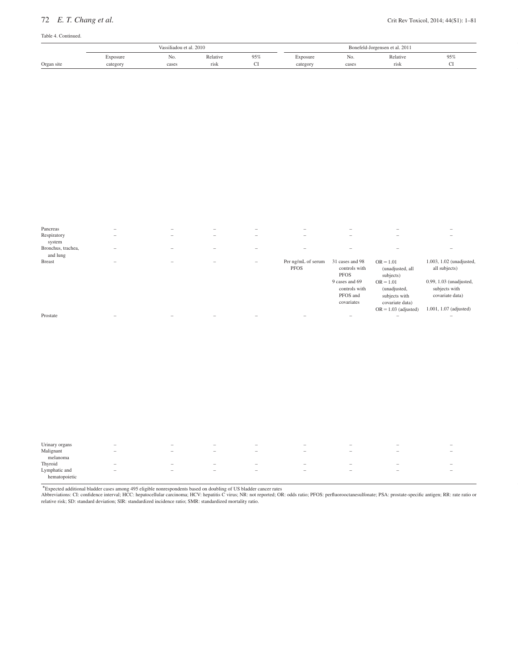# 72 *E. T. Chang et al.* Crit Rev Toxicol, 2014; 44(S1): 1–81

#### Table 4. Continued.

|            |          | Vassiliadou et al. 2010 |                                         |     |          | Bonefeld-Jorgensen et al. 2011 |             |                      |  |  |  |
|------------|----------|-------------------------|-----------------------------------------|-----|----------|--------------------------------|-------------|----------------------|--|--|--|
|            | Exposure | No.                     | Relative                                | 95% | Exposure | NO.                            | Relative    | 95%                  |  |  |  |
| Organ site | category | cases                   | risk<br>the contract of the contract of |     | category | cases<br>.                     | <b>risk</b> | <b>CONTRACT</b><br>ີ |  |  |  |

| Pancreas           | $\overline{\phantom{0}}$ |          |     |                          | -                                 | -                                               | -                               | -                                         |
|--------------------|--------------------------|----------|-----|--------------------------|-----------------------------------|-------------------------------------------------|---------------------------------|-------------------------------------------|
| Respiratory        | $\sim$                   | $\equiv$ | $-$ | $\overline{\phantom{0}}$ | $\overline{\phantom{a}}$          | $\overline{\phantom{0}}$                        | $\overline{\phantom{a}}$        | -                                         |
| system             |                          |          |     |                          |                                   |                                                 |                                 |                                           |
| Bronchus, trachea, | -                        | -        |     |                          | -                                 |                                                 |                                 |                                           |
| and lung           |                          |          |     |                          |                                   |                                                 |                                 |                                           |
| <b>Breast</b>      | $\overline{\phantom{0}}$ | -        |     |                          | Per ng/mL of serum<br><b>PFOS</b> | 31 cases and 98<br>controls with<br><b>PFOS</b> | $OR = 1.01$<br>(unadjusted, all | 1.003, 1.02 (unadjusted,<br>all subjects) |
|                    |                          |          |     |                          |                                   |                                                 | subjects)                       |                                           |
|                    |                          |          |     |                          |                                   | 9 cases and 69<br>controls with                 | $OR = 1.01$<br>(unadjusted,     | 0.99, 1.03 (unadjusted,<br>subjects with  |
|                    |                          |          |     |                          |                                   | PFOS and                                        | subjects with                   | covariate data)                           |
|                    |                          |          |     |                          |                                   | covariates                                      | covariate data)                 |                                           |
|                    |                          |          |     |                          |                                   |                                                 | $OR = 1.03$ (adjusted)          | 1.001, 1.07 (adjusted)                    |
| Prostate           |                          |          |     |                          |                                   |                                                 | $\overline{\phantom{0}}$        | -                                         |

| Urinary organs | $\overline{\phantom{a}}$          | $\overline{\phantom{a}}$ | $\overline{\phantom{0}}$ | $\overline{\phantom{a}}$ | $\overline{\phantom{a}}$          | $\overline{\phantom{0}}$ | $\overline{\phantom{a}}$ | $\overline{\phantom{a}}$ |
|----------------|-----------------------------------|--------------------------|--------------------------|--------------------------|-----------------------------------|--------------------------|--------------------------|--------------------------|
| Malignant      | $\sim$                            | $\overline{\phantom{a}}$ | $\overline{\phantom{a}}$ | $\overline{\phantom{a}}$ | $\overline{\phantom{a}}$          | $\overline{\phantom{a}}$ | $\overline{\phantom{a}}$ | $\overline{\phantom{a}}$ |
| melanoma       |                                   |                          |                          |                          |                                   |                          |                          |                          |
| Thyroid        | $\hspace{1.0cm} - \hspace{1.0cm}$ | $\qquad \qquad -$        | $\overline{\phantom{0}}$ | $\overline{\phantom{0}}$ | $\hspace{1.0cm} - \hspace{1.0cm}$ | $\overline{\phantom{0}}$ | $\qquad \qquad -$        | $\overline{\phantom{0}}$ |
| Lymphatic and  | $\overline{\phantom{a}}$          | $\overline{\phantom{a}}$ | $\overline{\phantom{0}}$ | $\overline{\phantom{0}}$ | $\overline{\phantom{a}}$          | $\overline{\phantom{a}}$ | $\overline{\phantom{a}}$ | $\overline{\phantom{a}}$ |
| hematopoietic  |                                   |                          |                          |                          |                                   |                          |                          |                          |

\*Expected additional bladder cases among 495 eligible nonrespondents based on doubling of US bladder cancer rates<br>Abbreviations: CI: confidence interval; HCC: hepatocellular carcinoma; HCV: hepatitis C virus; NR: not repor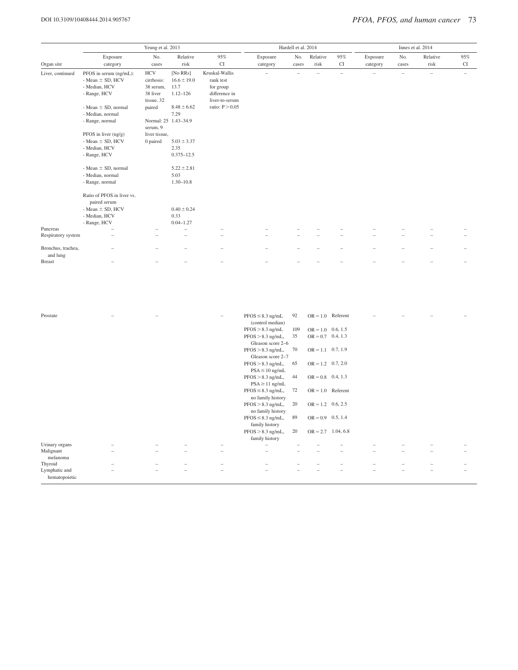|                                |                            | Yeung et al. 2013    |                          |                          |                          |              | Hardell et al. 2014 |           | Innes et al. 2014    |                          |                   |                          |  |
|--------------------------------|----------------------------|----------------------|--------------------------|--------------------------|--------------------------|--------------|---------------------|-----------|----------------------|--------------------------|-------------------|--------------------------|--|
| Organ site                     | Exposure<br>category       | No.<br>cases         | Relative<br>risk         | 95%<br>CI                | Exposure<br>category     | No.<br>cases | Relative<br>risk    | 95%<br>CI | Exposure<br>category | No.<br>cases             | Relative<br>risk  | 95%<br>CI                |  |
| Liver, continued               | PFOS in serum (ng/mL):     | <b>HCV</b>           | [No RRs]                 | Kruskal-Wallis           | $\overline{\phantom{0}}$ |              |                     | $\equiv$  | $\equiv$             | $\overline{\phantom{m}}$ | $\qquad \qquad -$ | $\overline{\phantom{0}}$ |  |
|                                | - Mean $\pm$ SD, HCV       | cirrhosis:           | $16.6 \pm 19.0$          | rank test                |                          |              |                     |           |                      |                          |                   |                          |  |
|                                | - Median, HCV              | 38 serum,            | 13.7                     | for group                |                          |              |                     |           |                      |                          |                   |                          |  |
|                                | - Range, HCV               | 38 liver             | $1.12 - 126$             | difference in            |                          |              |                     |           |                      |                          |                   |                          |  |
|                                |                            | tissue, 32           |                          | liver-to-serum           |                          |              |                     |           |                      |                          |                   |                          |  |
|                                | - Mean $\pm$ SD, normal    | paired               | $8.48 \pm 6.62$          | ratio: $P > 0.05$        |                          |              |                     |           |                      |                          |                   |                          |  |
|                                | - Median, normal           |                      | 7.29                     |                          |                          |              |                     |           |                      |                          |                   |                          |  |
|                                | - Range, normal            | Normal: 25 1.43-34.9 |                          |                          |                          |              |                     |           |                      |                          |                   |                          |  |
|                                |                            | serum, 9             |                          |                          |                          |              |                     |           |                      |                          |                   |                          |  |
|                                | PFOS in liver (ng/g)       | liver tissue,        |                          |                          |                          |              |                     |           |                      |                          |                   |                          |  |
|                                | - Mean $\pm$ SD, HCV       | 0 paired             | $5.03 \pm 3.37$          |                          |                          |              |                     |           |                      |                          |                   |                          |  |
|                                | - Median, HCV              |                      | 2.35                     |                          |                          |              |                     |           |                      |                          |                   |                          |  |
|                                | - Range, HCV               |                      | $0.375 - 12.5$           |                          |                          |              |                     |           |                      |                          |                   |                          |  |
|                                | - Mean $\pm$ SD, normal    |                      | $5.22 \pm 2.81$          |                          |                          |              |                     |           |                      |                          |                   |                          |  |
|                                | - Median, normal           |                      | 5.03                     |                          |                          |              |                     |           |                      |                          |                   |                          |  |
|                                | - Range, normal            |                      | $1.30 - 10.8$            |                          |                          |              |                     |           |                      |                          |                   |                          |  |
|                                | Ratio of PFOS in liver vs. |                      |                          |                          |                          |              |                     |           |                      |                          |                   |                          |  |
|                                | paired serum               |                      |                          |                          |                          |              |                     |           |                      |                          |                   |                          |  |
|                                | - Mean $\pm$ SD, HCV       |                      | $0.40 \pm 0.24$          |                          |                          |              |                     |           |                      |                          |                   |                          |  |
|                                | - Median, HCV              |                      | 0.33                     |                          |                          |              |                     |           |                      |                          |                   |                          |  |
|                                | - Range, HCV               |                      | $0.04 - 1.27$            |                          |                          |              |                     |           |                      |                          |                   |                          |  |
| Pancreas                       |                            |                      | $\overline{\phantom{0}}$ | $\overline{\phantom{a}}$ |                          |              |                     |           |                      |                          |                   |                          |  |
| Respiratory system             |                            |                      | $\overline{\phantom{0}}$ | $\overline{\phantom{a}}$ |                          |              |                     |           |                      |                          |                   |                          |  |
| Bronchus, trachea,<br>and lung |                            |                      | $\overline{\phantom{0}}$ |                          |                          |              |                     |           |                      |                          |                   |                          |  |
| <b>Breast</b>                  | $\qquad \qquad -$          |                      | $\overline{\phantom{0}}$ | $\qquad \qquad -$        |                          |              |                     |           |                      |                          |                   |                          |  |

| Prostate       |  |   | $PFOS \leq 8.3$ ng/mL<br>(control median) | 92  | $OR = 1.0$ Referent  |  |  |  |
|----------------|--|---|-------------------------------------------|-----|----------------------|--|--|--|
|                |  |   | $PFOS > 8.3$ ng/mL                        | 109 | $OR = 1.0$ 0.6, 1.5  |  |  |  |
|                |  |   | $PFOS > 8.3$ ng/mL,                       | 35  | $OR = 0.7$ 0.4, 1.3  |  |  |  |
|                |  |   | Gleason score 2-6                         |     |                      |  |  |  |
|                |  |   | $PFOS > 8.3$ ng/mL,                       | 70  | $OR = 1.1$ 0.7, 1.9  |  |  |  |
|                |  |   | Gleason score 2-7                         |     |                      |  |  |  |
|                |  |   | $PFOS > 8.3$ ng/mL,                       | 65  | $OR = 1.2$ 0.7, 2.0  |  |  |  |
|                |  |   | $PSA \le 10$ ng/mL                        |     |                      |  |  |  |
|                |  |   | $PFOS > 8.3$ ng/mL,                       | 44  | $OR = 0.8$ 0.4, 1.3  |  |  |  |
|                |  |   | $PSA \ge 11$ ng/mL                        |     |                      |  |  |  |
|                |  |   | $PFOS \leq 8.3$ ng/mL,                    | 72  | $OR = 1.0$ Referent  |  |  |  |
|                |  |   | no family history                         |     |                      |  |  |  |
|                |  |   | $PFOS > 8.3$ ng/mL,                       | 20  | $OR = 1.2$ 0.6, 2.5  |  |  |  |
|                |  |   | no family history                         |     |                      |  |  |  |
|                |  |   | $PFOS \leq 8.3$ ng/mL,                    | 89  | $OR = 0.9$ 0.5, 1.4  |  |  |  |
|                |  |   | family history                            |     |                      |  |  |  |
|                |  |   | $PFOS > 8.3$ ng/mL,                       | 20  | $OR = 2.7$ 1.04, 6.8 |  |  |  |
|                |  |   | family history                            |     |                      |  |  |  |
| Urinary organs |  |   |                                           |     |                      |  |  |  |
| Malignant      |  | - |                                           |     |                      |  |  |  |
| melanoma       |  |   |                                           |     |                      |  |  |  |
| Thyroid        |  |   |                                           |     |                      |  |  |  |
| Lymphatic and  |  |   |                                           |     |                      |  |  |  |
| hematopoietic  |  |   |                                           |     |                      |  |  |  |
|                |  |   |                                           |     |                      |  |  |  |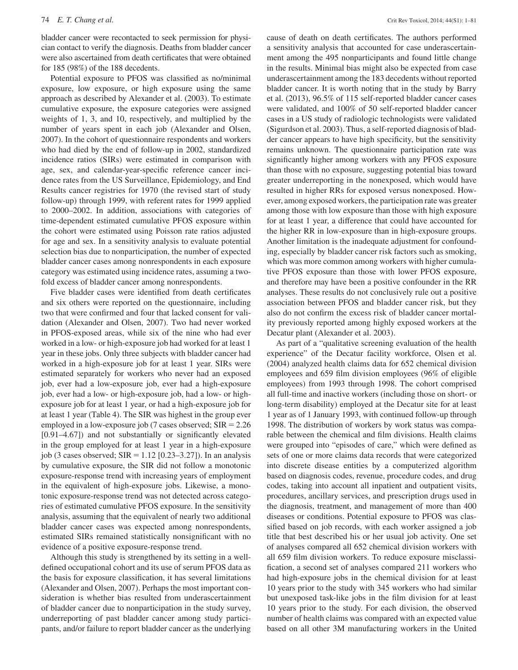bladder cancer were recontacted to seek permission for physician contact to verify the diagnosis. Deaths from bladder cancer were also ascertained from death certificates that were obtained for 185 (98%) of the 188 decedents.

Potential exposure to PFOS was classified as no/minimal exposure, low exposure, or high exposure using the same approach as described by Alexander et al. (2003). To estimate cumulative exposure, the exposure categories were assigned weights of 1, 3, and 10, respectively, and multiplied by the number of years spent in each job (Alexander and Olsen, 2007). In the cohort of questionnaire respondents and workers who had died by the end of follow-up in 2002, standardized incidence ratios (SIRs) were estimated in comparison with age, sex, and calendar-year-specific reference cancer incidence rates from the US Surveillance, Epidemiology, and End Results cancer registries for 1970 (the revised start of study follow-up) through 1999, with referent rates for 1999 applied to 2000–2002. In addition, associations with categories of time-dependent estimated cumulative PFOS exposure within the cohort were estimated using Poisson rate ratios adjusted for age and sex. In a sensitivity analysis to evaluate potential selection bias due to nonparticipation, the number of expected bladder cancer cases among nonrespondents in each exposure category was estimated using incidence rates, assuming a twofold excess of bladder cancer among nonrespondents.

Five bladder cases were identified from death certificates and six others were reported on the questionnaire, including two that were confirmed and four that lacked consent for validation (Alexander and Olsen, 2007). Two had never worked in PFOS-exposed areas, while six of the nine who had ever worked in a low- or high-exposure job had worked for at least 1 year in these jobs. Only three subjects with bladder cancer had worked in a high-exposure job for at least 1 year. SIRs were estimated separately for workers who never had an exposed job, ever had a low-exposure job, ever had a high-exposure job, ever had a low- or high-exposure job, had a low- or highexposure job for at least 1 year, or had a high-exposure job for at least 1 year (Table 4). The SIR was highest in the group ever employed in a low-exposure job (7 cases observed;  $SIR = 2.26$  $[0.91 - 4.67]$  and not substantially or significantly elevated in the group employed for at least 1 year in a high-exposure job (3 cases observed;  $SIR = 1.12$  [0.23–3.27]). In an analysis by cumulative exposure, the SIR did not follow a monotonic exposure-response trend with increasing years of employment in the equivalent of high-exposure jobs. Likewise, a monotonic exposure-response trend was not detected across categories of estimated cumulative PFOS exposure. In the sensitivity analysis, assuming that the equivalent of nearly two additional bladder cancer cases was expected among nonrespondents, estimated SIRs remained statistically nonsignificant with no evidence of a positive exposure-response trend.

 Although this study is strengthened by its setting in a welldefined occupational cohort and its use of serum PFOS data as the basis for exposure classification, it has several limitations (Alexander and Olsen, 2007). Perhaps the most important consideration is whether bias resulted from underascertainment of bladder cancer due to nonparticipation in the study survey, underreporting of past bladder cancer among study participants, and/or failure to report bladder cancer as the underlying

cause of death on death certificates. The authors performed a sensitivity analysis that accounted for case underascertainment among the 495 nonparticipants and found little change in the results. Minimal bias might also be expected from case underascertainment among the 183 decedents without reported bladder cancer. It is worth noting that in the study by Barry et al. (2013), 96.5% of 115 self-reported bladder cancer cases were validated, and 100% of 50 self-reported bladder cancer cases in a US study of radiologic technologists were validated (Sigurdson et al. 2003). Thus, a self-reported diagnosis of bladder cancer appears to have high specificity, but the sensitivity remains unknown. The questionnaire participation rate was significantly higher among workers with any PFOS exposure than those with no exposure, suggesting potential bias toward greater underreporting in the nonexposed, which would have resulted in higher RRs for exposed versus nonexposed. However, among exposed workers, the participation rate was greater among those with low exposure than those with high exposure for at least 1 year, a difference that could have accounted for the higher RR in low-exposure than in high-exposure groups. Another limitation is the inadequate adjustment for confounding, especially by bladder cancer risk factors such as smoking, which was more common among workers with higher cumulative PFOS exposure than those with lower PFOS exposure, and therefore may have been a positive confounder in the RR analyses. These results do not conclusively rule out a positive association between PFOS and bladder cancer risk, but they also do not confirm the excess risk of bladder cancer mortality previously reported among highly exposed workers at the Decatur plant (Alexander et al. 2003).

As part of a "qualitative screening evaluation of the health experience" of the Decatur facility workforce, Olsen et al. (2004) analyzed health claims data for 652 chemical division employees and 659 film division employees (96% of eligible employees) from 1993 through 1998. The cohort comprised all full-time and inactive workers (including those on short- or long-term disability) employed at the Decatur site for at least 1 year as of 1 January 1993, with continued follow-up through 1998. The distribution of workers by work status was comparable between the chemical and film divisions. Health claims were grouped into "episodes of care," which were defined as sets of one or more claims data records that were categorized into discrete disease entities by a computerized algorithm based on diagnosis codes, revenue, procedure codes, and drug codes, taking into account all inpatient and outpatient visits, procedures, ancillary services, and prescription drugs used in the diagnosis, treatment, and management of more than 400 diseases or conditions. Potential exposure to PFOS was classified based on job records, with each worker assigned a job title that best described his or her usual job activity. One set of analyses compared all 652 chemical division workers with all 659 film division workers. To reduce exposure misclassification, a second set of analyses compared 211 workers who had high-exposure jobs in the chemical division for at least 10 years prior to the study with 345 workers who had similar but unexposed task-like jobs in the film division for at least 10 years prior to the study. For each division, the observed number of health claims was compared with an expected value based on all other 3M manufacturing workers in the United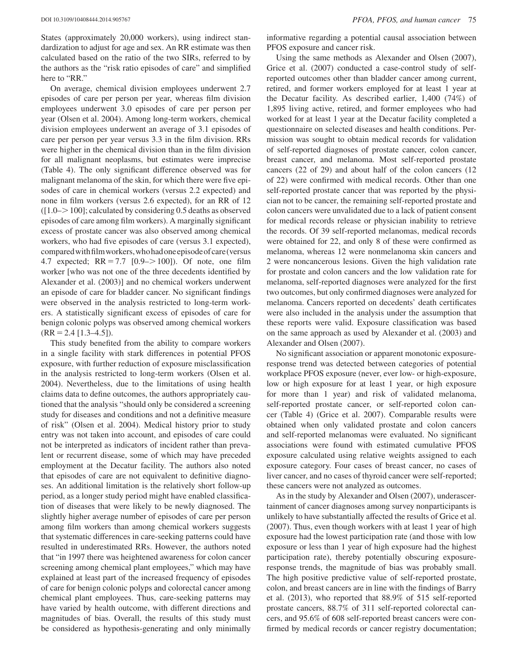States (approximately 20,000 workers), using indirect standardization to adjust for age and sex. An RR estimate was then calculated based on the ratio of the two SIRs, referred to by the authors as the "risk ratio episodes of care" and simplified here to "RR."

 On average, chemical division employees underwent 2.7 episodes of care per person per year, whereas film division employees underwent 3.0 episodes of care per person per year (Olsen et al. 2004). Among long-term workers, chemical division employees underwent an average of 3.1 episodes of care per person per year versus 3.3 in the film division. RRs were higher in the chemical division than in the film division for all malignant neoplasms, but estimates were imprecise (Table 4). The only significant difference observed was for malignant melanoma of the skin, for which there were five episodes of care in chemical workers (versus 2.2 expected) and none in film workers (versus 2.6 expected), for an RR of 12  $([1.0 - 100]$ ; calculated by considering 0.5 deaths as observed episodes of care among film workers). A marginally significant excess of prostate cancer was also observed among chemical workers, who had five episodes of care (versus 3.1 expected), compared with film workers, who had one episode of care (versus 4.7 expected;  $RR = 7.7$  [0.9 – > 100]). Of note, one film worker [who was not one of the three decedents identified by Alexander et al. (2003)] and no chemical workers underwent an episode of care for bladder cancer. No significant findings were observed in the analysis restricted to long-term workers. A statistically significant excess of episodes of care for benign colonic polyps was observed among chemical workers  $(RR = 2.4 [1.3 - 4.5]).$ 

This study benefited from the ability to compare workers in a single facility with stark differences in potential PFOS exposure, with further reduction of exposure misclassification in the analysis restricted to long-term workers (Olsen et al. 2004). Nevertheless, due to the limitations of using health claims data to define outcomes, the authors appropriately cautioned that the analysis " should only be considered a screening study for diseases and conditions and not a definitive measure of risk" (Olsen et al. 2004). Medical history prior to study entry was not taken into account, and episodes of care could not be interpreted as indicators of incident rather than prevalent or recurrent disease, some of which may have preceded employment at the Decatur facility. The authors also noted that episodes of care are not equivalent to definitive diagnoses. An additional limitation is the relatively short follow-up period, as a longer study period might have enabled classification of diseases that were likely to be newly diagnosed. The slightly higher average number of episodes of care per person among film workers than among chemical workers suggests that systematic differences in care-seeking patterns could have resulted in underestimated RRs. However, the authors noted that "in 1997 there was heightened awareness for colon cancer screening among chemical plant employees," which may have explained at least part of the increased frequency of episodes of care for benign colonic polyps and colorectal cancer among chemical plant employees. Thus, care-seeking patterns may have varied by health outcome, with different directions and magnitudes of bias. Overall, the results of this study must be considered as hypothesis-generating and only minimally

informative regarding a potential causal association between PFOS exposure and cancer risk.

 Using the same methods as Alexander and Olsen (2007), Grice et al. (2007) conducted a case-control study of selfreported outcomes other than bladder cancer among current, retired, and former workers employed for at least 1 year at the Decatur facility. As described earlier, 1,400 (74%) of 1,895 living active, retired, and former employees who had worked for at least 1 year at the Decatur facility completed a questionnaire on selected diseases and health conditions. Permission was sought to obtain medical records for validation of self-reported diagnoses of prostate cancer, colon cancer, breast cancer, and melanoma. Most self-reported prostate cancers (22 of 29) and about half of the colon cancers (12 of 22) were confirmed with medical records. Other than one self-reported prostate cancer that was reported by the physician not to be cancer, the remaining self-reported prostate and colon cancers were unvalidated due to a lack of patient consent for medical records release or physician inability to retrieve the records. Of 39 self-reported melanomas, medical records were obtained for 22, and only 8 of these were confirmed as melanoma, whereas 12 were nonmelanoma skin cancers and 2 were noncancerous lesions. Given the high validation rate for prostate and colon cancers and the low validation rate for melanoma, self-reported diagnoses were analyzed for the first two outcomes, but only confirmed diagnoses were analyzed for melanoma. Cancers reported on decedents' death certificates were also included in the analysis under the assumption that these reports were valid. Exposure classification was based on the same approach as used by Alexander et al. (2003) and Alexander and Olsen (2007).

No significant association or apparent monotonic exposureresponse trend was detected between categories of potential workplace PFOS exposure (never, ever low- or high-exposure, low or high exposure for at least 1 year, or high exposure for more than 1 year) and risk of validated melanoma, self-reported prostate cancer, or self-reported colon cancer (Table 4) (Grice et al. 2007). Comparable results were obtained when only validated prostate and colon cancers and self-reported melanomas were evaluated. No significant associations were found with estimated cumulative PFOS exposure calculated using relative weights assigned to each exposure category. Four cases of breast cancer, no cases of liver cancer, and no cases of thyroid cancer were self-reported; these cancers were not analyzed as outcomes.

 As in the study by Alexander and Olsen (2007), underascertainment of cancer diagnoses among survey nonparticipants is unlikely to have substantially affected the results of Grice et al. (2007). Thus, even though workers with at least 1 year of high exposure had the lowest participation rate (and those with low exposure or less than 1 year of high exposure had the highest participation rate), thereby potentially obscuring exposureresponse trends, the magnitude of bias was probably small. The high positive predictive value of self-reported prostate, colon, and breast cancers are in line with the findings of Barry et al. (2013), who reported that 88.9% of 515 self-reported prostate cancers, 88.7% of 311 self-reported colorectal cancers, and 95.6% of 608 self-reported breast cancers were confirmed by medical records or cancer registry documentation;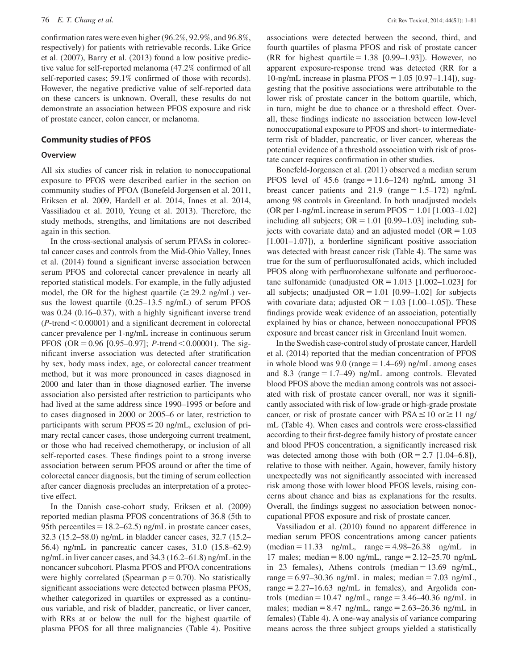#### 76 *E. T. Chang et al.* Crit Rev Toxicol, 2014; 44(S1): 1–81

confirmation rates were even higher  $(96.2\%, 92.9\%, \text{and } 96.8\%,$ respectively) for patients with retrievable records. Like Grice et al. (2007), Barry et al. (2013) found a low positive predictive value for self-reported melanoma (47.2% confirmed of all self-reported cases; 59.1% confirmed of those with records). However, the negative predictive value of self-reported data on these cancers is unknown. Overall, these results do not demonstrate an association between PFOS exposure and risk of prostate cancer, colon cancer, or melanoma.

# **Community studies of PFOS**

#### **Overview**

 All six studies of cancer risk in relation to nonoccupational exposure to PFOS were described earlier in the section on community studies of PFOA (Bonefeld-Jorgensen et al. 2011, Eriksen et al. 2009, Hardell et al. 2014, Innes et al. 2014, Vassiliadou et al. 2010, Yeung et al. 2013). Therefore, the study methods, strengths, and limitations are not described again in this section.

 In the cross-sectional analysis of serum PFASs in colorectal cancer cases and controls from the Mid-Ohio Valley, Innes et al. (2014) found a significant inverse association between serum PFOS and colorectal cancer prevalence in nearly all reported statistical models. For example, in the fully adjusted model, the OR for the highest quartile ( $\geq$  29.2 ng/mL) versus the lowest quartile  $(0.25-13.5 \text{ ng/mL})$  of serum PFOS was  $0.24$  ( $0.16 - 0.37$ ), with a highly significant inverse trend  $(P$ -trend  $\leq 0.00001$ ) and a significant decrement in colorectal cancer prevalence per 1-ng/mL increase in continuous serum PFOS (OR = 0.96 [0.95-0.97]; *P*-trend < 0.00001). The significant inverse association was detected after stratification by sex, body mass index, age, or colorectal cancer treatment method, but it was more pronounced in cases diagnosed in 2000 and later than in those diagnosed earlier. The inverse association also persisted after restriction to participants who had lived at the same address since 1990–1995 or before and to cases diagnosed in 2000 or 2005–6 or later, restriction to participants with serum  $PFOS \le 20$  ng/mL, exclusion of primary rectal cancer cases, those undergoing current treatment, or those who had received chemotherapy, or inclusion of all self-reported cases. These findings point to a strong inverse association between serum PFOS around or after the time of colorectal cancer diagnosis, but the timing of serum collection after cancer diagnosis precludes an interpretation of a protective effect.

 In the Danish case-cohort study, Eriksen et al. (2009) reported median plasma PFOS concentrations of 36.8 (5th to 95th percentiles  $= 18.2 - 62.5$  ng/mL in prostate cancer cases, 32.3 (15.2–58.0) ng/mL in bladder cancer cases, 32.7 (15.2– 56.4) ng/mL in pancreatic cancer cases, 31.0 (15.8–62.9) ng/mL in liver cancer cases, and  $34.3$  (16.2–61.8) ng/mL in the noncancer subcohort. Plasma PFOS and PFOA concentrations were highly correlated (Spearman  $\rho = 0.70$ ). No statistically significant associations were detected between plasma PFOS, whether categorized in quartiles or expressed as a continuous variable, and risk of bladder, pancreatic, or liver cancer, with RRs at or below the null for the highest quartile of plasma PFOS for all three malignancies (Table 4). Positive

associations were detected between the second, third, and fourth quartiles of plasma PFOS and risk of prostate cancer (RR for highest quartile  $= 1.38$  [0.99–1.93]). However, no apparent exposure-response trend was detected (RR for a 10-ng/mL increase in plasma  $PFOS = 1.05$  [0.97–1.14]), suggesting that the positive associations were attributable to the lower risk of prostate cancer in the bottom quartile, which, in turn, might be due to chance or a threshold effect. Overall, these findings indicate no association between low-level nonoccupational exposure to PFOS and short- to intermediateterm risk of bladder, pancreatic, or liver cancer, whereas the potential evidence of a threshold association with risk of prostate cancer requires confirmation in other studies.

 Bonefeld-Jorgensen et al. (2011) observed a median serum PFOS level of  $45.6$  (range  $= 11.6 - 124$ ) ng/mL among 31 breast cancer patients and  $21.9$  (range  $= 1.5 - 172$ ) ng/mL among 98 controls in Greenland. In both unadjusted models (OR per 1-ng/mL increase in serum  $PFOS = 1.01$  [1.003-1.02] including all subjects;  $OR = 1.01$  [0.99–1.03] including subjects with covariate data) and an adjusted model ( $OR = 1.03$ )  $[1.001 - 1.07]$ , a borderline significant positive association was detected with breast cancer risk (Table 4). The same was true for the sum of perfluorosulfonated acids, which included PFOS along with perfluorohexane sulfonate and perfluorooctane sulfonamide (unadjusted  $OR = 1.013$  [1.002-1.023] for all subjects; unadjusted  $OR = 1.01$  [0.99–1.02] for subjects with covariate data; adjusted  $OR = 1.03$  [1.00-1.05]). These findings provide weak evidence of an association, potentially explained by bias or chance, between nonoccupational PFOS exposure and breast cancer risk in Greenland Inuit women.

 In the Swedish case-control study of prostate cancer, Hardell et al. (2014) reported that the median concentration of PFOS in whole blood was 9.0 (range  $= 1.4{\text{-}}69$ ) ng/mL among cases and 8.3 (range  $= 1.7 - 49$ ) ng/mL among controls. Elevated blood PFOS above the median among controls was not associated with risk of prostate cancer overall, nor was it significantly associated with risk of low-grade or high-grade prostate cancer, or risk of prostate cancer with  $PSA \le 10$  or  $\ge 11$  ng/ mL (Table 4). When cases and controls were cross-classified according to their first-degree family history of prostate cancer and blood PFOS concentration, a significantly increased risk was detected among those with both  $(OR = 2.7 [1.04 - 6.8])$ , relative to those with neither. Again, however, family history unexpectedly was not significantly associated with increased risk among those with lower blood PFOS levels, raising concerns about chance and bias as explanations for the results. Overall, the findings suggest no association between nonoccupational PFOS exposure and risk of prostate cancer.

Vassiliadou et al. (2010) found no apparent difference in median serum PFOS concentrations among cancer patients  $(median = 11.33 \text{ ng/mL}, \text{range} = 4.98 - 26.38 \text{ ng/mL} \text{ in}$ 17 males; median =  $8.00 \text{ ng/mL}$ , range =  $2.12 - 25.70 \text{ ng/mL}$ in 23 females), Athens controls (median  $= 13.69$  ng/mL, range  $= 6.97 - 30.36$  ng/mL in males; median  $= 7.03$  ng/mL, range  $= 2.27 - 16.63$  ng/mL in females), and Argolida controls (median = 10.47 ng/mL, range = 3.46–40.36 ng/mL in males; median  $= 8.47$  ng/mL, range  $= 2.63 - 26.36$  ng/mL in females) (Table 4). A one-way analysis of variance comparing means across the three subject groups yielded a statistically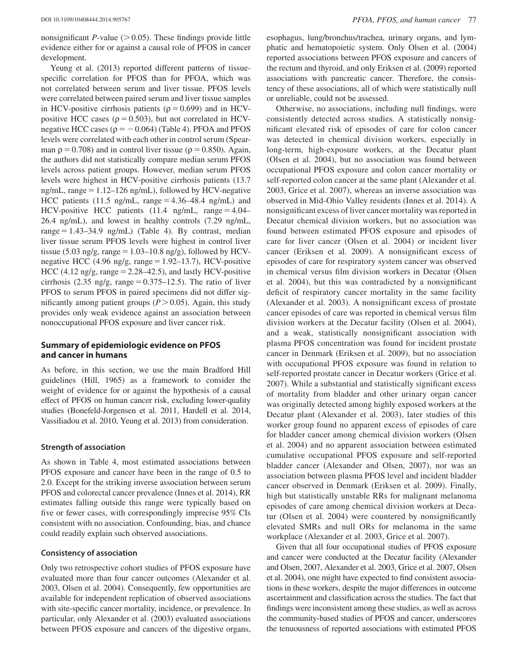nonsignificant *P*-value ( $> 0.05$ ). These findings provide little evidence either for or against a causal role of PFOS in cancer development.

Yeung et al. (2013) reported different patterns of tissuespecific correlation for PFOS than for PFOA, which was not correlated between serum and liver tissue. PFOS levels were correlated between paired serum and liver tissue samples in HCV-positive cirrhosis patients ( $\rho = 0.699$ ) and in HCVpositive HCC cases ( $\rho = 0.503$ ), but not correlated in HCVnegative HCC cases ( $\rho = -0.064$ ) (Table 4). PFOA and PFOS levels were correlated with each other in control serum (Spearman  $\rho = 0.708$ ) and in control liver tissue ( $\rho = 0.850$ ). Again, the authors did not statistically compare median serum PFOS levels across patient groups. However, median serum PFOS levels were highest in HCV-positive cirrhosis patients (13.7 ng/mL, range  $= 1.12 - 126$  ng/mL), followed by HCV-negative HCC patients  $(11.5 \text{ ng/mL}, \text{range} = 4.36 - 48.4 \text{ ng/mL})$  and HCV-positive HCC patients  $(11.4 \text{ ng/mL}, \text{range} = 4.04 -$  26.4 ng/mL), and lowest in healthy controls (7.29 ng/mL, range  $= 1.43 - 34.9$  ng/mL) (Table 4). By contrast, median liver tissue serum PFOS levels were highest in control liver tissue (5.03 ng/g, range  $= 1.03 - 10.8$  ng/g), followed by HCVnegative HCC (4.96 ng/g, range  $= 1.92 - 13.7$ ), HCV-positive HCC (4.12 ng/g, range  $= 2.28 - 42.5$ ), and lastly HCV-positive cirrhosis (2.35 ng/g, range  $= 0.375 - 12.5$ ). The ratio of liver PFOS to serum PFOS in paired specimens did not differ significantly among patient groups  $(P > 0.05)$ . Again, this study provides only weak evidence against an association between nonoccupational PFOS exposure and liver cancer risk.

# **Summary of epidemiologic evidence on PFOS and cancer in humans**

 As before, in this section, we use the main Bradford Hill guidelines (Hill, 1965) as a framework to consider the weight of evidence for or against the hypothesis of a causal effect of PFOS on human cancer risk, excluding lower-quality studies (Bonefeld-Jorgensen et al. 2011, Hardell et al. 2014, Vassiliadou et al. 2010, Yeung et al. 2013) from consideration.

# **Strength of association**

 As shown in Table 4, most estimated associations between PFOS exposure and cancer have been in the range of 0.5 to 2.0. Except for the striking inverse association between serum PFOS and colorectal cancer prevalence (Innes et al. 2014), RR estimates falling outside this range were typically based on five or fewer cases, with correspondingly imprecise 95% CIs consistent with no association. Confounding, bias, and chance could readily explain such observed associations.

#### **Consistency of association**

 Only two retrospective cohort studies of PFOS exposure have evaluated more than four cancer outcomes (Alexander et al. 2003, Olsen et al. 2004). Consequently, few opportunities are available for independent replication of observed associations with site-specific cancer mortality, incidence, or prevalence. In particular, only Alexander et al. (2003) evaluated associations between PFOS exposure and cancers of the digestive organs,

esophagus, lung/bronchus/trachea, urinary organs, and lymphatic and hematopoietic system. Only Olsen et al. (2004) reported associations between PFOS exposure and cancers of the rectum and thyroid, and only Eriksen et al. (2009) reported associations with pancreatic cancer. Therefore, the consistency of these associations, all of which were statistically null or unreliable, could not be assessed.

Otherwise, no associations, including null findings, were consistently detected across studies. A statistically nonsignificant elevated risk of episodes of care for colon cancer was detected in chemical division workers, especially in long-term, high-exposure workers, at the Decatur plant (Olsen et al. 2004), but no association was found between occupational PFOS exposure and colon cancer mortality or self-reported colon cancer at the same plant (Alexander et al. 2003, Grice et al. 2007), whereas an inverse association was observed in Mid-Ohio Valley residents (Innes et al. 2014). A nonsignificant excess of liver cancer mortality was reported in Decatur chemical division workers, but no association was found between estimated PFOS exposure and episodes of care for liver cancer (Olsen et al. 2004) or incident liver cancer (Eriksen et al. 2009). A nonsignificant excess of episodes of care for respiratory system cancer was observed in chemical versus film division workers in Decatur (Olsen et al. 2004), but this was contradicted by a nonsignificant deficit of respiratory cancer mortality in the same facility (Alexander et al. 2003). A nonsignificant excess of prostate cancer episodes of care was reported in chemical versus film division workers at the Decatur facility (Olsen et al. 2004), and a weak, statistically nonsignificant association with plasma PFOS concentration was found for incident prostate cancer in Denmark (Eriksen et al. 2009), but no association with occupational PFOS exposure was found in relation to self-reported prostate cancer in Decatur workers (Grice et al. 2007). While a substantial and statistically significant excess of mortality from bladder and other urinary organ cancer was originally detected among highly exposed workers at the Decatur plant (Alexander et al. 2003), later studies of this worker group found no apparent excess of episodes of care for bladder cancer among chemical division workers (Olsen et al. 2004) and no apparent association between estimated cumulative occupational PFOS exposure and self-reported bladder cancer (Alexander and Olsen, 2007), nor was an association between plasma PFOS level and incident bladder cancer observed in Denmark (Eriksen et al. 2009). Finally, high but statistically unstable RRs for malignant melanoma episodes of care among chemical division workers at Decatur (Olsen et al. 2004) were countered by nonsignificantly elevated SMRs and null ORs for melanoma in the same workplace (Alexander et al. 2003, Grice et al. 2007).

 Given that all four occupational studies of PFOS exposure and cancer were conducted at the Decatur facility (Alexander and Olsen, 2007, Alexander et al. 2003, Grice et al. 2007, Olsen et al. 2004), one might have expected to find consistent associations in these workers, despite the major differences in outcome ascertainment and classification across the studies. The fact that findings were inconsistent among these studies, as well as across the community-based studies of PFOS and cancer, underscores the tenuousness of reported associations with estimated PFOS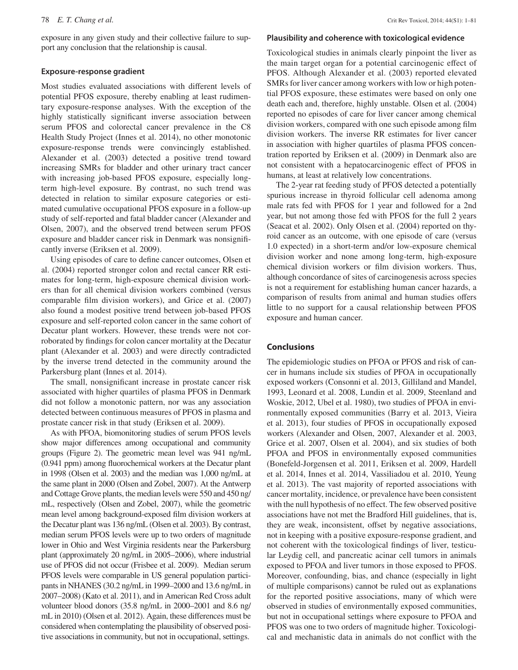exposure in any given study and their collective failure to support any conclusion that the relationship is causal.

#### **Exposure-response gradient**

Most studies evaluated associations with different levels of potential PFOS exposure, thereby enabling at least rudimentary exposure-response analyses. With the exception of the highly statistically significant inverse association between serum PFOS and colorectal cancer prevalence in the C8 Health Study Project (Innes et al. 2014), no other monotonic exposure-response trends were convincingly established. Alexander et al. (2003) detected a positive trend toward increasing SMRs for bladder and other urinary tract cancer with increasing job-based PFOS exposure, especially longterm high-level exposure. By contrast, no such trend was detected in relation to similar exposure categories or estimated cumulative occupational PFOS exposure in a follow-up study of self-reported and fatal bladder cancer (Alexander and Olsen, 2007), and the observed trend between serum PFOS exposure and bladder cancer risk in Denmark was nonsignificantly inverse (Eriksen et al. 2009).

Using episodes of care to define cancer outcomes, Olsen et al. (2004) reported stronger colon and rectal cancer RR estimates for long-term, high-exposure chemical division workers than for all chemical division workers combined (versus comparable film division workers), and Grice et al. (2007) also found a modest positive trend between job-based PFOS exposure and self-reported colon cancer in the same cohort of Decatur plant workers. However, these trends were not corroborated by findings for colon cancer mortality at the Decatur plant (Alexander et al. 2003) and were directly contradicted by the inverse trend detected in the community around the Parkersburg plant (Innes et al. 2014).

The small, nonsignificant increase in prostate cancer risk associated with higher quartiles of plasma PFOS in Denmark did not follow a monotonic pattern, nor was any association detected between continuous measures of PFOS in plasma and prostate cancer risk in that study (Eriksen et al. 2009).

 As with PFOA, biomonitoring studies of serum PFOS levels show major differences among occupational and community groups (Figure 2). The geometric mean level was 941 ng/mL (0.941 ppm) among fluorochemical workers at the Decatur plant in 1998 (Olsen et al. 2003) and the median was 1,000 ng/mL at the same plant in 2000 (Olsen and Zobel, 2007). At the Antwerp and Cottage Grove plants, the median levels were 550 and 450 ng/ mL, respectively (Olsen and Zobel, 2007), while the geometric mean level among background-exposed film division workers at the Decatur plant was 136 ng/mL (Olsen et al. 2003). By contrast, median serum PFOS levels were up to two orders of magnitude lower in Ohio and West Virginia residents near the Parkersburg plant (approximately 20 ng/mL in 2005–2006), where industrial use of PFOS did not occur (Frisbee et al. 2009). Median serum PFOS levels were comparable in US general population participants in NHANES (30.2 ng/mL in 1999–2000 and 13.6 ng/mL in 2007 – 2008) (Kato et al. 2011), and in American Red Cross adult volunteer blood donors (35.8 ng/mL in 2000-2001 and 8.6 ng/ mL in 2010) (Olsen et al. 2012). Again, these differences must be considered when contemplating the plausibility of observed positive associations in community, but not in occupational, settings.

#### **Plausibility and coherence with toxicological evidence**

 Toxicological studies in animals clearly pinpoint the liver as the main target organ for a potential carcinogenic effect of PFOS. Although Alexander et al. (2003) reported elevated SMRs for liver cancer among workers with low or high potential PFOS exposure, these estimates were based on only one death each and, therefore, highly unstable. Olsen et al. (2004) reported no episodes of care for liver cancer among chemical division workers, compared with one such episode among film division workers. The inverse RR estimates for liver cancer in association with higher quartiles of plasma PFOS concentration reported by Eriksen et al. (2009) in Denmark also are not consistent with a hepatocarcinogenic effect of PFOS in humans, at least at relatively low concentrations.

 The 2-year rat feeding study of PFOS detected a potentially spurious increase in thyroid follicular cell adenoma among male rats fed with PFOS for 1 year and followed for a 2nd year, but not among those fed with PFOS for the full 2 years (Seacat et al. 2002). Only Olsen et al. (2004) reported on thyroid cancer as an outcome, with one episode of care (versus 1.0 expected) in a short-term and/or low-exposure chemical division worker and none among long-term, high-exposure chemical division workers or film division workers. Thus, although concordance of sites of carcinogenesis across species is not a requirement for establishing human cancer hazards, a comparison of results from animal and human studies offers little to no support for a causal relationship between PFOS exposure and human cancer.

# **Conclusions**

 The epidemiologic studies on PFOA or PFOS and risk of cancer in humans include six studies of PFOA in occupationally exposed workers (Consonni et al. 2013, Gilliland and Mandel, 1993, Leonard et al. 2008, Lundin et al. 2009, Steenland and Woskie, 2012, Ubel et al. 1980), two studies of PFOA in environmentally exposed communities (Barry et al. 2013, Vieira et al. 2013), four studies of PFOS in occupationally exposed workers (Alexander and Olsen, 2007, Alexander et al. 2003, Grice et al. 2007, Olsen et al. 2004), and six studies of both PFOA and PFOS in environmentally exposed communities (Bonefeld-Jorgensen et al. 2011, Eriksen et al. 2009, Hardell et al. 2014, Innes et al. 2014, Vassiliadou et al. 2010, Yeung et al. 2013). The vast majority of reported associations with cancer mortality, incidence, or prevalence have been consistent with the null hypothesis of no effect. The few observed positive associations have not met the Bradford Hill guidelines, that is, they are weak, inconsistent, offset by negative associations, not in keeping with a positive exposure-response gradient, and not coherent with the toxicological findings of liver, testicular Leydig cell, and pancreatic acinar cell tumors in animals exposed to PFOA and liver tumors in those exposed to PFOS. Moreover, confounding, bias, and chance (especially in light of multiple comparisons) cannot be ruled out as explanations for the reported positive associations, many of which were observed in studies of environmentally exposed communities, but not in occupational settings where exposure to PFOA and PFOS was one to two orders of magnitude higher. Toxicological and mechanistic data in animals do not conflict with the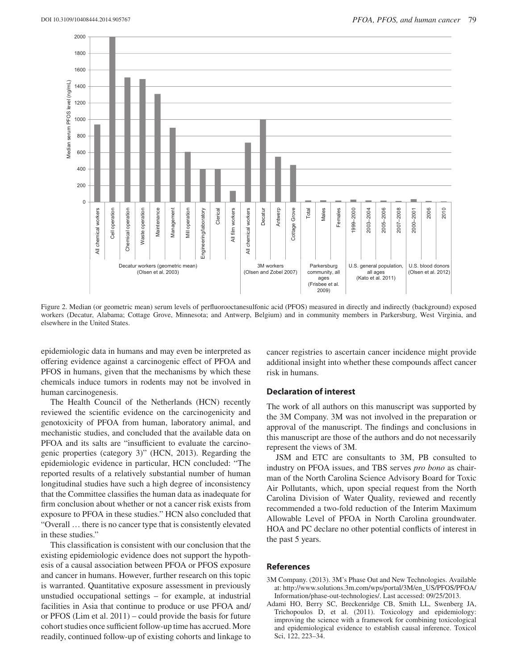

Figure 2. Median (or geometric mean) serum levels of perfluorooctanesulfonic acid (PFOS) measured in directly and indirectly (background) exposed workers (Decatur, Alabama; Cottage Grove, Minnesota; and Antwerp, Belgium) and in community members in Parkersburg, West Virginia, and elsewhere in the United States.

epidemiologic data in humans and may even be interpreted as offering evidence against a carcinogenic effect of PFOA and PFOS in humans, given that the mechanisms by which these chemicals induce tumors in rodents may not be involved in human carcinogenesis.

 The Health Council of the Netherlands (HCN) recently reviewed the scientific evidence on the carcinogenicity and genotoxicity of PFOA from human, laboratory animal, and mechanistic studies, and concluded that the available data on PFOA and its salts are "insufficient to evaluate the carcinogenic properties (category 3)" (HCN, 2013). Regarding the epidemiologic evidence in particular, HCN concluded: " The reported results of a relatively substantial number of human longitudinal studies have such a high degree of inconsistency that the Committee classifies the human data as inadequate for firm conclusion about whether or not a cancer risk exists from exposure to PFOA in these studies." HCN also concluded that " Overall … there is no cancer type that is consistently elevated in these studies."

This classification is consistent with our conclusion that the existing epidemiologic evidence does not support the hypothesis of a causal association between PFOA or PFOS exposure and cancer in humans. However, further research on this topic is warranted. Quantitative exposure assessment in previously unstudied occupational settings – for example, at industrial facilities in Asia that continue to produce or use PFOA and/ or PFOS (Lim et al. 2011) – could provide the basis for future cohort studies once sufficient follow-up time has accrued. More readily, continued follow-up of existing cohorts and linkage to

cancer registries to ascertain cancer incidence might provide additional insight into whether these compounds affect cancer risk in humans.

# **Declaration of interest**

 The work of all authors on this manuscript was supported by the 3M Company. 3M was not involved in the preparation or approval of the manuscript. The findings and conclusions in this manuscript are those of the authors and do not necessarily represent the views of 3M.

 JSM and ETC are consultants to 3M, PB consulted to industry on PFOA issues, and TBS serves *pro bono* as chairman of the North Carolina Science Advisory Board for Toxic Air Pollutants, which, upon special request from the North Carolina Division of Water Quality, reviewed and recently recommended a two-fold reduction of the Interim Maximum Allowable Level of PFOA in North Carolina groundwater. HOA and PC declare no other potential conflicts of interest in the past 5 years.

#### **References**

- 3M Company. (2013). 3M's Phase Out and New Technologies. Available at: http://www.solutions.3m.com/wps/portal/3M/en\_US/PFOS/PFOA/ Information/phase-out-technologies/. Last accessed: 09/25/2013.
- Adami HO, Berry SC, Breckenridge CB, Smith LL, Swenberg JA, Trichopoulos D, et al. (2011). Toxicology and epidemiology: improving the science with a framework for combining toxicological and epidemiological evidence to establish causal inference . Toxicol Sci, 122, 223-34.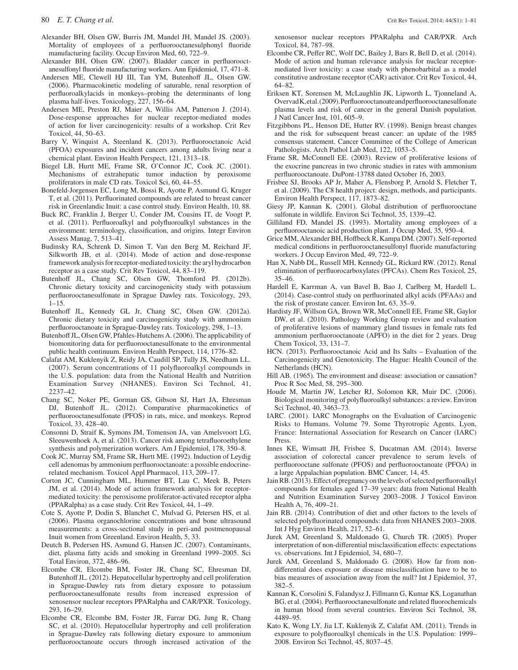- Alexander BH, Olsen GW, Burris JM, Mandel JH, Mandel JS. (2003). Mortality of employees of a perfluorooctanesulphonyl fluoride manufacturing facility. Occup Environ Med, 60, 722-9.
- Alexander BH, Olsen GW. (2007). Bladder cancer in perfluorooctanesulfonyl fluoride manufacturing workers. Ann Epidemiol, 17, 471–8.
- Andersen ME, Clewell HJ III, Tan YM, Butenhoff JL, Olsen GW. (2006). Pharmacokinetic modeling of saturable, renal resorption of perfluoroalkylacids in monkeys-probing the determinants of long plasma half-lives. Toxicology, 227, 156-64.
- Andersen ME, Preston RJ, Maier A, Willis AM, Patterson J. (2014). Dose-response approaches for nuclear receptor-mediated modes of action for liver carcinogenicity: results of a workshop . Crit Rev Toxicol, 44, 50-63.
- Barry V, Winquist A, Steenland K. (2013). Perfluorooctanoic Acid (PFOA) exposures and incident cancers among adults living near a chemical plant. Environ Health Perspect, 121, 1313-18.
- Biegel LB, Hurtt ME, Frame SR, O'Connor JC, Cook JC. (2001). Mechanisms of extrahepatic tumor induction by peroxisome proliferators in male CD rats. Toxicol Sci, 60, 44–55.
- Bonefeld-Jorgensen EC, Long M, Bossi R, Ayotte P, Asmund G, Kruger T, et al. (2011). Perfluorinated compounds are related to breast cancer risk in Greenlandic Inuit: a case control study. Environ Health, 10, 88.
- Buck RC, Franklin J, Berger U, Conder JM, Cousins IT, de Voogt P, et al. (2011). Perfluoroalkyl and polyfluoroalkyl substances in the environment: terminology, classification, and origins. Integr Environ Assess Manag, 7, 513-41.
- Budinsky RA, Schrenk D, Simon T, Van den Berg M, Reichard JF, Silkworth JB, et al. (2014). Mode of action and dose-response framework analysis for receptor-mediated toxicity: the aryl hydrocarbon receptor as a case study. Crit Rev Toxicol, 44, 83-119.
- Butenhoff JL, Chang SC, Olsen GW, Thomford PJ. (2012b). Chronic dietary toxicity and carcinogenicity study with potassium perfluorooctanesulfonate in Sprague Dawley rats. Toxicology, 293,  $1 - 15$ .
- Butenhoff JL, Kennedy GL Jr, Chang SC, Olsen GW. (2012a). Chronic dietary toxicity and carcinogenicity study with ammonium perfluorooctanoate in Sprague-Dawley rats. Toxicology, 298, 1–13.
- Butenhoff JL, Olsen GW, Pfahles-Hutchens A. (2006). The applicability of biomonitoring data for perfluorooctanesulfonate to the environmental public health continuum. Environ Health Perspect, 114, 1776-82.
- Calafat AM, Kuklenyik Z, Reidy JA, Caudill SP, Tully JS, Needham LL. (2007). Serum concentrations of 11 polyfluoroalkyl compounds in the U.S. population: data from the National Health and Nutrition Examination Survey (NHANES). Environ Sci Technol, 41,  $2237 - 42$
- Chang SC, Noker PE, Gorman GS, Gibson SJ, Hart JA, Ehresman DJ, Butenhoff JL. (2012). Comparative pharmacokinetics of perfluorooctanesulfonate (PFOS) in rats, mice, and monkeys. Reprod Toxicol, 33, 428-40.
- Consonni D, Straif K, Symons JM, Tomenson JA, van Amelsvoort LG, Sleeuwenhoek A, et al. (2013). Cancer risk among tetrafluoroethylene synthesis and polymerization workers. Am J Epidemiol, 178, 350-8.
- Cook JC, Murray SM, Frame SR, Hurtt ME. (1992). Induction of Leydig cell adenomas by ammonium perfluorooctanoate: a possible endocrinerelated mechanism. Toxicol Appl Pharmacol, 113, 209–17.
- Corton JC, Cunningham ML, Hummer BT, Lau C, Meek B, Peters JM, et al. (2014). Mode of action framework analysis for receptormediated toxicity: the peroxisome proliferator-activated receptor alpha (PPARalpha) as a case study. Crit Rev Toxicol, 44, 1–49.
- Cote S, Ayotte P, Dodin S, Blanchet C, Mulvad G, Petersen HS, et al. (2006) . Plasma organochlorine concentrations and bone ultrasound measurements: a cross-sectional study in peri-and postmenopausal Inuit women from Greenland. Environ Health, 5, 33.
- Deutch B, Pedersen HS, Asmund G, Hansen JC. (2007). Contaminants, diet, plasma fatty acids and smoking in Greenland 1999-2005. Sci Total Environ, 372, 486-96.
- Elcombe CR, Elcombe BM, Foster JR, Chang SC, Ehresman DJ, Butenhoff JL . (2012) . Hepatocellular hypertrophy and cell proliferation in Sprague-Dawley rats from dietary exposure to potassium perfluorooctanesulfonate results from increased expression of xenosensor nuclear receptors PPARalpha and CAR/PXR. Toxicology, 293, 16-29.
- Elcombe CR, Elcombe BM, Foster JR, Farrar DG, Jung R, Chang SC, et al. (2010). Hepatocellular hypertrophy and cell proliferation in Sprague-Dawley rats following dietary exposure to ammonium perfluorooctanoate occurs through increased activation of the

xenosensor nuclear receptors PPARalpha and CAR/PXR . Arch Toxicol, 84, 787-98.

- Elcombe CR, Peffer RC, Wolf DC, Bailey J, Bars R, Bell D, et al. (2014). Mode of action and human relevance analysis for nuclear receptormediated liver toxicity: a case study with phenobarbital as a model constitutive androstane receptor (CAR) activator. Crit Rev Toxicol, 44,  $64 - 82$
- Eriksen KT, Sorensen M, McLaughlin JK, Lipworth L, Tjonneland A, Overvad K , et al . (2009) . Perfl uorooctanoate and perfl uorooctanesulfonate plasma levels and risk of cancer in the general Danish population. J Natl Cancer Inst, 101, 605-9.
- Fitzgibbons PL, Henson DE, Hutter RV. (1998). Benign breast changes and the risk for subsequent breast cancer: an update of the 1985 consensus statement. Cancer Committee of the College of American Pathologists. Arch Pathol Lab Med, 122, 1053-5.
- Frame SR, McConnell EE. (2003). Review of proliferative lesions of the exocrine pancreas in two chronic studies in rates with ammonium perfluorooctanoate. DuPont-13788 dated October 16, 2003.
- Frisbee SJ, Brooks AP Jr, Maher A, Flensborg P, Arnold S, Fletcher T, et al. (2009). The C8 health project: design, methods, and participants. Environ Health Perspect, 117, 1873-82.
- Giesy JP, Kannan K. (2001). Global distribution of perfluorooctane sulfonate in wildlife. Environ Sci Technol, 35, 1339–42.
- Gilliland FD, Mandel JS. (1993). Mortality among employees of a perfluorooctanoic acid production plant. J Occup Med, 35, 950-4.
- Grice MM, Alexander BH, Hoffbeck R, Kampa DM. (2007). Self-reported medical conditions in perfluorooctanesulfonyl fluoride manufacturing workers. J Occup Environ Med, 49, 722-9.
- Han X, Nabb DL, Russell MH, Kennedy GL, Rickard RW. (2012). Renal elimination of perfluorocarboxylates (PFCAs). Chem Res Toxicol, 25,  $35 - 46$
- Hardell E, Karrman A, van Bavel B, Bao J, Carlberg M, Hardell L. (2014). Case-control study on perfluorinated alkyl acids (PFAAs) and the risk of prostate cancer. Environ Int, 63, 35-9.
- Hardisty JF, Willson GA, Brown WR, McConnell EE, Frame SR, Gaylor DW, et al. (2010). Pathology Working Group review and evaluation of proliferative lesions of mammary gland tissues in female rats fed ammonium perfluorooctanoate (APFO) in the diet for 2 years. Drug Chem Toxicol, 33, 131-7.
- HCN. (2013). Perfluorooctanoic Acid and Its Salts Evaluation of the Carcinogenicity and Genotoxicity . The Hague: Health Council of the Netherlands (HCN).
- Hill AB. (1965). The environment and disease: association or causation? Proc R Soc Med, 58, 295-300.
- Houde M, Martin JW, Letcher RJ, Solomon KR, Muir DC. (2006). Biological monitoring of polyfluoroalkyl substances: a review. Environ Sci Technol, 40, 3463-73.
- IARC. (2001). IARC Monographs on the Evaluation of Carcinogenic Risks to Humans. Volume 79. Some Thyrotropic Agents. Lyon, France: International Association for Research on Cancer (IARC) Press.
- Innes KE, Wimsatt JH, Frisbee S, Ducatman AM. (2014). Inverse association of colorectal cancer prevalence to serum levels of perfluorooctane sulfonate (PFOS) and perfluorooctanoate (PFOA) in a large Appalachian population. BMC Cancer, 14, 45.
- Jain RB. (2013). Effect of pregnancy on the levels of selected perfluoroalkyl compounds for females aged 17-39 years: data from National Health and Nutrition Examination Survey 2003-2008. J Toxicol Environ Health A, 76, 409-21.
- Jain RB . (2014) . Contribution of diet and other factors to the levels of selected polyfluorinated compounds: data from NHANES 2003-2008. Int J Hyg Environ Health,  $217, 52 - 61$ .
- Jurek AM, Greenland S, Maldonado G, Church TR. (2005). Proper interpretation of non-differential misclassification effects: expectations vs. observations. Int J Epidemiol, 34, 680-7.
- Jurek AM, Greenland S, Maldonado G. (2008). How far from nondifferential does exposure or disease misclassification have to be to bias measures of association away from the null? Int J Epidemiol, 37,  $382 - 5$ .
- Kannan K, Corsolini S, Falandysz J, Fillmann G, Kumar KS, Loganathan BG, et al. (2004). Perfluorooctanesulfonate and related fluorochemicals in human blood from several countries. Environ Sci Technol, 38, 4489-95.
- Kato K, Wong LY, Jia LT, Kuklenyik Z, Calafat AM. (2011). Trends in exposure to polyfluoroalkyl chemicals in the U.S. Population: 1999-2008. Environ Sci Technol, 45, 8037-45.